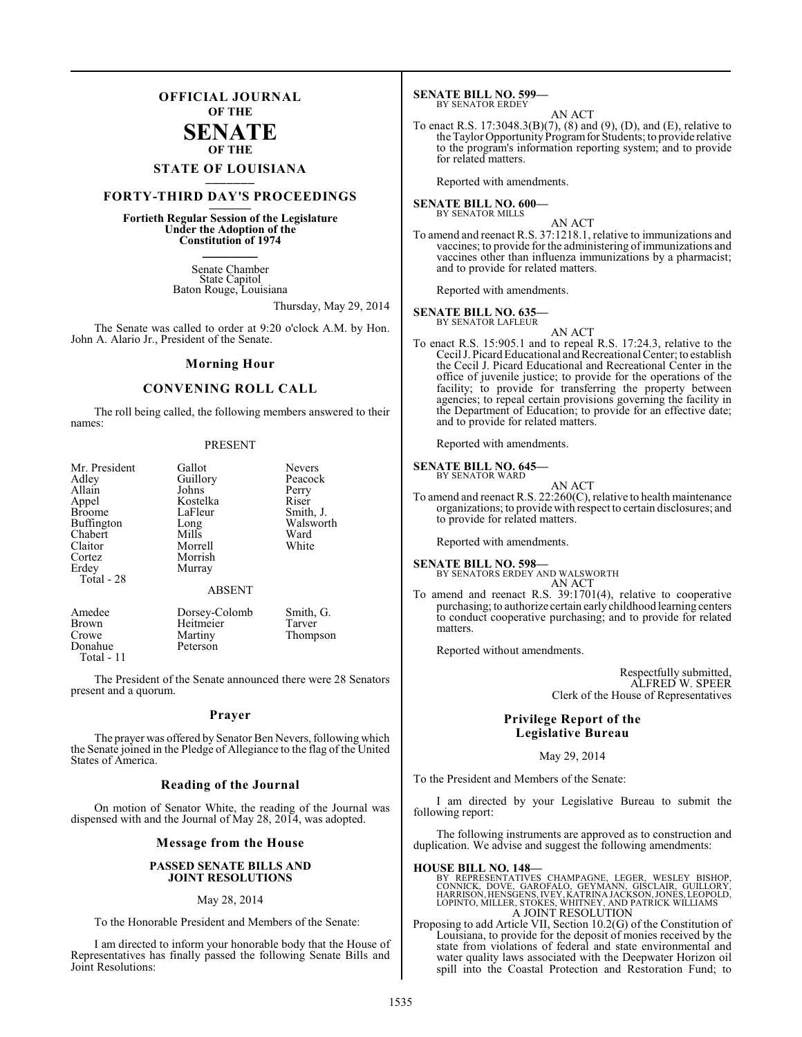## **OFFICIAL JOURNAL OF THE**

## **SENATE OF THE**

# **STATE OF LOUISIANA \_\_\_\_\_\_\_**

# **FORTY-THIRD DAY'S PROCEEDINGS \_\_\_\_\_\_\_**

## **Fortieth Regular Session of the Legislature Under the Adoption of the Constitution of 1974 \_\_\_\_\_\_\_**

Senate Chamber State Capitol Baton Rouge, Louisiana

Thursday, May 29, 2014

The Senate was called to order at 9:20 o'clock A.M. by Hon. John A. Alario Jr., President of the Senate.

#### **Morning Hour**

#### **CONVENING ROLL CALL**

The roll being called, the following members answered to their names:

#### PRESENT

| Mr. President<br>Adley<br>Allain<br>Appel<br><b>Broome</b><br><b>Buffington</b><br>Chabert<br>Claitor<br>Cortez<br>Erdey<br>Total - 28 | Gallot<br>Guillory<br>Johns<br>Kostelka<br>LaFleur<br>Long<br>Mills<br>Morrell<br>Morrish<br>Murray<br><b>ABSENT</b> | <b>Nevers</b><br>Peacock<br>Perry<br>Riser<br>Smith, J.<br>Walsworth<br>Ward<br>White |
|----------------------------------------------------------------------------------------------------------------------------------------|----------------------------------------------------------------------------------------------------------------------|---------------------------------------------------------------------------------------|
| Amedee<br><b>Brown</b><br>Crowe<br>Donahue                                                                                             | Dorsey-Colomb<br>Heitmeier<br>Martiny<br>Peterson                                                                    | Smith, G.<br>Tarver<br>Thompson                                                       |

The President of the Senate announced there were 28 Senators present and a quorum.

Total - 11

#### **Prayer**

The prayer was offered by Senator Ben Nevers, following which the Senate joined in the Pledge of Allegiance to the flag of the United States of America.

#### **Reading of the Journal**

On motion of Senator White, the reading of the Journal was dispensed with and the Journal of May 28, 2014, was adopted.

#### **Message from the House**

#### **PASSED SENATE BILLS AND JOINT RESOLUTIONS**

#### May 28, 2014

To the Honorable President and Members of the Senate:

I am directed to inform your honorable body that the House of Representatives has finally passed the following Senate Bills and Joint Resolutions:

#### **SENATE BILL NO. 599—** BY SENATOR ERDEY

AN ACT

To enact R.S. 17:3048.3(B)(7), (8) and (9), (D), and (E), relative to the Taylor Opportunity Program for Students; to provide relative to the program's information reporting system; and to provide for related matters.

Reported with amendments.

#### **SENATE BILL NO. 600—** BY SENATOR MILLS

AN ACT

To amend and reenact R.S. 37:1218.1, relative to immunizations and vaccines; to provide for the administering of immunizations and vaccines other than influenza immunizations by a pharmacist; and to provide for related matters.

Reported with amendments.

#### **SENATE BILL NO. 635—**

BY SENATOR LAFLEUR

AN ACT

To enact R.S. 15:905.1 and to repeal R.S. 17:24.3, relative to the Cecil J. Picard Educational and Recreational Center; to establish the Cecil J. Picard Educational and Recreational Center in the office of juvenile justice; to provide for the operations of the facility; to provide for transferring the property between agencies; to repeal certain provisions governing the facility in the Department of Education; to provide for an effective date; and to provide for related matters.

Reported with amendments.

#### **SENATE BILL NO. 645—** BY SENATOR WARD

- AN ACT
- To amend and reenact R.S. 22:260(C), relative to health maintenance organizations; to provide with respect to certain disclosures; and to provide for related matters.

Reported with amendments.

### **SENATE BILL NO. 598—**

BY SENATORS ERDEY AND WALSWORTH AN ACT

To amend and reenact R.S. 39:1701(4), relative to cooperative purchasing; to authorize certain early childhood learning centers to conduct cooperative purchasing; and to provide for related matters.

Reported without amendments.

Respectfully submitted, ALFRED W. SPEER Clerk of the House of Representatives

#### **Privilege Report of the Legislative Bureau**

May 29, 2014

To the President and Members of the Senate:

I am directed by your Legislative Bureau to submit the following report:

The following instruments are approved as to construction and duplication. We advise and suggest the following amendments:

#### **HOUSE BILL NO. 148—**

BY REPRESENTATIVES CHAMPAGNE, LEGER, WESLEY BISHOP,<br>CONNICK, DOVE, GAROFALO, GEYMANN, GISCLAIR, GUILLORY,<br>HARRISON,HENSGENS,IVEY,KATRINAJACKSON,JONES,LEOPOLD,<br>LOPINTO,MILLER,STOKES,WHITNEY,AND PATRICK WILLIAMS A JOINT RESOLUTION

Proposing to add Article VII, Section 10.2(G) of the Constitution of Louisiana, to provide for the deposit of monies received by the state from violations of federal and state environmental and water quality laws associated with the Deepwater Horizon oil spill into the Coastal Protection and Restoration Fund; to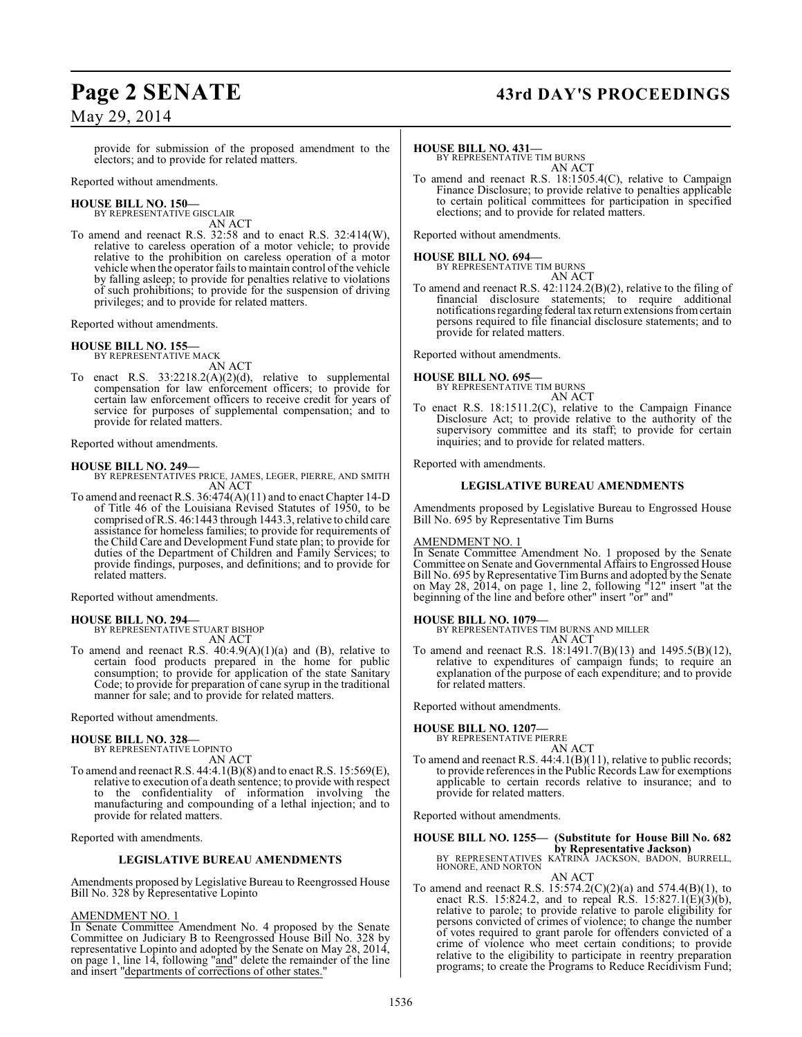# **Page 2 SENATE 43rd DAY'S PROCEEDINGS**

provide for submission of the proposed amendment to the electors; and to provide for related matters.

Reported without amendments.

#### **HOUSE BILL NO. 150—** BY REPRESENTATIVE GISCLAIR

AN ACT

To amend and reenact R.S. 32:58 and to enact R.S. 32:414(W), relative to careless operation of a motor vehicle; to provide relative to the prohibition on careless operation of a motor vehicle when the operator failsto maintain control of the vehicle by falling asleep; to provide for penalties relative to violations of such prohibitions; to provide for the suspension of driving privileges; and to provide for related matters.

Reported without amendments.

## **HOUSE BILL NO. 155—**

BY REPRESENTATIVE MACK

AN ACT To enact R.S. 33:2218.2(A)(2)(d), relative to supplemental compensation for law enforcement officers; to provide for certain law enforcement officers to receive credit for years of service for purposes of supplemental compensation; and to provide for related matters.

Reported without amendments.

#### **HOUSE BILL NO. 249—**

BY REPRESENTATIVES PRICE, JAMES, LEGER, PIERRE, AND SMITH AN ACT

To amend and reenact R.S. 36:474(A)(11) and to enact Chapter 14-D of Title 46 of the Louisiana Revised Statutes of 1950, to be comprised of R.S. 46:1443 through 1443.3, relative to child care assistance for homeless families; to provide for requirements of the Child Care and Development Fund state plan; to provide for duties of the Department of Children and Family Services; to provide findings, purposes, and definitions; and to provide for related matters.

Reported without amendments.

## **HOUSE BILL NO. 294—**

BY REPRESENTATIVE STUART BISHOP AN ACT

To amend and reenact R.S.  $40:4.9(A)(1)(a)$  and (B), relative to certain food products prepared in the home for public consumption; to provide for application of the state Sanitary Code; to provide for preparation of cane syrup in the traditional manner for sale; and to provide for related matters.

Reported without amendments.

#### **HOUSE BILL NO. 328—**

BY REPRESENTATIVE LOPINTO AN ACT

To amend and reenactR.S. 44:4.1(B)(8) and to enact R.S. 15:569(E), relative to execution of a death sentence; to provide with respect to the confidentiality of information involving the manufacturing and compounding of a lethal injection; and to provide for related matters.

Reported with amendments.

#### **LEGISLATIVE BUREAU AMENDMENTS**

Amendments proposed by Legislative Bureau to Reengrossed House Bill No. 328 by Representative Lopinto

#### AMENDMENT NO. 1

In Senate Committee Amendment No. 4 proposed by the Senate Committee on Judiciary B to Reengrossed House Bill No. 328 by representative Lopinto and adopted by the Senate on May 28, 2014, on page 1, line  $14$ , following "and" delete the remainder of the line and insert "departments of corrections of other states."

#### **HOUSE BILL NO. 431—**

BY REPRESENTATIVE TIM BURNS AN ACT

To amend and reenact R.S. 18:1505.4(C), relative to Campaign Finance Disclosure; to provide relative to penalties applicable to certain political committees for participation in specified elections; and to provide for related matters.

Reported without amendments.

#### **HOUSE BILL NO. 694—** BY REPRESENTATIVE TIM BURNS

AN ACT

To amend and reenact R.S. 42:1124.2(B)(2), relative to the filing of financial disclosure statements; to require additional notifications regarding federal tax return extensions from certain persons required to file financial disclosure statements; and to provide for related matters.

Reported without amendments.

#### **HOUSE BILL NO. 695—**

BY REPRESENTATIVE TIM BURNS AN ACT

To enact R.S. 18:1511.2(C), relative to the Campaign Finance Disclosure Act; to provide relative to the authority of the supervisory committee and its staff; to provide for certain inquiries; and to provide for related matters.

Reported with amendments.

#### **LEGISLATIVE BUREAU AMENDMENTS**

Amendments proposed by Legislative Bureau to Engrossed House Bill No. 695 by Representative Tim Burns

#### AMENDMENT NO. 1

In Senate Committee Amendment No. 1 proposed by the Senate Committee on Senate and Governmental Affairs to Engrossed House Bill No. 695 by Representative Tim Burns and adopted by the Senate on May 28, 2014, on page 1, line 2, following "12" insert "at the beginning of the line and before other" insert "or" and"

#### **HOUSE BILL NO. 1079—**

BY REPRESENTATIVES TIM BURNS AND MILLER AN ACT

To amend and reenact R.S. 18:1491.7(B)(13) and 1495.5(B)(12), relative to expenditures of campaign funds; to require an explanation of the purpose of each expenditure; and to provide for related matters.

Reported without amendments.

#### **HOUSE BILL NO. 1207—**

BY REPRESENTATIVE PIERRE

AN ACT To amend and reenact R.S. 44:4.1(B)(11), relative to public records; to provide references in the Public Records Law for exemptions applicable to certain records relative to insurance; and to provide for related matters.

Reported without amendments.

## **HOUSE BILL NO. 1255— (Substitute for House Bill No. 682 by Representative Jackson)** BY REPRESENTATIVES KATRINA JACKSON, BADON, BURRELL,

- HONORE, AND NORTON AN ACT
- To amend and reenact R.S. 15:574.2(C)(2)(a) and 574.4(B)(1), to enact R.S. 15:824.2, and to repeal R.S. 15:827.1(E)(3)(b), relative to parole; to provide relative to parole eligibility for persons convicted of crimes of violence; to change the number of votes required to grant parole for offenders convicted of a crime of violence who meet certain conditions; to provide relative to the eligibility to participate in reentry preparation programs; to create the Programs to Reduce Recidivism Fund;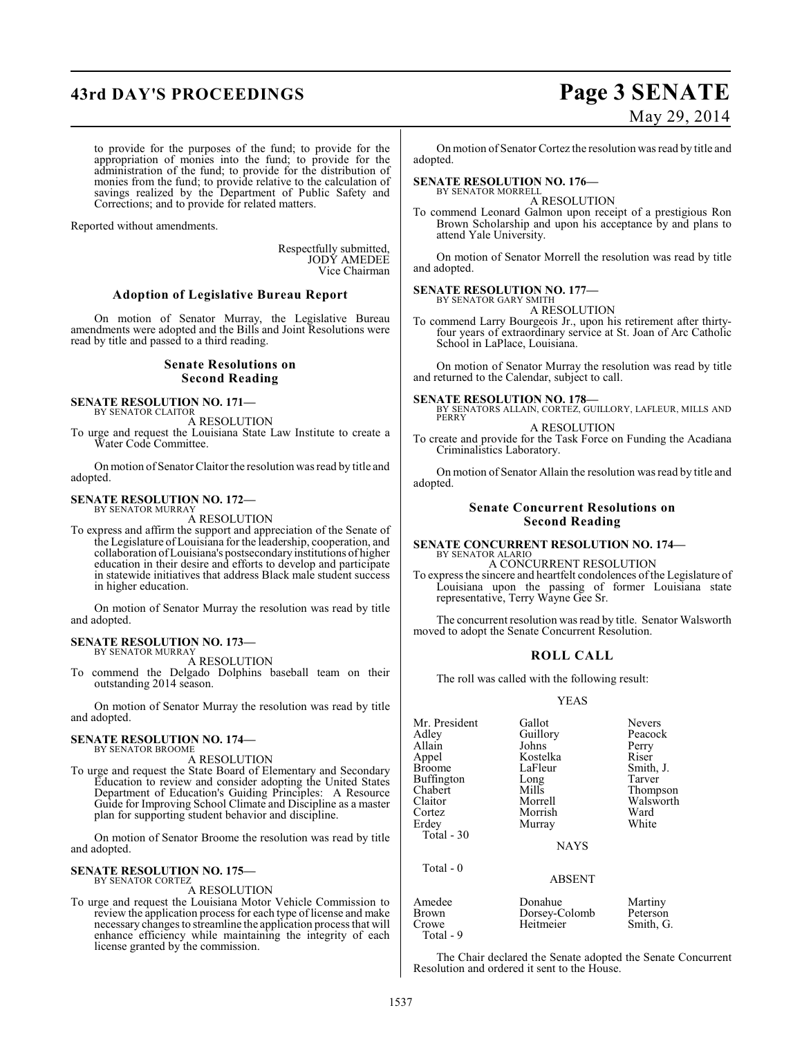# **43rd DAY'S PROCEEDINGS Page 3 SENATE**

# May 29, 2014

to provide for the purposes of the fund; to provide for the appropriation of monies into the fund; to provide for the administration of the fund; to provide for the distribution of monies from the fund; to provide relative to the calculation of savings realized by the Department of Public Safety and Corrections; and to provide for related matters.

Reported without amendments.

Respectfully submitted, JODY AMEDEE Vice Chairman

#### **Adoption of Legislative Bureau Report**

On motion of Senator Murray, the Legislative Bureau amendments were adopted and the Bills and Joint Resolutions were read by title and passed to a third reading.

#### **Senate Resolutions on Second Reading**

# **SENATE RESOLUTION NO. 171—** BY SENATOR CLAITOR

A RESOLUTION

To urge and request the Louisiana State Law Institute to create a Water Code Committee.

On motion of Senator Claitor the resolution was read by title and adopted.

#### **SENATE RESOLUTION NO. 172—** BY SENATOR MURRAY

A RESOLUTION

To express and affirm the support and appreciation of the Senate of the Legislature of Louisiana for the leadership, cooperation, and collaboration of Louisiana's postsecondary institutions of higher education in their desire and efforts to develop and participate in statewide initiatives that address Black male student success in higher education.

On motion of Senator Murray the resolution was read by title and adopted.

#### **SENATE RESOLUTION NO. 173—** BY SENATOR MURRAY

A RESOLUTION

To commend the Delgado Dolphins baseball team on their outstanding 2014 season.

On motion of Senator Murray the resolution was read by title and adopted.

#### **SENATE RESOLUTION NO. 174—** BY SENATOR BROOME

A RESOLUTION

To urge and request the State Board of Elementary and Secondary Education to review and consider adopting the United States Department of Education's Guiding Principles: A Resource Guide for Improving School Climate and Discipline as a master plan for supporting student behavior and discipline.

On motion of Senator Broome the resolution was read by title and adopted.

#### **SENATE RESOLUTION NO. 175—** BY SENATOR CORTEZ

A RESOLUTION

To urge and request the Louisiana Motor Vehicle Commission to review the application process for each type of license and make necessary changes to streamline the application process that will enhance efficiency while maintaining the integrity of each license granted by the commission.

On motion of Senator Cortez the resolution was read by title and adopted.

#### **SENATE RESOLUTION NO. 176—** BY SENATOR MORRELL

A RESOLUTION

To commend Leonard Galmon upon receipt of a prestigious Ron Brown Scholarship and upon his acceptance by and plans to attend Yale University.

On motion of Senator Morrell the resolution was read by title and adopted.

#### **SENATE RESOLUTION NO. 177—** BY SENATOR GARY SMITH

A RESOLUTION

To commend Larry Bourgeois Jr., upon his retirement after thirtyfour years of extraordinary service at St. Joan of Arc Catholic School in LaPlace, Louisiana.

On motion of Senator Murray the resolution was read by title and returned to the Calendar, subject to call.

#### **SENATE RESOLUTION NO. 178—**

BY SENATORS ALLAIN, CORTEZ, GUILLORY, LAFLEUR, MILLS AND PERRY A RESOLUTION

To create and provide for the Task Force on Funding the Acadiana Criminalistics Laboratory.

On motion of Senator Allain the resolution was read by title and adopted.

#### **Senate Concurrent Resolutions on Second Reading**

#### **SENATE CONCURRENT RESOLUTION NO. 174—** BY SENATOR ALARIO A CONCURRENT RESOLUTION

To express the sincere and heartfelt condolences of the Legislature of Louisiana upon the passing of former Louisiana state representative, Terry Wayne Gee Sr.

The concurrent resolution was read by title. Senator Walsworth moved to adopt the Senate Concurrent Resolution.

#### **ROLL CALL**

The roll was called with the following result:

#### YEAS

| Mr. President | Gallot   | <b>Nevers</b> |
|---------------|----------|---------------|
| Adley         | Guillory | Peacock       |
| Allain        | Johns    | Perry         |
| Appel         | Kostelka | Riser         |
| <b>Broome</b> | LaFleur  | Smith, J.     |
| Buffington    | Long     | Tarver        |
| Chabert       | Mills    | Thompson      |
| Claitor       | Morrell  | Walsworth     |
| Cortez        | Morrish  | Ward          |
| Erdey         | Murray   | White         |
| Total - 30    |          |               |
|               | NAVC     |               |

Total - 0

**NAYS** 

#### ABSENT

| Amedee    | Donahue       | Martiny   |
|-----------|---------------|-----------|
| Brown     | Dorsey-Colomb | Peterson  |
| Crowe     | Heitmeier     | Smith, G. |
| Total - 9 |               |           |

The Chair declared the Senate adopted the Senate Concurrent Resolution and ordered it sent to the House.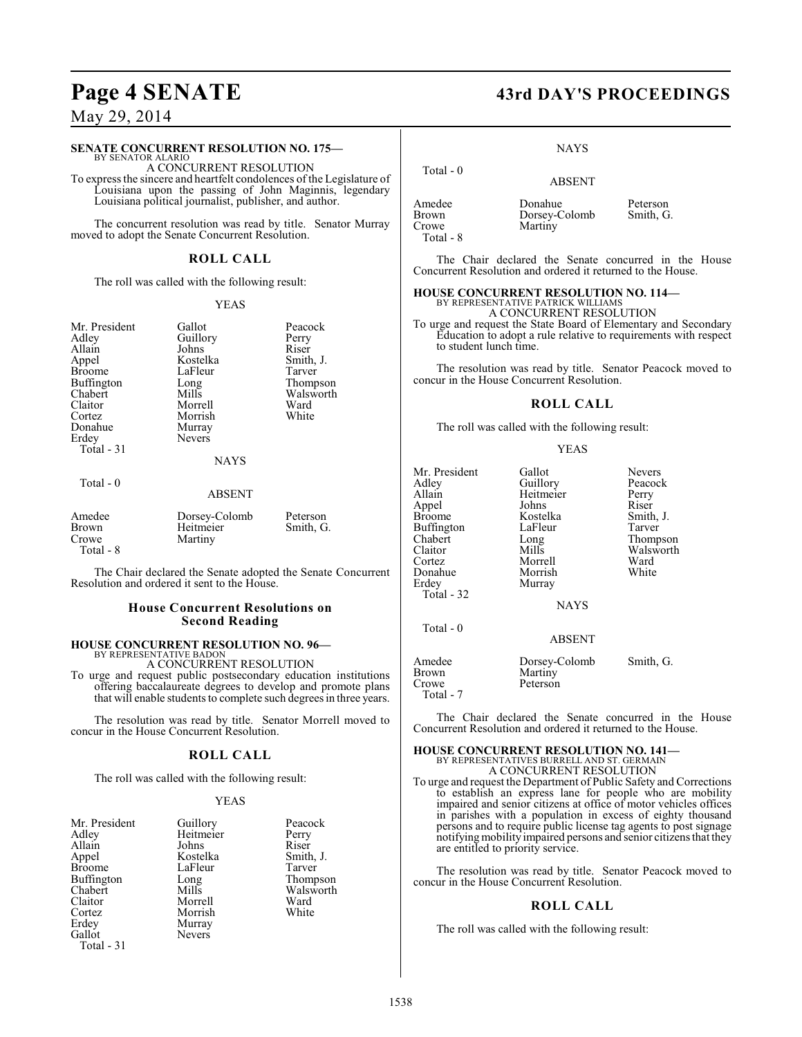#### **SENATE CONCURRENT RESOLUTION NO. 175—** BY SENATOR ALARIO

A CONCURRENT RESOLUTION

To express the sincere and heartfelt condolences of the Legislature of Louisiana upon the passing of John Maginnis, legendary Louisiana political journalist, publisher, and author.

The concurrent resolution was read by title. Senator Murray moved to adopt the Senate Concurrent Resolution.

#### **ROLL CALL**

The roll was called with the following result:

#### YEAS

| Mr. President<br>Adley<br>Allain<br>Appel<br>Broome<br><b>Buffington</b><br>Chabert<br>Claitor<br>Cortez<br>Donahue<br>Erdey<br>Total $-31$ | Gallot<br>Guillory<br>Johns<br>Kostelka<br>LaFleur<br>Long<br>Mills<br>Morrell<br>Morrish<br>Murray<br><b>Nevers</b><br><b>NAYS</b> | Peacock<br>Perry<br>Riser<br>Smith, J.<br>Tarver<br>Thompson<br>Walsworth<br>Ward<br>White |
|---------------------------------------------------------------------------------------------------------------------------------------------|-------------------------------------------------------------------------------------------------------------------------------------|--------------------------------------------------------------------------------------------|
| Total $-0$                                                                                                                                  | ABSENT                                                                                                                              |                                                                                            |
| Amedee<br>Brown<br>Crowe                                                                                                                    | Dorsey-Colomb<br>Heitmeier<br>Martiny                                                                                               | Peterson<br>Smith, G.                                                                      |

Total - 8

The Chair declared the Senate adopted the Senate Concurrent Resolution and ordered it sent to the House.

#### **House Concurrent Resolutions on Second Reading**

## **HOUSE CONCURRENT RESOLUTION NO. 96—**

BY REPRESENTATIVE BADON A CONCURRENT RESOLUTION

To urge and request public postsecondary education institutions offering baccalaureate degrees to develop and promote plans that will enable students to complete such degrees in three years.

The resolution was read by title. Senator Morrell moved to concur in the House Concurrent Resolution.

#### **ROLL CALL**

The roll was called with the following result:

#### YEAS

| Mr. President | Guillory  | Peacock   |
|---------------|-----------|-----------|
| Adley         | Heitmeier | Perry     |
| Allain        | Johns     | Riser     |
| Appel         | Kostelka  | Smith, J. |
| <b>Broome</b> | LaFleur   | Tarver    |
| Buffington    | Long      | Thompson  |
| Chabert       | Mills     | Walsworth |
| Claitor       | Morrell   | Ward      |
| Cortez        | Morrish   | White     |
| Erdey         | Murray    |           |
| Gallot        | Nevers    |           |
| Total - 31    |           |           |

# Page 4 SENATE 43rd DAY'S PROCEEDINGS

#### **NAYS**

 Total - 0 ABSENT Amedee Donahue Peterson<br>Brown Dorsey-Colomb Smith, G. Brown Dorsey-Colomb<br>Crowe Martiny Martiny Total - 8

The Chair declared the Senate concurred in the House Concurrent Resolution and ordered it returned to the House.

# **HOUSE CONCURRENT RESOLUTION NO. 114—** BY REPRESENTATIVE PATRICK WILLIAMS

A CONCURRENT RESOLUTION

To urge and request the State Board of Elementary and Secondary Education to adopt a rule relative to requirements with respect to student lunch time.

The resolution was read by title. Senator Peacock moved to concur in the House Concurrent Resolution.

#### **ROLL CALL**

The roll was called with the following result:

#### YEAS

| Mr. President<br>Adley<br>Allain<br>Appel<br><b>Broome</b><br><b>Buffington</b><br>Chabert<br>Claitor<br>Cortez<br>Donahue<br>Erdey<br>Total $-32$ | Gallot<br>Guillory<br>Heitmeier<br>Johns<br>Kostelka<br>LaFleur<br>Long<br>Mills<br>Morrell<br>Morrish<br>Murray<br><b>NAYS</b> | Nevers<br>Peacock<br>Perry<br>Riser<br>Smith, J.<br>Tarver<br>Thompson<br>Walsworth<br>Ward<br>White |
|----------------------------------------------------------------------------------------------------------------------------------------------------|---------------------------------------------------------------------------------------------------------------------------------|------------------------------------------------------------------------------------------------------|
| Total - 0                                                                                                                                          | <b>ABSENT</b>                                                                                                                   |                                                                                                      |
| Amedee<br>Brown<br>Crowe<br>Total - 7                                                                                                              | Dorsey-Colomb<br>Martiny<br>Peterson                                                                                            | Smith, G.                                                                                            |

The Chair declared the Senate concurred in the House Concurrent Resolution and ordered it returned to the House.

## **HOUSE CONCURRENT RESOLUTION NO. 141—** BY REPRESENTATIVES BURRELL AND ST. GERMAIN A CONCURRENT RESOLUTION

To urge and request the Department of Public Safety and Corrections to establish an express lane for people who are mobility impaired and senior citizens at office of motor vehicles offices in parishes with a population in excess of eighty thousand persons and to require public license tag agents to post signage notifying mobility impaired persons and senior citizens that they are entitled to priority service.

The resolution was read by title. Senator Peacock moved to concur in the House Concurrent Resolution.

#### **ROLL CALL**

The roll was called with the following result: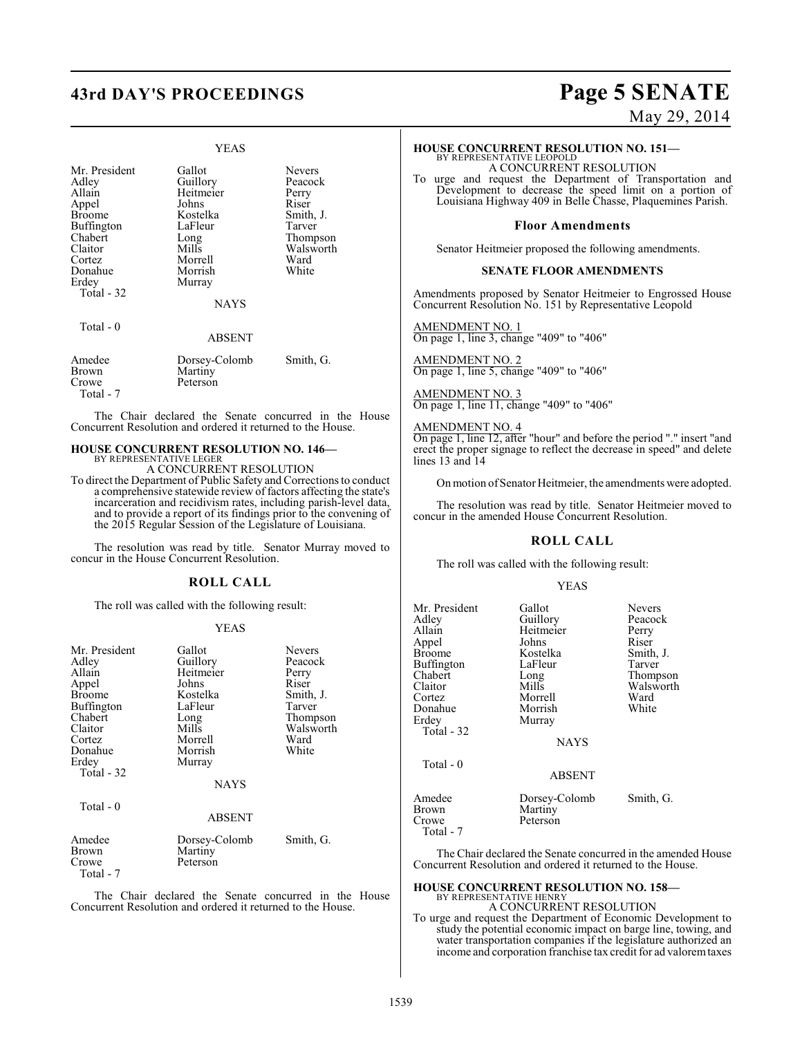# **43rd DAY'S PROCEEDINGS Page 5 SENATE**

#### YEAS

| Mr. President<br>Adley<br>Allain<br>Appel<br>Broome<br><b>Buffington</b><br>Chabert<br>Claitor<br>Cortez<br>Donahue<br>Erdey<br>Total - 32 | Gallot<br>Guillory<br>Heitmeier<br>Johns<br>Kostelka<br>LaFleur<br>Long<br>Mills<br>Morrell<br>Morrish<br>Murray<br><b>NAYS</b> | Nevers<br>Peacock<br>Perry<br>Riser<br>Smith, J.<br>Tarver<br>Thompson<br>Walsworth<br>Ward<br>White |
|--------------------------------------------------------------------------------------------------------------------------------------------|---------------------------------------------------------------------------------------------------------------------------------|------------------------------------------------------------------------------------------------------|
| Total - 0                                                                                                                                  | <b>ABSENT</b>                                                                                                                   |                                                                                                      |
| Amedee<br>Brown<br>Crowe<br>Total - 7                                                                                                      | Dorsey-Colomb<br>Martiny<br>Peterson                                                                                            | Smith, G.                                                                                            |

The Chair declared the Senate concurred in the House Concurrent Resolution and ordered it returned to the House.

#### **HOUSE CONCURRENT RESOLUTION NO. 146—** BY REPRESENTATIVE LEGER

A CONCURRENT RESOLUTION

To direct the Department of Public Safety and Corrections to conduct a comprehensive statewide review of factors affecting the state's incarceration and recidivism rates, including parish-level data, and to provide a report of its findings prior to the convening of the 2015 Regular Session of the Legislature of Louisiana.

The resolution was read by title. Senator Murray moved to concur in the House Concurrent Resolution.

#### **ROLL CALL**

The roll was called with the following result:

#### YEAS

| Mr. President<br>Adley<br>Allain<br>Appel<br><b>Broome</b><br>Buffington<br>Chabert<br>Claitor<br>Cortez<br>Donahue<br>Erdey<br>Total $-32$ | Gallot<br>Guillory<br>Heitmeier<br>Johns<br>Kostelka<br>LaFleur<br>Long<br>Mills<br>Morrell<br>Morrish<br>Murray<br><b>NAYS</b> | <b>Nevers</b><br>Peacock<br>Perry<br>Riser<br>Smith, J.<br>Tarver<br>Thompson<br>Walsworth<br>Ward<br>White |
|---------------------------------------------------------------------------------------------------------------------------------------------|---------------------------------------------------------------------------------------------------------------------------------|-------------------------------------------------------------------------------------------------------------|
| Total $-0$                                                                                                                                  | <b>ABSENT</b>                                                                                                                   |                                                                                                             |
| Amedee<br>Brown<br>Crowe<br>Total - 7                                                                                                       | Dorsey-Colomb<br>Martiny<br>Peterson                                                                                            | Smith, G.                                                                                                   |

The Chair declared the Senate concurred in the House Concurrent Resolution and ordered it returned to the House.

# May 29, 2014

#### **HOUSE CONCURRENT RESOLUTION NO. 151—**

BY REPRESENTATIVE LEOPOLD A CONCURRENT RESOLUTION

To urge and request the Department of Transportation and Development to decrease the speed limit on a portion of Louisiana Highway 409 in Belle Chasse, Plaquemines Parish.

#### **Floor Amendments**

Senator Heitmeier proposed the following amendments.

#### **SENATE FLOOR AMENDMENTS**

Amendments proposed by Senator Heitmeier to Engrossed House Concurrent Resolution No. 151 by Representative Leopold

AMENDMENT NO. 1 On page 1, line 3, change "409" to "406"

AMENDMENT NO. 2 On page 1, line 5, change "409" to "406"

AMENDMENT NO. 3 On page 1, line 11, change "409" to "406"

AMENDMENT NO. 4 On page 1, line 12, after "hour" and before the period "." insert "and erect the proper signage to reflect the decrease in speed" and delete lines 13 and 14

On motion ofSenator Heitmeier, the amendments were adopted.

The resolution was read by title. Senator Heitmeier moved to concur in the amended House Concurrent Resolution.

#### **ROLL CALL**

The roll was called with the following result:

#### YEAS

| Mr. President<br>Adlev<br>Allain<br>Appel<br>Broome<br>Buffington<br>Chabert<br>Claitor<br>Cortez<br>Donahue<br>Erdey<br>Total - 32 | Gallot<br>Guillory<br>Heitmeier<br>Johns<br>Kostelka<br>LaFleur<br>Long<br>Mills<br>Morrell<br>Morrish<br>Murray<br><b>NAYS</b> | <b>Nevers</b><br>Peacock<br>Perry<br>Riser<br>Smith, J.<br>Tarver<br>Thompson<br>Walsworth<br>Ward<br>White |
|-------------------------------------------------------------------------------------------------------------------------------------|---------------------------------------------------------------------------------------------------------------------------------|-------------------------------------------------------------------------------------------------------------|
| Total - 0                                                                                                                           | <b>ABSENT</b>                                                                                                                   |                                                                                                             |
| Amedee<br>Brown<br>Crowe<br>Total - 7                                                                                               | Dorsey-Colomb<br>Martiny<br>Peterson                                                                                            | Smith, G.                                                                                                   |

The Chair declared the Senate concurred in the amended House Concurrent Resolution and ordered it returned to the House.

#### **HOUSE CONCURRENT RESOLUTION NO. 158—** BY REPRESENTATIVE HENRY

A CONCURRENT RESOLUTION

To urge and request the Department of Economic Development to study the potential economic impact on barge line, towing, and water transportation companies if the legislature authorized an income and corporation franchise tax credit for ad valorem taxes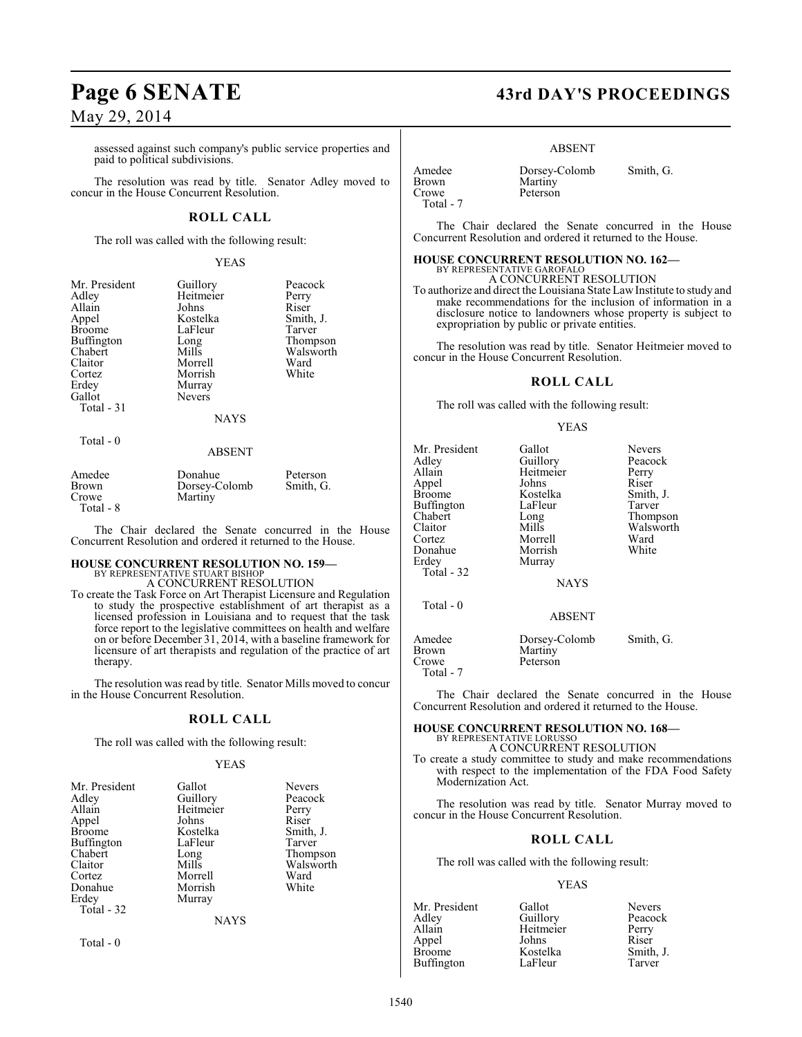assessed against such company's public service properties and paid to political subdivisions.

The resolution was read by title. Senator Adley moved to concur in the House Concurrent Resolution.

### **ROLL CALL**

The roll was called with the following result:

#### YEAS

| Mr. President<br>Adley | Guillory<br>Heitmeier | Peacock<br>Perry    |
|------------------------|-----------------------|---------------------|
| Allain                 | Johns                 | Riser               |
| Appel<br><b>Broome</b> | Kostelka<br>LaFleur   | Smith, J.<br>Tarver |
| Buffington             | Long                  | Thompson            |
| Chabert                | Mills                 | Walsworth           |
| Claitor                | Morrell               | Ward                |
| Cortez                 | Morrish               | White               |
| Erdey                  | Murray                |                     |
| Gallot                 | <b>Nevers</b>         |                     |
| Total $-31$            |                       |                     |
|                        | <b>NAYS</b>           |                     |
| Total $-0$             |                       |                     |
|                        | ABSENT                |                     |

| Amedee      | Donahue       | Peterson  |
|-------------|---------------|-----------|
| Brown       | Dorsey-Colomb | Smith, G. |
| Crowe       | Martiny       |           |
| $Total - 8$ |               |           |

The Chair declared the Senate concurred in the House Concurrent Resolution and ordered it returned to the House.

# **HOUSE CONCURRENT RESOLUTION NO. 159—**

BY REPRESENTATIVE STUART BISHOP A CONCURRENT RESOLUTION

To create the Task Force on Art Therapist Licensure and Regulation to study the prospective establishment of art therapist as a licensed profession in Louisiana and to request that the task force report to the legislative committees on health and welfare on or before December 31, 2014, with a baseline framework for licensure of art therapists and regulation of the practice of art therapy.

The resolution was read by title. Senator Mills moved to concur in the House Concurrent Resolution.

#### **ROLL CALL**

The roll was called with the following result:

#### YEAS

| Mr. President<br>Adley<br>Allain<br>Appel<br><b>Broome</b><br>Buffington<br>Chabert<br>Claitor<br>Cortez<br>Donahue<br>Erdey<br>Total $-32$ | Gallot<br>Guillory<br>Heitmeier<br>Johns<br>Kostelka<br>LaFleur<br>Long<br>Mills<br>Morrell<br>Morrish<br>Murray | <b>Nevers</b><br>Peacock<br>Perry<br>Riser<br>Smith, J.<br>Tarver<br>Thompson<br>Walsworth<br>Ward<br>White |
|---------------------------------------------------------------------------------------------------------------------------------------------|------------------------------------------------------------------------------------------------------------------|-------------------------------------------------------------------------------------------------------------|
|                                                                                                                                             | <b>NAYS</b>                                                                                                      |                                                                                                             |

Total - 0

# **Page 6 SENATE 43rd DAY'S PROCEEDINGS**

#### ABSENT

Amedee Dorsey-Colomb Smith, G.<br>Brown Martiny Brown Martiny<br>Crowe Peterson Total - 7

The Chair declared the Senate concurred in the House Concurrent Resolution and ordered it returned to the House.

#### **HOUSE CONCURRENT RESOLUTION NO. 162—**

Peterson

BY REPRESENTATIVE GAROFALO A CONCURRENT RESOLUTION

To authorize and direct the Louisiana StateLawInstitute to study and make recommendations for the inclusion of information in a disclosure notice to landowners whose property is subject to expropriation by public or private entities.

The resolution was read by title. Senator Heitmeier moved to concur in the House Concurrent Resolution.

#### **ROLL CALL**

The roll was called with the following result:

#### YEAS

| Mr. President<br>Adley<br>Allain<br>Appel<br><b>Broome</b><br>Buffington<br>Chabert<br>Claitor<br>Cortez<br>Donahue<br>Erdey<br>Total - 32 | Gallot<br>Guillory<br>Heitmeier<br>Johns<br>Kostelka<br>LaFleur<br>Long<br>Mills<br>Morrell<br>Morrish<br>Murray<br><b>NAYS</b> | <b>Nevers</b><br>Peacock<br>Perry<br>Riser<br>Smith, J.<br>Tarver<br>Thompson<br>Walsworth<br>Ward<br>White |
|--------------------------------------------------------------------------------------------------------------------------------------------|---------------------------------------------------------------------------------------------------------------------------------|-------------------------------------------------------------------------------------------------------------|
| Total - 0                                                                                                                                  | ABSENT                                                                                                                          |                                                                                                             |
| Amedee<br>Brown<br>Crowe<br>Total - 7                                                                                                      | Dorsey-Colomb<br>Martiny<br>Peterson                                                                                            | Smith, G.                                                                                                   |

The Chair declared the Senate concurred in the House Concurrent Resolution and ordered it returned to the House.

#### **HOUSE CONCURRENT RESOLUTION NO. 168—** BY REPRESENTATIVE LORUSSO

A CONCURRENT RESOLUTION

To create a study committee to study and make recommendations with respect to the implementation of the FDA Food Safety Modernization Act.

The resolution was read by title. Senator Murray moved to concur in the House Concurrent Resolution.

#### **ROLL CALL**

The roll was called with the following result:

#### YEAS

| Gallot    | <b>Nevers</b> |
|-----------|---------------|
| Guillory  | Peacock       |
| Heitmeier | Perry         |
| Johns     | Riser         |
| Kostelka  | Smith, J.     |
| LaFleur   | Tarver        |
|           |               |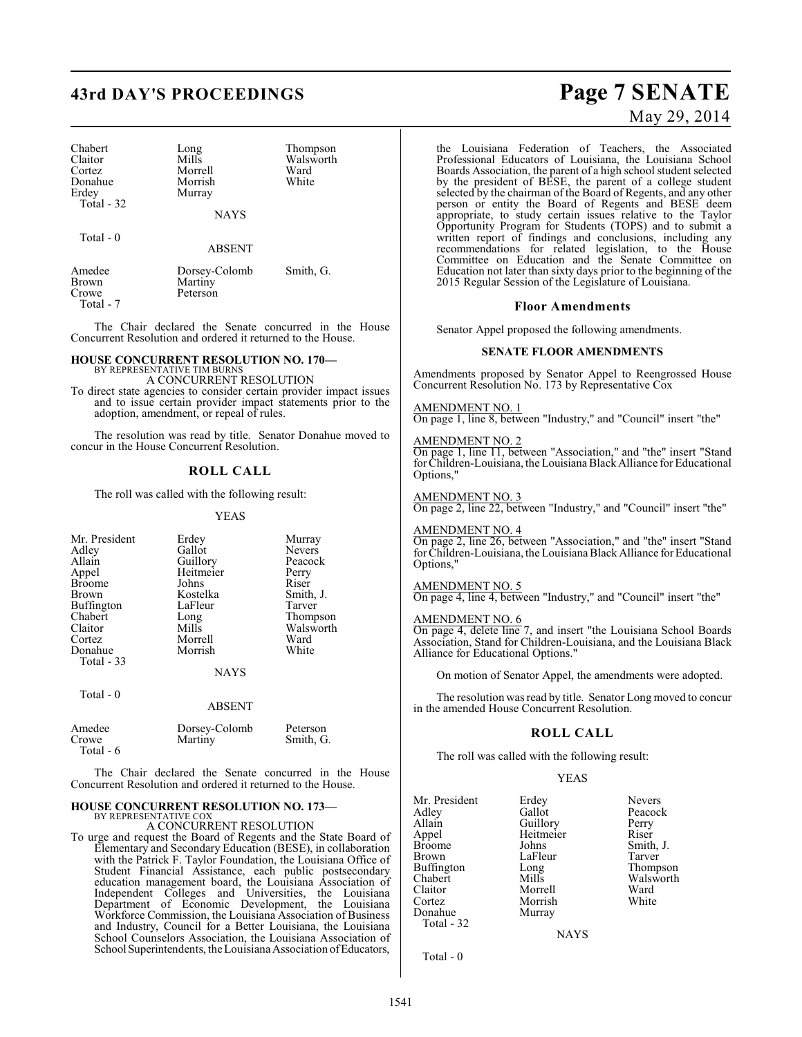# **43rd DAY'S PROCEEDINGS Page 7 SENATE**

| Chabert<br>Claitor | Long<br>Mills | Thompson<br>Walsworth |
|--------------------|---------------|-----------------------|
| Cortez             | Morrell       | Ward                  |
| Donahue            | Morrish       | White                 |
| Erdey              | Murray        |                       |
| Total - 32         |               |                       |
|                    | <b>NAYS</b>   |                       |
|                    |               |                       |

Total - 0

Total - 6

ABSENT

| Amedee    | Dorsey-Colomb | Smith, G. |
|-----------|---------------|-----------|
| Brown     | Martiny       |           |
| Crowe     | Peterson      |           |
| Total - 7 |               |           |

The Chair declared the Senate concurred in the House Concurrent Resolution and ordered it returned to the House.

#### **HOUSE CONCURRENT RESOLUTION NO. 170—** BY REPRESENTATIVE TIM BURN

A CONCURRENT RESOLUTION

To direct state agencies to consider certain provider impact issues and to issue certain provider impact statements prior to the adoption, amendment, or repeal of rules.

The resolution was read by title. Senator Donahue moved to concur in the House Concurrent Resolution.

### **ROLL CALL**

The roll was called with the following result:

YEAS

| Mr. President                        | Erdey                  | Murray        |
|--------------------------------------|------------------------|---------------|
| Adley                                | Gallot                 | <b>Nevers</b> |
| Allain                               | Guillory               | Peacock       |
| Appel                                | Heitmeier              | Perry         |
| <b>Broome</b>                        | Johns                  | Riser         |
| Brown                                | Kostelka               | Smith, J.     |
| Buffington                           | LaFleur                | Tarver        |
| Chabert                              | Long                   | Thompson      |
| Claitor                              | Mills                  | Walsworth     |
| Cortez                               | Morrell                | Ward          |
| Donahue<br>Total $-33$<br>Total $-0$ | Morrish<br><b>NAYS</b> | White         |
|                                      | <b>ABSENT</b>          |               |
| Amedee                               | Dorsey-Colomb          | Peterson      |
| Crowe                                | Martiny                | Smith, G.     |

The Chair declared the Senate concurred in the House Concurrent Resolution and ordered it returned to the House.

#### **HOUSE CONCURRENT RESOLUTION NO. 173—** BY REPRESENTATIVE CO

A CONCURRENT RESOLUTION

To urge and request the Board of Regents and the State Board of Elementary and Secondary Education (BESE), in collaboration with the Patrick F. Taylor Foundation, the Louisiana Office of Student Financial Assistance, each public postsecondary education management board, the Louisiana Association of Independent Colleges and Universities, the Louisiana Department of Economic Development, the Louisiana Workforce Commission, the Louisiana Association of Business and Industry, Council for a Better Louisiana, the Louisiana School Counselors Association, the Louisiana Association of School Superintendents, the Louisiana Association of Educators,

# May 29, 2014

the Louisiana Federation of Teachers, the Associated Professional Educators of Louisiana, the Louisiana School Boards Association, the parent of a high school student selected by the president of BESE, the parent of a college student selected by the chairman of the Board of Regents, and any other person or entity the Board of Regents and BESE deem appropriate, to study certain issues relative to the Taylor Opportunity Program for Students (TOPS) and to submit a written report of findings and conclusions, including any recommendations for related legislation, to the House Committee on Education and the Senate Committee on Education not later than sixty days prior to the beginning of the 2015 Regular Session of the Legislature of Louisiana.

#### **Floor Amendments**

Senator Appel proposed the following amendments.

#### **SENATE FLOOR AMENDMENTS**

Amendments proposed by Senator Appel to Reengrossed House Concurrent Resolution No. 173 by Representative Cox

AMENDMENT NO. 1 On page 1, line 8, between "Industry," and "Council" insert "the"

#### AMENDMENT NO. 2

On page 1, line 11, between "Association," and "the" insert "Stand for Children-Louisiana, the Louisiana Black Alliance for Educational Options,"

#### AMENDMENT NO. 3

On page 2, line 22, between "Industry," and "Council" insert "the"

#### AMENDMENT NO. 4

On page 2, line 26, between "Association," and "the" insert "Stand for Children-Louisiana, the Louisiana Black Alliance for Educational Options,"

#### AMENDMENT NO. 5

On page 4, line 4, between "Industry," and "Council" insert "the"

### AMENDMENT NO. 6

On page 4, delete line 7, and insert "the Louisiana School Boards Association, Stand for Children-Louisiana, and the Louisiana Black Alliance for Educational Options."

On motion of Senator Appel, the amendments were adopted.

The resolution was read by title. Senator Long moved to concur in the amended House Concurrent Resolution.

#### **ROLL CALL**

The roll was called with the following result:

Morrish<br>Murray

#### YEAS

Mr. President Erdey Nevers<br>Adley Gallot Peacocl Adley Gallot Peacock<br>Allain Guillory Perry Allain Guillory Perry<br>
Appel Heitmeier Riser Appel Heitmeier<br>Broome Johns Broome Johns Smith, J.<br>Brown LaFleur Tarver Buffington Long<br>Chabert Mills Chabert Mills Mills Walsworth<br>Claitor Morrell Ward Claitor Morrell Ward<br>Cortez Morrish White Donahue Total - 32

LaFleur Tarver<br>Long Thompson

NAYS

Total - 0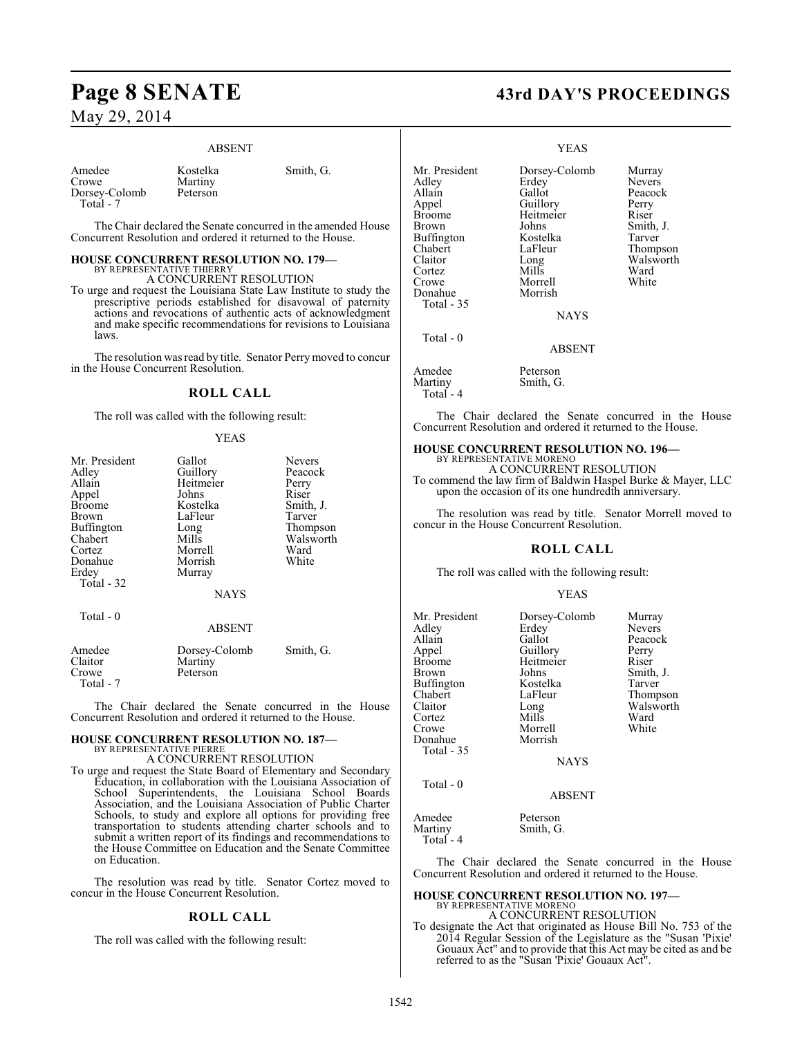#### ABSENT

| Amedee        |  |
|---------------|--|
| Crowe         |  |
| Dorsey-Colomb |  |
| Total - 7     |  |

Kostelka Smith, G. Martiny

The Chair declared the Senate concurred in the amended House Concurrent Resolution and ordered it returned to the House.

#### **HOUSE CONCURRENT RESOLUTION NO. 179—**

Peterson

BY REPRESENTATIVE THIERRY A CONCURRENT RESOLUTION

To urge and request the Louisiana State Law Institute to study the prescriptive periods established for disavowal of paternity actions and revocations of authentic acts of acknowledgment and make specific recommendations for revisions to Louisiana laws.

The resolution was read by title. Senator Perry moved to concur in the House Concurrent Resolution.

#### **ROLL CALL**

The roll was called with the following result:

#### YEAS

| Mr. President | Gallot        | <b>Nevers</b> |
|---------------|---------------|---------------|
| Adley         | Guillory      | Peacock       |
| Allain        | Heitmeier     | Perry         |
| Appel         | Johns         | Riser         |
| <b>Broome</b> | Kostelka      | Smith, J.     |
| Brown         | LaFleur       | Tarver        |
| Buffington    | Long          | Thompson      |
| Chabert       | Mills         | Walsworth     |
| Cortez        | Morrell       | Ward          |
| Donahue       | Morrish       | White         |
| Erdey         | Murray        |               |
| Total - 32    |               |               |
|               | <b>NAYS</b>   |               |
|               |               |               |
| Total - 0     |               |               |
|               | <b>ABSENT</b> |               |
| Amedee        | Dorsey-Colomb | Smith, G.     |
| Claitor       | Martiny       |               |
| Crowe         | Peterson      |               |
| Total - 7     |               |               |

The Chair declared the Senate concurred in the House Concurrent Resolution and ordered it returned to the House.

#### **HOUSE CONCURRENT RESOLUTION NO. 187—** BY REPRESENTATIVE PIERRE

A CONCURRENT RESOLUTION

To urge and request the State Board of Elementary and Secondary Education, in collaboration with the Louisiana Association of School Superintendents, the Louisiana School Boards Association, and the Louisiana Association of Public Charter Schools, to study and explore all options for providing free transportation to students attending charter schools and to submit a written report of its findings and recommendations to the House Committee on Education and the Senate Committee on Education.

The resolution was read by title. Senator Cortez moved to concur in the House Concurrent Resolution.

#### **ROLL CALL**

The roll was called with the following result:

# **Page 8 SENATE 43rd DAY'S PROCEEDINGS**

#### YEAS

Mr. President Dorsey-Colomb Murray<br>Adley Erdey Nevers Adley Erdey Nevers Allain Gallot Peacock<br>Appel Guillory Perry Appel Guillory Perry<br>Broome Heitmeier Riser Broome Heitmeier<br>Brown Iohns Buffington Kostelka<br>Chabert LaFleur Chabert LaFleur Thompson<br>Claitor Long Walsworth Claitor Long Walsworth<br>
Cortez Mills Ward Cortez Mills Ward Crowe Morrell White<br>
Donahue Morrish Donahue Total - 35 Total - 0

Johns Smith, J.<br>Kostelka Tarver

**NAYS** 

#### ABSENT

Amedee Peterson<br>Martiny Smith, G Total - 4

The Chair declared the Senate concurred in the House Concurrent Resolution and ordered it returned to the House.

#### **HOUSE CONCURRENT RESOLUTION NO. 196—** BY REPRESENTATIVE MORENO

Smith, G.

A CONCURRENT RESOLUTION To commend the law firm of Baldwin Haspel Burke & Mayer, LLC upon the occasion of its one hundredth anniversary.

The resolution was read by title. Senator Morrell moved to concur in the House Concurrent Resolution.

#### **ROLL CALL**

The roll was called with the following result:

#### YEAS

| Mr. President     | Dorsey-Colomb | Murray    |
|-------------------|---------------|-----------|
| Adley             | Erdey         | Nevers    |
| Allain            | Gallot        | Peacock   |
| Appel             | Guillory      | Perry     |
| <b>Broome</b>     | Heitmeier     | Riser     |
| Brown             | Johns         | Smith, J. |
| <b>Buffington</b> | Kostelka      | Tarver    |
| Chabert           | LaFleur       | Thompson  |
| Claitor           | Long          | Walsworth |
| Cortez            | Mills         | Ward      |
| Crowe             | Morrell       | White     |
| Donahue           | Morrish       |           |
| Total $-35$       |               |           |
|                   | <b>NAYS</b>   |           |
| Total - 0         |               |           |
|                   | <b>ABSENT</b> |           |
|                   |               |           |

Amedee Peterson<br>Martiny Smith, G Smith, G. Total - 4

The Chair declared the Senate concurred in the House Concurrent Resolution and ordered it returned to the House.

#### **HOUSE CONCURRENT RESOLUTION NO. 197—** BY REPRESENTATIVE MORENO

A CONCURRENT RESOLUTION

To designate the Act that originated as House Bill No. 753 of the 2014 Regular Session of the Legislature as the "Susan 'Pixie' Gouaux Act" and to provide that this Act may be cited as and be referred to as the "Susan 'Pixie' Gouaux Act".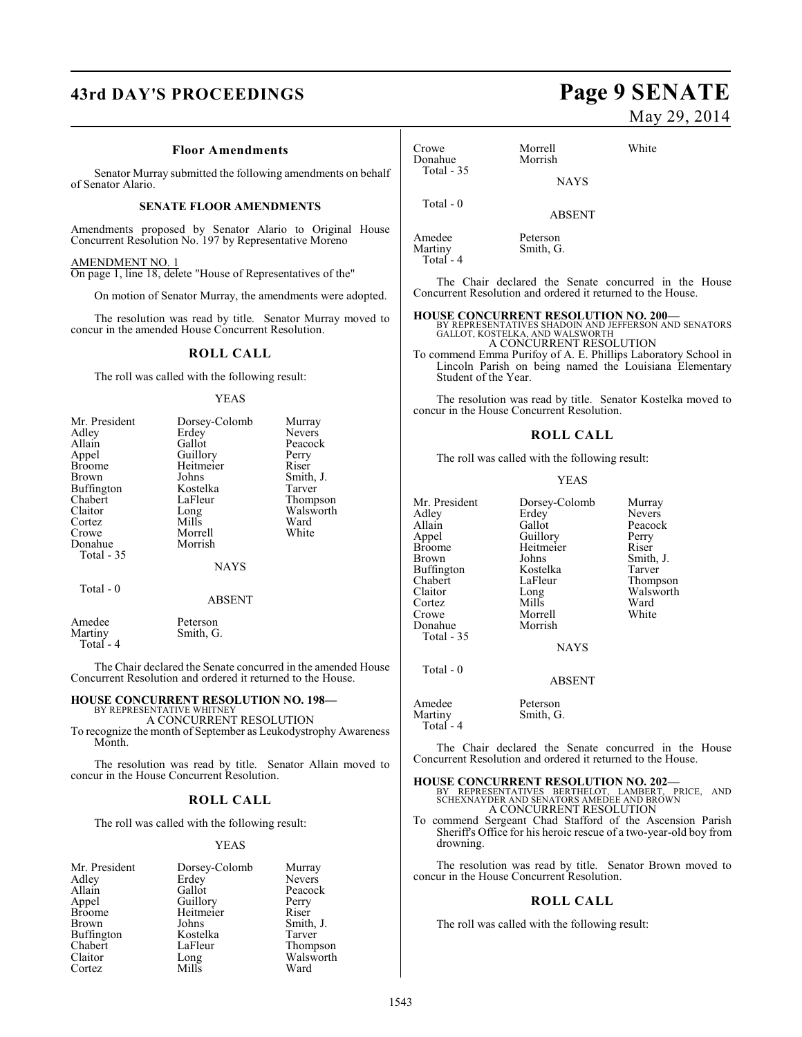# **43rd DAY'S PROCEEDINGS Page 9 SENATE**

#### **Floor Amendments**

Senator Murray submitted the following amendments on behalf of Senator Alario.

#### **SENATE FLOOR AMENDMENTS**

Amendments proposed by Senator Alario to Original House Concurrent Resolution No. 197 by Representative Moreno

#### AMENDMENT NO. 1

On page 1, line 18, delete "House of Representatives of the"

On motion of Senator Murray, the amendments were adopted.

The resolution was read by title. Senator Murray moved to concur in the amended House Concurrent Resolution.

#### **ROLL CALL**

The roll was called with the following result:

#### YEAS

| Mr. President     | Dorsey-Colomb | Murray        |
|-------------------|---------------|---------------|
| Adley             | Erdey         | <b>Nevers</b> |
| Allain            | Gallot        | Peacock       |
| Appel             | Guillory      | Perry         |
| <b>Broome</b>     | Heitmeier     | Riser         |
| Brown             | Johns         | Smith, J.     |
| Buffington        | Kostelka      | Tarver        |
| Chabert           | LaFleur       | Thompson      |
| Claitor           | Long          | Walsworth     |
| Cortez            | Mills         | Ward          |
| Crowe             | Morrell       | White         |
| Donahue           | Morrish       |               |
| <b>Total - 35</b> |               |               |
|                   | <b>NAYS</b>   |               |
| Total $-0$        |               |               |
|                   | <b>ABSENT</b> |               |
|                   |               |               |

Amedee Peterson<br>Martiny Smith, G Smith, G. Total - 4

The Chair declared the Senate concurred in the amended House Concurrent Resolution and ordered it returned to the House.

# **HOUSE CONCURRENT RESOLUTION NO. 198—** BY REPRESENTATIVE WHITNEY

A CONCURRENT RESOLUTION To recognize the month of September as Leukodystrophy Awareness Month.

The resolution was read by title. Senator Allain moved to concur in the House Concurrent Resolution.

#### **ROLL CALL**

The roll was called with the following result:

#### YEAS

| Dorsey-Colomb | Murray                |
|---------------|-----------------------|
| Erdey         | <b>Nevers</b>         |
| Gallot        | Peacock               |
|               | Perry                 |
|               | Riser                 |
| Johns         | Smith, J.             |
| Kostelka      | Tarver                |
| LaFleur       | Thompson              |
| Long          | Walsworth             |
| Mills         | Ward                  |
|               | Guillory<br>Heitmeier |

# May 29, 2014

| Crowe<br>Donahue | Morrell<br>Morrish | White |
|------------------|--------------------|-------|
| Total $-35$      | <b>NAYS</b>        |       |
| Total $-0$       | <b>ABSENT</b>      |       |
| Amedee           | Peterson           |       |

The Chair declared the Senate concurred in the House Concurrent Resolution and ordered it returned to the House.

Martiny Smith, G.

Total - 4

**HOUSE CONCURRENT RESOLUTION NO. 200—** BY REPRESENTATIVES SHADOIN AND JEFFERSON AND SENATORS GALLOT, KOSTELKA, AND WALSWORTH A CONCURRENT RESOLUTION

To commend Emma Purifoy of A. E. Phillips Laboratory School in Lincoln Parish on being named the Louisiana Elementary Student of the Year.

The resolution was read by title. Senator Kostelka moved to concur in the House Concurrent Resolution.

#### **ROLL CALL**

The roll was called with the following result:

#### YEAS

Mr. President Dorsey-Colomb Murray<br>Adley Erdey Nevers Adley Erdey Nevers<br>Allain Gallot Peacocl Allain Gallot Peacock<br>Appel Guillory Perry Appel Guillory Perry<br>Broome Heitmeier Riser Broome Heitmeier<br>Brown Johns Buffington Kostelka<br>Chabert LaFleur Chabert LaFleur Thompson Cortez Mills Ward Donahue Total - 35

Total - 0

Morrell<br>Morrish

Johns Smith, J.<br>Kostelka Tarver Long Walsworth<br>
Mills Ward

# **NAYS**

ABSENT

Amedee Peterson<br>Martiny Smith, G Smith, G. Total - 4

The Chair declared the Senate concurred in the House Concurrent Resolution and ordered it returned to the House.

- **HOUSE CONCURRENT RESOLUTION NO. 202—** BY REPRESENTATIVES BERTHELOT, LAMBERT, PRICE, AND SCHEXNAYDER AND SENATORS AMEDEE AND BROWN A CONCURRENT RESOLUTION
- To commend Sergeant Chad Stafford of the Ascension Parish Sheriff's Office for his heroic rescue of a two-year-old boy from drowning.

The resolution was read by title. Senator Brown moved to concur in the House Concurrent Resolution.

#### **ROLL CALL**

The roll was called with the following result: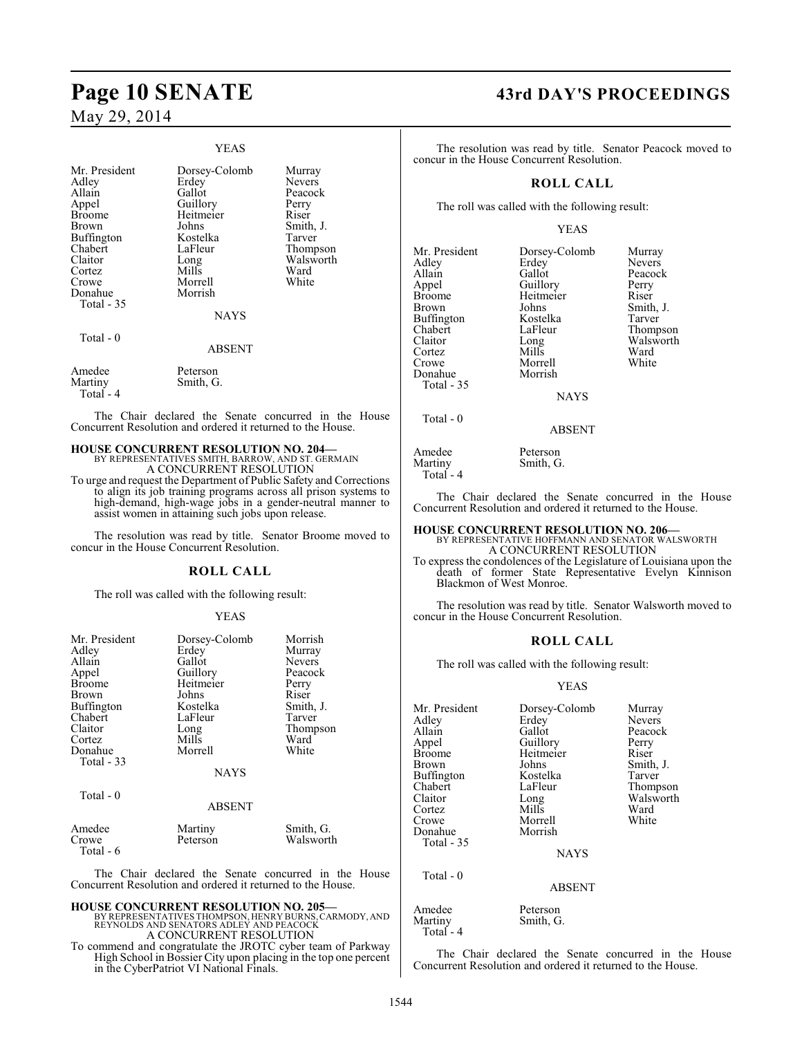#### YEAS

| Mr. President<br>Adley<br>Allain<br>Appel<br><b>Broome</b><br>Brown<br>Buffington<br>Chabert<br>Claitor<br>Cortez<br>Crowe | Dorsey-Colomb<br>Erdey<br>Gallot<br>Guillory<br>Heitmeier<br>Johns<br>Kostelka<br>LaFleur<br>Long<br>Mills<br>Morrell | Murray<br>Nevers<br>Peacock<br>Perry<br>Riser<br>Smith, J.<br>Tarver<br>Thompson<br>Walsworth<br>Ward<br>White |
|----------------------------------------------------------------------------------------------------------------------------|-----------------------------------------------------------------------------------------------------------------------|----------------------------------------------------------------------------------------------------------------|
| Donahue<br>Total - 35                                                                                                      | Morrish<br><b>NAYS</b>                                                                                                |                                                                                                                |
| Total - 0                                                                                                                  | <b>ABSENT</b>                                                                                                         |                                                                                                                |
| Amedee<br>Martiny<br>Total - 4                                                                                             | Peterson<br>Smith, G.                                                                                                 |                                                                                                                |

The Chair declared the Senate concurred in the House Concurrent Resolution and ordered it returned to the House.

#### **HOUSE CONCURRENT RESOLUTION NO. 204—**

BY REPRESENTATIVES SMITH, BARROW, AND ST. GERMAIN A CONCURRENT RESOLUTION

To urge and request the Department of Public Safety and Corrections to align its job training programs across all prison systems to high-demand, high-wage jobs in a gender-neutral manner to assist women in attaining such jobs upon release.

The resolution was read by title. Senator Broome moved to concur in the House Concurrent Resolution.

#### **ROLL CALL**

The roll was called with the following result:

#### YEAS

| Mr. President<br>Adley<br>Allain<br>Appel<br><b>Broome</b><br>Brown<br><b>Buffington</b><br>Chabert<br>Claitor<br>Cortez<br>Donahue<br>Total $-33$ | Dorsey-Colomb<br>Erdey<br>Gallot<br>Guillory<br>Heitmeier<br>Johns<br>Kostelka<br>LaFleur<br>Long<br>Mills<br>Morrell<br><b>NAYS</b> | Morrish<br>Murray<br>Nevers<br>Peacock<br>Perry<br>Riser<br>Smith, J.<br>Tarver<br>Thompson<br>Ward<br>White |
|----------------------------------------------------------------------------------------------------------------------------------------------------|--------------------------------------------------------------------------------------------------------------------------------------|--------------------------------------------------------------------------------------------------------------|
| Total - 0                                                                                                                                          | ABSENT                                                                                                                               |                                                                                                              |
| Amedee<br>Crowe<br>Total - 6                                                                                                                       | Martiny<br>Peterson                                                                                                                  | Smith, G.<br>Walsworth                                                                                       |

The Chair declared the Senate concurred in the House Concurrent Resolution and ordered it returned to the House.

**HOUSE CONCURRENT RESOLUTION NO. 205—** BY REPRESENTATIVES THOMPSON, HENRY BURNS, CARMODY, AND REYNOLDS AND SENATORS ADLEY AND PEACOCK A CONCURRENT RESOLUTION

To commend and congratulate the JROTC cyber team of Parkway High School in Bossier City upon placing in the top one percent in the CyberPatriot VI National Finals.

# **Page 10 SENATE 43rd DAY'S PROCEEDINGS**

The resolution was read by title. Senator Peacock moved to concur in the House Concurrent Resolution.

#### **ROLL CALL**

The roll was called with the following result:

#### YEAS

| Mr. President<br>Adley<br>Allain<br>Appel<br><b>Broome</b><br><b>Brown</b><br>Buffington<br>Chabert | Dorsey-Colomb<br>Erdey<br>Gallot<br>Guillory<br>Heitmeier<br>Johns<br>Kostelka<br>LaFleur | Murray<br><b>Nevers</b><br>Peacocl<br>Perry<br>Riser<br>Smith,<br>Tarver<br>Thomp: |
|-----------------------------------------------------------------------------------------------------|-------------------------------------------------------------------------------------------|------------------------------------------------------------------------------------|
| Claitor<br>Cortez                                                                                   | Long<br>Mills                                                                             | Walswo<br>Ward                                                                     |
| Crowe                                                                                               | Morrell                                                                                   | White                                                                              |
| Donahue<br>Total - 35                                                                               | Morrish                                                                                   |                                                                                    |
|                                                                                                     | <b>NAYS</b>                                                                               |                                                                                    |

Peacock Perry<br>er Riser Smith, J. a Tarver Thompson Walsworth<br>Ward

Total - 0

ABSENT

Amedee Peterson<br>Martiny Smith, G Smith, G. Total  $-4$ 

The Chair declared the Senate concurred in the House Concurrent Resolution and ordered it returned to the House.

# **HOUSE CONCURRENT RESOLUTION NO. 206—** BY REPRESENTATIVE HOFFMANN AND SENATOR WALSWORTH

A CONCURRENT RESOLUTION To express the condolences of the Legislature of Louisiana upon the

death of former State Representative Evelyn Kinnison Blackmon of West Monroe.

The resolution was read by title. Senator Walsworth moved to concur in the House Concurrent Resolution.

### **ROLL CALL**

The roll was called with the following result:

#### YEAS

| Mr. President<br>Adley<br>Allain<br>Appel<br><b>Broome</b><br><b>Brown</b><br><b>Buffington</b><br>Chabert<br>Claitor<br>Cortez<br>Crowe<br>Donahue<br>Total - 35 | Dorsey-Colomb<br>Erdey<br>Gallot<br>Guillory<br>Heitmeier<br>Johns<br>Kostelka<br>LaFleur<br>Long<br>Mills<br>Morrell<br>Morrish<br><b>NAYS</b> | Murray<br><b>Nevers</b><br>Peacock<br>Perry<br>Riser<br>Smith, J.<br>Tarver<br>Thompson<br>Walsworth<br>Ward<br>White |
|-------------------------------------------------------------------------------------------------------------------------------------------------------------------|-------------------------------------------------------------------------------------------------------------------------------------------------|-----------------------------------------------------------------------------------------------------------------------|
| Total - 0                                                                                                                                                         |                                                                                                                                                 |                                                                                                                       |

ABSENT

Amedee Peterson<br>Martiny Smith, G Smith, G.

The Chair declared the Senate concurred in the House Concurrent Resolution and ordered it returned to the House.

Total - 4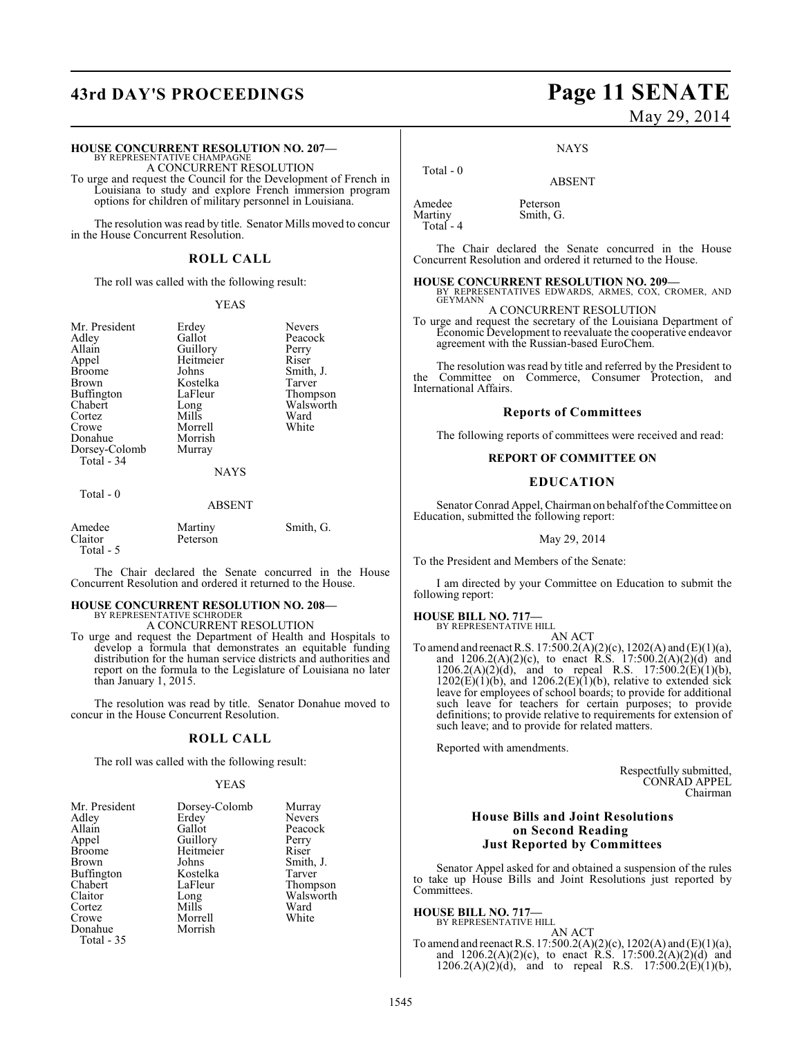# **43rd DAY'S PROCEEDINGS Page 11 SENATE**

#### **HOUSE CONCURRENT RESOLUTION NO. 207—**

BY REPRESENTATIVE CHAMPAGNE A CONCURRENT RESOLUTION

To urge and request the Council for the Development of French in Louisiana to study and explore French immersion program options for children of military personnel in Louisiana.

The resolution was read by title. Senator Mills moved to concur in the House Concurrent Resolution.

#### **ROLL CALL**

The roll was called with the following result:

#### YEAS

Mr. President Erdey Nevers<br>Adley Gallot Peacocl Adley Gallot Peacock Allain Guillory Perry Appel Heitmeier<br>Broome Johns Broome Johns Smith, J.<br>Brown Kostelka Tarver Buffington LaFle<br>Chabert Long Chabert Long Walsworth Cortez Mills Ward<br>Crowe Morrell White Donahue Morrish<br>Dorsey-Colomb Murray Dorsey-Colomb Total - 34

Total - 0

Morrell<br>Morrish

Kostelka Tarver<br>LaFleur Thompson

#### **NAYS**

ABSENT

| Amedee<br>Claitor | Martiny<br>Peterson | Smith, G. |
|-------------------|---------------------|-----------|
| Total - 5         |                     |           |

The Chair declared the Senate concurred in the House Concurrent Resolution and ordered it returned to the House.

#### **HOUSE CONCURRENT RESOLUTION NO. 208—** BY REPRESENTATIVE SCHRODER

A CONCURRENT RESOLUTION

To urge and request the Department of Health and Hospitals to develop a formula that demonstrates an equitable funding distribution for the human service districts and authorities and report on the formula to the Legislature of Louisiana no later than January 1, 2015.

The resolution was read by title. Senator Donahue moved to concur in the House Concurrent Resolution.

#### **ROLL CALL**

The roll was called with the following result:

#### YEAS

| Mr. President         | Dorsey-Colomb | Murray    |
|-----------------------|---------------|-----------|
| Adley                 | Erdey         | Nevers    |
| Allain                | Gallot        | Peacock   |
| Appel                 | Guillory      | Perry     |
| <b>Broome</b>         | Heitmeier     | Riser     |
| Brown                 | Johns         | Smith, J. |
| Buffington            | Kostelka      | Tarver    |
| Chabert               | LaFleur       | Thompson  |
| Claitor               | Long          | Walsworth |
| Cortez                | Mills         | Ward      |
| Crowe                 | Morrell       | White     |
| Donahue<br>Total - 35 | Morrish       |           |

# May 29, 2014

**NAYS** 

ABSENT

Amedee Peterson<br>Martiny Smith, G

Total - 0

Total - 4

Smith, G.

The Chair declared the Senate concurred in the House Concurrent Resolution and ordered it returned to the House.

**HOUSE CONCURRENT RESOLUTION NO. 209—** BY REPRESENTATIVES EDWARDS, ARMES, COX, CROMER, AND **GEYMANN** A CONCURRENT RESOLUTION

To urge and request the secretary of the Louisiana Department of Economic Development to reevaluate the cooperative endeavor agreement with the Russian-based EuroChem.

The resolution was read by title and referred by the President to the Committee on Commerce, Consumer Protection, and International Affairs.

#### **Reports of Committees**

The following reports of committees were received and read:

#### **REPORT OF COMMITTEE ON**

#### **EDUCATION**

Senator Conrad Appel, Chairman on behalf ofthe Committee on Education, submitted the following report:

#### May 29, 2014

To the President and Members of the Senate:

I am directed by your Committee on Education to submit the following report:

# **HOUSE BILL NO. 717—** BY REPRESENTATIVE HILL

AN ACT

To amend and reenact R.S. 17:500.2(A)(2)(c), 1202(A) and (E)(1)(a), and  $1206.2(A)(2)(c)$ , to enact R.S.  $17:500.2(A)(2)(d)$  and  $1206.2(A)(2)(d)$ , and to repeal R.S.  $17:500.2(E)(1)(b)$ ,  $1202(E)(1)(b)$ , and  $1206.2(E)(1)(b)$ , relative to extended sick leave for employees of school boards; to provide for additional such leave for teachers for certain purposes; to provide definitions; to provide relative to requirements for extension of such leave; and to provide for related matters.

Reported with amendments.

Respectfully submitted, CONRAD APPEL Chairman

#### **House Bills and Joint Resolutions on Second Reading Just Reported by Committees**

Senator Appel asked for and obtained a suspension of the rules to take up House Bills and Joint Resolutions just reported by Committees.

**HOUSE BILL NO. 717—** BY REPRESENTATIVE HILL

AN ACT

To amend and reenact R.S. 17:500.2(A)(2)(c), 1202(A) and (E)(1)(a), and  $1206.2(A)(2)(c)$ , to enact R.S.  $17:500.2(A)(2)(d)$  and  $1206.2(A)(2)(d)$ , and to repeal R.S.  $17:500.2(E)(1)(b)$ ,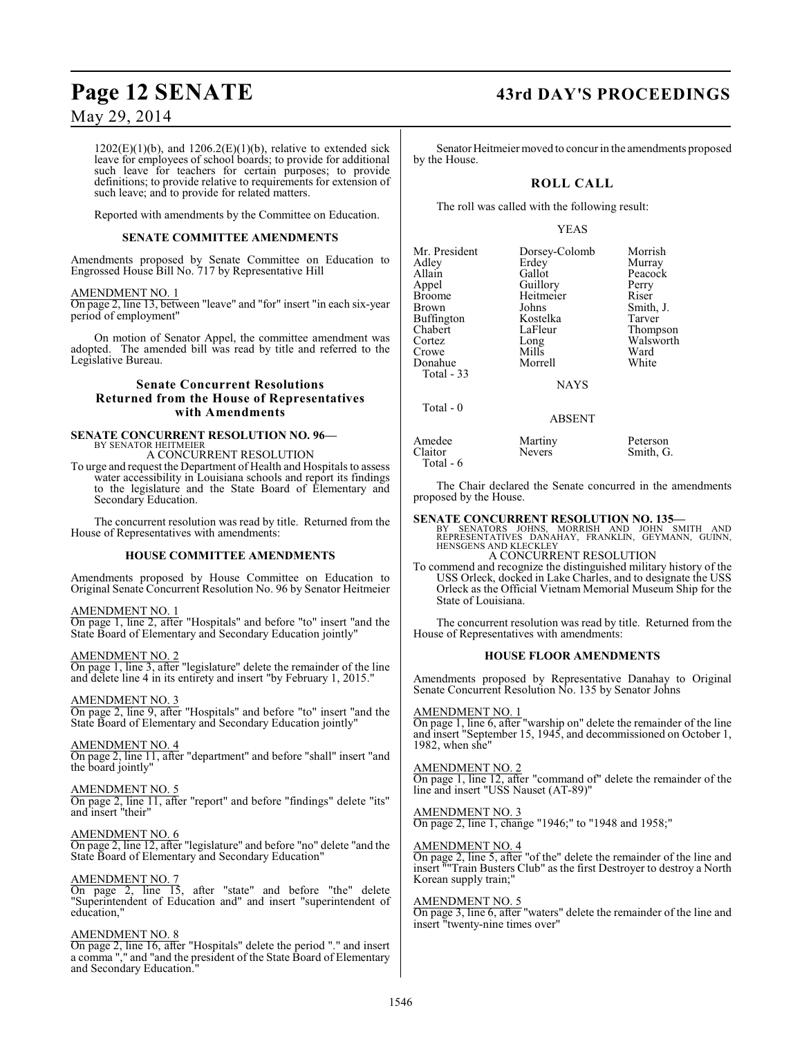$1202(E)(1)(b)$ , and  $1206.2(E)(1)(b)$ , relative to extended sick leave for employees of school boards; to provide for additional such leave for teachers for certain purposes; to provide definitions; to provide relative to requirements for extension of such leave; and to provide for related matters.

Reported with amendments by the Committee on Education.

#### **SENATE COMMITTEE AMENDMENTS**

Amendments proposed by Senate Committee on Education to Engrossed House Bill No. 717 by Representative Hill

#### AMENDMENT NO. 1

On page 2, line 13, between "leave" and "for" insert "in each six-year period of employment"

On motion of Senator Appel, the committee amendment was adopted. The amended bill was read by title and referred to the Legislative Bureau.

#### **Senate Concurrent Resolutions Returned from the House of Representatives with Amendments**

#### **SENATE CONCURRENT RESOLUTION NO. 96—** BY SENATOR HEITMEIER

A CONCURRENT RESOLUTION

To urge and request the Department of Health and Hospitals to assess water accessibility in Louisiana schools and report its findings to the legislature and the State Board of Elementary and Secondary Education.

The concurrent resolution was read by title. Returned from the House of Representatives with amendments:

#### **HOUSE COMMITTEE AMENDMENTS**

Amendments proposed by House Committee on Education to Original Senate Concurrent Resolution No. 96 by Senator Heitmeier

#### AMENDMENT NO. 1

On page 1, line 2, after "Hospitals" and before "to" insert "and the State Board of Elementary and Secondary Education jointly"

#### AMENDMENT NO. 2

On page 1, line 3, after "legislature" delete the remainder of the line and delete line 4 in its entirety and insert "by February 1, 2015."

#### AMENDMENT NO. 3

On page 2, line 9, after "Hospitals" and before "to" insert "and the State Board of Elementary and Secondary Education jointly"

#### AMENDMENT NO. 4

On page 2, line 11, after "department" and before "shall" insert "and the board jointly"

#### AMENDMENT NO. 5

On page 2, line 11, after "report" and before "findings" delete "its" and insert "their"

## AMENDMENT NO. 6

On page 2, line 12, after "legislature" and before "no" delete "and the State Board of Elementary and Secondary Education"

#### AMENDMENT NO. 7

On page 2, line 15, after "state" and before "the" delete "Superintendent of Education and" and insert "superintendent of education,"

#### AMENDMENT NO. 8

On page 2, line 16, after "Hospitals" delete the period "." and insert a comma "," and "and the president of the State Board of Elementary and Secondary Education."

# **Page 12 SENATE 43rd DAY'S PROCEEDINGS**

Senator Heitmeier moved to concur in the amendments proposed by the House.

## **ROLL CALL**

The roll was called with the following result:

#### YEAS

| Mr. President | Dorsey-Colomb | Morrish   |
|---------------|---------------|-----------|
|               | Erdey         |           |
| Adley         |               | Murray    |
| Allain        | Gallot        | Peacock   |
| Appel         | Guillory      | Perry     |
| Broome        | Heitmeier     | Riser     |
| Brown         | Johns         | Smith, J. |
| Buffington    | Kostelka      | Tarver    |
| Chabert       | LaFleur       | Thompson  |
| Cortez        | Long          | Walsworth |
| Crowe         | Mills         | Ward      |
| Donahue       | Morrell       | White     |
| Total - 33    |               |           |
|               | <b>NAYS</b>   |           |
|               |               |           |

#### ABSENT

| Amedee    | Martiny       | Peterson  |
|-----------|---------------|-----------|
| Claitor   | <b>Nevers</b> | Smith, G. |
| Total - 6 |               |           |

The Chair declared the Senate concurred in the amendments proposed by the House.

**SENATE CONCURRENT RESOLUTION NO. 135—**<br>
BY SENATORS JOHNS, MORRISH AND JOHN SMITH AND<br>
REPRESENTATIVES DANAHAY, FRANKLIN, GEYMANN, GUINN,<br>HENSGENS AND KLECKLEY A CONCURRENT RESOLUTION

To commend and recognize the distinguished military history of the USS Orleck, docked in Lake Charles, and to designate the USS Orleck as the Official Vietnam Memorial Museum Ship for the State of Louisiana.

The concurrent resolution was read by title. Returned from the House of Representatives with amendments:

#### **HOUSE FLOOR AMENDMENTS**

Amendments proposed by Representative Danahay to Original Senate Concurrent Resolution No. 135 by Senator Johns

#### AMENDMENT NO. 1

Total - 0

On page 1, line 6, after "warship on" delete the remainder of the line and insert "September 15, 1945, and decommissioned on October 1, 1982, when she"

#### AMENDMENT NO. 2

On page 1, line 12, after "command of" delete the remainder of the line and insert "USS Nauset (AT-89)"

#### AMENDMENT NO. 3

On page 2, line 1, change "1946;" to "1948 and 1958;"

#### AMENDMENT NO. 4

On page 2, line 5, after "of the" delete the remainder of the line and insert ""Train Busters Club" as the first Destroyer to destroy a North Korean supply train;"

#### AMENDMENT NO. 5

On page 3, line 6, after "waters" delete the remainder of the line and insert "twenty-nine times over"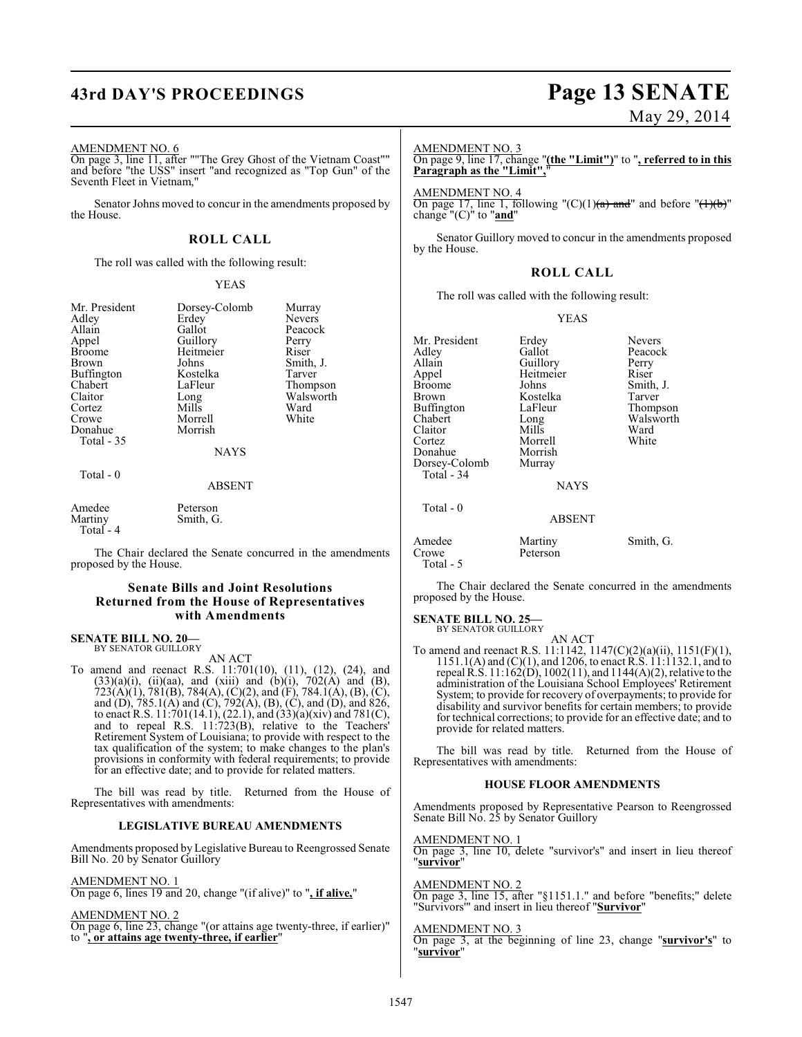# **43rd DAY'S PROCEEDINGS Page 13 SENATE**

#### AMENDMENT NO. 6

On page 3, line 11, after ""The Grey Ghost of the Vietnam Coast"" and before "the USS" insert "and recognized as "Top Gun" of the Seventh Fleet in Vietnam,"

Senator Johns moved to concur in the amendments proposed by the House.

#### **ROLL CALL**

The roll was called with the following result:

#### YEAS

| Mr. President<br>Adley<br>Allain<br>Appel<br><b>Broome</b><br>Brown<br>Buffington<br>Chabert<br>Claitor<br>Cortez<br>Crowe<br>Donahue<br>Total $-35$ | Dorsey-Colomb<br>Erdey<br>Gallot<br>Guillory<br>Heitmeier<br>Johns<br>Kostelka<br>LaFleur<br>Long<br>Mills<br>Morrell<br>Morrish<br><b>NAYS</b> | Murray<br><b>Nevers</b><br>Peacock<br>Perry<br>Riser<br>Smith, J.<br>Tarver<br>Thompson<br>Walsworth<br>Ward<br>White |
|------------------------------------------------------------------------------------------------------------------------------------------------------|-------------------------------------------------------------------------------------------------------------------------------------------------|-----------------------------------------------------------------------------------------------------------------------|
| Total $-0$                                                                                                                                           | <b>ABSENT</b>                                                                                                                                   |                                                                                                                       |
| Amedee                                                                                                                                               | Peterson                                                                                                                                        |                                                                                                                       |

 Total - 4 The Chair declared the Senate concurred in the amendments proposed by the House.

#### **Senate Bills and Joint Resolutions Returned from the House of Representatives with Amendments**

#### **SENATE BILL NO. 20—** BY SENATOR GUILLORY

Martiny Smith, G.

AN ACT

To amend and reenact R.S. 11:701(10), (11), (12), (24), and  $(33)(a)(i)$ ,  $(ii)(aa)$ , and  $(xiii)$  and  $(b)(i)$ ,  $702(A)$  and  $(B)$ ,  $723(A)(1), 781(B), 784(A), (C)(2),$  and  $(F), 784.1(A), (B), (C),$ and (D), 785.1(A) and (C), 792(A), (B), (C), and (D), and 826, to enact R.S.  $11:701(14.1)$ ,  $(22.1)$ , and  $(33)(a)(xiv)$  and  $781(C)$ , and to repeal R.S. 11:723(B), relative to the Teachers' Retirement System of Louisiana; to provide with respect to the tax qualification of the system; to make changes to the plan's provisions in conformity with federal requirements; to provide for an effective date; and to provide for related matters.

The bill was read by title. Returned from the House of Representatives with amendments:

#### **LEGISLATIVE BUREAU AMENDMENTS**

Amendments proposed by Legislative Bureau to Reengrossed Senate Bill No. 20 by Senator Guillory

AMENDMENT NO. 1

On page 6, lines 19 and 20, change "(if alive)" to "**, if alive,**"

#### AMENDMENT NO. 2

On page 6, line 23, change "(or attains age twenty-three, if earlier)" to "**, or attains age twenty-three, if earlier**"

# May 29, 2014

AMENDMENT NO. 3

On page 9, line 17, change "**(the "Limit")**" to "**, referred to in this Paragraph as the "Limit",**"

AMENDMENT NO. 4 On page 17, line 1, following " $(C)(1)(a)$  and" and before " $(1)(b)$ " change "(C)" to "**and**"

Senator Guillory moved to concur in the amendments proposed by the House.

#### **ROLL CALL**

The roll was called with the following result:

#### YEAS

| Mr. President | Erdey         | <b>Nevers</b> |
|---------------|---------------|---------------|
| Adlev         | Gallot        | Peacock       |
| Allain        | Guillory      | Perry         |
| Appel         | Heitmeier     | Riser         |
| Broome        | Johns         | Smith, J.     |
| Brown         | Kostelka      | Tarver        |
| Buffington    | LaFleur       | Thompson      |
| Chabert       | Long          | Walsworth     |
| Claitor       | Mills         | Ward          |
| Cortez        | Morrell       | White         |
| Donahue       | Morrish       |               |
| Dorsey-Colomb | Murray        |               |
| Total - 34    |               |               |
|               | <b>NAYS</b>   |               |
| Total - 0     |               |               |
|               | <b>ABSENT</b> |               |
| Amedee        | Martiny       | Smith, G.     |
| Crowe         | Peterson      |               |
| Total - 5     |               |               |

The Chair declared the Senate concurred in the amendments proposed by the House.

#### **SENATE BILL NO. 25—** BY SENATOR GUILLORY

AN ACT

To amend and reenact R.S. 11:1142, 1147(C)(2)(a)(ii), 1151(F)(1), 1151.1(A) and (C)(1), and 1206, to enact R.S. 11:1132.1, and to repeal R.S. 11:162(D), 1002(11), and 1144(A)(2), relative to the administration of the Louisiana School Employees' Retirement System; to provide for recovery of overpayments; to provide for disability and survivor benefits for certain members; to provide for technical corrections; to provide for an effective date; and to provide for related matters.

The bill was read by title. Returned from the House of Representatives with amendments:

#### **HOUSE FLOOR AMENDMENTS**

Amendments proposed by Representative Pearson to Reengrossed Senate Bill No. 25 by Senator Guillory

AMENDMENT NO. 1 On page 3, line 10, delete "survivor's" and insert in lieu thereof

"**survivor**" AMENDMENT NO. 2

On page 3, line 15, after "§1151.1." and before "benefits;" delete "Survivors'" and insert in lieu thereof "**Survivor**"

#### AMENDMENT NO. 3

On page 3, at the beginning of line 23, change "**survivor's**" to "**survivor**"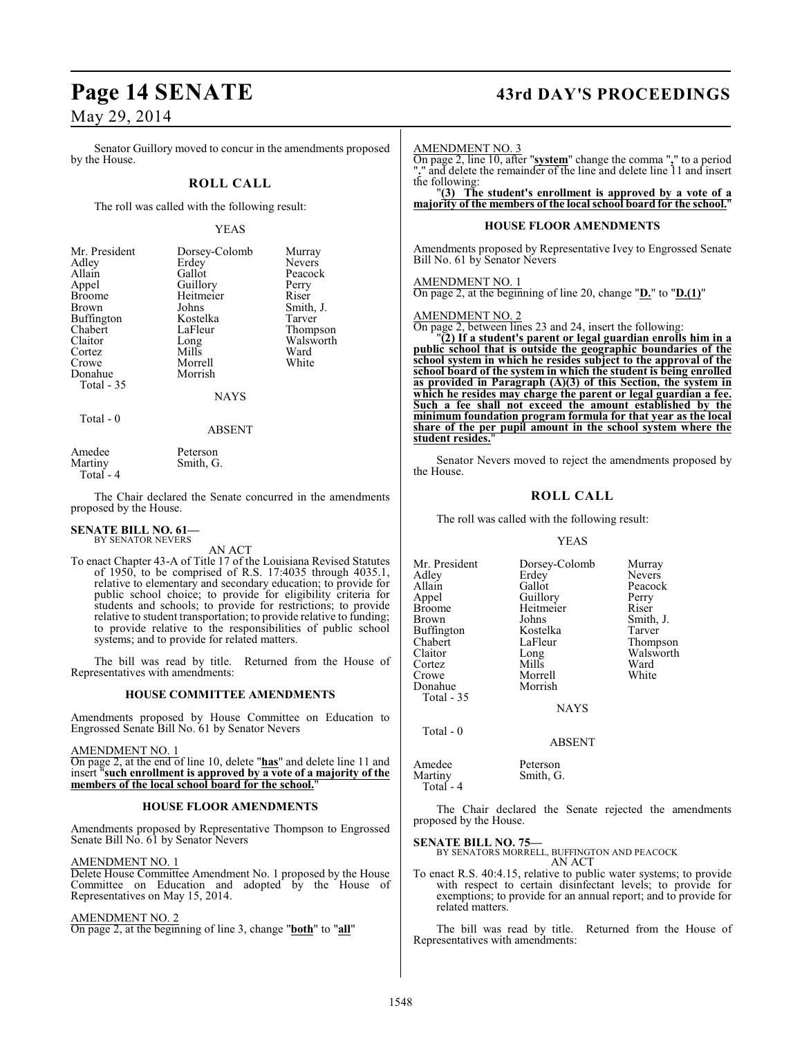Senator Guillory moved to concur in the amendments proposed by the House.

### **ROLL CALL**

The roll was called with the following result:

#### YEAS

| Mr. President<br>Adley<br>Allain<br>Appel<br><b>Broome</b><br><b>Brown</b><br><b>Buffington</b><br>Chabert<br>Claitor<br>Cortez<br>Crowe<br>Donahue<br>Total - 35 | Dorsey-Colomb<br>Erdey<br>Gallot<br>Guillory<br>Heitmeier<br>Johns<br>Kostelka<br>LaFleur<br>Long<br>Mills<br>Morrell<br>Morrish<br><b>NAYS</b> | Murray<br><b>Nevers</b><br>Peacock<br>Perry<br>Riser<br>Smith, J.<br>Tarver<br>Thompson<br>Walsworth<br>Ward<br>White |
|-------------------------------------------------------------------------------------------------------------------------------------------------------------------|-------------------------------------------------------------------------------------------------------------------------------------------------|-----------------------------------------------------------------------------------------------------------------------|
|                                                                                                                                                                   |                                                                                                                                                 |                                                                                                                       |

Total - 0

ABSENT

| Amedee     | Peterson  |
|------------|-----------|
| Martiny    | Smith, G. |
| Total $-4$ |           |

The Chair declared the Senate concurred in the amendments proposed by the House.

#### **SENATE BILL NO. 61—** BY SENATOR NEVERS

AN ACT

To enact Chapter 43-A of Title 17 of the Louisiana Revised Statutes of 1950, to be comprised of R.S. 17:4035 through 4035.1, relative to elementary and secondary education; to provide for public school choice; to provide for eligibility criteria for students and schools; to provide for restrictions; to provide relative to student transportation; to provide relative to funding; to provide relative to the responsibilities of public school systems; and to provide for related matters.

The bill was read by title. Returned from the House of Representatives with amendments:

#### **HOUSE COMMITTEE AMENDMENTS**

Amendments proposed by House Committee on Education to Engrossed Senate Bill No. 61 by Senator Nevers

#### AMENDMENT NO. 1

On page 2, at the end of line 10, delete "**has**" and delete line 11 and insert "**such enrollment is approved by a vote of a majority of the** members of the local school board for the school.

#### **HOUSE FLOOR AMENDMENTS**

Amendments proposed by Representative Thompson to Engrossed Senate Bill No. 61 by Senator Nevers

#### AMENDMENT NO. 1

Delete House Committee Amendment No. 1 proposed by the House Committee on Education and adopted by the House of Representatives on May 15, 2014.

#### AMENDMENT NO. 2

On page 2, at the beginning of line 3, change "**both**" to "**all**"

# **Page 14 SENATE 43rd DAY'S PROCEEDINGS**

#### AMENDMENT NO. 3

On page 2, line 10, after "**system**" change the comma "**,**" to a period "**.**" and delete the remainder of the line and delete line 11 and insert the following:

"**(3) The student's enrollment is approved by a vote of a majority of the members of the local school board for the school.**"

#### **HOUSE FLOOR AMENDMENTS**

Amendments proposed by Representative Ivey to Engrossed Senate Bill No. 61 by Senator Nevers

#### AMENDMENT NO. 1

On page 2, at the beginning of line 20, change "**D.**" to "**D.(1)**"

#### AMENDMENT NO. 2

On page 2, between lines 23 and 24, insert the following:

"**(2) If a student's parent or legal guardian enrolls him in a public school that is outside the geographic boundaries of the school system in which he resides subject to the approval of the school board of the system in which the student is being enrolled as provided in Paragraph (A)(3) of this Section, the system in which he resides may charge the parent or legal guardian a fee. Such a fee shall not exceed the amount established by the minimum foundation program formula for that year as the local share of the per pupil amount in the school system where the** student resides.

Senator Nevers moved to reject the amendments proposed by the House.

### **ROLL CALL**

The roll was called with the following result:

#### YEAS

Mr. President Dorsey-Colomb Murray<br>Adley Erdey Nevers Adley Erdey<br>Allain Gallot Allain Gallot Peacock Appel Guillory Perry Broome Heitmeier<br>Brown Johns Brown Johns Smith, J.<br>Buffington Kostelka Tarver Buffington Kostelka<br>Chabert LaFleur Chabert LaFleur Thompson<br>Claitor Long Walsworth Long Walsworth<br>Mills Ward Cortez Mills Ward<br>Crowe Morrell White Morrell<br>Morrish Donahue Total - 35 **NAYS** 

Total - 0

ABSENT

| Amedee    | Peterson |
|-----------|----------|
| Martiny   | Smith, G |
| Total - 4 |          |

Smith, G.

The Chair declared the Senate rejected the amendments proposed by the House.

**SENATE BILL NO. 75—**

BY SENATORS MORRELL, BUFFINGTON AND PEACOCK AN ACT

To enact R.S. 40:4.15, relative to public water systems; to provide with respect to certain disinfectant levels; to provide for exemptions; to provide for an annual report; and to provide for related matters.

The bill was read by title. Returned from the House of Representatives with amendments: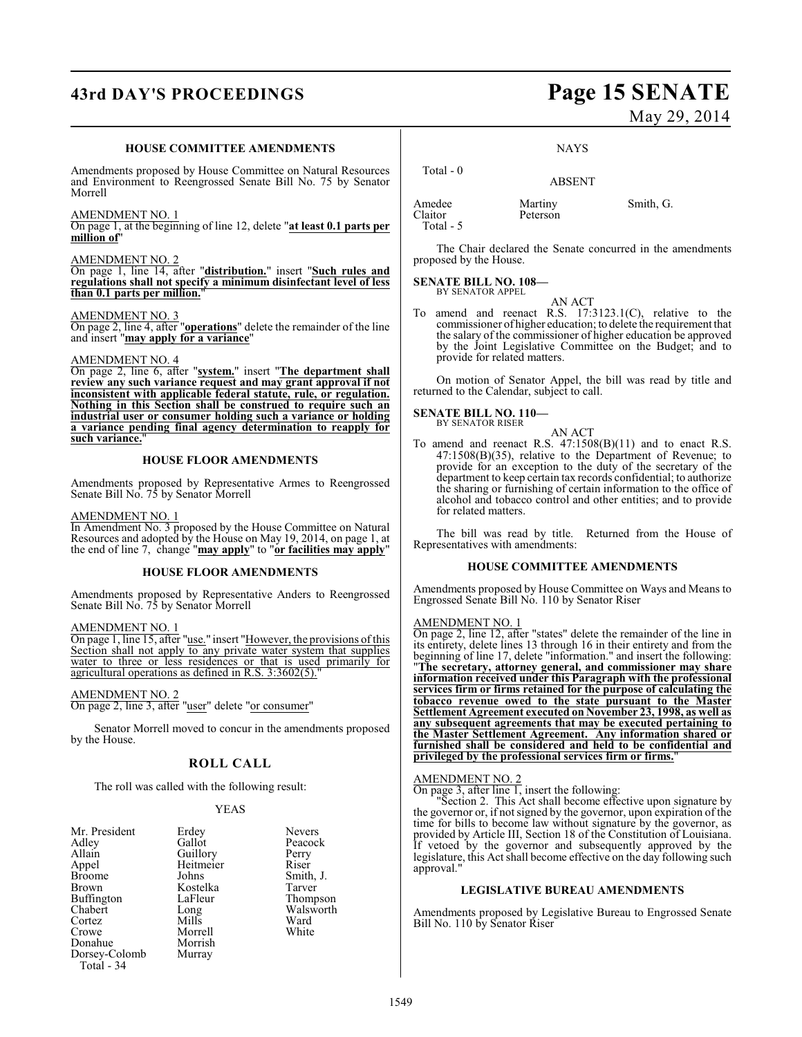# **43rd DAY'S PROCEEDINGS Page 15 SENATE**

#### **HOUSE COMMITTEE AMENDMENTS**

Amendments proposed by House Committee on Natural Resources and Environment to Reengrossed Senate Bill No. 75 by Senator Morrell

#### AMENDMENT NO. 1

On page 1, at the beginning of line 12, delete "**at least 0.1 parts per million of**"

#### AMENDMENT NO. 2

On page 1, line 14, after "**distribution.**" insert "**Such rules and regulations shall not specify a minimum disinfectant level of less than 0.1 parts per million.**"

#### AMENDMENT NO. 3

On page 2, line 4, after "**operations**" delete the remainder of the line and insert "**may apply for a variance**"

#### AMENDMENT NO. 4

On page 2, line 6, after "**system.**" insert "**The department shall review any such variance request and may grant approval if not inconsistent with applicable federal statute, rule, or regulation. Nothing in this Section shall be construed to require such an industrial user or consumer holding such a variance or holding a variance pending final agency determination to reapply for** such variance.

#### **HOUSE FLOOR AMENDMENTS**

Amendments proposed by Representative Armes to Reengrossed Senate Bill No. 75 by Senator Morrell

#### AMENDMENT NO. 1

In Amendment No. 3 proposed by the House Committee on Natural Resources and adopted by the House on May 19, 2014, on page 1, at the end of line 7, change "**may apply**" to "**or facilities may apply**"

#### **HOUSE FLOOR AMENDMENTS**

Amendments proposed by Representative Anders to Reengrossed Senate Bill No. 75 by Senator Morrell

#### AMENDMENT NO. 1

On page 1, line 15, after "use." insert "However, the provisions of this Section shall not apply to any private water system that supplies water to three or less residences or that is used primarily for agricultural operations as defined in R.S. 3:3602(5)."

#### AMENDMENT NO. 2

On page 2, line 3, after "user" delete "or consumer"

Senator Morrell moved to concur in the amendments proposed by the House.

### **ROLL CALL**

The roll was called with the following result:

#### YEAS

| Mr. President | Erdey     | <b>Nevers</b> |
|---------------|-----------|---------------|
| Adley         | Gallot    | Peacock       |
| Allain        | Guillory  | Perry         |
| Appel         | Heitmeier | Riser         |
| <b>Broome</b> | Johns     | Smith, J.     |
| <b>Brown</b>  | Kostelka  | Tarver        |
| Buffington    | LaFleur   | Thompson      |
| Chabert       | Long      | Walsworth     |
| Cortez        | Mills     | Ward          |
| Crowe         | Morrell   | White         |
| Donahue       | Morrish   |               |
| Dorsey-Colomb | Murray    |               |
| Total - 34    |           |               |

May 29, 2014

**NAYS** 

## ABSENT

Amedee Martiny Smith, G.<br>Claitor Peterson Claitor Total - 5

Total - 0

The Chair declared the Senate concurred in the amendments proposed by the House.

#### **SENATE BILL NO. 108—** BY SENATOR APPEL

AN ACT

To amend and reenact R.S. 17:3123.1(C), relative to the commissioner of higher education; to delete the requirement that the salary of the commissioner of higher education be approved by the Joint Legislative Committee on the Budget; and to provide for related matters.

On motion of Senator Appel, the bill was read by title and returned to the Calendar, subject to call.

#### **SENATE BILL NO. 110—** BY SENATOR RISER

AN ACT

To amend and reenact R.S. 47:1508(B)(11) and to enact R.S. 47:1508(B)(35), relative to the Department of Revenue; to provide for an exception to the duty of the secretary of the department to keep certain tax records confidential; to authorize the sharing or furnishing of certain information to the office of alcohol and tobacco control and other entities; and to provide for related matters.

The bill was read by title. Returned from the House of Representatives with amendments:

#### **HOUSE COMMITTEE AMENDMENTS**

Amendments proposed by House Committee on Ways and Means to Engrossed Senate Bill No. 110 by Senator Riser

#### AMENDMENT NO. 1

On page 2, line 12, after "states" delete the remainder of the line in its entirety, delete lines 13 through 16 in their entirety and from the beginning of line 17, delete "information." and insert the following: "**The secretary, attorney general, and commissioner may share information received under this Paragraph with the professional services firm or firms retained for the purpose of calculating the tobacco revenue owed to the state pursuant to the Master Settlement Agreement executed on November 23, 1998, as well as any subsequent agreements that may be executed pertaining to the Master Settlement Agreement. Any information shared or furnished shall be considered and held to be confidential and privileged by the professional services firm or firms.**"

#### AMENDMENT NO. 2

On page 3, after line 1, insert the following:

"Section 2. This Act shall become effective upon signature by the governor or, if not signed by the governor, upon expiration of the time for bills to become law without signature by the governor, as provided by Article III, Section 18 of the Constitution of Louisiana. If vetoed by the governor and subsequently approved by the legislature, this Act shall become effective on the day following such approval."

#### **LEGISLATIVE BUREAU AMENDMENTS**

Amendments proposed by Legislative Bureau to Engrossed Senate Bill No. 110 by Senator Riser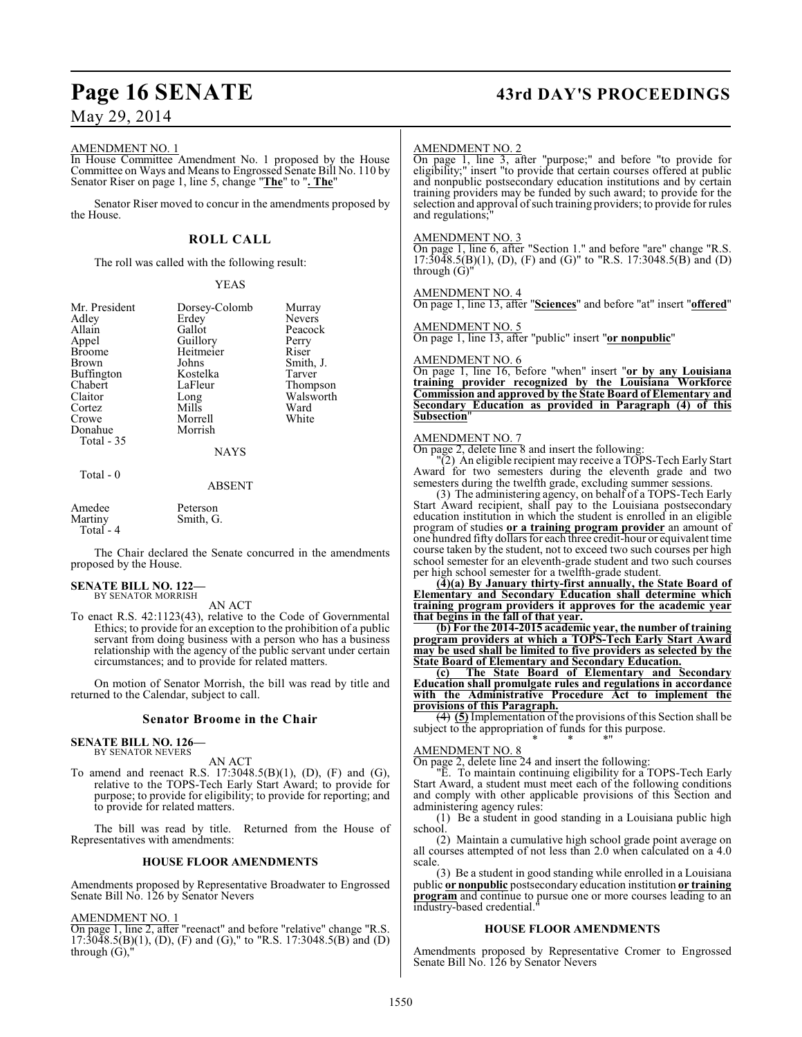#### AMENDMENT NO. 1

In House Committee Amendment No. 1 proposed by the House Committee on Ways and Means to Engrossed Senate Bill No. 110 by Senator Riser on page 1, line 5, change "**The**" to "**. The**"

Senator Riser moved to concur in the amendments proposed by the House.

#### **ROLL CALL**

The roll was called with the following result:

#### YEAS

| Mr. President<br>Adley<br>Allain<br>Appel<br><b>Broome</b><br><b>Brown</b><br><b>Buffington</b><br>Chabert<br>Claitor<br>Cortez<br>Crowe<br>Donahue<br>Total - 35 | Dorsey-Colomb<br>Erdey<br>Gallot<br>Guillory<br>Heitmeier<br>Johns<br>Kostelka<br>LaFleur<br>Long<br>Mills<br>Morrell<br>Morrish | Murray<br><b>Nevers</b><br>Peacock<br>Perry<br>Riser<br>Smith, J.<br>Tarver<br>Thompson<br>Walsworth<br>Ward<br>White |
|-------------------------------------------------------------------------------------------------------------------------------------------------------------------|----------------------------------------------------------------------------------------------------------------------------------|-----------------------------------------------------------------------------------------------------------------------|
|                                                                                                                                                                   | NAYS                                                                                                                             |                                                                                                                       |

#### Total - 0

#### ABSENT

| Amedee     | Peterson  |  |
|------------|-----------|--|
| Martinv    | Smith, G. |  |
| Total $-4$ |           |  |

The Chair declared the Senate concurred in the amendments proposed by the House.

#### **SENATE BILL NO. 122—** BY SENATOR MORRISH

AN ACT

To enact R.S. 42:1123(43), relative to the Code of Governmental Ethics; to provide for an exception to the prohibition of a public servant from doing business with a person who has a business relationship with the agency of the public servant under certain circumstances; and to provide for related matters.

On motion of Senator Morrish, the bill was read by title and returned to the Calendar, subject to call.

#### **Senator Broome in the Chair**

#### **SENATE BILL NO. 126—** BY SENATOR NEVERS

AN ACT

To amend and reenact R.S. 17:3048.5(B)(1), (D), (F) and (G), relative to the TOPS-Tech Early Start Award; to provide for purpose; to provide for eligibility; to provide for reporting; and to provide for related matters.

The bill was read by title. Returned from the House of Representatives with amendments:

#### **HOUSE FLOOR AMENDMENTS**

Amendments proposed by Representative Broadwater to Engrossed Senate Bill No. 126 by Senator Nevers

#### AMENDMENT NO. 1

On page 1, line 2, after "reenact" and before "relative" change "R.S.  $17:30\overline{48.5(B)}(1)$ , (D), (F) and (G)," to "R.S. 17:3048.5(B) and (D) through  $(G)$ ,

# **Page 16 SENATE 43rd DAY'S PROCEEDINGS**

#### AMENDMENT NO. 2

On page 1, line 3, after "purpose;" and before "to provide for eligibility;" insert "to provide that certain courses offered at public and nonpublic postsecondary education institutions and by certain training providers may be funded by such award; to provide for the selection and approval of such training providers; to provide for rules and regulations;

#### AMENDMENT NO. 3

On page 1, line 6, after "Section 1." and before "are" change "R.S. 17:3048.5(B)(1), (D), (F) and (G)" to "R.S. 17:3048.5(B) and (D) through (G)"

#### AMENDMENT NO. 4

On page 1, line 13, after "**Sciences**" and before "at" insert "**offered**"

AMENDMENT NO. 5

On page 1, line 13, after "public" insert "**or nonpublic**"

#### AMENDMENT NO. 6

On page 1, line 16, before "when" insert "**or by any Louisiana training provider recognized by the Louisiana Workforce Commission and approved by the State Board of Elementary and Secondary Education as provided in Paragraph (4) of this Subsection**"

#### AMENDMENT NO. 7

On page 2, delete line 8 and insert the following:

"(2) An eligible recipient may receive a TOPS-Tech Early Start Award for two semesters during the eleventh grade and two semesters during the twelfth grade, excluding summer sessions.

(3) The administering agency, on behalf of a TOPS-Tech Early Start Award recipient, shall pay to the Louisiana postsecondary education institution in which the student is enrolled in an eligible program of studies **or a training program provider** an amount of one hundred fifty dollars for each three credit-hour or equivalent time course taken by the student, not to exceed two such courses per high school semester for an eleventh-grade student and two such courses per high school semester for a twelfth-grade student.

**(4)(a) By January thirty-first annually, the State Board of Elementary and Secondary Education shall determine which training program providers it approves for the academic year that begins in the fall of that year.**

**(b) For the 2014-2015 academic year, the number of training program providers at which a TOPS-Tech Early Start Award may be used shall be limited to five providers as selected by the State Board of Elementary and Secondary Education.**

**(c) The State Board of Elementary and Secondary Education shall promulgate rules and regulations in accordance with the Administrative Procedure Act to implement the provisions of this Paragraph.**

(4) **(5)** Implementation of the provisions of this Section shall be subject to the appropriation of funds for this purpose. \* \* \*"

#### AMENDMENT NO. 8

On page 2, delete line 24 and insert the following:

"E. To maintain continuing eligibility for a TOPS-Tech Early Start Award, a student must meet each of the following conditions and comply with other applicable provisions of this Section and administering agency rules:

(1) Be a student in good standing in a Louisiana public high school.

(2) Maintain a cumulative high school grade point average on all courses attempted of not less than 2.0 when calculated on a 4.0 scale.

(3) Be a student in good standing while enrolled in a Louisiana public **or nonpublic** postsecondary education institution **or training program** and continue to pursue one or more courses leading to an industry-based credential.

#### **HOUSE FLOOR AMENDMENTS**

Amendments proposed by Representative Cromer to Engrossed Senate Bill No. 126 by Senator Nevers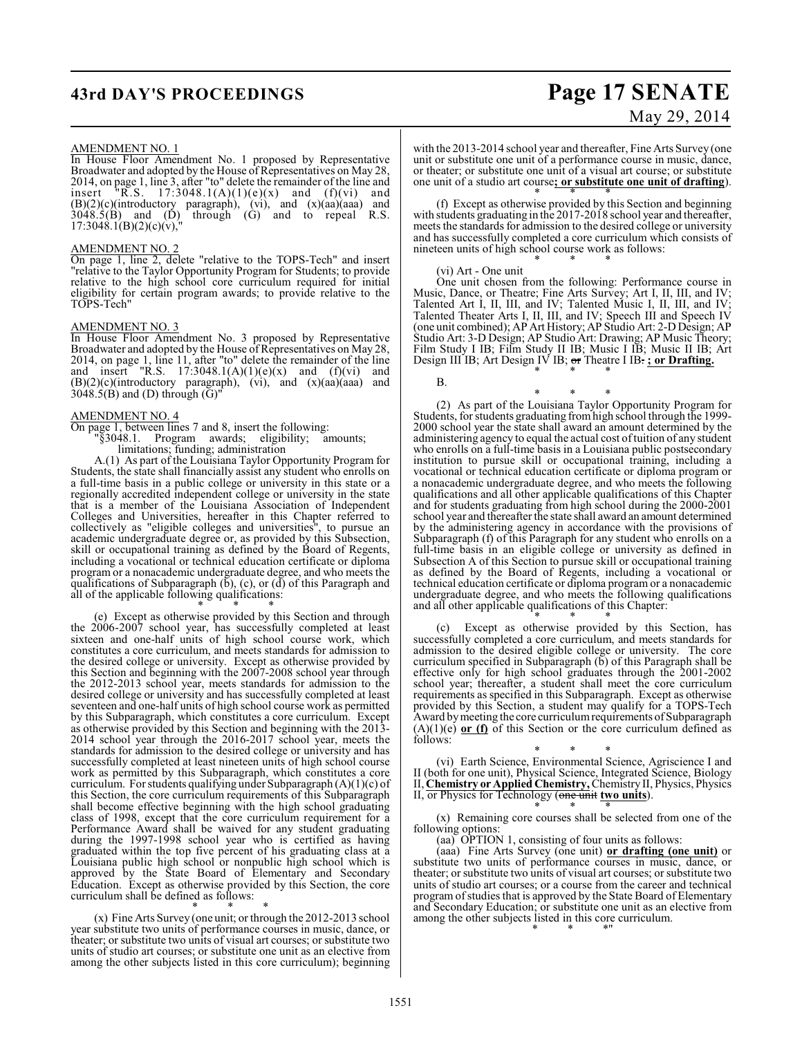# **43rd DAY'S PROCEEDINGS Page 17 SENATE**

# May 29, 2014

#### AMENDMENT NO. 1

In House Floor Amendment No. 1 proposed by Representative Broadwater and adopted by the House of Representatives on May 28, 2014, on page 1, line 3, after "to" delete the remainder of the line and insert "R.S.  $17:3048.1(A)(1)(e)(x)$  and  $(f)(vi)$  and  $(B)(2)(c)$ (introductory paragraph), (vi), and  $(x)(aa)(aaa)$  and  $3048.5(B)$  and  $(D)$  through  $(G)$  and to repeal R.S.  $17:3048.1(B)(2)(c)(v)$ ,"

#### AMENDMENT NO. 2

On page 1, line 2, delete "relative to the TOPS-Tech" and insert "relative to the Taylor Opportunity Program for Students; to provide relative to the high school core curriculum required for initial eligibility for certain program awards; to provide relative to the TOPS-Tech"

#### AMENDMENT NO. 3

In House Floor Amendment No. 3 proposed by Representative Broadwater and adopted by the House of Representatives on May 28, 2014, on page 1, line 11, after "to" delete the remainder of the line and insert "R.S.  $17:3048.1(A)(1)(e)(x)$  and  $(f)(vi)$  and  $(B)(2)(c)(introductory paragraph), (vi), and (x)(aa)(aaa) and$  $3048.5(B)$  and (D) through ( $\bar{G}$ )'

#### AMENDMENT NO. 4

On page 1, between lines 7 and 8, insert the following: "§3048.1. Program awards; eligibility; amounts; limitations; funding; administration

A.(1) As part of the Louisiana Taylor Opportunity Program for Students, the state shall financially assist any student who enrolls on a full-time basis in a public college or university in this state or a regionally accredited independent college or university in the state that is a member of the Louisiana Association of Independent Colleges and Universities, hereafter in this Chapter referred to collectively as "eligible colleges and universities", to pursue an academic undergraduate degree or, as provided by this Subsection, skill or occupational training as defined by the Board of Regents, including a vocational or technical education certificate or diploma program or a nonacademic undergraduate degree, and who meets the qualifications of Subparagraph  $(b)$ ,  $(c)$ , or  $(d)$  of this Paragraph and all of the applicable following qualifications: \* \* \*

(e) Except as otherwise provided by this Section and through the 2006-2007 school year, has successfully completed at least sixteen and one-half units of high school course work, which constitutes a core curriculum, and meets standards for admission to the desired college or university. Except as otherwise provided by this Section and beginning with the 2007-2008 school year through the 2012-2013 school year, meets standards for admission to the desired college or university and has successfully completed at least seventeen and one-half units of high school course work as permitted by this Subparagraph, which constitutes a core curriculum. Except as otherwise provided by this Section and beginning with the 2013- 2014 school year through the 2016-2017 school year, meets the standards for admission to the desired college or university and has successfully completed at least nineteen units of high school course work as permitted by this Subparagraph, which constitutes a core curriculum. For students qualifying under Subparagraph  $(A)(1)(c)$  of this Section, the core curriculum requirements of this Subparagraph shall become effective beginning with the high school graduating class of 1998, except that the core curriculum requirement for a Performance Award shall be waived for any student graduating during the 1997-1998 school year who is certified as having graduated within the top five percent of his graduating class at a Louisiana public high school or nonpublic high school which is approved by the State Board of Elementary and Secondary Education. Except as otherwise provided by this Section, the core curriculum shall be defined as follows:

\* \* \* (x) Fine Arts Survey (one unit; or through the 2012-2013 school year substitute two units of performance courses in music, dance, or theater; or substitute two units of visual art courses; or substitute two units of studio art courses; or substitute one unit as an elective from among the other subjects listed in this core curriculum); beginning

with the 2013-2014 school year and thereafter, Fine Arts Survey (one unit or substitute one unit of a performance course in music, dance, or theater; or substitute one unit of a visual art course; or substitute one unit of a studio art course**; or substitute one unit of drafting**).

\* \* \* (f) Except as otherwise provided by this Section and beginning with students graduating in the 2017-2018 school year and thereafter, meets the standards for admission to the desired college or university and has successfully completed a core curriculum which consists of nineteen units of high school course work as follows: \* \* \*

#### (vi) Art - One unit

One unit chosen from the following: Performance course in Music, Dance, or Theatre; Fine Arts Survey; Art I, II, III, and IV; Talented Art I, II, III, and IV; Talented Music I, II, III, and IV; Talented Theater Arts I, II, III, and IV; Speech III and Speech IV (one unit combined); AP Art History; AP Studio Art: 2-D Design; AP Studio Art: 3-D Design; AP Studio Art: Drawing; AP Music Theory; Film Study I IB; Film Study II IB; Music I IB; Music II IB; Art Design III IB; Art Design IV IB; or Theatre I IB. **; or Drafting.** \* \* \*

B.

\* \* \* (2) As part of the Louisiana Taylor Opportunity Program for Students, for students graduating fromhigh school through the 1999- 2000 school year the state shall award an amount determined by the administering agency to equal the actual cost of tuition of any student who enrolls on a full-time basis in a Louisiana public postsecondary institution to pursue skill or occupational training, including a vocational or technical education certificate or diploma program or a nonacademic undergraduate degree, and who meets the following qualifications and all other applicable qualifications of this Chapter and for students graduating from high school during the 2000-2001 school year and thereafter the state shall award an amount determined by the administering agency in accordance with the provisions of Subparagraph (f) of this Paragraph for any student who enrolls on a full-time basis in an eligible college or university as defined in Subsection A of this Section to pursue skill or occupational training as defined by the Board of Regents, including a vocational or technical education certificate or diploma program or a nonacademic undergraduate degree, and who meets the following qualifications and all other applicable qualifications of this Chapter:

\* \* \* (c) Except as otherwise provided by this Section, has successfully completed a core curriculum, and meets standards for admission to the desired eligible college or university. The core curriculum specified in Subparagraph  $(b)$  of this Paragraph shall be effective only for high school graduates through the 2001-2002 school year; thereafter, a student shall meet the core curriculum requirements as specified in this Subparagraph. Except as otherwise provided by this Section, a student may qualify for a TOPS-Tech Award by meeting the core curriculum requirements of Subparagraph  $(A)(1)(e)$  or (f) of this Section or the core curriculum defined as follows:

\* \* \* (vi) Earth Science, Environmental Science, Agriscience I and II (both for one unit), Physical Science, Integrated Science, Biology II, **Chemistry or Applied Chemistry,** Chemistry II, Physics, Physics II, or Physics for Technology (one unit **two units**). \* \* \*

(x) Remaining core courses shall be selected from one of the following options:

(aa) OPTION 1, consisting of four units as follows:

(aaa) Fine Arts Survey (one unit) **or drafting (one unit)** or substitute two units of performance courses in music, dance, or theater; or substitute two units of visual art courses; or substitute two units of studio art courses; or a course from the career and technical program of studies that is approved by the State Board of Elementary and Secondary Education; or substitute one unit as an elective from among the other subjects listed in this core curriculum. \* \* \*"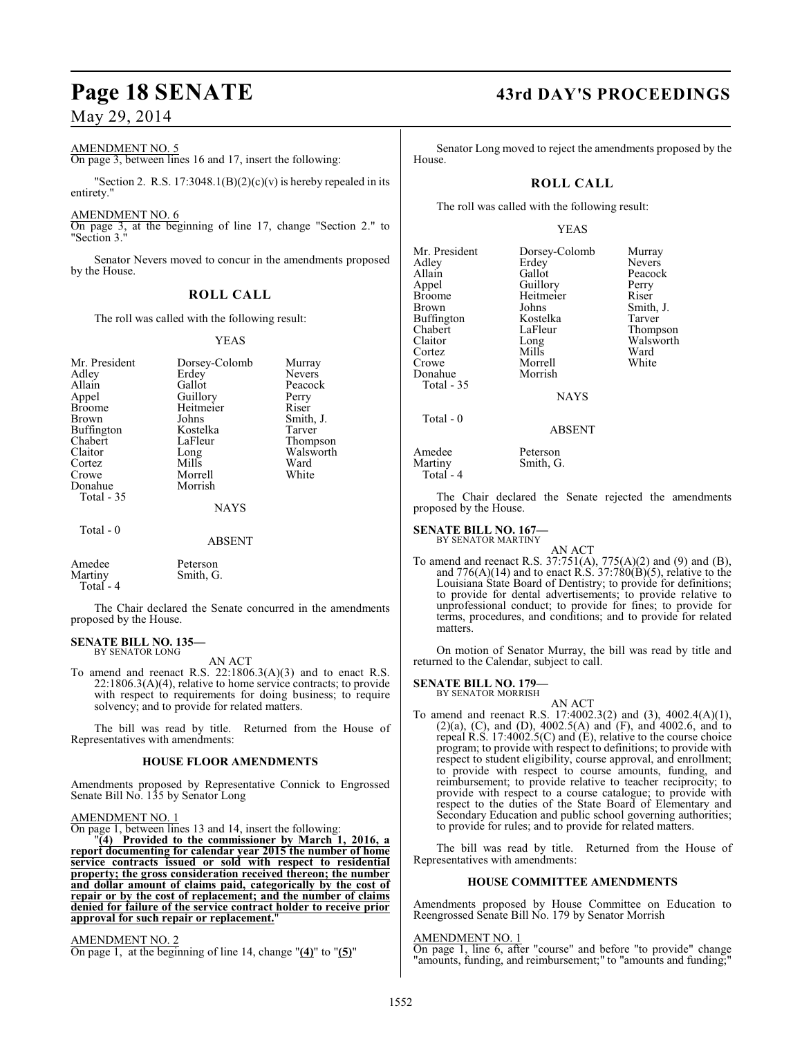#### AMENDMENT NO. 5

On page 3, between lines 16 and 17, insert the following:

"Section 2. R.S. 17:3048.1(B)(2)(c)(v) is hereby repealed in its entirety."

#### AMENDMENT NO. 6

On page 3, at the beginning of line 17, change "Section 2." to "Section 3."

Senator Nevers moved to concur in the amendments proposed by the House.

#### **ROLL CALL**

The roll was called with the following result:

YEAS

| Mr. President     | Dorsey-Colomb | Murray        |
|-------------------|---------------|---------------|
| Adley             | Erdey         | <b>Nevers</b> |
| Allain            | Gallot        | Peacock       |
| Appel             | Guillory      | Perry         |
| <b>Broome</b>     | Heitmeier     | Riser         |
| Brown             | Johns         | Smith, J.     |
| Buffington        | Kostelka      | Tarver        |
| Chabert           | LaFleur       | Thompson      |
| Claitor           | Long          | Walsworth     |
| Cortez            | Mills         | Ward          |
| Crowe             | Morrell       | White         |
| Donahue           | Morrish       |               |
| <b>Total - 35</b> |               |               |
|                   | <b>NAYS</b>   |               |
| Total - 0         |               |               |

ABSENT

Amedee Peterson<br>Martiny Smith G Smith, G. Total - 4

The Chair declared the Senate concurred in the amendments proposed by the House.

#### **SENATE BILL NO. 135—** BY SENATOR LONG

AN ACT

To amend and reenact R.S. 22:1806.3(A)(3) and to enact R.S.  $22:1806.3(A)(4)$ , relative to home service contracts; to provide with respect to requirements for doing business; to require solvency; and to provide for related matters.

The bill was read by title. Returned from the House of Representatives with amendments:

#### **HOUSE FLOOR AMENDMENTS**

Amendments proposed by Representative Connick to Engrossed Senate Bill No. 135 by Senator Long

#### AMENDMENT NO. 1

On page 1, between lines 13 and 14, insert the following:

"**(4) Provided to the commissioner by March 1, 2016, a report documenting for calendar year 2015 the number of home service contracts issued or sold with respect to residential property; the gross consideration received thereon; the number and dollar amount of claims paid, categorically by the cost of repair or by the cost of replacement; and the number of claims denied for failure of the service contract holder to receive prior** approval for such repair or replacement.

#### AMENDMENT NO. 2

On page 1, at the beginning of line 14, change "**(4)**" to "**(5)**"

# **Page 18 SENATE 43rd DAY'S PROCEEDINGS**

Senator Long moved to reject the amendments proposed by the House.

#### **ROLL CALL**

The roll was called with the following result:

#### YEAS

| Mr. President<br>Adley<br>Allain<br>Appel<br><b>Broome</b><br>Brown<br><b>Buffington</b> | Dorsey-Colomb<br>Erdey<br>Gallot<br>Guillory<br>Heitmeier<br>Johns<br>Kostelka | Murray<br><b>Nevers</b><br>Peacock<br>Perry<br>Riser<br>Smith, J.<br>Tarver |
|------------------------------------------------------------------------------------------|--------------------------------------------------------------------------------|-----------------------------------------------------------------------------|
|                                                                                          |                                                                                |                                                                             |
| Chabert<br>Claitor                                                                       | LaFleur<br>Long                                                                | Thompson<br>Walsworth                                                       |
| Cortez<br>Crowe                                                                          | Mills<br>Morrell                                                               | Ward<br>White                                                               |
| Donahue<br>Total - 35                                                                    | Morrish                                                                        |                                                                             |
|                                                                                          | <b>NAYS</b>                                                                    |                                                                             |
| $Total - 0$                                                                              | ABSENT                                                                         |                                                                             |

Amedee Peterson<br>Martiny Smith, G Smith, G. Total - 4

The Chair declared the Senate rejected the amendments proposed by the House.

#### **SENATE BILL NO. 167—** BY SENATOR MARTINY

AN ACT To amend and reenact R.S. 37:751(A), 775(A)(2) and (9) and (B), and  $776(A)(14)$  and to enact R.S.  $37:780(B)(5)$ , relative to the Louisiana State Board of Dentistry; to provide for definitions; to provide for dental advertisements; to provide relative to unprofessional conduct; to provide for fines; to provide for terms, procedures, and conditions; and to provide for related matters.

On motion of Senator Murray, the bill was read by title and returned to the Calendar, subject to call.

#### **SENATE BILL NO. 179—**

BY SENATOR MORRISH

AN ACT To amend and reenact R.S. 17:4002.3(2) and (3), 4002.4(A)(1), (2)(a), (C), and (D), 4002.5(A) and (F), and 4002.6, and to repeal R.S. 17:4002.5(C) and (E), relative to the course choice program; to provide with respect to definitions; to provide with respect to student eligibility, course approval, and enrollment; to provide with respect to course amounts, funding, and reimbursement; to provide relative to teacher reciprocity; to provide with respect to a course catalogue; to provide with respect to the duties of the State Board of Elementary and Secondary Education and public school governing authorities; to provide for rules; and to provide for related matters.

The bill was read by title. Returned from the House of Representatives with amendments:

#### **HOUSE COMMITTEE AMENDMENTS**

Amendments proposed by House Committee on Education to Reengrossed Senate Bill No. 179 by Senator Morrish

#### AMENDMENT NO. 1

On page 1, line 6, after "course" and before "to provide" change "amounts, funding, and reimbursement;" to "amounts and funding;"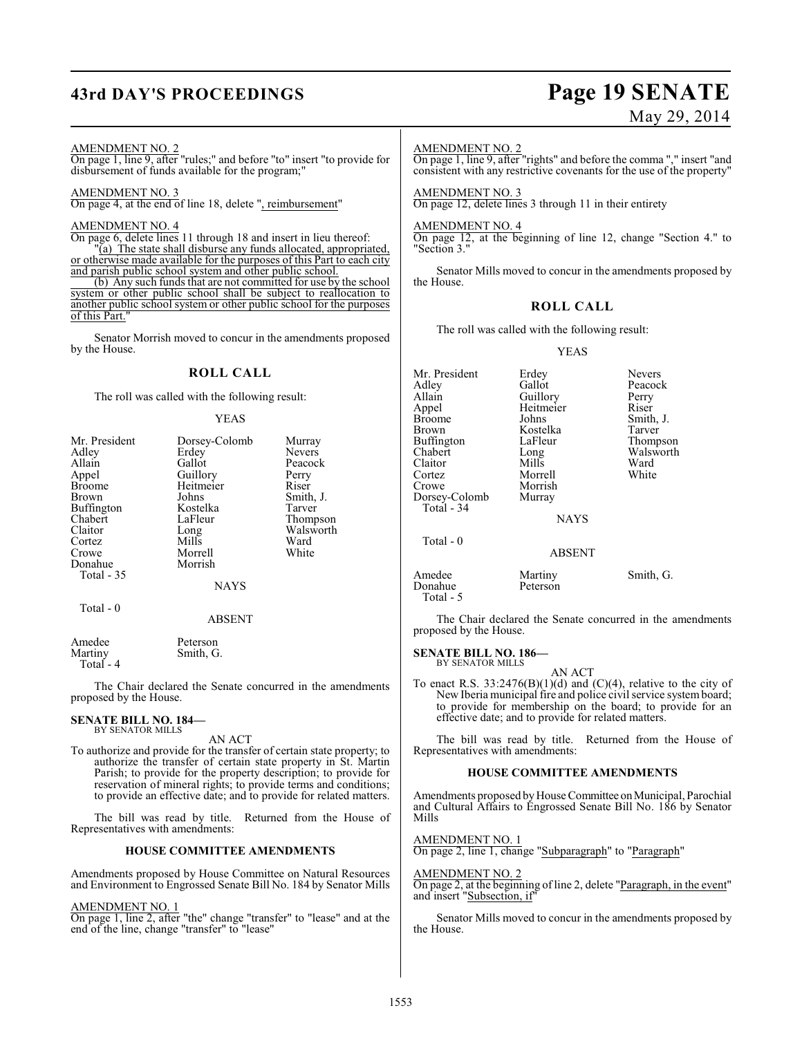# **43rd DAY'S PROCEEDINGS Page 19 SENATE**

# May 29, 2014

#### AMENDMENT NO. 2

 $\frac{2 \text{ m.t. } 1 \text{ m.t. } 1 \text{ m.t. } 2 \text{ m.t. } 1 \text{ m.t. } 2 \text{ m.t. } 1 \text{ m.t. } 2 \text{ m.t. } 1 \text{ m.t. } 1 \text{ m.t. } 1 \text{ m.t. } 1 \text{ m.t. } 1 \text{ m.t. } 1 \text{ m.t. } 1 \text{ m.t. } 1 \text{ m.t. } 1 \text{ m.t. } 1 \text{ m.t. } 1 \text{ m.t. } 1 \text{ m.t. } 1 \text{ m.t. } 1 \text{ m.t. } 1 \text{ m.t. } 1 \text{ m.t. } 1$ disbursement of funds available for the program;"

#### AMENDMENT NO. 3

On page 4, at the end of line 18, delete ", reimbursement"

#### AMENDMENT NO. 4

On page 6, delete lines 11 through 18 and insert in lieu thereof: "(a) The state shall disburse any funds allocated, appropriated, or otherwise made available for the purposes of this Part to each city and parish public school system and other public school. (b) Any such funds that are not committed for use by the school system or other public school shall be subject to reallocation to

another public school system or other public school for the purposes of this Part."

Senator Morrish moved to concur in the amendments proposed by the House.

#### **ROLL CALL**

The roll was called with the following result:

#### YEAS

| Dorsey-Colomb | Murray        |
|---------------|---------------|
| Erdey         | <b>Nevers</b> |
| Gallot        | Peacock       |
|               | Perry         |
| Heitmeier     | Riser         |
| Johns         | Smith, J.     |
| Kostelka      | Tarver        |
| LaFleur       | Thompson      |
| Long          | Walsworth     |
| Mills         | Ward          |
| Morrell       | White         |
| Morrish       |               |
|               |               |
| <b>NAYS</b>   |               |
|               |               |
| <b>ABSENT</b> |               |
|               | Guillory      |

Amedee Peterson<br>Martiny Smith, G Smith, G. Total - 4

The Chair declared the Senate concurred in the amendments proposed by the House.

# **SENATE BILL NO. 184—** BY SENATOR MILLS

AN ACT

To authorize and provide for the transfer of certain state property; to authorize the transfer of certain state property in St. Martin Parish; to provide for the property description; to provide for reservation of mineral rights; to provide terms and conditions; to provide an effective date; and to provide for related matters.

The bill was read by title. Returned from the House of Representatives with amendments:

#### **HOUSE COMMITTEE AMENDMENTS**

Amendments proposed by House Committee on Natural Resources and Environment to Engrossed Senate Bill No. 184 by Senator Mills

AMENDMENT NO. 1

On page 1, line 2, after "the" change "transfer" to "lease" and at the end of the line, change "transfer" to "lease"

#### AMENDMENT NO. 2

On page 1, line 9, after "rights" and before the comma "," insert "and consistent with any restrictive covenants for the use of the property"

AMENDMENT NO. 3 On page 12, delete lines 3 through 11 in their entirety

## AMENDMENT NO. 4

On page 12, at the beginning of line 12, change "Section 4." to "Section 3."

Senator Mills moved to concur in the amendments proposed by the House.

#### **ROLL CALL**

The roll was called with the following result:

#### YEAS

| Mr. President        | Erdey         | <b>Nevers</b> |
|----------------------|---------------|---------------|
| Adley                | Gallot        | Peacock       |
| Allain               | Guillory      | Perry         |
| Appel                | Heitmeier     | Riser         |
| Broome               | Johns         | Smith, J.     |
| Brown                | Kostelka      | Tarver        |
| Buffington           | LaFleur       | Thompson      |
| Chabert              | Long          | Walsworth     |
| Claitor              | Mills         | Ward          |
| Cortez               | Morrell       | White         |
| Crowe                | Morrish       |               |
| Dorsey-Colomb        | Murray        |               |
| Total - 34           |               |               |
|                      | <b>NAYS</b>   |               |
| Total - 0            |               |               |
|                      | <b>ABSENT</b> |               |
| Amedee               | Martiny       | Smith, G.     |
| Donahue<br>Total - 5 | Peterson      |               |

The Chair declared the Senate concurred in the amendments proposed by the House.

**SENATE BILL NO. 186—** BY SENATOR MILLS

AN ACT

To enact R.S.  $33:2476(B)(1)(d)$  and  $(C)(4)$ , relative to the city of New Iberia municipal fire and police civil service system board; to provide for membership on the board; to provide for an effective date; and to provide for related matters.

The bill was read by title. Returned from the House of Representatives with amendments:

#### **HOUSE COMMITTEE AMENDMENTS**

Amendments proposed by House Committee on Municipal, Parochial and Cultural Affairs to Engrossed Senate Bill No. 186 by Senator Mills

AMENDMENT NO. 1

On page 2, line 1, change "Subparagraph" to "Paragraph"

#### AMENDMENT NO. 2

On page 2, at the beginning of line 2, delete "Paragraph, in the event" and insert "**Subsection**, if"

Senator Mills moved to concur in the amendments proposed by the House.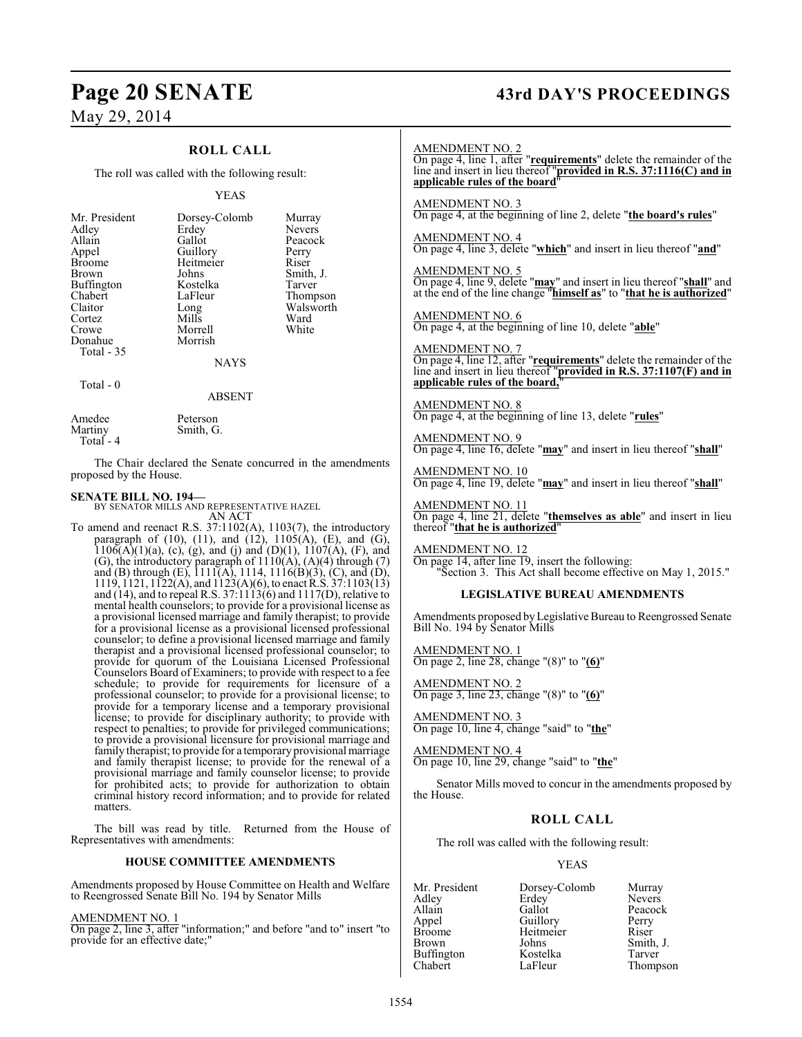### **ROLL CALL**

The roll was called with the following result:

#### YEAS

| Mr. President<br>Adley<br>Allain<br>Appel<br><b>Broome</b><br>Brown<br><b>Buffington</b><br>Chabert<br>Claitor<br>Cortez<br>Crowe<br>Donahue<br>Total - 35 | Dorsey-Colomb<br>Erdey<br>Gallot<br>Guillory<br>Heitmeier<br>Johns<br>Kostelka<br>LaFleur<br>Long<br>Mills<br>Morrell<br>Morrish<br><b>NAYS</b> | Murray<br><b>Nevers</b><br>Peacock<br>Perry<br>Riser<br>Smith, J.<br>Tarver<br>Thompson<br>Walsworth<br>Ward<br>White |
|------------------------------------------------------------------------------------------------------------------------------------------------------------|-------------------------------------------------------------------------------------------------------------------------------------------------|-----------------------------------------------------------------------------------------------------------------------|
| Total - 0                                                                                                                                                  |                                                                                                                                                 |                                                                                                                       |

# ABSENT

Smith, G.

# Amedee Peterson<br>Martiny Smith, G

Total - 4

The Chair declared the Senate concurred in the amendments proposed by the House.

**SENATE BILL NO. 194—** BY SENATOR MILLS AND REPRESENTATIVE HAZEL AN ACT

To amend and reenact R.S. 37:1102(A), 1103(7), the introductory paragraph of (10), (11), and (12),  $1105(A)$ , (E), and (G),  $1106(A)(1)(a)$ , (c), (g), and (j) and (D)(1),  $1107(A)$ , (F), and (G), the introductory paragraph of  $1110(A)$ ,  $(A)(4)$  through  $(7)$ and (B) through (E), 1111(A), 1114, 1116(B)(3), (C), and (D), 1119, 1121, 1122(A), and 1123(A)(6), to enact R.S. 37:1103(13) and (14), and to repeal R.S. 37:1113(6) and 1117(D), relative to mental health counselors; to provide for a provisional license as a provisional licensed marriage and family therapist; to provide for a provisional license as a provisional licensed professional counselor; to define a provisional licensed marriage and family therapist and a provisional licensed professional counselor; to provide for quorum of the Louisiana Licensed Professional Counselors Board of Examiners; to provide with respect to a fee schedule; to provide for requirements for licensure of a professional counselor; to provide for a provisional license; to provide for a temporary license and a temporary provisional license; to provide for disciplinary authority; to provide with respect to penalties; to provide for privileged communications; to provide a provisional licensure for provisional marriage and family therapist; to provide for a temporary provisional marriage and family therapist license; to provide for the renewal of a provisional marriage and family counselor license; to provide for prohibited acts; to provide for authorization to obtain criminal history record information; and to provide for related matters.

The bill was read by title. Returned from the House of Representatives with amendments:

#### **HOUSE COMMITTEE AMENDMENTS**

Amendments proposed by House Committee on Health and Welfare to Reengrossed Senate Bill No. 194 by Senator Mills

#### AMENDMENT NO. 1

On page 2, line 3, after "information;" and before "and to" insert "to provide for an effective date;"

# **Page 20 SENATE 43rd DAY'S PROCEEDINGS**

#### AMENDMENT NO. 2

On page 4, line 1, after "**requirements**" delete the remainder of the line and insert in lieu thereof "**provided in R.S. 37:1116(C) and in applicable rules of the board**"

AMENDMENT NO. 3 On page 4, at the beginning of line 2, delete "**the board's rules**"

AMENDMENT NO. 4 On page 4, line 3, delete "**which**" and insert in lieu thereof "**and**"

AMENDMENT NO. 5 On page 4, line 9, delete "**may**" and insert in lieu thereof "**shall**" and at the end of the line change "**himself as**" to "**that he is authorized**"

AMENDMENT NO. 6 On page 4, at the beginning of line 10, delete "**able**"

AMENDMENT NO. 7 On page 4, line 12, after "**requirements**" delete the remainder of the line and insert in lieu thereof "**provided in R.S. 37:1107(F) and in applicable rules of the board,**"

AMENDMENT NO. 8 On page 4, at the beginning of line 13, delete "**rules**"

AMENDMENT NO. 9 On page 4, line 16, delete "**may**" and insert in lieu thereof "**shall**"

AMENDMENT NO. 10 On page 4, line 19, delete "**may**" and insert in lieu thereof "**shall**"

AMENDMENT NO. 11 On page 4, line 21, delete "**themselves as able**" and insert in lieu thereof "**that he is authorized**"

AMENDMENT NO. 12 On page 14, after line 19, insert the following: "Section 3. This Act shall become effective on May 1, 2015."

#### **LEGISLATIVE BUREAU AMENDMENTS**

Amendments proposed byLegislative Bureau to Reengrossed Senate Bill No. 194 by Senator Mills

AMENDMENT NO. 1 On page 2, line 28, change "(8)" to "**(6)**"

AMENDMENT NO. 2 On page 3, line 23, change "(8)" to "**(6)**"

AMENDMENT NO. 3 On page 10, line 4, change "said" to "**the**"

AMENDMENT NO. 4 On page 10, line 29, change "said" to "**the**"

Senator Mills moved to concur in the amendments proposed by the House.

#### **ROLL CALL**

The roll was called with the following result:

#### YEAS

Mr. President Dorsey-Colomb Murray<br>Adley Erdey Nevers Adley Erdey Nevers<br>
Allain Gallot Peacoc Allain Gallot Peacock<br>Appel Guillory Perry Appel Guillory Perry<br>Broome Heitmeier Riser Broome Heitmeier<br>Brown Johns Johns Smith, J.<br>Kostelka Tarver Buffington Kostelka<br>Chabert LaFleur

Thompson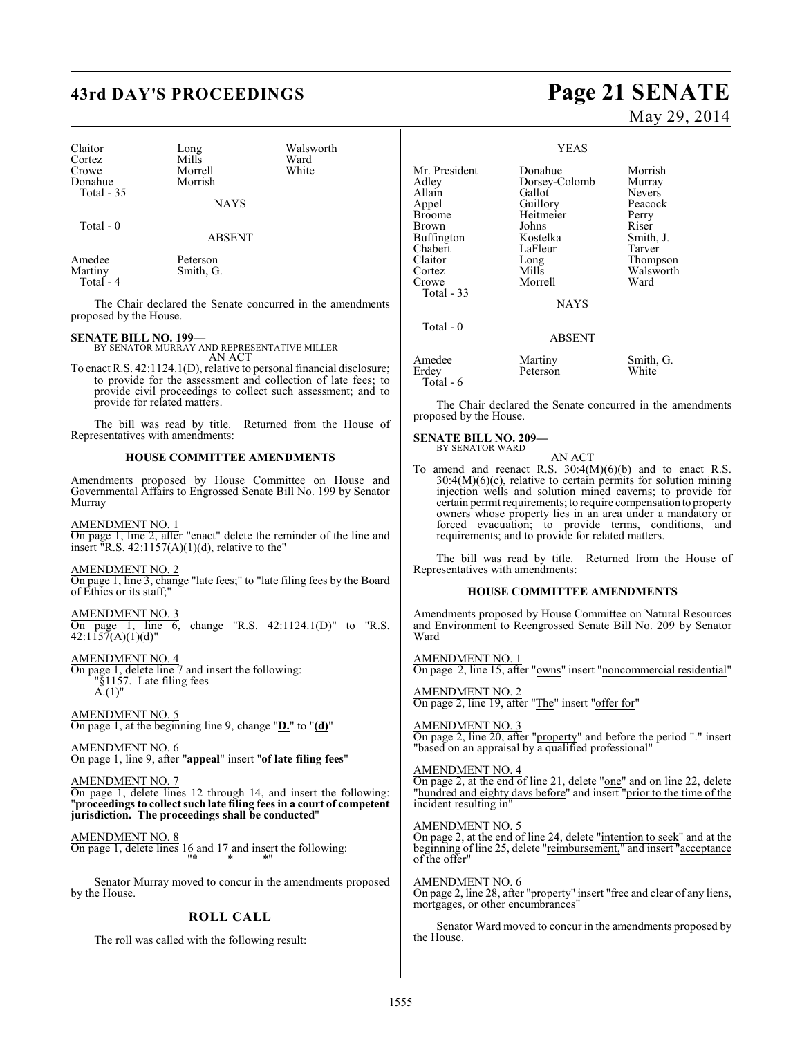# **43rd DAY'S PROCEEDINGS Page 21 SENATE**

| Claitor<br>Cortez<br>Crowe<br>Donahue<br>Total - 35                                                                 | Long<br>Mills<br>Morrell<br>Morrish | Walsworth<br>Ward<br>White                                                                                                                                                                                  | Mr. Pres<br>Adley<br>Allain                        |
|---------------------------------------------------------------------------------------------------------------------|-------------------------------------|-------------------------------------------------------------------------------------------------------------------------------------------------------------------------------------------------------------|----------------------------------------------------|
| Total - 0                                                                                                           | <b>NAYS</b><br>ABSENT               |                                                                                                                                                                                                             | Appel<br><b>Broome</b><br>Brown<br><b>Buffingt</b> |
| Amedee<br>Martiny<br>Total $-4$                                                                                     | Peterson<br>Smith, G.               |                                                                                                                                                                                                             | Chabert<br>Claitor<br>Cortez<br>Crowe<br>Total-    |
| proposed by the House.                                                                                              |                                     | The Chair declared the Senate concurred in the amendments                                                                                                                                                   |                                                    |
| <b>SENATE BILL NO. 199-</b>                                                                                         |                                     | BY SENATOR MURRAY AND REPRESENTATIVE MILLER                                                                                                                                                                 | Total -                                            |
| provide for related matters.                                                                                        | AN ACT                              | To enact R.S. 42:1124.1(D), relative to personal financial disclosure;<br>to provide for the assessment and collection of late fees; to<br>provide civil proceedings to collect such assessment; and to     | Amedee<br>Erdey<br>Total-<br>The                   |
| Representatives with amendments:                                                                                    |                                     | The bill was read by title. Returned from the House of                                                                                                                                                      | proposed<br><b>SENAT</b>                           |
|                                                                                                                     |                                     | <b>HOUSE COMMITTEE AMENDMENTS</b>                                                                                                                                                                           | BY :                                               |
| Murray                                                                                                              |                                     | Amendments proposed by House Committee on House and<br>Governmental Affairs to Engrossed Senate Bill No. 199 by Senator                                                                                     | To amer<br>30:<br>inje<br>cert                     |
| <u>AMENDMENT NO. 1</u><br>insert "R.S. $42:1157(A)(1)(d)$ , relative to the"                                        |                                     | On page 1, line 2, after "enact" delete the reminder of the line and                                                                                                                                        | owr<br>forc<br>requ<br>The                         |
| <b>AMENDMENT NO. 2</b><br>of Ethics or its staff;"                                                                  |                                     | On page 1, line 3, change "late fees;" to "late filing fees by the Board                                                                                                                                    | Represer                                           |
| <b>AMENDMENT NO. 3</b><br>$42:1157(A)(1)(d)$ "                                                                      |                                     | On page 1, line 6, change "R.S. $42:1124.1(D)$ " to "R.S.                                                                                                                                                   | Amendn<br>and Env<br>Ward                          |
| <b>AMENDMENT NO. 4</b><br>On page 1, delete line 7 and insert the following:<br>"§1157. Late filing fees            |                                     |                                                                                                                                                                                                             | <b>AMEND</b><br>On page                            |
| $A.(1)$ "                                                                                                           |                                     |                                                                                                                                                                                                             | AMENL<br>On page                                   |
| <b>AMENDMENT NO. 5</b><br>On page 1, at the beginning line 9, change " $D$ " to " $(d)$ "<br><b>AMENDMENT NO. 6</b> |                                     |                                                                                                                                                                                                             | AMEND<br>On page<br>"based o                       |
| AMENDMENT NO. 7<br>jurisdiction. The proceedings shall be conducted"                                                |                                     | On page 1, line 9, after "appeal" insert "of late filing fees"<br>On page 1, delete lines 12 through 14, and insert the following:<br>"proceedings to collect such late filing fees in a court of competent | AMEND<br>On page<br>"hundred<br>incident           |
| AMENDMENT NO. 8                                                                                                     | 11米                                 | On page 1, delete lines 16 and 17 and insert the following:                                                                                                                                                 | AMEND<br>On page<br>beginnin<br>of the of          |

Senator Murray moved to concur in the amendments proposed by the House.

#### **ROLL CALL**

The roll was called with the following result:

# May 29, 2014

#### YEAS

ident Donahue Morrish<br>Dorsey-Colomb Murray Dorsey-Colomb Murray<br>Gallot Nevers Gallot Nevers<br>
Guillory Peacock Guillory Peacc<br>
Heitmeier Perry Heitmeier<br>Johns Johns Riser<br>Brown Rostelka Smith, J. Kostelka Smith,<br>LaFleur Tarver LaFleur<br>Long Long Thompson<br>Mills Walsworth Walsworth<br>Ward Morrell 33 NAYS Total - 0 ABSENT Martiny Smith, G.<br>Peterson White Peterson  $6 \overline{6}$ 

Chair declared the Senate concurred in the amendments d by the House.

#### **SENATE BILL NO. 209—** SENATOR WARD

AN ACT

nd and reenact R.S.  $30:4(M)(6)(b)$  and to enact R.S.  $4(M)(6)(c)$ , relative to certain permits for solution mining injection wells and solution mined caverns; to provide for tain permit requirements; to require compensation to property ners whose property lies in an area under a mandatory or forced evacuation; to provide terms, conditions, and requirements; and to provide for related matters.

bill was read by title. Returned from the House of ntatives with amendments:

#### **HOUSE COMMITTEE AMENDMENTS**

hents proposed by House Committee on Natural Resources ironment to Reengrossed Senate Bill No. 209 by Senator

DMENT NO. 1 2, line 15, after "owns" insert "noncommercial residential"

AMENDMENT NO. 2 On page 2, line 19, after "The" insert "offer for"

AMENDMENT NO. 3 On page 2, line 20, after "property" and before the period "." insert n an appraisal by a qualified professional"

MENT NO. 4 On page 2, at the end of line 21, delete "one" and on line 22, delete "hundred and eighty days before" and insert "prior to the time of the resulting in'

MENT NO. 5

On page 2, at the end of line 24, delete "intention to seek" and at the beginning of line 25, delete "reimbursement," and insert "acceptance of the offer"

AMENDMENT NO. 6 On page 2, line 28, after "property" insert "free and clear of any liens, mortgages, or other encumbrances"

Senator Ward moved to concur in the amendments proposed by the House.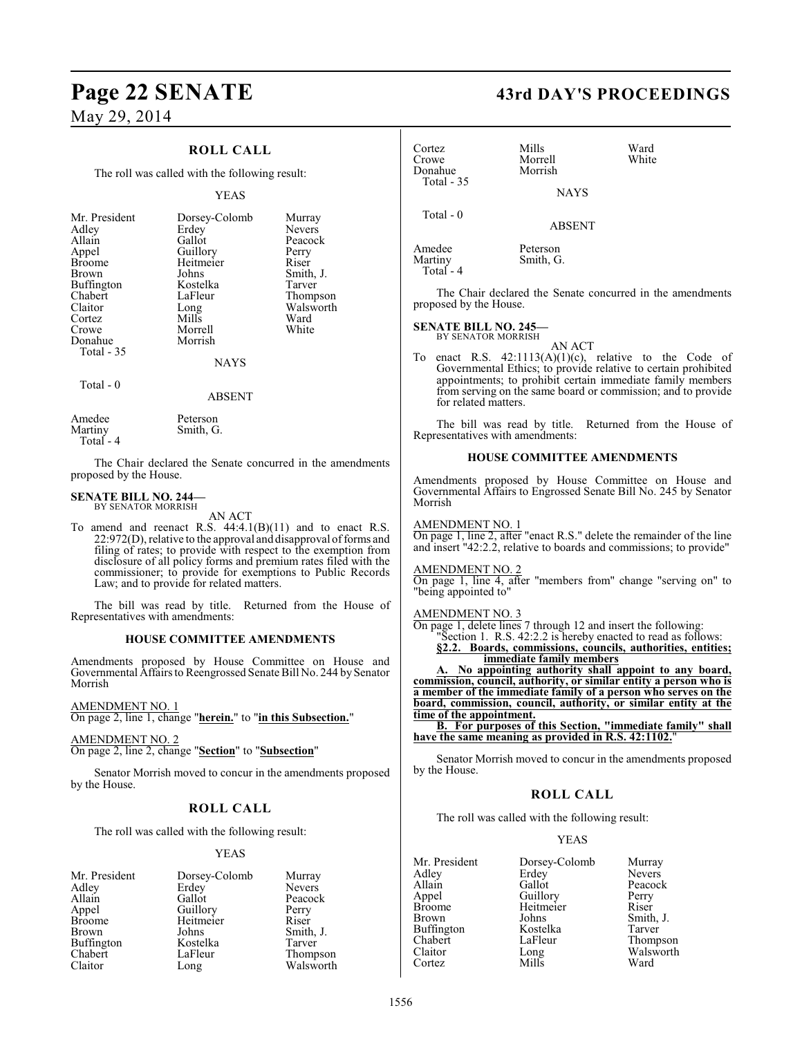### **ROLL CALL**

The roll was called with the following result:

#### YEAS

| Mr. President<br>Dorsey-Colomb<br>Murray<br>Erdey<br>Adley<br>Gallot<br>Allain<br>Guillory<br>Appel<br>Heitmeier<br><b>Broome</b><br>Johns<br><b>Brown</b><br><b>Buffington</b><br>Kostelka<br>Chabert<br>LaFleur<br>Claitor<br>Long<br>Mills<br>Cortez<br>Morrell<br>Crowe<br>Morrish<br>Donahue<br>Total - 35<br><b>NAYS</b> | <b>Nevers</b><br>Peacock<br>Perry<br>Riser<br>Smith, J.<br>Tarver<br>Thompson<br>Walsworth<br>Ward<br>White |
|--------------------------------------------------------------------------------------------------------------------------------------------------------------------------------------------------------------------------------------------------------------------------------------------------------------------------------|-------------------------------------------------------------------------------------------------------------|
|--------------------------------------------------------------------------------------------------------------------------------------------------------------------------------------------------------------------------------------------------------------------------------------------------------------------------------|-------------------------------------------------------------------------------------------------------------|

#### Total - 0

#### ABSENT

| Amedee     | Peterson  |
|------------|-----------|
| Martiny    | Smith, G. |
| Total $-4$ |           |

The Chair declared the Senate concurred in the amendments proposed by the House.

#### **SENATE BILL NO. 244—** BY SENATOR MORRISH

AN ACT

To amend and reenact R.S. 44:4.1(B)(11) and to enact R.S. 22:972(D), relative to the approval and disapproval of forms and filing of rates; to provide with respect to the exemption from disclosure of all policy forms and premium rates filed with the commissioner; to provide for exemptions to Public Records Law; and to provide for related matters.

The bill was read by title. Returned from the House of Representatives with amendments:

#### **HOUSE COMMITTEE AMENDMENTS**

Amendments proposed by House Committee on House and Governmental Affairs to Reengrossed Senate Bill No. 244 by Senator Morrish

AMENDMENT NO. 1

On page 2, line 1, change "**herein.**" to "**in this Subsection.**"

AMENDMENT NO. 2 On page 2, line 2, change "**Section**" to "**Subsection**"

Senator Morrish moved to concur in the amendments proposed by the House.

#### **ROLL CALL**

The roll was called with the following result:

#### YEAS

| Mr. President | Dorsey-Colomb | Murray        |
|---------------|---------------|---------------|
| Adley         | Erdey         | <b>Nevers</b> |
| Allain        | Gallot        | Peacock       |
| Appel         | Guillory      | Perry         |
| <b>Broome</b> | Heitmeier     | Riser         |
| <b>Brown</b>  | Johns         | Smith, J.     |
| Buffington    | Kostelka      | Tarver        |
| Chabert       | LaFleur       | Thompson      |
| Claitor       | Long          | Walsworth     |

# **Page 22 SENATE 43rd DAY'S PROCEEDINGS**

| Cortez<br>Crowe<br>Donahue<br>Total - 35       | Mills<br>Morrell<br>Morrish         | Ward<br>White                                                                                                                                                                                                                                           |
|------------------------------------------------|-------------------------------------|---------------------------------------------------------------------------------------------------------------------------------------------------------------------------------------------------------------------------------------------------------|
|                                                | <b>NAYS</b>                         |                                                                                                                                                                                                                                                         |
| Total - $0$                                    | <b>ABSENT</b>                       |                                                                                                                                                                                                                                                         |
| Amedee<br>Martiny<br>Total - 4                 | Peterson<br>Smith, G.               |                                                                                                                                                                                                                                                         |
| proposed by the House.                         |                                     | The Chair declared the Senate concurred in the amendments                                                                                                                                                                                               |
| <b>SENATE BILL NO. 245-</b>                    | BY SENATOR MORRISH<br><b>AN ACT</b> |                                                                                                                                                                                                                                                         |
| To<br>for related matters.                     |                                     | enact R.S. $42:1113(A)(1)(c)$ , relative to the Code of<br>Governmental Ethics; to provide relative to certain prohibited<br>appointments; to prohibit certain immediate family members<br>from serving on the same board or commission; and to provide |
|                                                | Representatives with amendments:    | The bill was read by title. Returned from the House of                                                                                                                                                                                                  |
|                                                | <b>HOUSE COMMITTEE AMENDMENTS</b>   |                                                                                                                                                                                                                                                         |
| Morrish                                        |                                     | Amendments proposed by House Committee on House and<br>Governmental Affairs to Engrossed Senate Bill No. 245 by Senator                                                                                                                                 |
| <b>AMENDMENT NO. 1</b>                         |                                     | $\frac{\text{N}}{\text{On page 1, line 2, after}}$ "enact R.S." delete the remainder of the line<br>and insert "42:2.2, relative to boards and commissions; to provide"                                                                                 |
| <b>AMENDMENT NO. 2</b><br>"being appointed to" |                                     | On page 1, line 4, after "members from" change "serving on" to                                                                                                                                                                                          |
| <b>AMENDMENT NO. 3</b>                         |                                     | On page 1, delete lines 7 through 12 and insert the following:<br>"Section 1. R.S. 42:2.2 is hereby enacted to read as follows:<br>§2.2. Boards, commissions, councils, authorities, entities;                                                          |

**immediate family members A. No appointing authority shall appoint to any board,**

**commission, council, authority, or similar entity a person who is a member of the immediate family of a person who serves on the board, commission, council, authority, or similar entity at the time of the appointment.**

**B. For purposes of this Section, "immediate family" shall have the same meaning as provided in R.S. 42:1102.**"

Senator Morrish moved to concur in the amendments proposed by the House.

#### **ROLL CALL**

The roll was called with the following result:

#### YEAS

| Mr. President     | Dorsey-Colomb | Murray        |
|-------------------|---------------|---------------|
| Adley             | Erdey         | <b>Nevers</b> |
| Allain            | Gallot        | Peacock       |
| Appel             | Guillory      | Perry         |
| <b>Broome</b>     | Heitmeier     | Riser         |
| Brown             | Johns         | Smith, J.     |
| <b>Buffington</b> | Kostelka      | Tarver        |
| Chabert           | LaFleur       | Thompson      |
| Claitor           | Long          | Walsworth     |
| Cortez            | Mills         | Ward          |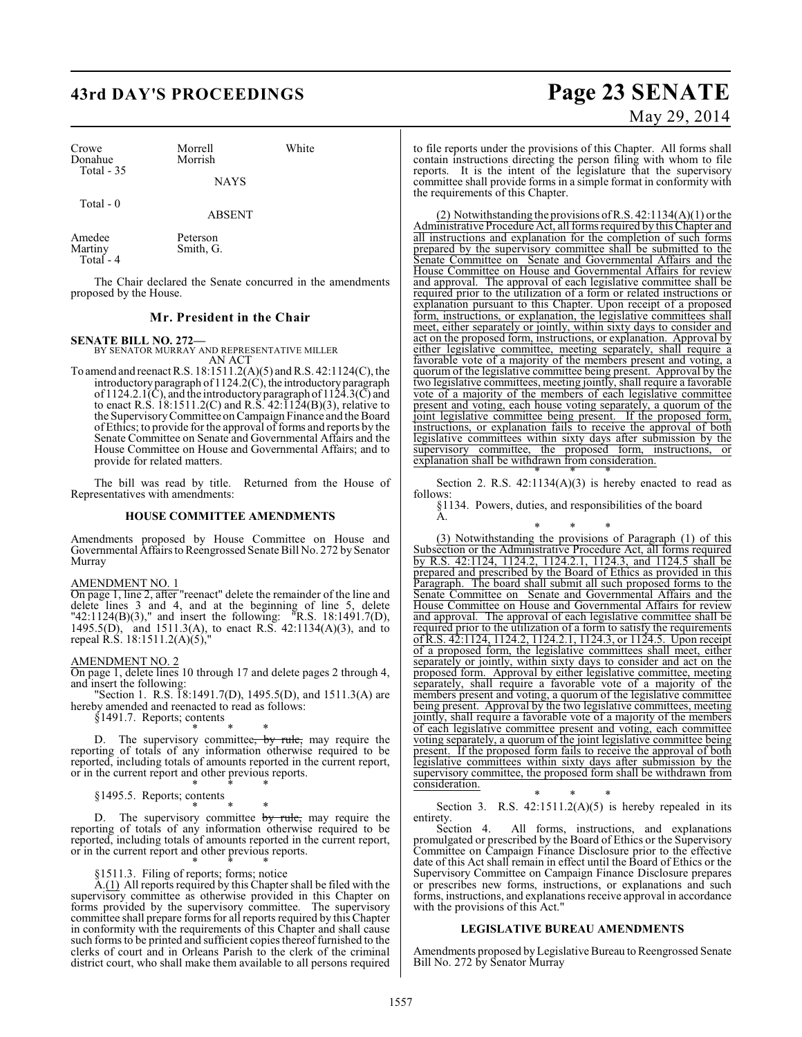# **43rd DAY'S PROCEEDINGS Page 23 SENATE**

| Crowe<br>Donahue  | Morrell<br>Morrish    | White |
|-------------------|-----------------------|-------|
| Total $-35$       | <b>NAYS</b>           |       |
| Total $-0$        | <b>ABSENT</b>         |       |
| Amedee<br>Martiny | Peterson<br>Smith. G. |       |

Total - 4

The Chair declared the Senate concurred in the amendments proposed by the House.

#### **Mr. President in the Chair**

#### **SENATE BILL NO. 272—**

BY SENATOR MURRAY AND REPRESENTATIVE MILLER AN ACT

To amend and reenact R.S. 18:1511.2(A)(5) and R.S. 42:1124(C), the introductory paragraph of 1124.2(C), the introductory paragraph of  $1124.2.1(\tilde{C})$ , and the introductory paragraph of  $112\tilde{4}.3(\tilde{C})$  and to enact R.S.  $18:1511.2(C)$  and R.S.  $42:1124(B)(3)$ , relative to the SupervisoryCommittee on Campaign Finance and the Board of Ethics; to provide for the approval of forms and reports by the Senate Committee on Senate and Governmental Affairs and the House Committee on House and Governmental Affairs; and to provide for related matters.

The bill was read by title. Returned from the House of Representatives with amendments:

#### **HOUSE COMMITTEE AMENDMENTS**

Amendments proposed by House Committee on House and Governmental Affairs to Reengrossed Senate Bill No. 272 by Senator Murray

#### AMENDMENT NO. 1

On page 1, line 2, after "reenact" delete the remainder of the line and delete lines 3 and 4, and at the beginning of line 5, delete "42:1124(B)(3)," and insert the following: "R.S. 18:1491.7(D), 1495.5(D), and 1511.3(A), to enact R.S. 42:1134(A)(3), and to repeal R.S. 18:1511.2(A)(5),"

#### AMENDMENT NO. 2

On page 1, delete lines 10 through 17 and delete pages 2 through 4, and insert the following:

"Section 1. R.S. 18:1491.7(D), 1495.5(D), and 1511.3(A) are hereby amended and reenacted to read as follows:

§1491.7. Reports; contents

\* \* \* D. The supervisory committee<del>, by rule,</del> may require the reporting of totals of any information otherwise required to be reported, including totals of amounts reported in the current report, or in the current report and other previous reports.

\* \* \* §1495.5. Reports; contents

\* \* \* D. The supervisory committee by rule, may require the reporting of totals of any information otherwise required to be reported, including totals of amounts reported in the current report, or in the current report and other previous reports.

#### \* \* \* §1511.3. Filing of reports; forms; notice

 $A(1)$  All reports required by this Chapter shall be filed with the supervisory committee as otherwise provided in this Chapter on forms provided by the supervisory committee. The supervisory committee shall prepare forms for all reports required by this Chapter in conformity with the requirements of this Chapter and shall cause such forms to be printed and sufficient copies thereof furnished to the clerks of court and in Orleans Parish to the clerk of the criminal district court, who shall make them available to all persons required

# May 29, 2014

to file reports under the provisions of this Chapter. All forms shall contain instructions directing the person filing with whom to file reports. It is the intent of the legislature that the supervisory committee shall provide forms in a simple format in conformity with the requirements of this Chapter.

(2) Notwithstanding the provisions of R.S.  $42:1134(A)(1)$  or the Administrative Procedure Act, all forms required by this Chapter and all instructions and explanation for the completion of such forms prepared by the supervisory committee shall be submitted to the Senate Committee on Senate and Governmental Affairs and the House Committee on House and Governmental Affairs for review and approval. The approval of each legislative committee shall be required prior to the utilization of a form or related instructions or explanation pursuant to this Chapter. Upon receipt of a proposed form, instructions, or explanation, the legislative committees shall meet, either separately or jointly, within sixty days to consider and act on the proposed form, instructions, or explanation. Approval by either legislative committee, meeting separately, shall require a favorable vote of a majority of the members present and voting, a quorum of the legislative committee being present. Approval by the two legislative committees, meeting jointly, shall require a favorable vote of a majority of the members of each legislative committee present and voting, each house voting separately, a quorum of the joint legislative committee being present. If the proposed form, instructions, or explanation fails to receive the approval of both legislative committees within sixty days after submission by the supervisory committee, the proposed form, instructions, or explanation shall be withdrawn from consideration.

\* \* \* Section 2. R.S.  $42:1134(A)(3)$  is hereby enacted to read as follows:

§1134. Powers, duties, and responsibilities of the board

\* \* \*

A.

(3) Notwithstanding the provisions of Paragraph (1) of this Subsection or the Administrative Procedure Act, all forms required by R.S. 42:1124, 1124.2, 1124.2.1, 1124.3, and 1124.5 shall be prepared and prescribed by the Board of Ethics as provided in this Paragraph. The board shall submit all such proposed forms to the Senate Committee on Senate and Governmental Affairs and the House Committee on House and Governmental Affairs for review and approval. The approval of each legislative committee shall be required prior to the utilization of a form to satisfy the requirements of R.S. 42:1124, 1124.2, 1124.2.1, 1124.3, or 1124.5. Upon receipt of a proposed form, the legislative committees shall meet, either separately or jointly, within sixty days to consider and act on the proposed form. Approval by either legislative committee, meeting separately, shall require a favorable vote of a majority of the members present and voting, a quorum of the legislative committee being present. Approval by the two legislative committees, meeting jointly, shall require a favorable vote of a majority of the members of each legislative committee present and voting, each committee voting separately, a quorum of the joint legislative committee being present. If the proposed form fails to receive the approval of both legislative committees within sixty days after submission by the supervisory committee, the proposed form shall be withdrawn from consideration.

\* \* \* Section 3. R.S.  $42:1511.2(A)(5)$  is hereby repealed in its entirety.

Section 4. All forms, instructions, and explanations promulgated or prescribed by the Board of Ethics or the Supervisory Committee on Campaign Finance Disclosure prior to the effective date of this Act shall remain in effect until the Board of Ethics or the Supervisory Committee on Campaign Finance Disclosure prepares or prescribes new forms, instructions, or explanations and such forms, instructions, and explanations receive approval in accordance with the provisions of this Act."

#### **LEGISLATIVE BUREAU AMENDMENTS**

Amendments proposed by Legislative Bureau to Reengrossed Senate Bill No. 272 by Senator Murray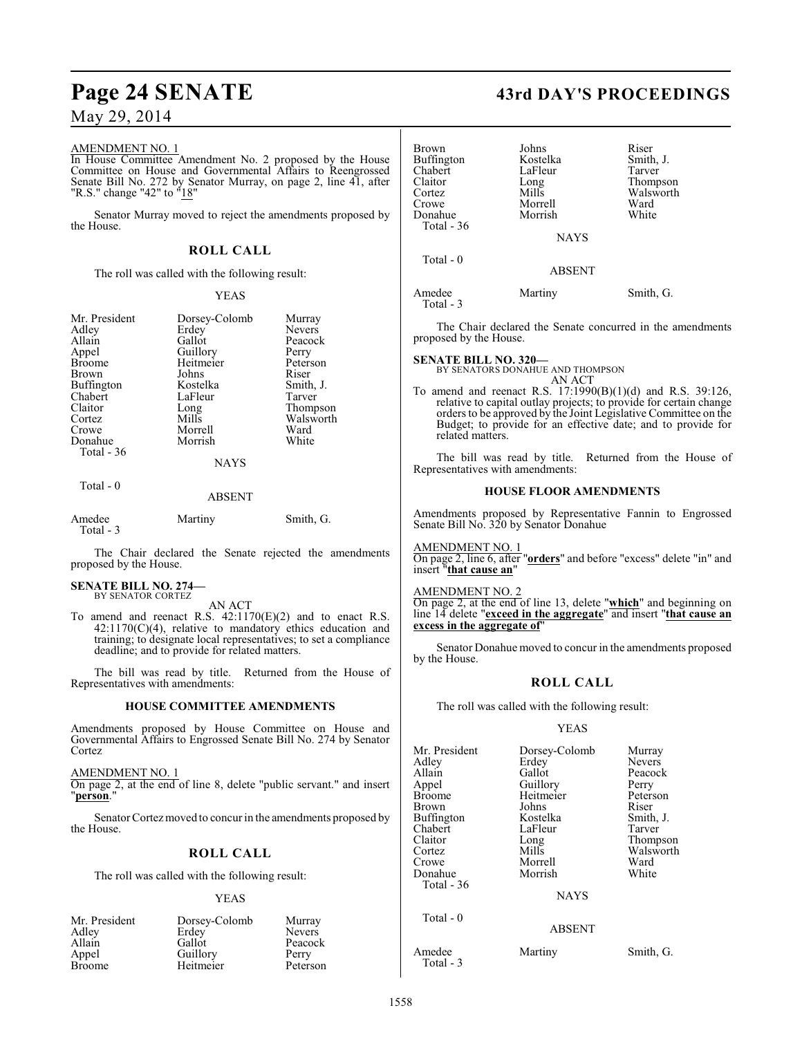#### AMENDMENT NO. 1

In House Committee Amendment No. 2 proposed by the House Committee on House and Governmental Affairs to Reengrossed Senate Bill No. 272 by Senator Murray, on page 2, line 41, after "R.S." change "42" to "18"

Senator Murray moved to reject the amendments proposed by the House.

#### **ROLL CALL**

The roll was called with the following result:

#### YEAS

| Mr. President<br>Adley | Dorsey-Colomb<br>Erdey | Murray<br>Nevers |
|------------------------|------------------------|------------------|
| Allain                 | Gallot                 |                  |
|                        |                        | Peacock          |
| Appel                  | Guillory               | Perry            |
| <b>Broome</b>          | Heitmeier              | Peterson         |
| Brown                  | Johns                  | Riser            |
| <b>Buffington</b>      | Kostelka               | Smith, J.        |
| Chabert                | LaFleur                | Tarver           |
| Claitor                | Long                   | Thompson         |
| Cortez                 | Mills                  | Walsworth        |
| Crowe                  | Morrell                | Ward             |
| Donahue                | Morrish                | White            |
| Total $-36$            |                        |                  |
|                        | <b>NAYS</b>            |                  |
| Total - 0              |                        |                  |

#### ABSENT

| Amedee    | Martiny | Smith, G. |
|-----------|---------|-----------|
| Total - 3 |         |           |

The Chair declared the Senate rejected the amendments proposed by the House.

#### **SENATE BILL NO. 274—** BY SENATOR CORTEZ

AN ACT

To amend and reenact R.S. 42:1170(E)(2) and to enact R.S.  $42:1170(C)(4)$ , relative to mandatory ethics education and training; to designate local representatives; to set a compliance deadline; and to provide for related matters.

The bill was read by title. Returned from the House of Representatives with amendments:

#### **HOUSE COMMITTEE AMENDMENTS**

Amendments proposed by House Committee on House and Governmental Affairs to Engrossed Senate Bill No. 274 by Senator Cortez

AMENDMENT NO. 1

On page 2, at the end of line 8, delete "public servant." and insert "**person**."

Senator Cortez moved to concur in the amendments proposed by the House.

### **ROLL CALL**

The roll was called with the following result:

#### YEAS

| Mr. President | Dorsey-Colomb | Murray        |
|---------------|---------------|---------------|
| Adley         | Erdey         | <b>Nevers</b> |
| Allain        | Gallot        | Peacock       |
| Appel         | Guillory      | Perry         |
| <b>Broome</b> | Heitmeier     | Peterson      |

# **Page 24 SENATE 43rd DAY'S PROCEEDINGS**

| <b>Brown</b><br><b>Buffington</b><br>Chabert<br>Claitor<br>Cortez<br>Crowe<br>Donahue<br>Total - 36 | Johns<br>Kostelka<br>LaFleur<br>Long<br>Mills<br>Morrell<br>Morrish<br><b>NAYS</b> | Riser<br>Smith, J.<br>Tarver<br>Thompson<br>Walsworth<br>Ward<br>White |
|-----------------------------------------------------------------------------------------------------|------------------------------------------------------------------------------------|------------------------------------------------------------------------|
| Total $-0$                                                                                          | <b>ABSENT</b>                                                                      |                                                                        |
| Amedee                                                                                              | Martinv                                                                            | Smith. G.                                                              |

The Chair declared the Senate concurred in the amendments proposed by the House.

# **SENATE BILL NO. 320—** BY SENATORS DONAHUE AND THOMPSON

Total - 3

AN ACT

To amend and reenact R.S. 17:1990(B)(1)(d) and R.S. 39:126, relative to capital outlay projects; to provide for certain change orders to be approved by the Joint Legislative Committee on the Budget; to provide for an effective date; and to provide for related matters.

The bill was read by title. Returned from the House of Representatives with amendments:

#### **HOUSE FLOOR AMENDMENTS**

Amendments proposed by Representative Fannin to Engrossed Senate Bill No. 320 by Senator Donahue

AMENDMENT NO. 1 On page 2, line 6, after "**orders**" and before "excess" delete "in" and insert "**that cause an**"

#### AMENDMENT NO. 2

On page 2, at the end of line 13, delete "**which**" and beginning on line 14 delete "**exceed in the aggregate**" and insert "**that cause an excess in the aggregate of**"

Senator Donahue moved to concur in the amendments proposed by the House.

#### **ROLL CALL**

The roll was called with the following result:

#### YEAS

| Mr. President     | Dorsey-Colomb | Murray        |
|-------------------|---------------|---------------|
| Adley             | Erdey         | <b>Nevers</b> |
| Allain            | Gallot        | Peacock       |
| Appel             | Guillory      | Perry         |
| <b>Broome</b>     | Heitmeier     | Peterson      |
| Brown             | Johns         | Riser         |
| <b>Buffington</b> | Kostelka      | Smith, J.     |
| Chabert           | LaFleur       | Tarver        |
| Claitor           | Long          | Thompson      |
| Cortez            | Mills         | Walsworth     |
| Crowe             | Morrell       | Ward          |
| Donahue           | Morrish       | White         |
| Total - 36        |               |               |
|                   | <b>NAYS</b>   |               |
| Total - 0         |               |               |
|                   | <b>ABSENT</b> |               |
| Amedee            | Martiny       | Smith, G.     |

Total - 3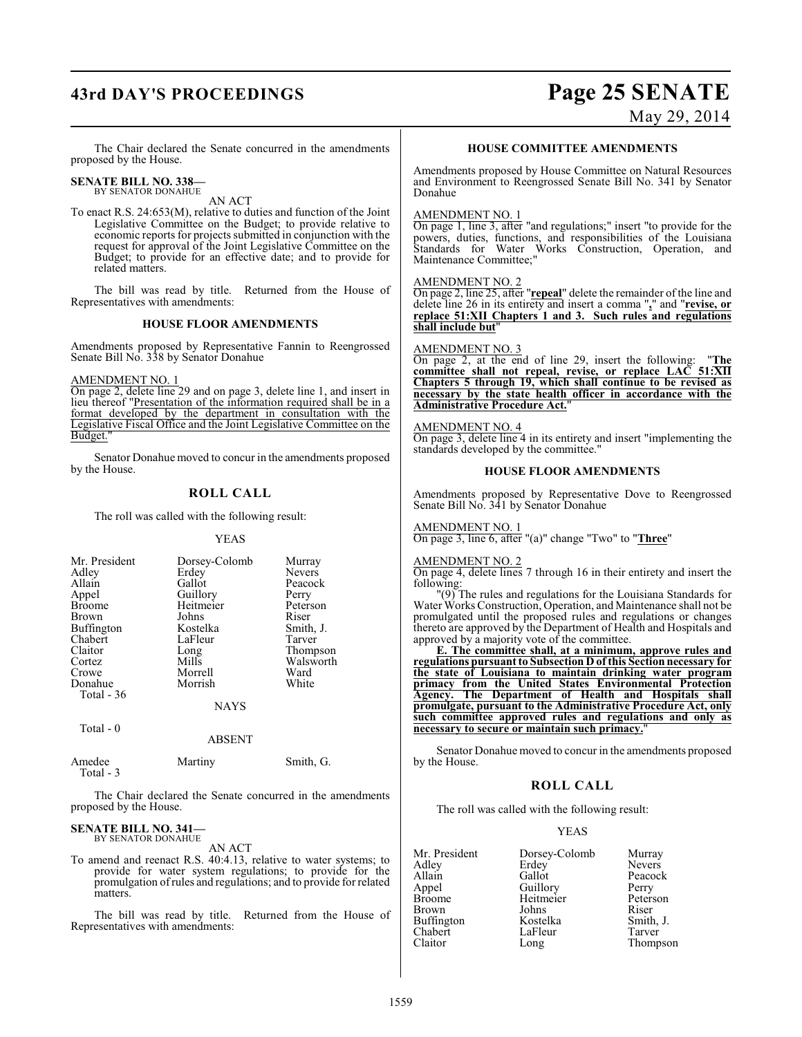# **43rd DAY'S PROCEEDINGS Page 25 SENATE**

May 29, 2014

The Chair declared the Senate concurred in the amendments proposed by the House.

#### **SENATE BILL NO. 338—** BY SENATOR DONAHUE

AN ACT

To enact R.S. 24:653(M), relative to duties and function of the Joint Legislative Committee on the Budget; to provide relative to economic reports for projects submitted in conjunction with the request for approval of the Joint Legislative Committee on the Budget; to provide for an effective date; and to provide for related matters.

The bill was read by title. Returned from the House of Representatives with amendments:

#### **HOUSE FLOOR AMENDMENTS**

Amendments proposed by Representative Fannin to Reengrossed Senate Bill No. 338 by Senator Donahue

AMENDMENT NO. 1

On page 2, delete line 29 and on page 3, delete line 1, and insert in lieu thereof "Presentation of the information required shall be in a format developed by the department in consultation with the Legislative Fiscal Office and the Joint Legislative Committee on the Budget."

Senator Donahue moved to concur in the amendments proposed by the House.

#### **ROLL CALL**

The roll was called with the following result:

#### YEAS

| Mr. President         | Dorsey-Colomb | Murray        |
|-----------------------|---------------|---------------|
| Adley                 | Erdey         | <b>Nevers</b> |
| Allain                | Gallot        | Peacock       |
| Appel                 | Guillory      | Perry         |
| <b>Broome</b>         | Heitmeier     | Peterson      |
| Brown                 | Johns         | Riser         |
| <b>Buffington</b>     | Kostelka      | Smith, J.     |
| Chabert               | LaFleur       | Tarver        |
| Claitor               | Long          | Thompson      |
| Cortez                | Mills         | Walsworth     |
| Crowe                 | Morrell       | Ward          |
| Donahue<br>Total - 36 | Morrish       | White         |
|                       | <b>NAYS</b>   |               |
| ---                   |               |               |

Total - 0

#### ABSENT

| Amedee<br>Total - 3 | Martiny | Smith, G. |
|---------------------|---------|-----------|
|                     |         |           |

The Chair declared the Senate concurred in the amendments proposed by the House.

#### **SENATE BILL NO. 341** BY SENATOR DONAHUE

AN ACT

To amend and reenact R.S. 40:4.13, relative to water systems; to provide for water system regulations; to provide for the promulgation of rules and regulations; and to provide for related matters.

The bill was read by title. Returned from the House of Representatives with amendments:

#### **HOUSE COMMITTEE AMENDMENTS**

Amendments proposed by House Committee on Natural Resources and Environment to Reengrossed Senate Bill No. 341 by Senator Donahue

#### AMENDMENT NO. 1

On page 1, line 3, after "and regulations;" insert "to provide for the powers, duties, functions, and responsibilities of the Louisiana Standards for Water Works Construction, Operation, and Maintenance Committee;"

#### AMENDMENT NO. 2

On page 2, line 25, after "**repeal**" delete the remainder of the line and delete line 26 in its entirety and insert a comma "**,**" and "**revise, or replace 51:XII Chapters 1 and 3. Such rules and regulations shall include but**"

#### AMENDMENT NO. 3

On page 2, at the end of line 29, insert the following: "**The committee shall not repeal, revise, or replace LAC 51:XII Chapters 5 through 19, which shall continue to be revised as necessary by the state health officer in accordance with the Administrative Procedure Act.**"

AMENDMENT NO. 4 On page 3, delete line 4 in its entirety and insert "implementing the standards developed by the committee."

#### **HOUSE FLOOR AMENDMENTS**

Amendments proposed by Representative Dove to Reengrossed Senate Bill No. 341 by Senator Donahue

#### AMENDMENT NO. 1

On page 3, line 6, after "(a)" change "Two" to "**Three**"

## AMENDMENT NO. 2

On page 4, delete lines 7 through 16 in their entirety and insert the following:

"(9) The rules and regulations for the Louisiana Standards for Water Works Construction, Operation, and Maintenance shall not be promulgated until the proposed rules and regulations or changes thereto are approved by the Department of Health and Hospitals and approved by a majority vote of the committee.

**E. The committee shall, at a minimum, approve rules and regulations pursuant to Subsection D of this Section necessary for the state of Louisiana to maintain drinking water program primacy from the United States Environmental Protection Agency. The Department of Health and Hospitals shall promulgate, pursuant to the Administrative Procedure Act, only such committee approved rules and regulations and only as necessary to secure or maintain such primacy.**"

Senator Donahue moved to concur in the amendments proposed by the House.

#### **ROLL CALL**

The roll was called with the following result:

#### YEAS

| Mr. President | Dorsey-Colomb | Murray        |
|---------------|---------------|---------------|
| Adley         | Erdey         | <b>Nevers</b> |
| Allain        | Gallot        | Peacock       |
| Appel         | Guillory      | Perry         |
| Broome        | Heitmeier     | Peterson      |
| Brown         | Johns         | Riser         |
| Buffington    | Kostelka      | Smith, J.     |
| Chabert       | LaFleur       | Tarver        |
| Claitor       | Long          | Thompson      |
|               |               |               |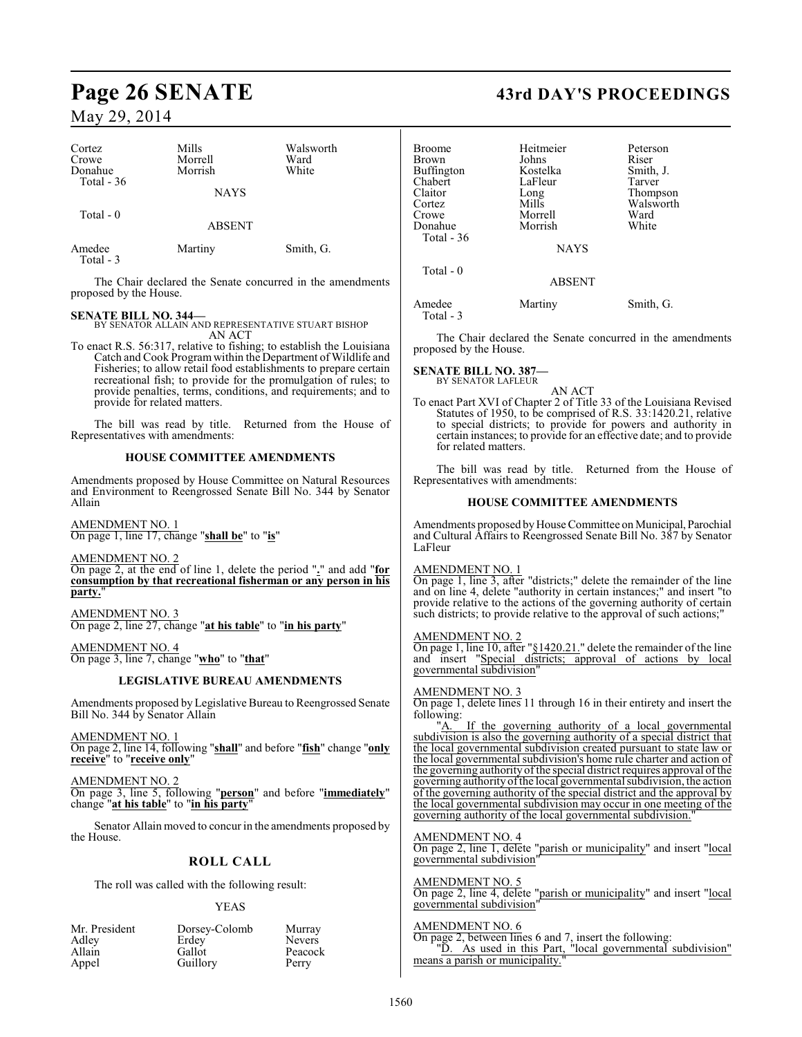| Cortez<br>Crowe<br>Donahue | Mills<br>Morrell<br>Morrish | Walsworth<br>Ward<br>White |
|----------------------------|-----------------------------|----------------------------|
| Total $-36$                | <b>NAYS</b>                 |                            |
| Total $-0$                 | <b>ABSENT</b>               |                            |
| Amedee<br>Total $-3$       | Martiny                     | Smith, G.                  |

The Chair declared the Senate concurred in the amendments proposed by the House.

#### **SENATE BILL NO. 344—**

BY SENATOR ALLAIN AND REPRESENTATIVE STUART BISHOP AN ACT

To enact R.S. 56:317, relative to fishing; to establish the Louisiana Catch and Cook Program within the Department of Wildlife and Fisheries; to allow retail food establishments to prepare certain recreational fish; to provide for the promulgation of rules; to provide penalties, terms, conditions, and requirements; and to provide for related matters.

The bill was read by title. Returned from the House of Representatives with amendments:

#### **HOUSE COMMITTEE AMENDMENTS**

Amendments proposed by House Committee on Natural Resources and Environment to Reengrossed Senate Bill No. 344 by Senator Allain

AMENDMENT NO. 1 On page 1, line 17, change "**shall be**" to "**is**"

AMENDMENT NO. 2

On page 2, at the end of line 1, delete the period "**.**" and add "**for consumption by that recreational fisherman or any person in his** party.

AMENDMENT NO. 3 On page 2, line 27, change "**at his table**" to "**in his party**"

AMENDMENT NO. 4 On page 3, line 7, change "**who**" to "**that**"

### **LEGISLATIVE BUREAU AMENDMENTS**

Amendments proposed by Legislative Bureau to Reengrossed Senate Bill No. 344 by Senator Allain

AMENDMENT NO. 1 On page 2, line 14, following "**shall**" and before "**fish**" change "**only receive**" to "**receive only**"

AMENDMENT NO. 2 On page 3, line 5, following "**person**" and before "**immediately**" change "**at his table**" to "**in his party**"

Senator Allain moved to concur in the amendments proposed by the House.

## **ROLL CALL**

The roll was called with the following result:

#### YEAS

| Mr. President | Dorsey-Colomb | Murray        |
|---------------|---------------|---------------|
| Adley         | Erdey         | <b>Nevers</b> |
| Allain        | Gallot        | Peacock       |
| Appel         | Guillory      | Perry         |

# **Page 26 SENATE 43rd DAY'S PROCEEDINGS**

| <b>Broome</b><br><b>Brown</b><br><b>Buffington</b><br>Chabert<br>Claitor<br>Cortez<br>Crowe<br>Donahue<br>Total $-36$ | Heitmeier<br>Johns<br>Kostelka<br>LaFleur<br>Long<br>Mills<br>Morrell<br>Morrish | Peterson<br>Riser<br>Smith, J.<br>Tarver<br>Thompson<br>Walsworth<br>Ward<br>White |
|-----------------------------------------------------------------------------------------------------------------------|----------------------------------------------------------------------------------|------------------------------------------------------------------------------------|
|                                                                                                                       | <b>NAYS</b>                                                                      |                                                                                    |
| Total $-0$                                                                                                            | <b>ABSENT</b>                                                                    |                                                                                    |
| Amedee                                                                                                                | Martiny                                                                          | Smith. G.                                                                          |

The Chair declared the Senate concurred in the amendments proposed by the House.

**SENATE BILL NO. 387—** BY SENATOR LAFLEUR

Total - 3

AN ACT

To enact Part XVI of Chapter 2 of Title 33 of the Louisiana Revised Statutes of 1950, to be comprised of R.S. 33:1420.21, relative to special districts; to provide for powers and authority in certain instances; to provide for an effective date; and to provide for related matters.

The bill was read by title. Returned from the House of Representatives with amendments:

#### **HOUSE COMMITTEE AMENDMENTS**

Amendments proposed by House Committee on Municipal, Parochial and Cultural Affairs to Reengrossed Senate Bill No. 387 by Senator LaFleur

#### AMENDMENT NO. 1

On page 1, line 3, after "districts;" delete the remainder of the line and on line 4, delete "authority in certain instances;" and insert "to provide relative to the actions of the governing authority of certain such districts; to provide relative to the approval of such actions;"

#### AMENDMENT NO. 2

On page 1, line 10, after "§1420.21." delete the remainder of the line and insert "Special districts; approval of actions by local governmental subdivision"

### AMENDMENT NO. 3

On page 1, delete lines 11 through 16 in their entirety and insert the following:

"A. If the governing authority of a local governmental subdivision is also the governing authority of a special district that the local governmental subdivision created pursuant to state law or the local governmental subdivision's home rule charter and action of the governing authority of the special district requires approval of the governing authority of the local governmental subdivision, the action of the governing authority of the special district and the approval by the local governmental subdivision may occur in one meeting of the governing authority of the local governmental subdivision."

#### AMENDMENT NO. 4

On page 2, line 1, delete "parish or municipality" and insert "local governmental subdivision"

AMENDMENT NO. 5 On page 2, line 4, delete "parish or municipality" and insert "local governmental subdivision"

#### AMENDMENT NO. 6

On page 2, between lines 6 and 7, insert the following: "D. As used in this Part, "local governmental subdivision" means a parish or municipality.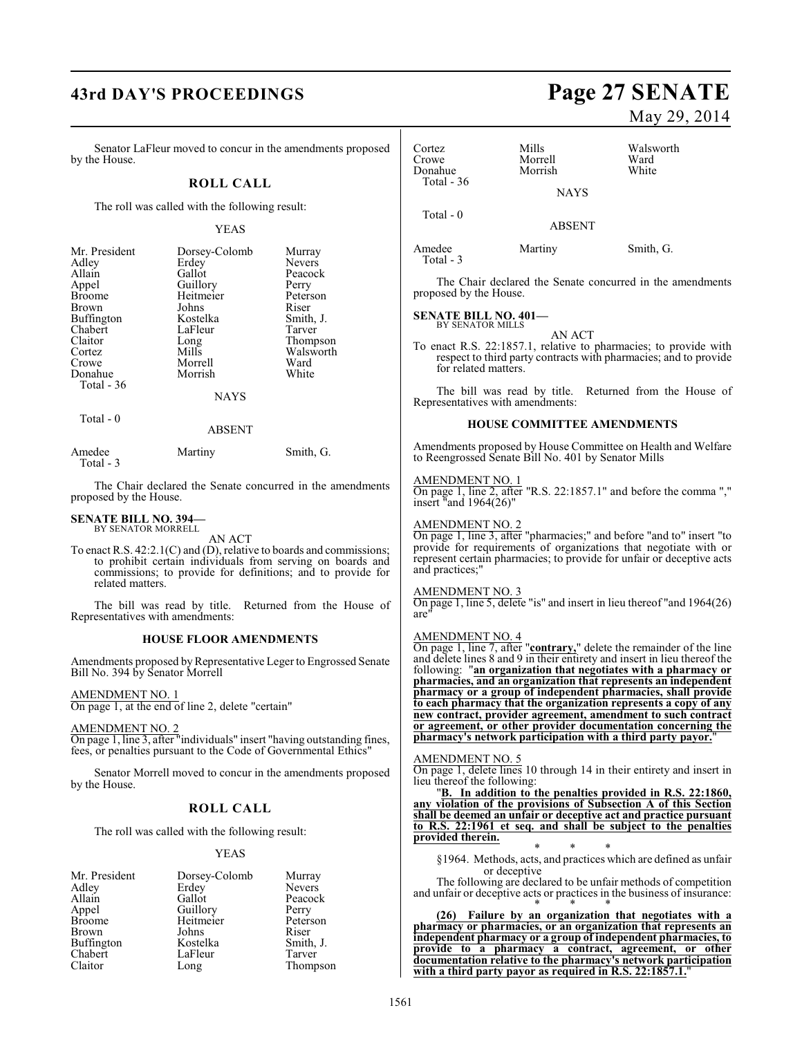# **43rd DAY'S PROCEEDINGS Page 27 SENATE**

Senator LaFleur moved to concur in the amendments proposed by the House.

#### **ROLL CALL**

The roll was called with the following result:

#### YEAS

| Mr. President<br>Adley<br>Allain<br>Appel<br><b>Broome</b><br><b>Brown</b><br>Buffington<br>Chabert<br>Claitor<br>Cortez<br>Crowe<br>Donahue | Dorsey-Colomb<br>Erdey<br>Gallot<br>Guillory<br>Heitmeier<br>Johns<br>Kostelka<br>LaFleur<br>Long<br>Mills<br>Morrell<br>Morrish | Murray<br><b>Nevers</b><br>Peacock<br>Perry<br>Peterson<br>Riser<br>Smith, J.<br>Tarver<br>Thompson<br>Walsworth<br>Ward<br>White |
|----------------------------------------------------------------------------------------------------------------------------------------------|----------------------------------------------------------------------------------------------------------------------------------|-----------------------------------------------------------------------------------------------------------------------------------|
|                                                                                                                                              |                                                                                                                                  |                                                                                                                                   |
| Total $-36$                                                                                                                                  | <b>NAYS</b>                                                                                                                      |                                                                                                                                   |

ABSENT

| Amedee    | Martiny | Smith, G. |
|-----------|---------|-----------|
| Total - 3 |         |           |

The Chair declared the Senate concurred in the amendments proposed by the House.

# **SENATE BILL NO. 394—** BY SENATOR MORRELL

Total - 0

AN ACT

To enact R.S. 42:2.1(C) and (D), relative to boards and commissions; to prohibit certain individuals from serving on boards and commissions; to provide for definitions; and to provide for related matters.

The bill was read by title. Returned from the House of Representatives with amendments:

#### **HOUSE FLOOR AMENDMENTS**

Amendments proposed by Representative Leger to Engrossed Senate Bill No. 394 by Senator Morrell

AMENDMENT NO. 1

On page 1, at the end of line 2, delete "certain"

AMENDMENT NO. 2

On page 1, line 3, after "individuals" insert "having outstanding fines, fees, or penalties pursuant to the Code of Governmental Ethics"

Senator Morrell moved to concur in the amendments proposed by the House.

#### **ROLL CALL**

The roll was called with the following result:

#### YEAS

| Mr. President | Dorsey-Colomb | Murray    |
|---------------|---------------|-----------|
| Adley         | Erdey         | Nevers    |
| Allain        | Gallot        | Peacock   |
| Appel         | Guillory      | Perry     |
| <b>Broome</b> | Heitmeier     | Peterson  |
| <b>Brown</b>  | Johns         | Riser     |
| Buffington    | Kostelka      | Smith, J. |
| Chabert       | LaFleur       | Tarver    |
| Claitor       | Long          | Thompson  |

# May 29, 2014

| Cortez<br>Crowe<br>Donahue<br>Total $-36$                 | Mills<br>Morrell<br>Morrish<br>NAYS                                                                                                                                                                                                                                                                                                                                                                                                                                                                                                                        | Walsworth<br>Ward<br>White |
|-----------------------------------------------------------|------------------------------------------------------------------------------------------------------------------------------------------------------------------------------------------------------------------------------------------------------------------------------------------------------------------------------------------------------------------------------------------------------------------------------------------------------------------------------------------------------------------------------------------------------------|----------------------------|
|                                                           |                                                                                                                                                                                                                                                                                                                                                                                                                                                                                                                                                            |                            |
| Total - 0                                                 | ABSENT                                                                                                                                                                                                                                                                                                                                                                                                                                                                                                                                                     |                            |
| Amedee<br>Total - 3                                       | Martiny                                                                                                                                                                                                                                                                                                                                                                                                                                                                                                                                                    | Smith, G.                  |
| proposed by the House.                                    | The Chair declared the Senate concurred in the amendments                                                                                                                                                                                                                                                                                                                                                                                                                                                                                                  |                            |
| <b>SENATE BILL NO. 401-</b><br>BY SENATOR MILLS           |                                                                                                                                                                                                                                                                                                                                                                                                                                                                                                                                                            |                            |
| for related matters.                                      | AN ACT<br>To enact R.S. 22:1857.1, relative to pharmacies; to provide with<br>respect to third party contracts with pharmacies; and to provide                                                                                                                                                                                                                                                                                                                                                                                                             |                            |
| Representatives with amendments:                          | The bill was read by title. Returned from the House of                                                                                                                                                                                                                                                                                                                                                                                                                                                                                                     |                            |
|                                                           | <b>HOUSE COMMITTEE AMENDMENTS</b>                                                                                                                                                                                                                                                                                                                                                                                                                                                                                                                          |                            |
|                                                           | Amendments proposed by House Committee on Health and Welfare<br>to Reengrossed Senate Bill No. 401 by Senator Mills                                                                                                                                                                                                                                                                                                                                                                                                                                        |                            |
| <u>AMENDMENT NO. 1</u><br>insert $\text{u}$ and 1964(26)" | On page 1, line 2, after "R.S. 22:1857.1" and before the comma ","                                                                                                                                                                                                                                                                                                                                                                                                                                                                                         |                            |
| <b>AMENDMENT NO. 2</b><br>and practices;"                 | On page 1, line 3, after "pharmacies;" and before "and to" insert "to<br>provide for requirements of organizations that negotiate with or<br>represent certain pharmacies; to provide for unfair or deceptive acts                                                                                                                                                                                                                                                                                                                                         |                            |
| <b>AMENDMENT NO. 3</b><br>are"                            | On page 1, line 5, delete "is" and insert in lieu thereof "and 1964(26)                                                                                                                                                                                                                                                                                                                                                                                                                                                                                    |                            |
| AMENDMENT NO. 4                                           | On page 1, line 7, after "contrary," delete the remainder of the line and delete lines $8$ and $9$ in their entirety and insert in lieu thereof the<br>following: "an organization that negotiates with a pharmacy or<br>pharmacies, and an organization that represents an independent<br>pharmacy or a group of independent pharmacies, shall provide<br>to each pharmacy that the organization represents a copy of any<br>new contract, provider agreement, amendment to such contract<br>or agreement, or other provider documentation concerning the |                            |
|                                                           | pharmacy's network participation with a third party payor."                                                                                                                                                                                                                                                                                                                                                                                                                                                                                                |                            |
| AMENDMENT NO. 5<br>lieu thereof the following:            | On page 1, delete lines 10 through 14 in their entirety and insert in                                                                                                                                                                                                                                                                                                                                                                                                                                                                                      |                            |
|                                                           | "B. In addition to the penalties provided in R.S. 22:1860,<br>any violation of the provisions of Subsection A of this Section<br>shall be deemed an unfair or deceptive act and practice pursuant                                                                                                                                                                                                                                                                                                                                                          |                            |
| provided therein.                                         | to R.S. 22:1961 et seq. and shall be subject to the penalties                                                                                                                                                                                                                                                                                                                                                                                                                                                                                              |                            |
| or deceptive                                              | $\ast$<br>§1964. Methods, acts, and practices which are defined as unfair                                                                                                                                                                                                                                                                                                                                                                                                                                                                                  |                            |
|                                                           | The following are declared to be unfair methods of competition<br>and unfair or deceptive acts or practices in the business of insurance:                                                                                                                                                                                                                                                                                                                                                                                                                  |                            |
|                                                           | (26) Failure by an organization that negotiates with a<br>pharmacy or pharmacies, or an organization that represents an<br>independent pharmacy or a group of independent pharmacies, to                                                                                                                                                                                                                                                                                                                                                                   |                            |
|                                                           | provide to a pharmacy a contract, agreement, or other                                                                                                                                                                                                                                                                                                                                                                                                                                                                                                      |                            |
|                                                           | documentation relative to the pharmacy's network participation<br>with a third party payor as required in R.S. 22:1857.1.                                                                                                                                                                                                                                                                                                                                                                                                                                  |                            |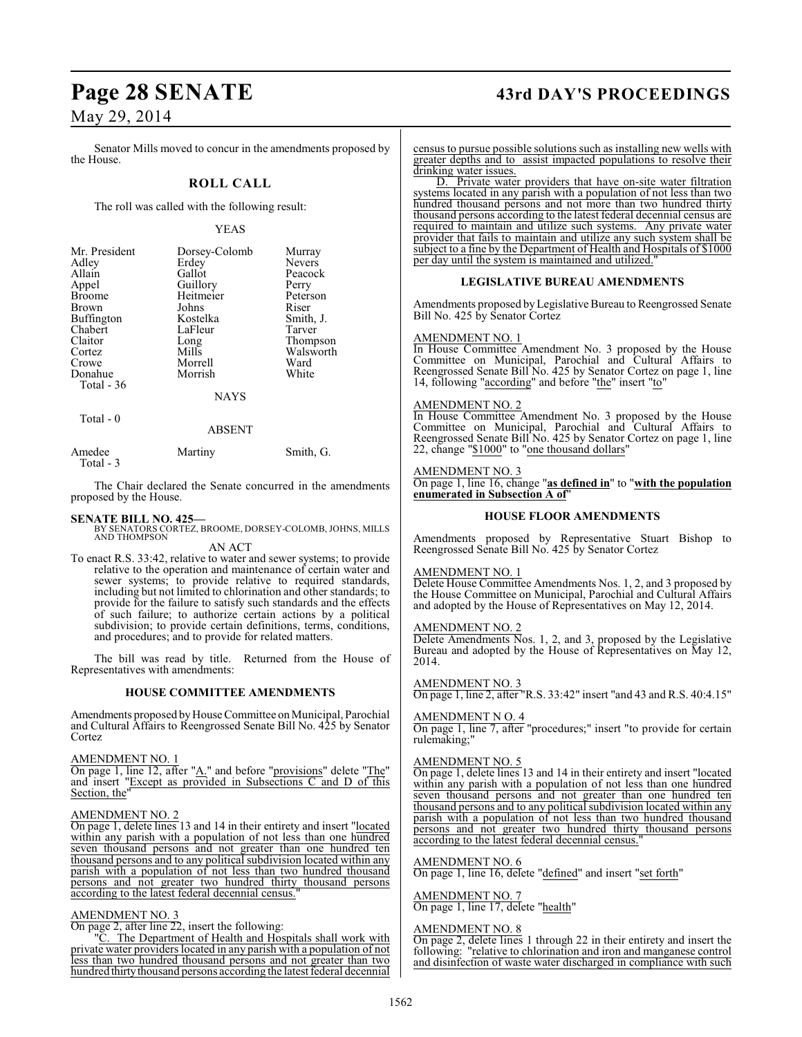# **Page 28 SENATE 43rd DAY'S PROCEEDINGS**

## May 29, 2014

Senator Mills moved to concur in the amendments proposed by the House.

#### **ROLL CALL**

The roll was called with the following result:

#### YEAS

| Mr. President<br>Adley<br>Allain<br>Appel<br><b>Broome</b><br>Brown<br>Buffington<br>Chabert<br>Claitor<br>Cortez | Dorsey-Colomb<br>Erdey<br>Gallot<br>Guillory<br>Heitmeier<br>Johns<br>Kostelka<br>LaFleur<br>Long<br>Mills | Murray<br><b>Nevers</b><br>Peacock<br>Perry<br>Peterson<br>Riser<br>Smith, J.<br>Tarver<br>Thompson<br>Walsworth |
|-------------------------------------------------------------------------------------------------------------------|------------------------------------------------------------------------------------------------------------|------------------------------------------------------------------------------------------------------------------|
| Crowe                                                                                                             | Morrell                                                                                                    | Ward                                                                                                             |
| Donahue<br>Total $-36$                                                                                            | Morrish                                                                                                    | White                                                                                                            |
|                                                                                                                   | <b>NAYS</b>                                                                                                |                                                                                                                  |
| Total - 0                                                                                                         |                                                                                                            |                                                                                                                  |

#### ABSENT

| Amedee    | Martiny | Smith, G. |
|-----------|---------|-----------|
| Total - 3 |         |           |
|           |         |           |

The Chair declared the Senate concurred in the amendments proposed by the House.

#### **SENATE BILL NO. 425—**

BY SENATORS CORTEZ, BROOME, DORSEY-COLOMB, JOHNS, MILLS AND THOMPSON

#### AN ACT

To enact R.S. 33:42, relative to water and sewer systems; to provide relative to the operation and maintenance of certain water and sewer systems; to provide relative to required standards, including but not limited to chlorination and other standards; to provide for the failure to satisfy such standards and the effects of such failure; to authorize certain actions by a political subdivision; to provide certain definitions, terms, conditions, and procedures; and to provide for related matters.

The bill was read by title. Returned from the House of Representatives with amendments:

#### **HOUSE COMMITTEE AMENDMENTS**

Amendments proposed by House Committee on Municipal, Parochial and Cultural Affairs to Reengrossed Senate Bill No. 425 by Senator Cortez

#### AMENDMENT NO. 1

On page 1, line 12, after "A." and before "provisions" delete "The" and insert "Except as provided in Subsections C and D of this Section, the"

#### AMENDMENT NO. 2

On page 1, delete lines 13 and 14 in their entirety and insert "located within any parish with a population of not less than one hundred seven thousand persons and not greater than one hundred ten thousand persons and to any political subdivision located within any parish with a population of not less than two hundred thousand persons and not greater two hundred thirty thousand persons according to the latest federal decennial census.

#### AMENDMENT NO. 3

On page 2, after line 22, insert the following:

"C. The Department of Health and Hospitals shall work with private water providers located in any parish with a population of not less than two hundred thousand persons and not greater than two hundred thirty thousand persons according the latest federal decennial

census to pursue possible solutions such as installing new wells with greater depths and to assist impacted populations to resolve their drinking water issues.

D. Private water providers that have on-site water filtration systems located in any parish with a population of not less than two hundred thousand persons and not more than two hundred thirty thousand persons according to the latest federal decennial census are required to maintain and utilize such systems. Any private water provider that fails to maintain and utilize any such system shall be subject to a fine by the Department of Health and Hospitals of \$1000 per day until the system is maintained and utilized.

#### **LEGISLATIVE BUREAU AMENDMENTS**

Amendments proposed byLegislative Bureau to Reengrossed Senate Bill No. 425 by Senator Cortez

#### AMENDMENT NO. 1

In House Committee Amendment No. 3 proposed by the House Committee on Municipal, Parochial and Cultural Affairs to Reengrossed Senate Bill No. 425 by Senator Cortez on page 1, line 14, following "according" and before "the" insert "to"

#### AMENDMENT NO. 2

In House Committee Amendment No. 3 proposed by the House Committee on Municipal, Parochial and Cultural Affairs to Reengrossed Senate Bill No. 425 by Senator Cortez on page 1, line 22, change "\$1000" to "one thousand dollars"

## AMENDMENT NO. 3

On page 1, line 16, change "**as defined in**" to "**with the population enumerated in Subsection A of**"

#### **HOUSE FLOOR AMENDMENTS**

Amendments proposed by Representative Stuart Bishop to Reengrossed Senate Bill No. 425 by Senator Cortez

#### AMENDMENT NO. 1

Delete House Committee Amendments Nos. 1, 2, and 3 proposed by the House Committee on Municipal, Parochial and Cultural Affairs and adopted by the House of Representatives on May 12, 2014.

#### AMENDMENT NO. 2

Delete Amendments Nos. 1, 2, and 3, proposed by the Legislative Bureau and adopted by the House of Representatives on May 12, 2014.

#### AMENDMENT NO. 3

On page 1, line 2, after "R.S. 33:42" insert "and 43 and R.S. 40:4.15"

#### AMENDMENT N O. 4

On page 1, line 7, after "procedures;" insert "to provide for certain rulemaking;"

#### AMENDMENT NO. 5

On page 1, delete lines 13 and 14 in their entirety and insert "located within any parish with a population of not less than one hundred seven thousand persons and not greater than one hundred ten thousand persons and to any political subdivision located within any parish with a population of not less than two hundred thousand persons and not greater two hundred thirty thousand persons according to the latest federal decennial census.

#### AMENDMENT NO. 6

On page 1, line 16, delete "defined" and insert "set forth"

AMENDMENT NO. 7 On page 1, line 17, delete "health"

#### AMENDMENT NO. 8

On page 2, delete lines 1 through 22 in their entirety and insert the following: "relative to chlorination and iron and manganese control and disinfection of waste water discharged in compliance with such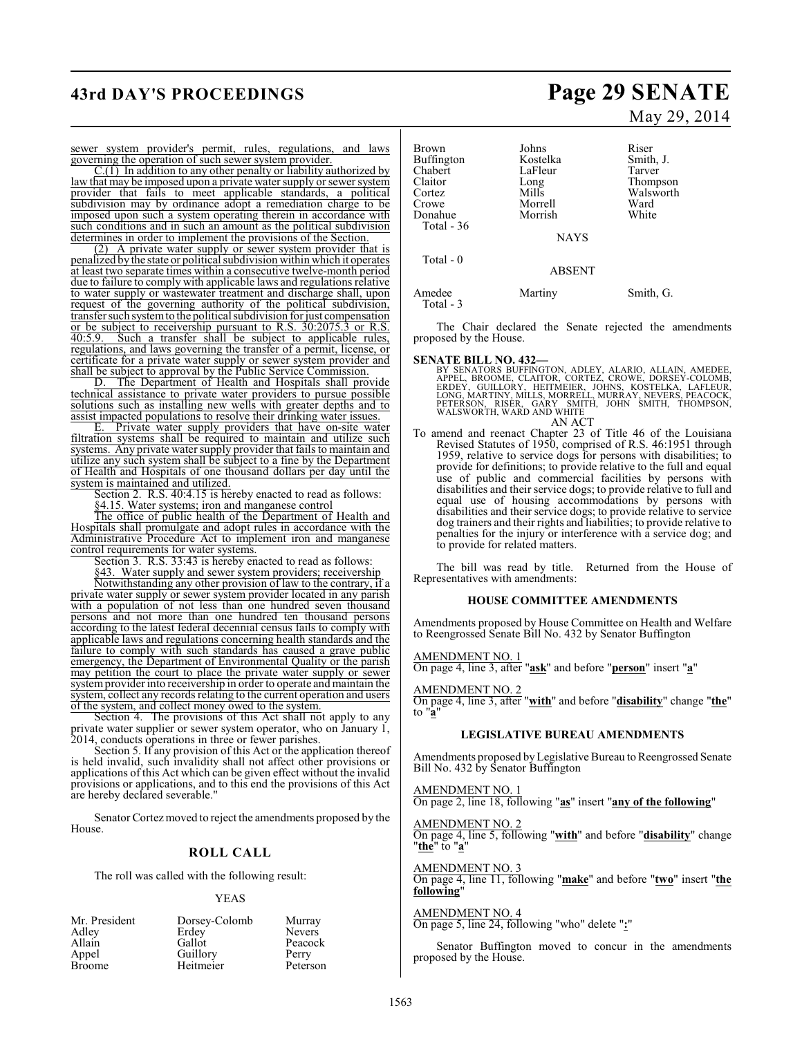# **43rd DAY'S PROCEEDINGS Page 29 SENATE**

#### sewer system provider's permit, rules, regulations, and laws governing the operation of such sewer system provider.

 $C(1)$  In addition to any other penalty or liability authorized by law that may be imposed upon a private water supply or sewer system provider that fails to meet applicable standards, a political subdivision may by ordinance adopt a remediation charge to be imposed upon such a system operating therein in accordance with such conditions and in such an amount as the political subdivision determines in order to implement the provisions of the Section.

(2) A private water supply or sewer system provider that is penalized by the state or political subdivision within which it operates at least two separate times within a consecutive twelve-month period due to failure to comply with applicable laws and regulations relative to water supply or wastewater treatment and discharge shall, upon request of the governing authority of the political subdivision, transfer such system to the political subdivision for just compensation or be subject to receivership pursuant to R.S. 30:2075.3 or R.S. 40:5.9. Such a transfer shall be subject to applicable rules. Such a transfer shall be subject to applicable rules, regulations, and laws governing the transfer of a permit, license, or certificate for a private water supply or sewer system provider and shall be subject to approval by the Public Service Commission.

D. The Department of Health and Hospitals shall provide technical assistance to private water providers to pursue possible solutions such as installing new wells with greater depths and to assist impacted populations to resolve their drinking water issues.

E. Private water supply providers that have on-site water filtration systems shall be required to maintain and utilize such systems. Any private water supply provider that fails to maintain and utilize any such system shall be subject to a fine by the Department of Health and Hospitals of one thousand dollars per day until the system is maintained and utilized.

Section 2. R.S. 40:4.15 is hereby enacted to read as follows:

§4.15. Water systems; iron and manganese control

The office of public health of the Department of Health and Hospitals shall promulgate and adopt rules in accordance with the Administrative Procedure Act to implement iron and manganese control requirements for water systems.

Section 3. R.S. 33:43 is hereby enacted to read as follows:

§43. Water supply and sewer system providers; receivership Notwithstanding any other provision of law to the contrary, if a private water supply or sewer system provider located in any parish with a population of not less than one hundred seven thousand persons and not more than one hundred ten thousand persons according to the latest federal decennial census fails to comply with applicable laws and regulations concerning health standards and the failure to comply with such standards has caused a grave public emergency, the Department of Environmental Quality or the parish may petition the court to place the private water supply or sewer system provider into receivership in order to operate and maintain the

system, collect any records relating to the current operation and users of the system, and collect money owed to the system.

Section 4. The provisions of this Act shall not apply to any private water supplier or sewer system operator, who on January 1, 2014, conducts operations in three or fewer parishes.

Section 5. If any provision of this Act or the application thereof is held invalid, such invalidity shall not affect other provisions or applications of this Act which can be given effect without the invalid provisions or applications, and to this end the provisions of this Act are hereby declared severable."

Senator Cortez moved to reject the amendments proposed by the House.

### **ROLL CALL**

The roll was called with the following result:

#### YEAS

| Mr. President | Dorsey-Colomb | Murray        |
|---------------|---------------|---------------|
| Adley         | Erdey         | <b>Nevers</b> |
| Allain        | Gallot        | Peacock       |
| Appel         | Guillory      | Perry         |
| <b>Broome</b> | Heitmeier     | Peterson      |

# May 29, 2014

| Johns         | Riser     |
|---------------|-----------|
| Kostelka      | Smith, J. |
| LaFleur       | Tarver    |
| Long          | Thompson  |
| Mills         | Walsworth |
| Morrell       | Ward      |
| Morrish       | White     |
|               |           |
| <b>NAYS</b>   |           |
|               |           |
| <b>ABSENT</b> |           |
| Martiny       | Smith, G. |
|               |           |

The Chair declared the Senate rejected the amendments proposed by the House.

#### **SENATE BILL NO. 432—**

BY SENATORS BUFFINGTON, ADLEY, ALARIO, ALLAIN, AMEDEE,<br>APPEL, BROOME, CLAITOR, CORTEZ, CROWE, DORSEY-COLOMB,<br>ERDEY, GUILLORY, HEITMEIER, JOHNS, KOSTELKA, LAFLEUR,<br>LONG, MARTINY, MILLS, MORRELL, MURRAY, NEVERS, PEACOCK,<br>PET AN ACT

To amend and reenact Chapter 23 of Title 46 of the Louisiana Revised Statutes of 1950, comprised of R.S. 46:1951 through 1959, relative to service dogs for persons with disabilities; to provide for definitions; to provide relative to the full and equal use of public and commercial facilities by persons with disabilities and their service dogs; to provide relative to full and equal use of housing accommodations by persons with disabilities and their service dogs; to provide relative to service dog trainers and their rights and liabilities; to provide relative to penalties for the injury or interference with a service dog; and to provide for related matters.

The bill was read by title. Returned from the House of Representatives with amendments:

#### **HOUSE COMMITTEE AMENDMENTS**

Amendments proposed by House Committee on Health and Welfare to Reengrossed Senate Bill No. 432 by Senator Buffington

#### AMENDMENT NO. 1

On page 4, line 3, after "**ask**" and before "**person**" insert "**a**"

#### AMENDMENT NO. 2

On page 4, line 3, after "**with**" and before "**disability**" change "**the**" to "**a**"

## **LEGISLATIVE BUREAU AMENDMENTS**

Amendments proposed by Legislative Bureau to Reengrossed Senate Bill No. 432 by Senator Buffington

#### AMENDMENT NO. 1

On page 2, line 18, following "**as**" insert "**any of the following**"

#### AMENDMENT NO. 2

On page 4, line 5, following "**with**" and before "**disability**" change "**the**" to "**a**"

#### AMENDMENT NO. 3 On page 4, line 11, following "**make**" and before "**two**" insert "**the following**"

AMENDMENT NO. 4 On page 5, line 24, following "who" delete "**:**"

Senator Buffington moved to concur in the amendments proposed by the House.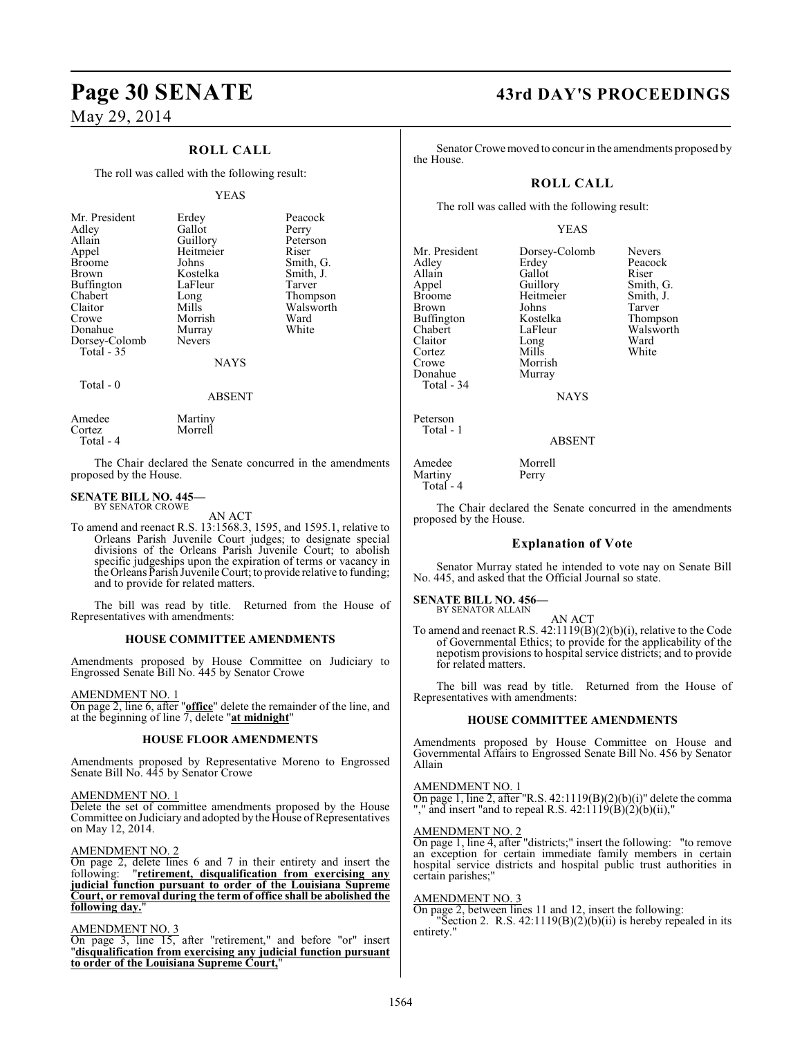## **ROLL CALL**

The roll was called with the following result:

#### YEAS

| Mr. President<br>Adley<br>Allain<br>Appel<br><b>Broome</b><br>Brown<br>Buffington<br>Chabert<br>Claitor<br>Crowe<br>Donahue | Erdey<br>Gallot<br>Guillory<br>Heitmeier<br>Johns<br>Kostelka<br>LaFleur<br>Long<br>Mills<br>Morrish<br>Murray | Peacock<br>Perry<br>Peterson<br>Riser<br>Smith, G.<br>Smith, J.<br>Tarver<br>Thompson<br>Walsworth<br>Ward<br>White |
|-----------------------------------------------------------------------------------------------------------------------------|----------------------------------------------------------------------------------------------------------------|---------------------------------------------------------------------------------------------------------------------|
| Dorsey-Colomb<br>Total $-35$                                                                                                | <b>Nevers</b>                                                                                                  |                                                                                                                     |
|                                                                                                                             | <b>NAYS</b>                                                                                                    |                                                                                                                     |
| Total - 0                                                                                                                   |                                                                                                                |                                                                                                                     |

Martiny Morrell

#### ABSENT

| Amedee    |  |
|-----------|--|
| Cortez    |  |
| Total - 4 |  |

The Chair declared the Senate concurred in the amendments proposed by the House.

#### **SENATE BILL NO. 445—** BY SENATOR CROWE

AN ACT

To amend and reenact R.S. 13:1568.3, 1595, and 1595.1, relative to Orleans Parish Juvenile Court judges; to designate special divisions of the Orleans Parish Juvenile Court; to abolish specific judgeships upon the expiration of terms or vacancy in the Orleans Parish Juvenile Court; to provide relative to funding; and to provide for related matters.

The bill was read by title. Returned from the House of Representatives with amendments:

#### **HOUSE COMMITTEE AMENDMENTS**

Amendments proposed by House Committee on Judiciary to Engrossed Senate Bill No. 445 by Senator Crowe

#### AMENDMENT NO. 1

On page 2, line 6, after "**office**" delete the remainder of the line, and at the beginning of line 7, delete "**at midnight**"

#### **HOUSE FLOOR AMENDMENTS**

Amendments proposed by Representative Moreno to Engrossed Senate Bill No. 445 by Senator Crowe

#### AMENDMENT NO. 1

Delete the set of committee amendments proposed by the House Committee on Judiciary and adopted by the House of Representatives on May 12, 2014.

#### AMENDMENT NO. 2

On page 2, delete lines 6 and 7 in their entirety and insert the following: "**retirement, disqualification from exercising any judicial function pursuant to order of the Louisiana Supreme Court, or removal during the term of office shall be abolished the following day.**"

#### AMENDMENT NO. 3

On page 3, line 15, after "retirement," and before "or" insert "**disqualification from exercising any judicial function pursuant to order of the Louisiana Supreme Court,**"

# **Page 30 SENATE 43rd DAY'S PROCEEDINGS**

Tarver Thompson Walsworth<br>Ward

Senator Crowe moved to concur in the amendments proposed by the House.

#### **ROLL CALL**

The roll was called with the following result:

#### YEAS

| Mr. President<br>Adley<br>Allain<br>Appel<br><b>Broome</b><br>Brown<br>Buffington<br>Chabert<br>Claitor<br>Cortez<br>Crowe<br>Donahue<br>Total - 34 | Dorsey-Colomb<br>Erdey<br>Gallot<br>Guillory<br>Heitmeier<br>Johns<br>Kostelka<br>LaFleur<br>Long<br>Mills<br>Morrish<br>Murray<br><b>NAYS</b> | Nevers<br>Peacock<br>Riser<br>Smith, G.<br>Smith, J.<br>Tarver<br>Thompso:<br>Walswort<br>Ward<br>White |
|-----------------------------------------------------------------------------------------------------------------------------------------------------|------------------------------------------------------------------------------------------------------------------------------------------------|---------------------------------------------------------------------------------------------------------|
| Peterson<br>Total - 1                                                                                                                               | <b>ABSENT</b>                                                                                                                                  |                                                                                                         |
|                                                                                                                                                     | $\sim$                                                                                                                                         |                                                                                                         |

Amedee Morrell<br>Martiny Perry Martiny Total - 4

The Chair declared the Senate concurred in the amendments proposed by the House.

#### **Explanation of Vote**

Senator Murray stated he intended to vote nay on Senate Bill No. 445, and asked that the Official Journal so state.

#### **SENATE BILL NO. 456—** BY SENATOR ALLAIN

AN ACT To amend and reenact R.S. 42:1119(B)(2)(b)(i), relative to the Code of Governmental Ethics; to provide for the applicability of the nepotism provisions to hospital service districts; and to provide for related matters.

The bill was read by title. Returned from the House of Representatives with amendments:

#### **HOUSE COMMITTEE AMENDMENTS**

Amendments proposed by House Committee on House and Governmental Affairs to Engrossed Senate Bill No. 456 by Senator Allain

#### AMENDMENT NO. 1

On page 1, line 2, after "R.S. 42:1119(B)(2)(b)(i)" delete the comma "," and insert "and to repeal R.S.  $42:1119(B)(2)(b)(ii)$ ,"

#### AMENDMENT NO. 2

On page 1, line 4, after "districts;" insert the following: "to remove an exception for certain immediate family members in certain hospital service districts and hospital public trust authorities in certain parishes;

#### AMENDMENT NO. 3

On page 2, between lines 11 and 12, insert the following: "Section 2. R.S.  $42:1119(B)(2)(b)(ii)$  is hereby repealed in its entirety.'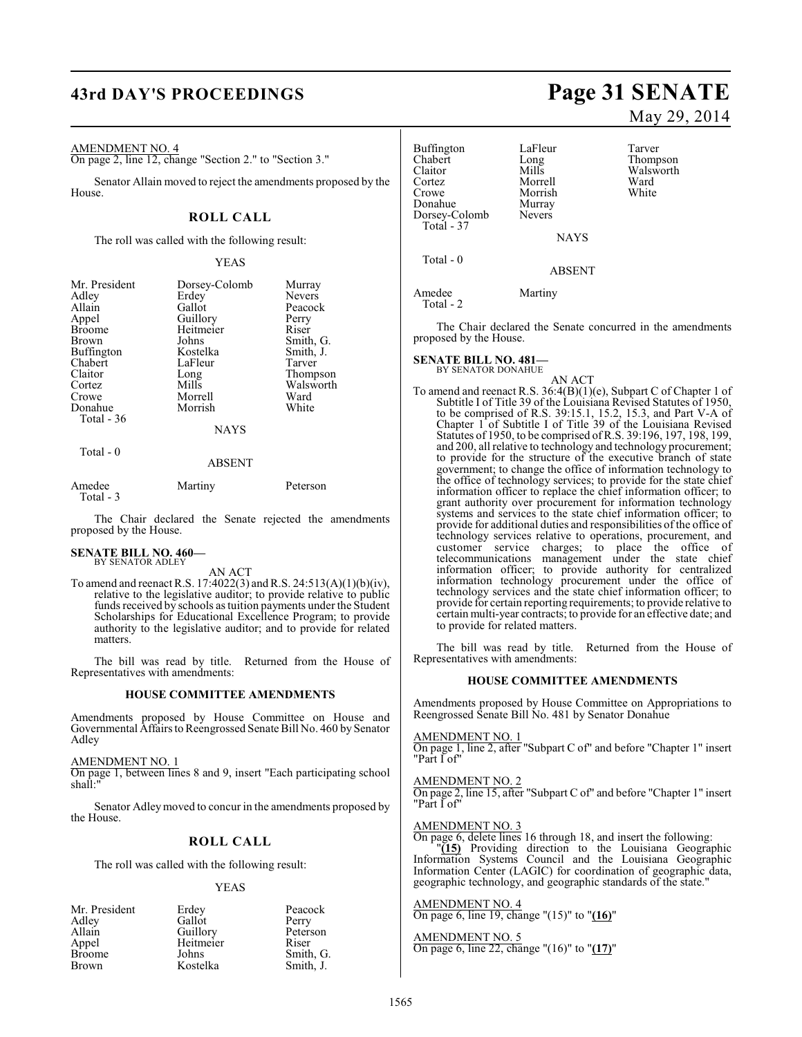# **43rd DAY'S PROCEEDINGS Page 31 SENATE**

#### AMENDMENT NO. 4

On page 2, line 12, change "Section 2." to "Section 3."

Senator Allain moved to reject the amendments proposed by the House.

#### **ROLL CALL**

The roll was called with the following result:

#### YEAS

| Mr. President     | Dorsey-Colomb | Murray        |
|-------------------|---------------|---------------|
| Adley             | Erdey         | <b>Nevers</b> |
| Allain            | Gallot        | Peacock       |
| Appel             | Guillory      | Perry         |
| <b>Broome</b>     | Heitmeier     | Riser         |
| <b>Brown</b>      | Johns         | Smith, G.     |
| <b>Buffington</b> | Kostelka      | Smith, J.     |
| Chabert           | LaFleur       | Tarver        |
| Claitor           | Long          | Thompson      |
| Cortez            | Mills         | Walsworth     |
| Crowe             | Morrell       | Ward          |
| Donahue           | Morrish       | White         |
| Total $-36$       |               |               |
|                   | <b>NAYS</b>   |               |

#### ABSENT

| Amedee    | Martiny | Peterson |
|-----------|---------|----------|
| Total - 3 |         |          |

The Chair declared the Senate rejected the amendments proposed by the House.

#### **SENATE BILL NO. 460—** BY SENATOR ADLEY

Total - 0

AN ACT

To amend and reenact R.S. 17:4022(3) and R.S. 24:513(A)(1)(b)(iv), relative to the legislative auditor; to provide relative to public funds received by schools as tuition payments under the Student Scholarships for Educational Excellence Program; to provide authority to the legislative auditor; and to provide for related matters.

The bill was read by title. Returned from the House of Representatives with amendments:

#### **HOUSE COMMITTEE AMENDMENTS**

Amendments proposed by House Committee on House and Governmental Affairs to Reengrossed Senate Bill No. 460 by Senator Adley

AMENDMENT NO. 1

On page 1, between lines 8 and 9, insert "Each participating school shall:"

Senator Adleymoved to concur in the amendments proposed by the House.

#### **ROLL CALL**

The roll was called with the following result:

#### YEAS

| Mr. President | Erdey     | Peacock   |
|---------------|-----------|-----------|
| Adley         | Gallot    | Perry     |
| Allain        | Guillory  | Peterson  |
| Appel         | Heitmeier | Riser     |
| <b>Broome</b> | Johns     | Smith, G. |
| <b>Brown</b>  | Kostelka  | Smith, J. |

# May 29, 2014

Thompson Walsworth<br>Ward

| Buffington<br>Chabert<br>Claitor<br>Cortez<br>Crowe | LaFleur<br>Long<br>Mills<br>Morrell<br>Morrish | Tarver<br>Thomp<br>Walsw<br>Ward<br>White |
|-----------------------------------------------------|------------------------------------------------|-------------------------------------------|
| Donahue<br>Dorsey-Colomb<br>Total - 37              | Murray<br><b>Nevers</b>                        |                                           |
|                                                     | <b>NAYS</b>                                    |                                           |
| Total - 0                                           | <b>ABSENT</b>                                  |                                           |

Amedee Martiny Total - 2

The Chair declared the Senate concurred in the amendments proposed by the House.

# **SENATE BILL NO. 481—** BY SENATOR DONAHUE

AN ACT To amend and reenact R.S. 36:4(B)(1)(e), Subpart C of Chapter 1 of Subtitle I of Title 39 of the Louisiana Revised Statutes of 1950, to be comprised of R.S. 39:15.1, 15.2, 15.3, and Part V-A of Chapter 1 of Subtitle I of Title 39 of the Louisiana Revised Statutes of 1950, to be comprised of R.S. 39:196, 197, 198, 199, and 200, all relative to technology and technology procurement; to provide for the structure of the executive branch of state government; to change the office of information technology to the office of technology services; to provide for the state chief information officer to replace the chief information officer; to grant authority over procurement for information technology systems and services to the state chief information officer; to provide for additional duties and responsibilities of the office of technology services relative to operations, procurement, and customer service charges; to place the office of telecommunications management under the state chief information officer; to provide authority for centralized information technology procurement under the office of technology services and the state chief information officer; to provide for certain reporting requirements; to provide relative to certain multi-year contracts; to provide for an effective date; and to provide for related matters.

The bill was read by title. Returned from the House of Representatives with amendments:

#### **HOUSE COMMITTEE AMENDMENTS**

Amendments proposed by House Committee on Appropriations to Reengrossed Senate Bill No. 481 by Senator Donahue

#### AMENDMENT NO. 1

On page 1, line 2, after "Subpart C of" and before "Chapter 1" insert "Part I of"

#### AMENDMENT NO. 2

On page 2, line 15, after "Subpart C of" and before "Chapter 1" insert "Part I of"

#### AMENDMENT NO. 3

On page 6, delete lines 16 through 18, and insert the following: "**(15)** Providing direction to the Louisiana Geographic Information Systems Council and the Louisiana Geographic Information Center (LAGIC) for coordination of geographic data, geographic technology, and geographic standards of the state."

#### AMENDMENT NO. 4

On page 6, line 19, change "(15)" to "**(16)**"

#### AMENDMENT NO. 5

On page 6, line 22, change "(16)" to "**(17)**"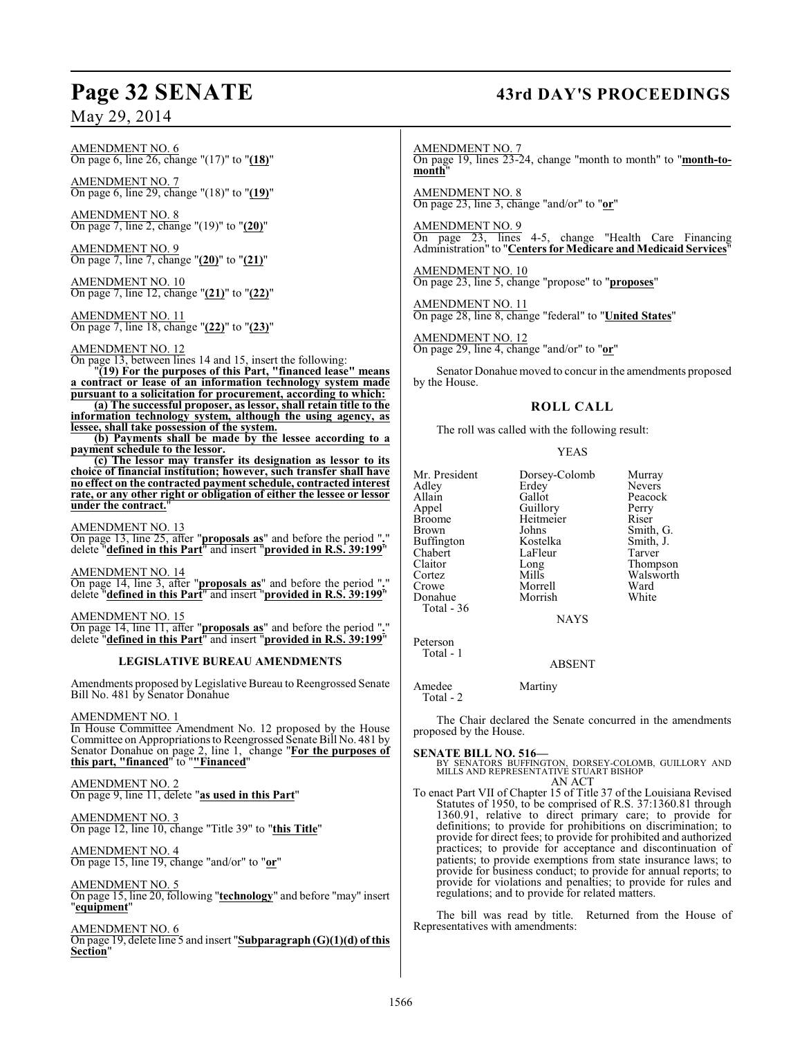#### AMENDMENT NO. 6 On page 6, line 26, change "(17)" to "**(18)**"

AMENDMENT NO. 7 On page 6, line 29, change "(18)" to "**(19)**"

AMENDMENT NO. 8 On page 7, line 2, change "(19)" to "**(20)**"

AMENDMENT NO. 9 On page 7, line 7, change "**(20)**" to "**(21)**"

AMEND<u>MENT NO. 10</u> On page 7, line 12, change "**(21)**" to "**(22)**"

AMENDMENT NO. 11 On page 7, line 18, change "**(22)**" to "**(23)**"

#### AMENDMENT NO. 12

On page 13, between lines 14 and 15, insert the following: "**(19) For the purposes of this Part, "financed lease" means**

**a contract or lease of an information technology system made pursuant to a solicitation for procurement, according to which: (a) The successful proposer, as lessor, shall retain title to the**

**information technology system, although the using agency, as lessee, shall take possession of the system.**

**(b) Payments shall be made by the lessee according to a payment schedule to the lessor.**

**(c) The lessor may transfer its designation as lessor to its choice of financial institution; however, such transfer shall have no effect on the contracted payment schedule, contracted interest rate, or any other right or obligation of either the lessee or lessor under the contract.**"

AMENDMENT NO. 13

On page 13, line 25, after "**proposals as**" and before the period "**.**" delete "**defined in this Part**" and insert "**provided in R.S. 39:199**"

AMENDMENT NO. 14

On page 14, line 3, after "**proposals as**" and before the period "**.**" delete "**defined in this Part**" and insert "**provided in R.S. 39:199**"

AMENDMENT NO. 15 On page 14, line 11, after "**proposals as**" and before the period "**.**" delete "**defined in this Part**" and insert "**provided in R.S. 39:199**"

#### **LEGISLATIVE BUREAU AMENDMENTS**

Amendments proposed by Legislative Bureau to Reengrossed Senate Bill No. 481 by Senator Donahue

#### AMENDMENT NO. 1

In House Committee Amendment No. 12 proposed by the House Committee on Appropriations to Reengrossed Senate Bill No. 481 by Senator Donahue on page 2, line 1, change "**For the purposes of this part, "financed**" to "**"Financed**"

#### AMENDMENT NO. 2 On page 9, line 11, delete "**as used in this Part**"

AMENDMENT NO. 3 On page 12, line 10, change "Title 39" to "**this Title**"

AMENDMENT NO. 4 On page 15, line 19, change "and/or" to "**or**"

AMENDMENT NO. 5 On page 15, line 20, following "**technology**" and before "may" insert "**equipment**"

AMENDMENT NO. 6 On page 19, delete line 5 and insert "**Subparagraph (G)(1)(d) of this Section**"

# **Page 32 SENATE 43rd DAY'S PROCEEDINGS**

AMENDMENT NO. 7 On page 19, lines 23-24, change "month to month" to "**month-tomonth**"

AMENDMENT NO. 8 On page 23, line 3, change "and/or" to "**or**"

AMENDMENT NO. 9 On page 23, lines 4-5, change "Health Care Financing Administration" to "**Centers for Medicare and Medicaid Services**"

AMENDMENT NO. 10 On page 23, line 5, change "propose" to "**proposes**"

AMENDMENT NO. 11 On page 28, line 8, change "federal" to "**United States**"

AMENDMENT NO. 12 On page 29, line 4, change "and/or" to "**or**"

Senator Donahue moved to concur in the amendments proposed by the House.

#### **ROLL CALL**

The roll was called with the following result:

#### YEAS

| Dorsey-Colomb | Murray        |
|---------------|---------------|
| Erdey         | <b>Nevers</b> |
| Gallot        | Peacock       |
| Guillory      | Perry         |
|               | Riser         |
| Johns         | Smith, G.     |
| Kostelka      | Smith, J.     |
| LaFleur       | Tarver        |
| Long          | Thompson      |
| Mills         | Walsworth     |
| Morrell       | Ward          |
| Morrish       | White         |
|               |               |
|               | Heitmeier     |

NAYS

Peterson Total - 1

Total - 2

#### ABSENT

Amedee Martiny

The Chair declared the Senate concurred in the amendments proposed by the House.

**SENATE BILL NO. 516—**<br>BY SENATORS BUFFINGTON, DORSEY-COLOMB, GUILLORY AND MILLS AND REPRESENTATIVE STUART BISHOP AN ACT

To enact Part VII of Chapter 15 of Title 37 of the Louisiana Revised Statutes of 1950, to be comprised of R.S. 37:1360.81 through 1360.91, relative to direct primary care; to provide for definitions; to provide for prohibitions on discrimination; to provide for direct fees; to provide for prohibited and authorized practices; to provide for acceptance and discontinuation of patients; to provide exemptions from state insurance laws; to provide for business conduct; to provide for annual reports; to provide for violations and penalties; to provide for rules and regulations; and to provide for related matters.

The bill was read by title. Returned from the House of Representatives with amendments: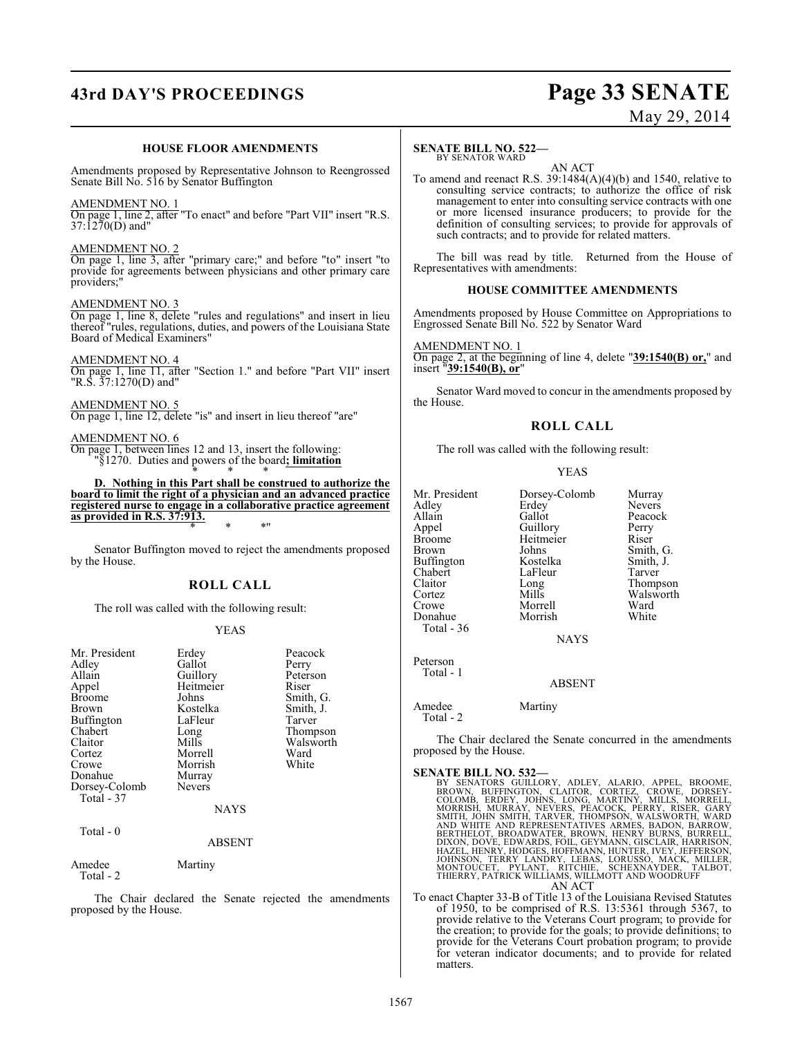# **43rd DAY'S PROCEEDINGS Page 33 SENATE**

# May 29, 2014

#### **HOUSE FLOOR AMENDMENTS**

Amendments proposed by Representative Johnson to Reengrossed Senate Bill No. 516 by Senator Buffington

#### AMENDMENT NO. 1

On page 1, line 2, after "To enact" and before "Part VII" insert "R.S. 37:1270(D) and"

#### AMENDMENT NO. 2

On page 1, line 3, after "primary care;" and before "to" insert "to provide for agreements between physicians and other primary care providers;"

#### AMENDMENT NO. 3

On page 1, line 8, delete "rules and regulations" and insert in lieu thereof "rules, regulations, duties, and powers of the Louisiana State Board of Medical Examiners"

#### AMENDMENT NO. 4

On page 1, line 11, after "Section 1." and before "Part VII" insert "R.S. 37:1270(D) and"

AMENDMENT NO. 5 On page 1, line 12, delete "is" and insert in lieu thereof "are"

#### AMENDMENT NO. 6

On page 1, between lines 12 and 13, insert the following: "§1270. Duties and powers of the board**; limitation** \* \* \*

**D. Nothing in this Part shall be construed to authorize the board to limit the right of a physician and an advanced practice registered nurse to engage in a collaborative practice agreement as provided in R.S. 37:913.** \* \* \*"

Senator Buffington moved to reject the amendments proposed by the House.

#### **ROLL CALL**

The roll was called with the following result:

#### YEAS

| Mr. President<br>Adley<br>Allain<br>Appel<br><b>Broome</b><br>Brown<br><b>Buffington</b><br>Chabert<br>Claitor<br>Cortez<br>Crowe<br>Donahue<br>Dorsey-Colomb<br>Total - 37 | Erdey<br>Gallot<br>Guillory<br>Heitmeier<br>Johns<br>Kostelka<br>LaFleur<br>Long<br>Mills<br>Morrell<br>Morrish<br>Murray<br><b>Nevers</b><br><b>NAYS</b> | Peacock<br>Perry<br>Peterson<br>Riser<br>Smith, G.<br>Smith, J.<br>Tarver<br>Thompson<br>Walsworth<br>Ward<br>White |
|-----------------------------------------------------------------------------------------------------------------------------------------------------------------------------|-----------------------------------------------------------------------------------------------------------------------------------------------------------|---------------------------------------------------------------------------------------------------------------------|
| Total - 0                                                                                                                                                                   | ABSENT                                                                                                                                                    |                                                                                                                     |
| Amedee<br>Total - 2                                                                                                                                                         | Martiny                                                                                                                                                   |                                                                                                                     |

The Chair declared the Senate rejected the amendments proposed by the House.

#### **SENATE BILL NO. 522—**

BY SENATOR WARD

AN ACT To amend and reenact R.S. 39:1484(A)(4)(b) and 1540, relative to consulting service contracts; to authorize the office of risk management to enter into consulting service contracts with one or more licensed insurance producers; to provide for the definition of consulting services; to provide for approvals of such contracts; and to provide for related matters.

The bill was read by title. Returned from the House of Representatives with amendments:

#### **HOUSE COMMITTEE AMENDMENTS**

Amendments proposed by House Committee on Appropriations to Engrossed Senate Bill No. 522 by Senator Ward

AMENDMENT NO. 1 On page 2, at the beginning of line 4, delete "**39:1540(B) or,**" and insert "**39:1540(B), or**"

Senator Ward moved to concur in the amendments proposed by the House.

#### **ROLL CALL**

The roll was called with the following result:

#### YEAS

| Mr. President     | Dorsey-Colomb | Murray        |
|-------------------|---------------|---------------|
| Adley             | Erdey         | <b>Nevers</b> |
| Allain            | Gallot        | Peacock       |
| Appel             | Guillory      | Perry         |
| <b>Broome</b>     | Heitmeier     | Riser         |
| Brown             | Johns         | Smith, G.     |
| <b>Buffington</b> | Kostelka      | Smith, J.     |
| Chabert           | LaFleur       | Tarver        |
| Claitor           | Long          | Thompson      |
| Cortez            | Mills         | Walsworth     |
| Crowe             | Morrell       | Ward          |
| Donahue           | Morrish       | White         |
| Total - 36        |               |               |

**NAYS** 

ABSENT

Amedee Martiny Total - 2

Peterson Total - 1

The Chair declared the Senate concurred in the amendments proposed by the House.

#### **SENATE BILL NO. 532—**

| BY SENATORS GUILLORY, ADLEY, ALARIO, APPEL, BROOME,      |
|----------------------------------------------------------|
| BROWN, BUFFINGTON, CLAITOR, CORTEZ, CROWE, DORSEY-       |
| COLOMB, ERDEY, JOHNS, LONG, MARTINY, MILLS, MORRELL,     |
| MORRISH, MURRAY, NEVERS, PEACOCK, PERRY, RISER, GARY     |
| SMITH, JOHN SMITH, TARVER, THOMPSON, WALSWORTH, WARD     |
| AND WHITE AND REPRESENTATIVES ARMES, BADON, BARROW,      |
| BERTHELOT, BROADWATER, BROWN, HENRY BURNS, BURRELL,      |
| DIXON, DOVE, EDWARDS, FOIL, GEYMANN, GISCLAIR, HARRISON, |
| HAZEL, HENRY, HODGES, HOFFMANN, HUNTER, IVEY, JEFFERSON, |
| JOHNSON, TERRY LANDRY, LEBAS, LORUSSO, MACK, MILLER,     |
| MONTOUCET, PYLANT, RITCHIE, SCHEXNAYDER, TALBOT,         |
| THIERRY, PATRICK WILLIAMS, WILLMOTT AND WOODRUFF         |
| AN ACT                                                   |
|                                                          |

To enact Chapter 33-B of Title 13 of the Louisiana Revised Statutes of 1950, to be comprised of R.S. 13:5361 through 5367, to provide relative to the Veterans Court program; to provide for the creation; to provide for the goals; to provide definitions; to provide for the Veterans Court probation program; to provide for veteran indicator documents; and to provide for related matters.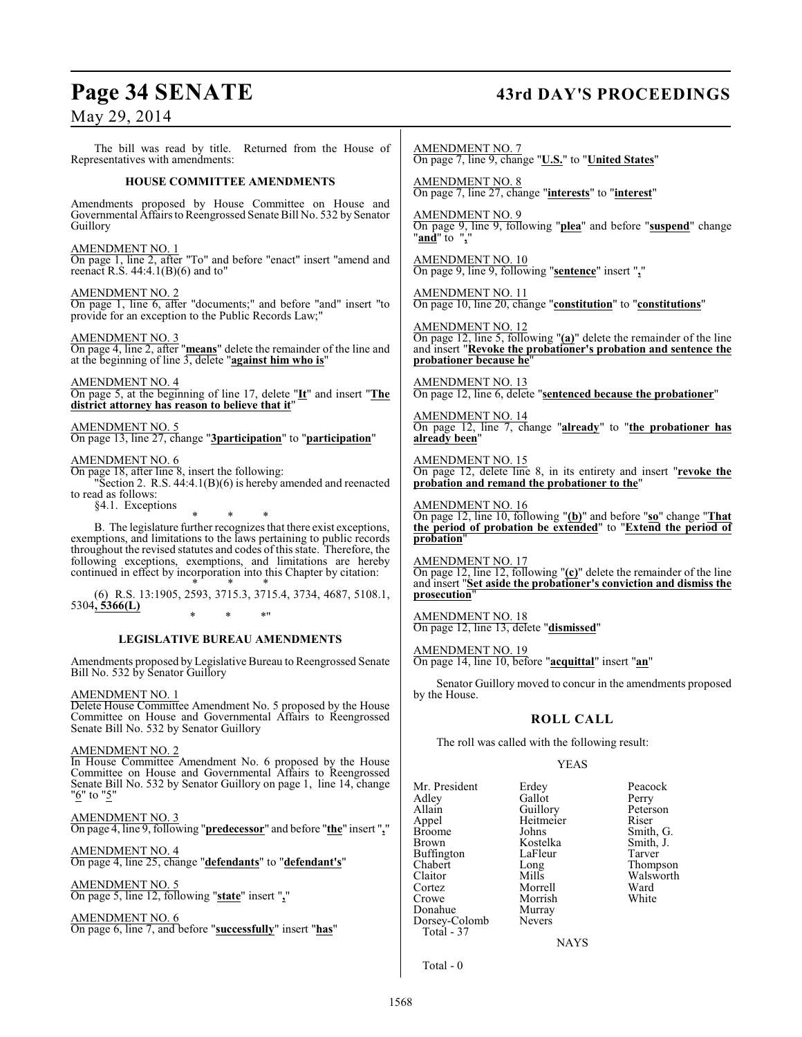# **Page 34 SENATE 43rd DAY'S PROCEEDINGS**

May 29, 2014

The bill was read by title. Returned from the House of Representatives with amendments:

#### **HOUSE COMMITTEE AMENDMENTS**

Amendments proposed by House Committee on House and Governmental Affairs to Reengrossed Senate Bill No. 532 by Senator Guillory

#### AMENDMENT NO. 1

On page 1, line 2, after "To" and before "enact" insert "amend and reenact R.S.  $44:4.1(B)(6)$  and to"

AMENDMENT NO. 2

On page 1, line 6, after "documents;" and before "and" insert "to provide for an exception to the Public Records Law;"

AMENDMENT NO. 3

On page 4, line 2, after "**means**" delete the remainder of the line and at the beginning of line 3, delete "**against him who is**"

AMENDMENT NO. 4

On page 5, at the beginning of line 17, delete "**It**" and insert "**The district attorney has reason to believe that it**"

AMENDMENT NO. 5 On page 13, line 27, change "**3participation**" to "**participation**"

### AMENDMENT NO. 6

On page 18, after line 8, insert the following:

"Section 2. R.S. 44:4.1(B)(6) is hereby amended and reenacted to read as follows: §4.1. Exceptions

\* \* \*

B. The legislature further recognizes that there exist exceptions, exemptions, and limitations to the laws pertaining to public records throughout the revised statutes and codes of this state. Therefore, the following exceptions, exemptions, and limitations are hereby continued in effect by incorporation into this Chapter by citation:

\* \* \* (6) R.S. 13:1905, 2593, 3715.3, 3715.4, 3734, 4687, 5108.1, 5304**, 5366(L)** \* \* \*"

#### **LEGISLATIVE BUREAU AMENDMENTS**

Amendments proposed by Legislative Bureau to Reengrossed Senate Bill No. 532 by Senator Guillory

#### AMENDMENT NO. 1

Delete House Committee Amendment No. 5 proposed by the House Committee on House and Governmental Affairs to Reengrossed Senate Bill No. 532 by Senator Guillory

#### AMENDMENT NO. 2

In House Committee Amendment No. 6 proposed by the House Committee on House and Governmental Affairs to Reengrossed Senate Bill No. 532 by Senator Guillory on page 1, line 14, change "<sup>6"</sup> to "<sup>5"</sup>

AMENDMENT NO. 3

On page 4, line 9, following "**predecessor**" and before "**the**" insert "**,**"

AMENDMENT NO. 4 On page 4, line 25, change "**defendants**" to "**defendant's**"

AMENDMENT NO. 5 On page 5, line 12, following "**state**" insert "**,**"

AMENDMENT NO. 6 On page 6, line 7, and before "**successfully**" insert "**has**"

AMENDMENT NO. 7 On page 7, line 9, change "**U.S.**" to "**United States**"

AMENDMENT NO. 8 On page 7, line 27, change "**interests**" to "**interest**"

AMENDMENT NO. 9 On page 9, line 9, following "**plea**" and before "**suspend**" change "**and**" to "**,**"

AMENDMENT NO. 10 On page 9, line 9, following "**sentence**" insert "**,**"

AMENDMENT NO. 11 On page 10, line 20, change "**constitution**" to "**constitutions**"

AMENDMENT NO. 12

On page 12, line 5, following "**(a)**" delete the remainder of the line and insert "**Revoke the probationer's probation and sentence the probationer because he**"

AMENDMENT NO. 13 On page 12, line 6, delete "**sentenced because the probationer**"

AMENDMENT NO. 14 On page 12, line 7, change "**already**" to "**the probationer has already been**"

AMENDMENT NO. 15 On page 12, delete line 8, in its entirety and insert "**revoke the probation and remand the probationer to the**"

AMENDMENT NO. 16 On page 12, line 10, following "**(b)**" and before "**so**" change "**That the period of probation be extended**" to "**Extend the period of probation**"

AMENDMENT NO. 17 On page 12, line 12, following "**(c)**" delete the remainder of the line and insert "**Set aside the probationer's conviction and dismiss the prosecution**"

AMENDMENT NO. 18 On page 12, line 13, delete "**dismissed**"

AMENDMENT NO. 19 On page 14, line 10, before "**acquittal**" insert "**an**"

Senator Guillory moved to concur in the amendments proposed by the House.

### **ROLL CALL**

The roll was called with the following result:

#### YEAS

Mr. President Erdey Peacock<br>Adley Gallot Perry Adley Gallot<br>Allain Guillorv Allain Guillory Peterson<br>
Appel Heitmeier Riser Appel Heitmeier<br>Broome Johns Broome Johns Smith, G.<br>Brown Kostelka Smith, J. Buffington LaFle<br>Chabert Long Chabert Long Thompson Claitor Mills Walsworth<br>
Cortez Morrell Ward Cortez Morrell Ward Morrish<br>Murray Donahue Murray<br>Dorsey-Colomb Nevers Dorsey-Colomb Total - 37

Kostelka Smith,<br>LaFleur Tarver

**NAYS** 

Total - 0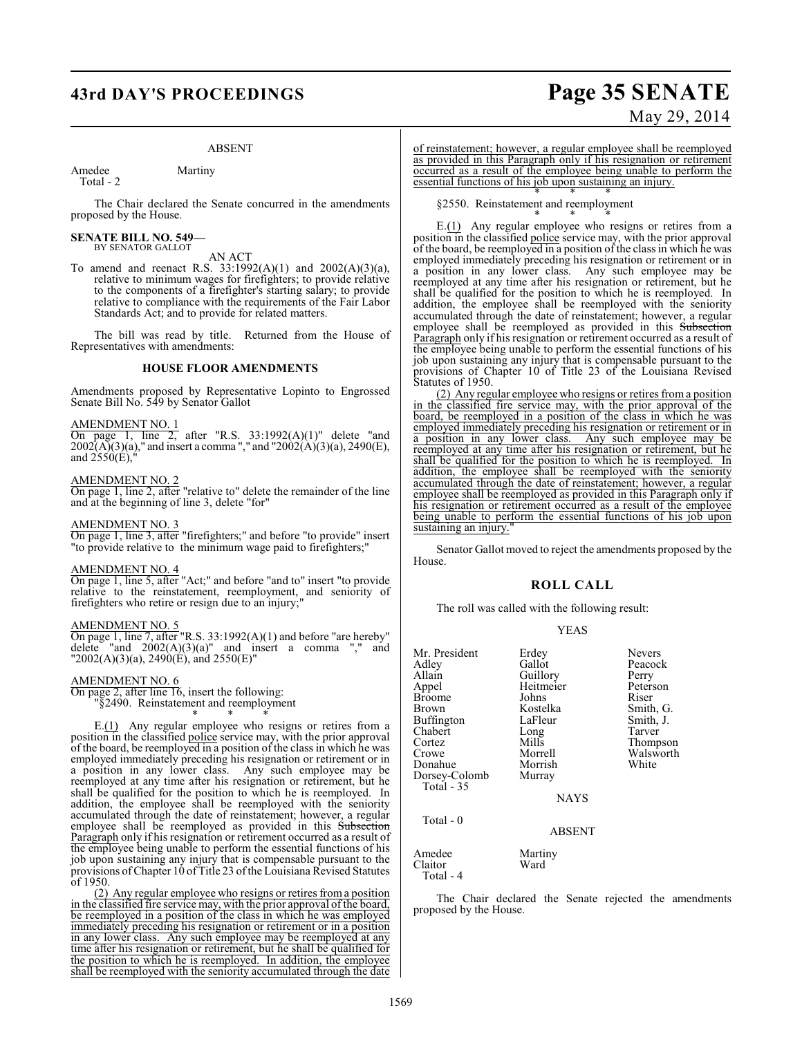# **43rd DAY'S PROCEEDINGS Page 35 SENATE**

#### ABSENT

Amedee Martiny Total - 2

The Chair declared the Senate concurred in the amendments proposed by the House.

#### **SENATE BILL NO. 549—** BY SENATOR GALLOT

- AN ACT
- To amend and reenact R.S. 33:1992(A)(1) and 2002(A)(3)(a), relative to minimum wages for firefighters; to provide relative to the components of a firefighter's starting salary; to provide relative to compliance with the requirements of the Fair Labor Standards Act; and to provide for related matters.

The bill was read by title. Returned from the House of Representatives with amendments:

#### **HOUSE FLOOR AMENDMENTS**

Amendments proposed by Representative Lopinto to Engrossed Senate Bill No. 549 by Senator Gallot

#### AMENDMENT NO. 1

On page 1, line 2, after "R.S. 33:1992(A)(1)" delete "and  $2002(A)(3)(a)$ ," and insert a comma "," and "2002(A)(3)(a), 2490(E), and  $2550(E)$ ,

#### AMENDMENT NO. 2

On page 1, line 2, after "relative to" delete the remainder of the line and at the beginning of line 3, delete "for"

#### AMENDMENT NO. 3

On page 1, line 3, after "firefighters;" and before "to provide" insert "to provide relative to the minimum wage paid to firefighters;"

#### AMENDMENT NO. 4

On page 1, line 5, after "Act;" and before "and to" insert "to provide relative to the reinstatement, reemployment, and seniority of firefighters who retire or resign due to an injury;"

#### AMENDMENT NO. 5

On page 1, line 7, after "R.S. 33:1992(A)(1) and before "are hereby" delete "and  $2002(A)(3)(a)$ " and insert a comma "," and  $"2002(A)(3)(a)$ ,  $2490(E)$ , and  $2550(E)$ "

#### AMENDMENT NO. 6

On page 2, after line 16, insert the following:

"§2490. Reinstatement and reemployment \* \* \*

E.(1) Any regular employee who resigns or retires from a position in the classified police service may, with the prior approval of the board, be reemployed in a position of the class in which he was employed immediately preceding his resignation or retirement or in a position in any lower class. Any such employee may be reemployed at any time after his resignation or retirement, but he shall be qualified for the position to which he is reemployed. In addition, the employee shall be reemployed with the seniority accumulated through the date of reinstatement; however, a regular employee shall be reemployed as provided in this Subsection Paragraph only if his resignation or retirement occurred as a result of the employee being unable to perform the essential functions of his job upon sustaining any injury that is compensable pursuant to the provisions of Chapter 10 of Title 23 of the Louisiana Revised Statutes of 1950.

(2) Any regular employee who resigns or retires froma position in the classified fire service may, with the prior approval of the board, be reemployed in a position of the class in which he was employed immediately preceding his resignation or retirement or in a position in any lower class. Any such employee may be reemployed at any time after his resignation or retirement, but he shall be qualified for the position to which he is reemployed. In addition, the employee shall be reemployed with the seniority accumulated through the date

# May 29, 2014

of reinstatement; however, a regular employee shall be reemployed as provided in this Paragraph only if his resignation or retirement occurred as a result of the employee being unable to perform the essential functions of his job upon sustaining an injury.

\* \* \* §2550. Reinstatement and reemployment

\* \* \* E.(1) Any regular employee who resigns or retires from a position in the classified police service may, with the prior approval of the board, be reemployed in a position of the class in which he was employed immediately preceding his resignation or retirement or in a position in any lower class. Any such employee may be reemployed at any time after his resignation or retirement, but he shall be qualified for the position to which he is reemployed. In addition, the employee shall be reemployed with the seniority accumulated through the date of reinstatement; however, a regular employee shall be reemployed as provided in this Subsection Paragraph only if his resignation or retirement occurred as a result of the employee being unable to perform the essential functions of his job upon sustaining any injury that is compensable pursuant to the provisions of Chapter 10 of Title 23 of the Louisiana Revised Statutes of 1950.

(2) Any regular employee who resigns or retires from a position in the classified fire service may, with the prior approval of the board, be reemployed in a position of the class in which he was employed immediately preceding his resignation or retirement or in a position in any lower class. Any such employee may be reemployed at any time after his resignation or retirement, but he shall be qualified for the position to which he is reemployed. In addition, the employee shall be reemployed with the seniority accumulated through the date of reinstatement; however, a regular employee shall be reemployed as provided in this Paragraph only if his resignation or retirement occurred as a result of the employee being unable to perform the essential functions of his job upon sustaining an injury.

Senator Gallot moved to reject the amendments proposed by the House.

#### **ROLL CALL**

The roll was called with the following result:

#### YEAS

| Erdey         | <b>Nevers</b>           |
|---------------|-------------------------|
| Gallot        | Peacock                 |
|               | Perry                   |
| Heitmeier     | Peterson                |
| Johns         | Riser                   |
| Kostelka      | Smith, G.               |
| LaFleur       | Smith, J.               |
| Long          | Tarver                  |
| Mills         | Thompson                |
| Morrell       | Walsworth               |
| Morrish       | White                   |
| Murray        |                         |
|               |                         |
|               |                         |
|               |                         |
| <b>ABSENT</b> |                         |
| Martiny       |                         |
|               | Guillory<br><b>NAYS</b> |

Claitor Ward

Total - 4

The Chair declared the Senate rejected the amendments proposed by the House.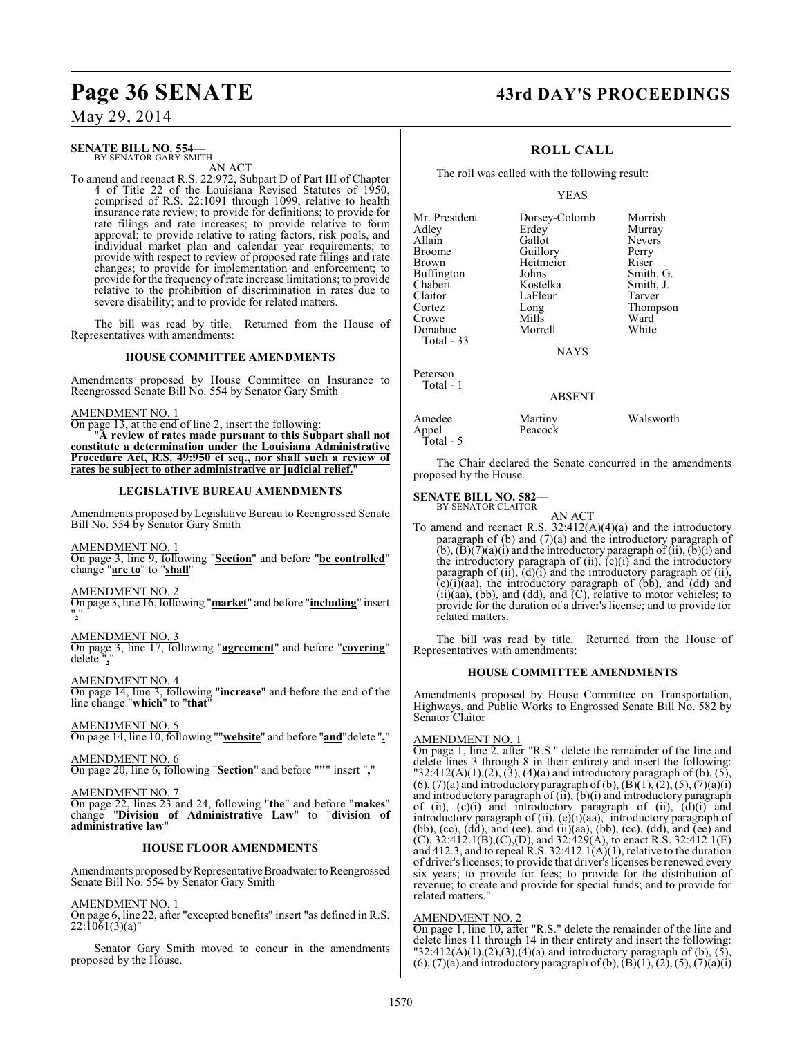# **Page 36 SENATE 43rd DAY'S PROCEEDINGS**

## May 29, 2014

#### **SENATE BILL NO. 554—** BY SENATOR GARY SMITH

AN ACT

To amend and reenact R.S. 22:972, Subpart D of Part III of Chapter 4 of Title 22 of the Louisiana Revised Statutes of 1950, comprised of R.S. 22:1091 through 1099, relative to health insurance rate review; to provide for definitions; to provide for rate filings and rate increases; to provide relative to form approval; to provide relative to rating factors, risk pools, and individual market plan and calendar year requirements; to provide with respect to review of proposed rate filings and rate changes; to provide for implementation and enforcement; to provide for the frequency of rate increase limitations; to provide relative to the prohibition of discrimination in rates due to severe disability; and to provide for related matters.

The bill was read by title. Returned from the House of Representatives with amendments:

#### **HOUSE COMMITTEE AMENDMENTS**

Amendments proposed by House Committee on Insurance to Reengrossed Senate Bill No. 554 by Senator Gary Smith

#### AMENDMENT NO. 1

On page 13, at the end of line 2, insert the following:

"**A review of rates made pursuant to this Subpart shall not constitute a determination under the Louisiana Administrative Procedure Act, R.S. 49:950 et seq., nor shall such a review of rates be subject to other administrative or judicial relief.**"

#### **LEGISLATIVE BUREAU AMENDMENTS**

Amendments proposed by Legislative Bureau to Reengrossed Senate Bill No. 554 by Senator Gary Smith

#### AMENDMENT NO. 1

On page 3, line 9, following "**Section**" and before "**be controlled**" change "**are to**" to "**shall**"

#### AMENDMENT NO. 2

On page 3, line 16, following "**market**" and before "**including**" insert "**,**"

#### AMENDMENT NO. 3

On page 3, line 17, following "**agreement**" and before "**covering**" delete ",

AMENDMENT NO. 4 On page 14, line 3, following "**increase**" and before the end of the line change "**which**" to "**that**"

AMENDMENT NO. 5 On page 14, line 10, following ""**website**" and before "**and**"delete "**,**"

AMENDMENT NO. 6 On page 20, line 6, following "**Section**" and before "**"**" insert "**,**"

## AMENDMENT NO. 7

On page 22, lines 23 and 24, following "**the**" and before "**makes**" change "**Division of Administrative Law**" to "**division of administrative law**"

#### **HOUSE FLOOR AMENDMENTS**

Amendments proposed by Representative Broadwater to Reengrossed Senate Bill No. 554 by Senator Gary Smith

#### AMENDMENT NO. 1

On page 6, line 22, after "excepted benefits" insert "as defined in R.S.  $22:\overline{1061(3)(a)}$ "

Senator Gary Smith moved to concur in the amendments proposed by the House.

#### **ROLL CALL**

The roll was called with the following result:

#### YEAS

| Mr. President<br>Adley<br>Allain | Dorsey-Colomb<br>Erdey<br>Gallot | Morrish<br>Murray<br><b>Nevers</b> |
|----------------------------------|----------------------------------|------------------------------------|
| Broome                           | Guillory                         | Perry                              |
| Brown                            | Heitmeier                        | Riser                              |
| Buffington                       | Johns                            | Smith, G.                          |
| Chabert                          | Kostelka                         | Smith, J.                          |
| Claitor                          | LaFleur                          | Tarver                             |
| Cortez                           | Long                             | Thompson                           |
| Crowe                            | Mills                            | Ward                               |
| Donahue                          | Morrell                          | White                              |
| Total - 33                       |                                  |                                    |
|                                  | <b>NAYS</b>                      |                                    |
| Peterson<br>Total - 1            |                                  |                                    |
|                                  | 1.00131                          |                                    |

#### ABSENT

| Amedee             | Martiny | Walsworth |
|--------------------|---------|-----------|
| Appel<br>Total - 5 | Peacock |           |
|                    |         |           |

The Chair declared the Senate concurred in the amendments proposed by the House.

#### **SENATE BILL NO. 582—**

BY SENATOR CLAITOR AN ACT

To amend and reenact R.S.  $32:412(A)(4)(a)$  and the introductory paragraph of (b) and (7)(a) and the introductory paragraph of  $(b)$ ,  $(b)$  $(7)(a)$  $(i)$  and the introductory paragraph of  $(ii)$ ,  $(b)$  $(i)$  and the introductory paragraph of (ii), (c)(i) and the introductory paragraph of  $(ii)$ ,  $(d)(i)$  and the introductory paragraph of  $(ii)$ ,  $(e)(i)(aa)$ , the introductory paragraph of  $(bb)$ , and  $(dd)$  and (ii)(aa), (bb), and (dd), and (C), relative to motor vehicles; to provide for the duration of a driver's license; and to provide for related matters.

The bill was read by title. Returned from the House of Representatives with amendments:

#### **HOUSE COMMITTEE AMENDMENTS**

Amendments proposed by House Committee on Transportation, Highways, and Public Works to Engrossed Senate Bill No. 582 by Senator Claitor

#### AMENDMENT NO. 1

On page 1, line 2, after "R.S." delete the remainder of the line and delete lines 3 through 8 in their entirety and insert the following: "32:412(A)(1),(2), (3), (4)(a) and introductory paragraph of (b), (5),  $(6)$ ,  $(7)(a)$  and introductory paragraph of  $(b)$ ,  $(\overline{B})(1)$ ,  $(2)$ ,  $(5)$ ,  $(7)(a)(i)$ and introductory paragraph of (ii), (b)(i) and introductory paragraph of (ii),  $(c)(i)$  and introductory paragraph of (ii),  $(d)(i)$  and introductory paragraph of (ii), (e)(i)(aa), introductory paragraph of (bb),  $(cc)$ ,  $(d\bar{d})$ , and  $(ee)$ , and  $(ii)(aa)$ ,  $(bb)$ ,  $(cc)$ ,  $(dd)$ , and  $(ee)$  and  $(C)$ , 32:412.1(B), $(C)$ ,  $(D)$ , and 32:429(A), to enact R.S. 32:412.1(E) and 412.3, and to repeal R.S. 32:412.1(A)(1), relative to the duration of driver's licenses; to provide that driver's licenses be renewed every six years; to provide for fees; to provide for the distribution of revenue; to create and provide for special funds; and to provide for related matters."

#### AMENDMENT NO. 2

On page 1, line 10, after "R.S." delete the remainder of the line and delete lines 11 through 14 in their entirety and insert the following: "32:412(A)(1),(2),(3),(4)(a) and introductory paragraph of (b), (5),  $(6)$ ,  $(7)(a)$  and introductory paragraph of  $(b)$ ,  $(\overline{B})(1)$ ,  $(2)$ ,  $(5)$ ,  $(\overline{7})(a)(i)$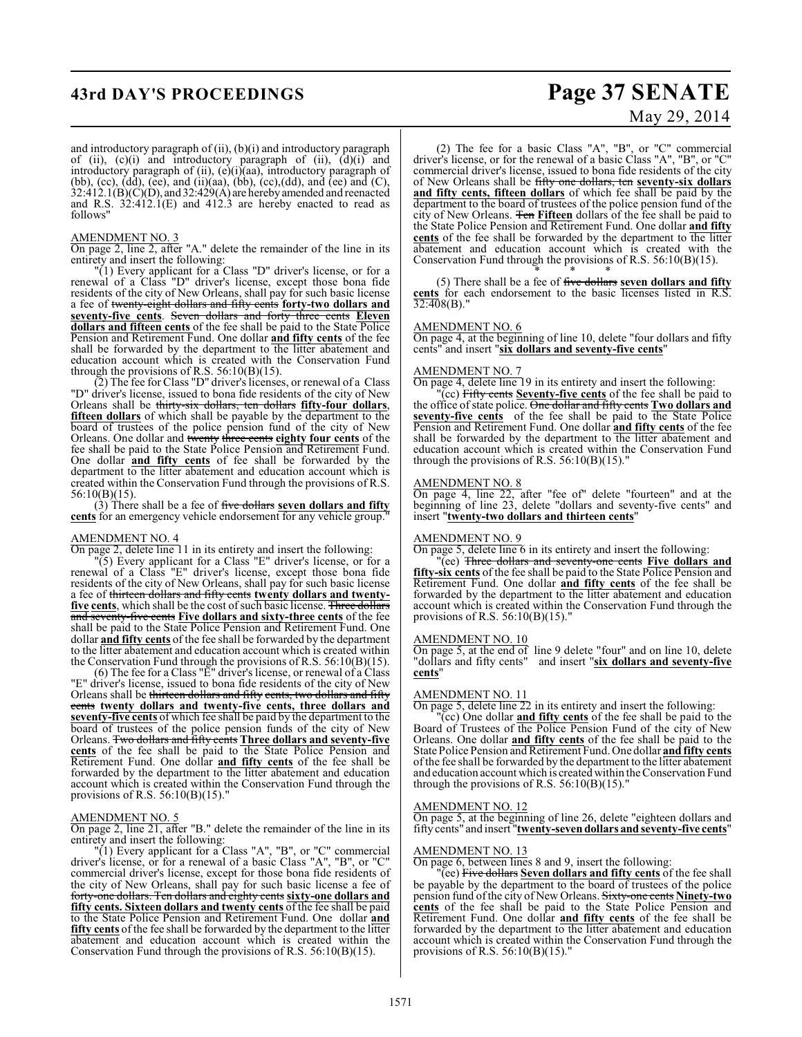# **43rd DAY'S PROCEEDINGS Page 37 SENATE**

# May 29, 2014

and introductory paragraph of (ii), (b)(i) and introductory paragraph of (ii), (c)(i) and introductory paragraph of (ii), (d)(i) and introductory paragraph of (ii), (e)(i)(aa), introductory paragraph of (bb), (cc),  $(d\bar{d})$ , (ee), and (ii)(aa), (bb), (cc),(dd), and (ee) and (C),  $32:412.1(B)(C)(D)$ , and  $32:429(A)$  are hereby amended and reenacted and R.S.  $32:412.1(E)$  and  $412.3$  are hereby enacted to read as follows"

#### AMENDMENT NO. 3

On page 2, line 2, after "A." delete the remainder of the line in its entirety and insert the following:

"(1) Every applicant for a Class "D" driver's license, or for a renewal of a Class "D" driver's license, except those bona fide residents of the city of New Orleans, shall pay for such basic license a fee of twenty-eight dollars and fifty cents **forty-two dollars and seventy-five cents**. Seven dollars and forty three cents **Eleven dollars and fifteen cents** of the fee shall be paid to the State Police Pension and Retirement Fund. One dollar **and fifty cents** of the fee shall be forwarded by the department to the litter abatement and education account which is created with the Conservation Fund through the provisions of R.S.  $56:10(B)(15)$ .

(2) The fee for Class "D" driver's licenses, or renewal of a Class "D" driver's license, issued to bona fide residents of the city of New Orleans shall be thirty-six dollars, ten dollars **fifty-four dollars**, **fifteen dollars** of which shall be payable by the department to the board of trustees of the police pension fund of the city of New Orleans. One dollar and twenty three cents **eighty four cents** of the fee shall be paid to the State Police Pension and Retirement Fund. One dollar **and fifty cents** of fee shall be forwarded by the department to the litter abatement and education account which is created within the Conservation Fund through the provisions of R.S. 56:10(B)(15).

(3) There shall be a fee of five dollars **seven dollars and fifty cents** for an emergency vehicle endorsement for any vehicle group.

#### AMENDMENT NO. 4

On page 2, delete line 11 in its entirety and insert the following:

"(5) Every applicant for a Class "E" driver's license, or for a renewal of a Class "E" driver's license, except those bona fide residents of the city of New Orleans, shall pay for such basic license a fee of thirteen dollars and fifty cents **twenty dollars and twentyfive cents**, which shall be the cost of such basic license. Three dollars and seventy-five cents **Five dollars and sixty-three cents** of the fee shall be paid to the State Police Pension and Retirement Fund. One dollar **and fifty cents** of the fee shall be forwarded by the department to the litter abatement and education account which is created within the Conservation Fund through the provisions of R.S. 56:10(B)(15).

(6) The fee for a Class "E" driver's license, or renewal of a Class "E" driver's license, issued to bona fide residents of the city of New Orleans shall be thirteen dollars and fifty cents, two dollars and fifty cents **twenty dollars and twenty-five cents, three dollars and seventy-five cents** of which fee shall be paid by the department to the board of trustees of the police pension funds of the city of New Orleans. Two dollars and fifty cents **Three dollars and seventy-five cents** of the fee shall be paid to the State Police Pension and Retirement Fund. One dollar **and fifty cents** of the fee shall be forwarded by the department to the litter abatement and education account which is created within the Conservation Fund through the provisions of R.S. 56:10(B)(15)."

#### AMENDMENT NO. 5

On page 2, line 21, after "B." delete the remainder of the line in its entirety and insert the following:

"(1) Every applicant for a Class "A", "B", or "C" commercial driver's license, or for a renewal of a basic Class "A", "B", or "C" commercial driver's license, except for those bona fide residents of the city of New Orleans, shall pay for such basic license a fee of forty-one dollars. Ten dollars and eighty cents **sixty-one dollars and fifty cents. Sixteen dollars and twenty cents** of the fee shall be paid to the State Police Pension and Retirement Fund. One dollar **and fifty cents** of the fee shall be forwarded by the department to the litter abatement and education account which is created within the Conservation Fund through the provisions of R.S. 56:10(B)(15).

(2) The fee for a basic Class "A", "B", or "C" commercial driver's license, or for the renewal of a basic Class "A", "B", or "C" commercial driver's license, issued to bona fide residents of the city of New Orleans shall be fifty one dollars, ten **seventy-six dollars and fifty cents, fifteen dollars** of which fee shall be paid by the department to the board of trustees of the police pension fund of the city of New Orleans. Ten **Fifteen** dollars of the fee shall be paid to the State Police Pension and Retirement Fund. One dollar **and fifty cents** of the fee shall be forwarded by the department to the litter abatement and education account which is created with the Conservation Fund through the provisions of R.S. 56:10(B)(15).

\* \* \* (5) There shall be a fee of five dollars **seven dollars and fifty** cents for each endorsement to the basic licenses listed in R.S.  $32:408(B)$ .

#### AMENDMENT NO. 6

On page 4, at the beginning of line 10, delete "four dollars and fifty cents" and insert "**six dollars and seventy-five cents**"

#### AMENDMENT NO. 7

On page 4, delete line 19 in its entirety and insert the following:

"(cc) Fifty cents **Seventy-five cents** of the fee shall be paid to the office of state police. One dollar and fifty cents **Two dollars and** seventy-five cents of the fee shall be paid to the State Police Pension and Retirement Fund. One dollar **and fifty cents** of the fee shall be forwarded by the department to the litter abatement and education account which is created within the Conservation Fund through the provisions of R.S.  $56:10(B)(15)$ ."

#### AMENDMENT NO. 8

On page 4, line 22, after "fee of" delete "fourteen" and at the beginning of line 23, delete "dollars and seventy-five cents" and insert "**twenty-two dollars and thirteen cents**"

#### AMENDMENT NO. 9

On page 5, delete line 6 in its entirety and insert the following:

"(ee) Three dollars and seventy-one cents **Five dollars and fifty-six cents** of the fee shall be paid to the State Police Pension and Retirement Fund. One dollar **and fifty cents** of the fee shall be forwarded by the department to the litter abatement and education account which is created within the Conservation Fund through the provisions of R.S. 56:10(B)(15)."

#### AMENDMENT NO. 10

On page 5, at the end of line 9 delete "four" and on line 10, delete "dollars and fifty cents" and insert "**six dollars and seventy-five cents**"

#### AMENDMENT NO. 11

On page 5, delete line 22 in its entirety and insert the following:

"(cc) One dollar **and fifty cents** of the fee shall be paid to the Board of Trustees of the Police Pension Fund of the city of New Orleans. One dollar **and fifty cents** of the fee shall be paid to the State Police Pension and Retirement Fund. One dollar **and fifty cents** of the fee shall be forwarded by the department to the litter abatement and education account which is created within the Conservation Fund through the provisions of R.S.  $56:10(B)(15)$ ."

#### AMENDMENT NO. 12

On page 5, at the beginning of line 26, delete "eighteen dollars and fifty cents" and insert "**twenty-seven dollars and seventy-five cents**"

### AMENDMENT NO. 13

On page 6, between lines 8 and 9, insert the following:

"(ee) Five dollars **Seven dollars and fifty cents** of the fee shall be payable by the department to the board of trustees of the police pension fund of the city of New Orleans. Sixty-one cents **Ninety-two cents** of the fee shall be paid to the State Police Pension and Retirement Fund. One dollar **and fifty cents** of the fee shall be forwarded by the department to the litter abatement and education account which is created within the Conservation Fund through the provisions of R.S. 56:10(B)(15)."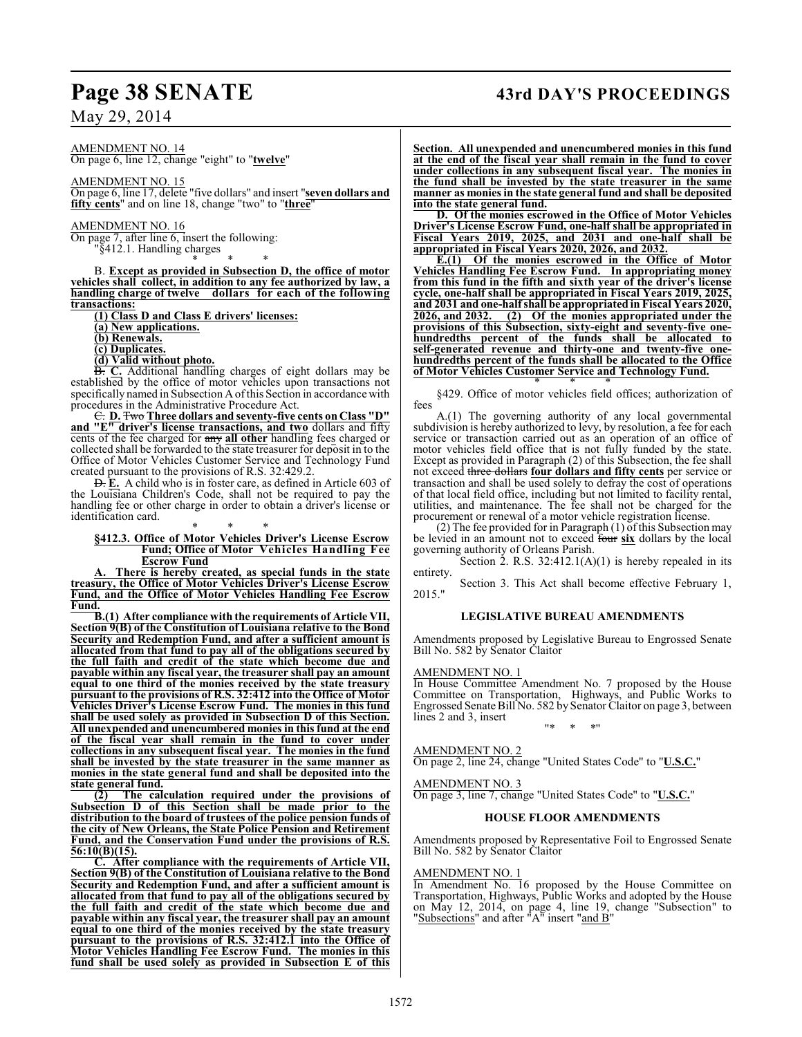AMENDMENT NO. 14 On page 6, line 12, change "eight" to "**twelve**"

AMENDMENT NO. 15

On page 6, line 17, delete "five dollars" and insert "**seven dollars and fifty cents**" and on line 18, change "two" to "**three**"

AMENDMENT NO. 16

On page 7, after line 6, insert the following: "§412.1. Handling charges

\* \* \*

B. **Except as provided in Subsection D, the office of motor vehicles shall collect, in addition to any fee authorized by law, a handling charge of twelve dollars for each of the following transactions:**

**(1) Class D and Class E drivers' licenses:**

- **(a) New applications.**
- **(b) Renewals.**
- **(c) Duplicates.**
- **(d) Valid without photo.**

B. **C.** Additional handling charges of eight dollars may be established by the office of motor vehicles upon transactions not specifically named in Subsection A of this Section in accordance with procedures in the Administrative Procedure Act.

C. **D.** Two **Three dollars and seventy-five cents on Class "D" and "E" driver's license transactions, and two** dollars and fifty cents of the fee charged for any **all other** handling fees charged or collected shall be forwarded to the state treasurer for deposit in to the Office of Motor Vehicles Customer Service and Technology Fund created pursuant to the provisions of R.S. 32:429.2.

D. **E.** A child who is in foster care, as defined in Article 603 of the Louisiana Children's Code, shall not be required to pay the handling fee or other charge in order to obtain a driver's license or identification card.

#### \* \* \* **§412.3. Office of Motor Vehicles Driver's License Escrow Fund; Office of Motor Vehicles Handling Fee Escrow Fund**

There is hereby created, as special funds in the state **treasury, the Office of Motor Vehicles Driver's License Escrow Fund, and the Office of Motor Vehicles Handling Fee Escrow Fund.**

**B.(1) After compliance with the requirements of Article VII, Section 9(B) of the Constitution of Louisiana relative to the Bond Security and Redemption Fund, and after a sufficient amount is allocated from that fund to pay all of the obligations secured by the full faith and credit of the state which become due and payable within any fiscal year, the treasurer shall pay an amount equal to one third of the monies received by the state treasury pursuant to the provisions of R.S. 32:412 into the Office of Motor Vehicles Driver's License Escrow Fund. The monies in this fund shall be used solely as provided in Subsection D of this Section. All unexpended and unencumbered monies in this fund at the end of the fiscal year shall remain in the fund to cover under collections in any subsequent fiscal year. The monies in the fund shall be invested by the state treasurer in the same manner as monies in the state general fund and shall be deposited into the state general fund.**

**(2) The calculation required under the provisions of Subsection D of this Section shall be made prior to the distribution to the board of trustees of the police pension funds of the city of New Orleans, the State Police Pension and Retirement Fund, and the Conservation Fund under the provisions of R.S. 56:10(B)(15).**

**C. After compliance with the requirements of Article VII, Section 9(B) of the Constitution of Louisiana relative to the Bond Security and Redemption Fund, and after a sufficient amount is allocated from that fund to pay all of the obligations secured by the full faith and credit of the state which become due and payable within any fiscal year, the treasurer shall pay an amount equal to one third of the monies received by the state treasury pursuant to the provisions of R.S. 32:412.1 into the Office of Motor Vehicles Handling Fee Escrow Fund. The monies in this fund shall be used solely as provided in Subsection E of this**

## **Page 38 SENATE 43rd DAY'S PROCEEDINGS**

**Section. All unexpended and unencumbered monies in this fund at the end of the fiscal year shall remain in the fund to cover under collections in any subsequent fiscal year. The monies in the fund shall be invested by the state treasurer in the same manner as monies in the state general fund and shall be deposited into the state general fund.**

**D. Of the monies escrowed in the Office of Motor Vehicles Driver's License Escrow Fund, one-half shall be appropriated in Fiscal Years 2019, 2025, and 2031 and one-half shall be appropriated in Fiscal Years 2020, 2026, and 2032.** 

**E.(1) Of the monies escrowed in the Office of Motor Vehicles Handling Fee Escrow Fund. In appropriating money from this fund in the fifth and sixth year of the driver's license cycle, one-half shall be appropriated in Fiscal Years 2019, 2025, and 2031 and one-half shall be appropriated in Fiscal Years 2020, 2026, and 2032. (2) Of the monies appropriated under the provisions of this Subsection, sixty-eight and seventy-five onehundredths percent of the funds shall be allocated to self-generated revenue and thirty-one and twenty-five onehundredths percent of the funds shall be allocated to the Office of Motor Vehicles Customer Service and Technology Fund.**

\* \* \* §429. Office of motor vehicles field offices; authorization of fees

A.(1) The governing authority of any local governmental subdivision is hereby authorized to levy, by resolution, a fee for each service or transaction carried out as an operation of an office of motor vehicles field office that is not fully funded by the state. Except as provided in Paragraph (2) of this Subsection, the fee shall not exceed three dollars **four dollars and fifty cents** per service or transaction and shall be used solely to defray the cost of operations of that local field office, including but not limited to facility rental, utilities, and maintenance. The fee shall not be charged for the procurement or renewal of a motor vehicle registration license.

(2) The fee provided for in Paragraph (1) of this Subsection may be levied in an amount not to exceed four **six** dollars by the local governing authority of Orleans Parish.

Section 2. R.S.  $32:412.1(A)(1)$  is hereby repealed in its entirety.

Section 3. This Act shall become effective February 1, 2015."

#### **LEGISLATIVE BUREAU AMENDMENTS**

Amendments proposed by Legislative Bureau to Engrossed Senate Bill No. 582 by Senator Claitor

#### AMENDMENT NO. 1

In House Committee Amendment No. 7 proposed by the House Committee on Transportation, Highways, and Public Works to Engrossed Senate Bill No. 582 by Senator Claitor on page 3, between lines 2 and 3, insert

"\* \* \*"

AMENDMENT NO. 2 On page 2, line 24, change "United States Code" to "**U.S.C.**"

AMENDMENT NO. 3 On page 3, line 7, change "United States Code" to "**U.S.C.**"

#### **HOUSE FLOOR AMENDMENTS**

Amendments proposed by Representative Foil to Engrossed Senate Bill No. 582 by Senator Claitor

#### AMENDMENT NO. 1

In Amendment No. 16 proposed by the House Committee on Transportation, Highways, Public Works and adopted by the House on May 12, 2014, on page 4, line 19, change "Subsection" to "Subsections" and after "A" insert "and B"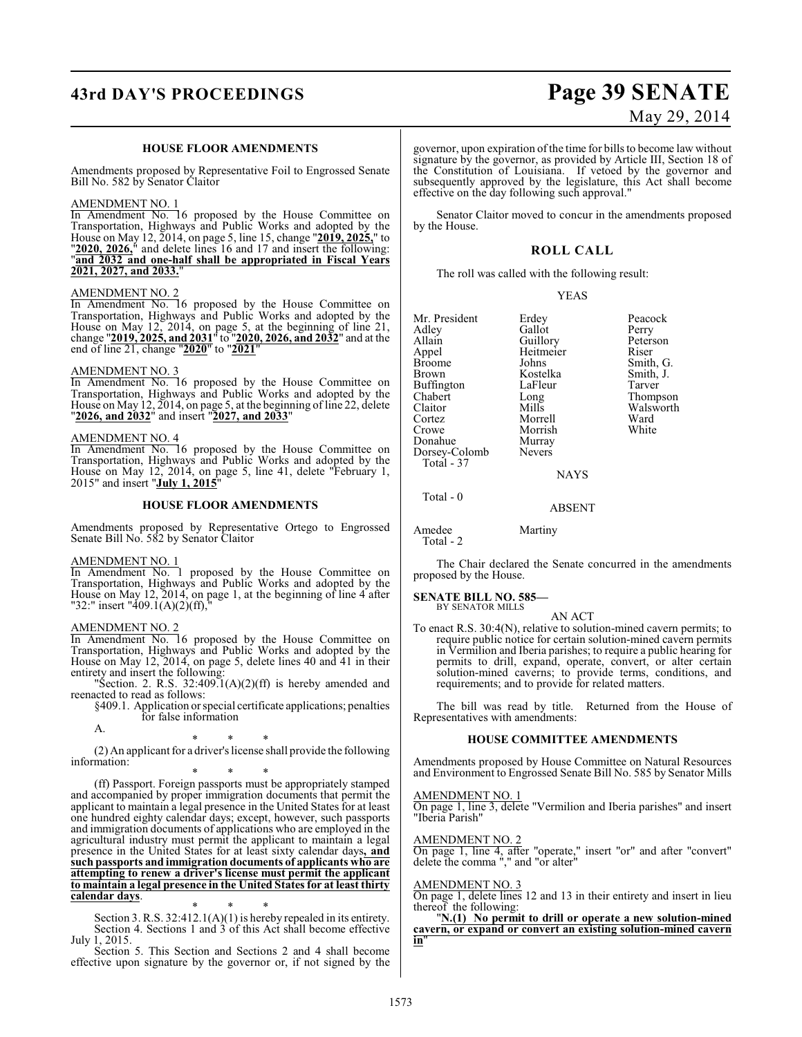## **43rd DAY'S PROCEEDINGS Page 39 SENATE**

#### **HOUSE FLOOR AMENDMENTS**

Amendments proposed by Representative Foil to Engrossed Senate Bill No. 582 by Senator Claitor

#### AMENDMENT NO. 1

In Amendment No. 16 proposed by the House Committee on Transportation, Highways and Public Works and adopted by the House on May 12, 2014, on page 5, line 15, change "**2019, 2025,**" to "**2020, 2026,**" and delete lines 16 and 17 and insert the following: "**and 2032 and one-half shall be appropriated in Fiscal Years 2021, 2027, and 2033.**"

#### AMENDMENT NO. 2

In Amendment No. 16 proposed by the House Committee on Transportation, Highways and Public Works and adopted by the House on May 12, 2014, on page 5, at the beginning of line 21, change "**2019, 2025, and 2031**" to "**2020, 2026, and 2032**" and at the end of line 21, change "**2020**" to "**2021**"

#### AMENDMENT NO. 3

In Amendment No. 16 proposed by the House Committee on Transportation, Highways and Public Works and adopted by the House on May 12, 2014, on page 5, at the beginning of line 22, delete "**2026, and 2032**" and insert "**2027, and 2033**"

#### AMENDMENT NO. 4

In Amendment No. 16 proposed by the House Committee on Transportation, Highways and Public Works and adopted by the House on May 12, 2014, on page 5, line 41, delete "February 1, 2015" and insert "**July 1, 2015**"

#### **HOUSE FLOOR AMENDMENTS**

Amendments proposed by Representative Ortego to Engrossed Senate Bill No. 582 by Senator Claitor

#### AMENDMENT NO. 1

In Amendment No. 1 proposed by the House Committee on Transportation, Highways and Public Works and adopted by the House on May 12, 2014, on page 1, at the beginning of line 4 after "32:" insert "409.1(A)(2)(ff),"

#### AMENDMENT NO. 2

In Amendment No. 16 proposed by the House Committee on Transportation, Highways and Public Works and adopted by the House on May 12, 2014, on page 5, delete lines 40 and 41 in their entirety and insert the following:

"Section. 2. R.S.  $32:409.1(A)(2)(ff)$  is hereby amended and reenacted to read as follows:

§409.1. Application or special certificate applications; penalties for false information

A.

\* \* \*

(2) An applicant for a driver's license shall provide the following information:

\* \* \* (ff) Passport. Foreign passports must be appropriately stamped and accompanied by proper immigration documents that permit the applicant to maintain a legal presence in the United States for at least one hundred eighty calendar days; except, however, such passports and immigration documents of applications who are employed in the agricultural industry must permit the applicant to maintain a legal presence in the United States for at least sixty calendar days**, and such passports and immigration documents of applicants who are attempting to renew a driver's license must permit the applicant to maintain a legal presence in the United States for at least thirty calendar days**.

\* \* \* Section 3. R.S. 32:412.1(A)(1) is hereby repealed in its entirety. Section 4. Sections 1 and 3 of this Act shall become effective July 1, 2015.

Section 5. This Section and Sections 2 and 4 shall become effective upon signature by the governor or, if not signed by the

# May 29, 2014

governor, upon expiration ofthe time for bills to become law without signature by the governor, as provided by Article III, Section 18 of the Constitution of Louisiana. If vetoed by the governor and subsequently approved by the legislature, this Act shall become effective on the day following such approval."

Senator Claitor moved to concur in the amendments proposed by the House.

#### **ROLL CALL**

The roll was called with the following result:

YEAS

Mr. President Erdey Peacock<br>Adley Gallot Perry Adley Gallot Perry<br>Allain Guillory Peterson Allain Guillory Peters<br>Appel Heitmeier Riser Appel Heitmeier<br>Broome Johns Broome Johns Smith, G.<br>Brown Kostelka Smith, J. Buffington LaFle<br>Chabert Long Chabert Long Thompson Claitor Mills Walsworth<br>Cortez Morrell Ward Cortez Morrell Ward Donahue Murray<br>Dorsey-Colomb Nevers Dorsey-Colomb Total - 37

Kostelka Smith,<br>LaFleur Tarver

Morrish<br>Murray

Total - 0

Amedee Martiny Total - 2

The Chair declared the Senate concurred in the amendments proposed by the House.

**NAYS** 

ABSENT

#### **SENATE BILL NO. 585—**

BY SENATOR MILLS AN ACT

To enact R.S. 30:4(N), relative to solution-mined cavern permits; to require public notice for certain solution-mined cavern permits in Vermilion and Iberia parishes; to require a public hearing for permits to drill, expand, operate, convert, or alter certain solution-mined caverns; to provide terms, conditions, and requirements; and to provide for related matters.

The bill was read by title. Returned from the House of Representatives with amendments:

#### **HOUSE COMMITTEE AMENDMENTS**

Amendments proposed by House Committee on Natural Resources and Environment to Engrossed Senate Bill No. 585 by Senator Mills

AMENDMENT NO. 1

On page 1, line 3, delete "Vermilion and Iberia parishes" and insert "Iberia Parish"

AMENDMENT NO. 2

On page 1, line 4, after "operate," insert "or" and after "convert" delete the comma "," and "or alter"

AMENDMENT NO. 3

On page 1, delete lines 12 and 13 in their entirety and insert in lieu thereof the following:

"**N.(1) No permit to drill or operate a new solution-mined cavern, or expand or convert an existing solution-mined cavern in**"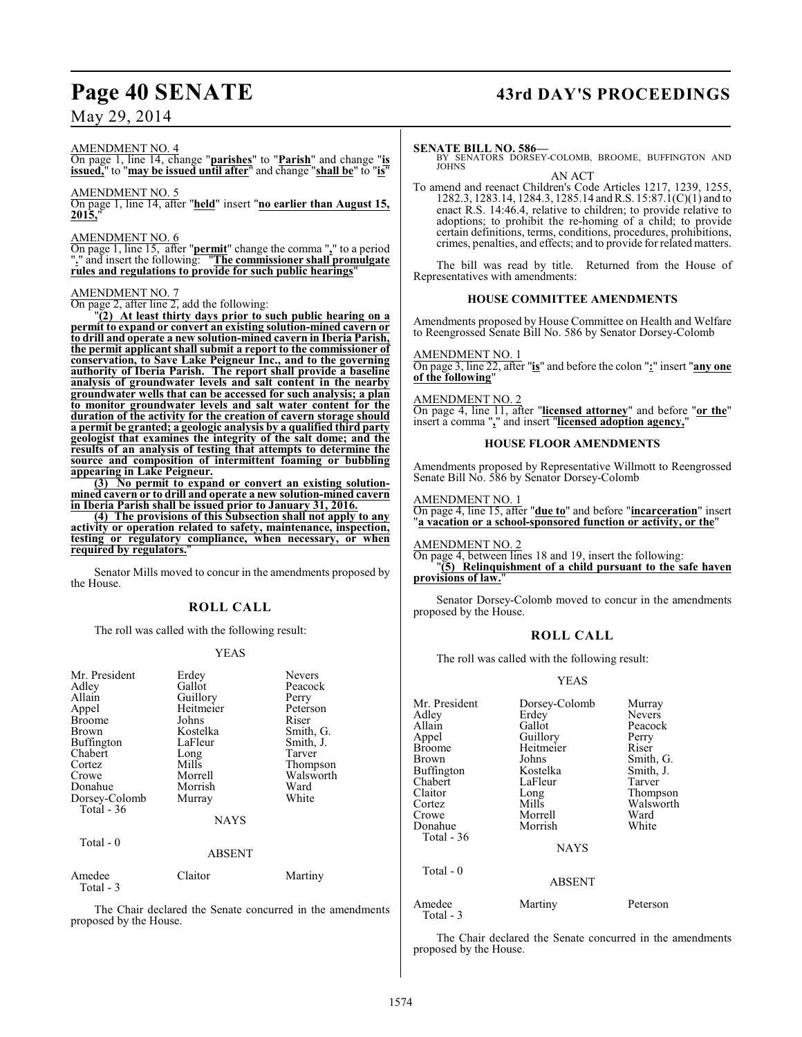# Page 40 SENATE 43rd DAY'S PROCEEDINGS

May 29, 2014

#### AMENDMENT NO. 4

On page 1, line 14, change "**parishes**" to "**Parish**" and change "**is issued,**" to "**may be issued until after**" and change "**shall be**" to "**is**"

#### AMENDMENT NO. 5

On page 1, line 14, after "**held**" insert "**no earlier than August 15, 2015,**"

#### AMENDMENT NO. 6

On page 1, line 15, after "**permit**" change the comma "**,**" to a period "**.**" and insert the following: "**The commissioner shall promulgate rules and regulations to provide for such public hearings**"

#### AMENDMENT NO. 7

On page 2, after line 2, add the following:

"**(2) At least thirty days prior to such public hearing on a permit to expand or convert an existing solution-mined cavern or to drill and operate a new solution-mined cavern in Iberia Parish, the permit applicant shall submit a report to the commissioner of conservation, to Save Lake Peigneur Inc., and to the governing authority of Iberia Parish. The report shall provide a baseline analysis of groundwater levels and salt content in the nearby groundwater wells that can be accessed for such analysis; a plan to monitor groundwater levels and salt water content for the duration of the activity for the creation of cavern storage should a permit be granted; a geologic analysis by a qualified third party geologist that examines the integrity of the salt dome; and the results of an analysis of testing that attempts to determine the source and composition of intermittent foaming or bubbling appearing in Lake Peigneur.**

**(3) No permit to expand or convert an existing solutionmined cavern or to drill and operate a new solution-mined cavern in Iberia Parish shall be issued prior to January 31, 2016.**

**(4) The provisions of this Subsection shall not apply to any activity or operation related to safety, maintenance, inspection, testing or regulatory compliance, when necessary, or when required by regulators.**"

Senator Mills moved to concur in the amendments proposed by the House.

#### **ROLL CALL**

The roll was called with the following result:

#### YEAS

| Mr. President<br>Adley<br>Allain<br>Appel<br><b>Broome</b><br>Brown<br><b>Buffington</b><br>Chabert<br>Cortez<br>Crowe<br>Donahue<br>Dorsey-Colomb<br>Total $-36$ | Erdey<br>Gallot<br>Guillory<br>Heitmeier<br>Johns<br>Kostelka<br>LaFleur<br>Long<br>Mills<br>Morrell<br>Morrish<br>Murray<br><b>NAYS</b> | <b>Nevers</b><br>Peacock<br>Perry<br>Peterson<br>Riser<br>Smith, G.<br>Smith, J.<br>Tarver<br>Thompson<br>Walsworth<br>Ward<br>White |
|-------------------------------------------------------------------------------------------------------------------------------------------------------------------|------------------------------------------------------------------------------------------------------------------------------------------|--------------------------------------------------------------------------------------------------------------------------------------|
| Total - 0                                                                                                                                                         | ABSENT                                                                                                                                   |                                                                                                                                      |
| Amedee<br>Total - 3                                                                                                                                               | Claitor                                                                                                                                  | Martiny                                                                                                                              |

The Chair declared the Senate concurred in the amendments proposed by the House.

#### **SENATE BILL NO. 586—**

BY SENATORS DORSEY-COLOMB, BROOME, BUFFINGTON AND JOHNS

AN ACT To amend and reenact Children's Code Articles 1217, 1239, 1255, 1282.3, 1283.14, 1284.3, 1285.14 and R.S. 15:87.1(C)(1) and to enact R.S. 14:46.4, relative to children; to provide relative to adoptions; to prohibit the re-homing of a child; to provide certain definitions, terms, conditions, procedures, prohibitions, crimes, penalties, and effects; and to provide for related matters.

The bill was read by title. Returned from the House of Representatives with amendments:

#### **HOUSE COMMITTEE AMENDMENTS**

Amendments proposed by House Committee on Health and Welfare to Reengrossed Senate Bill No. 586 by Senator Dorsey-Colomb

#### AMENDMENT NO. 1

On page 3, line 22, after "**is**" and before the colon "**:**" insert "**any one of the following**"

#### AMENDMENT NO. 2

On page 4, line 11, after "**licensed attorney**" and before "**or the**" insert a comma "**,**" and insert "**licensed adoption agency,**"

#### **HOUSE FLOOR AMENDMENTS**

Amendments proposed by Representative Willmott to Reengrossed Senate Bill No. 586 by Senator Dorsey-Colomb

#### AMENDMENT NO. 1

On page 4, line 15, after "**due to**" and before "**incarceration**" insert "**a vacation or a school-sponsored function or activity, or the**"

AMENDMENT NO. 2

On page 4, between lines 18 and 19, insert the following:

"**(5) Relinquishment of a child pursuant to the safe haven** provisions of law.

Senator Dorsey-Colomb moved to concur in the amendments proposed by the House.

#### **ROLL CALL**

The roll was called with the following result:

#### YEAS

| Mr. President<br>Adley<br>Allain<br>Appel<br><b>Broome</b><br><b>Brown</b><br><b>Buffington</b><br>Chabert<br>Claitor<br>Cortez | Dorsey-Colomb<br>Erdey<br>Gallot<br>Guillory<br>Heitmeier<br>Johns<br>Kostelka<br>LaFleur<br>Long<br>Mills | Murray<br><b>Nevers</b><br>Peacock<br>Perry<br>Riser<br>Smith, G.<br>Smith, J.<br>Tarver<br>Thompson<br>Walsworth |
|---------------------------------------------------------------------------------------------------------------------------------|------------------------------------------------------------------------------------------------------------|-------------------------------------------------------------------------------------------------------------------|
| Crowe<br>Donahue<br>Total - 36<br>Total - 0                                                                                     | Morrell<br>Morrish<br><b>NAYS</b>                                                                          | Ward<br>White                                                                                                     |
|                                                                                                                                 | <b>ABSENT</b>                                                                                              |                                                                                                                   |
| Amedee                                                                                                                          | Martiny                                                                                                    | Peterson                                                                                                          |

The Chair declared the Senate concurred in the amendments proposed by the House.

Total - 3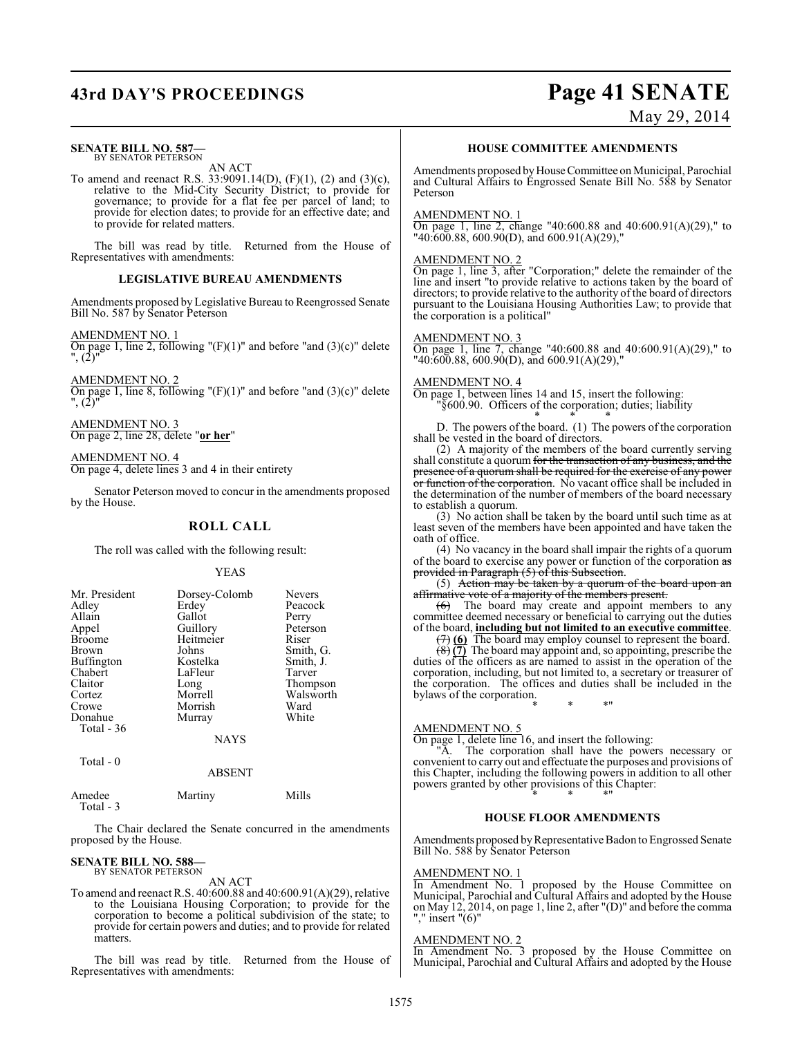## **43rd DAY'S PROCEEDINGS Page 41 SENATE**

## May 29, 2014

#### **SENATE BILL NO. 587—** BY SENATOR PETERSON

AN ACT

To amend and reenact R.S. 33:9091.14(D), (F)(1), (2) and (3)(c), relative to the Mid-City Security District; to provide for governance; to provide for a flat fee per parcel of land; to provide for election dates; to provide for an effective date; and to provide for related matters.

The bill was read by title. Returned from the House of Representatives with amendments:

#### **LEGISLATIVE BUREAU AMENDMENTS**

Amendments proposed by Legislative Bureau to Reengrossed Senate Bill No. 587 by Senator Peterson

AMENDMENT NO. 1

On page 1, line 2, following " $(F)(1)$ " and before "and  $(3)(c)$ " delete ", (2)"

AMENDMENT NO. 2 On page 1, line 8, following " $(F)(1)$ " and before "and  $(3)(c)$ " delete ", (2)"

AMENDMENT NO. 3 On page 2, line 28, delete "**or her**"

AMENDMENT NO. 4 On page 4, delete lines 3 and 4 in their entirety

Senator Peterson moved to concur in the amendments proposed by the House.

#### **ROLL CALL**

The roll was called with the following result:

#### YEAS

| Mr. President<br>Adley<br>Allain<br>Appel<br><b>Broome</b><br><b>Brown</b><br><b>Buffington</b><br>Chabert<br>Claitor<br>Cortez<br>Crowe<br>Donahue<br>Total $-36$ | Dorsey-Colomb<br>Erdey<br>Gallot<br>Guillory<br>Heitmeier<br>Johns<br>Kostelka<br>LaFleur<br>Long<br>Morrell<br>Morrish<br>Murray | <b>Nevers</b><br>Peacock<br>Perry<br>Peterson<br>Riser<br>Smith, G.<br>Smith, J.<br>Tarver<br>Thompson<br>Walsworth<br>Ward<br>White |
|--------------------------------------------------------------------------------------------------------------------------------------------------------------------|-----------------------------------------------------------------------------------------------------------------------------------|--------------------------------------------------------------------------------------------------------------------------------------|
|                                                                                                                                                                    | <b>NAYS</b>                                                                                                                       |                                                                                                                                      |

 $Total - 0$ 

Total - 3

ABSENT

Amedee Martiny Mills

The Chair declared the Senate concurred in the amendments proposed by the House.

## **SENATE BILL NO. 588—** BY SENATOR PETERSON

AN ACT

To amend and reenact R.S. 40:600.88 and 40:600.91(A)(29), relative to the Louisiana Housing Corporation; to provide for the corporation to become a political subdivision of the state; to provide for certain powers and duties; and to provide for related matters.

The bill was read by title. Returned from the House of Representatives with amendments:

#### **HOUSE COMMITTEE AMENDMENTS**

Amendments proposed by House Committee on Municipal, Parochial and Cultural Affairs to Engrossed Senate Bill No. 588 by Senator Peterson

#### AMENDMENT NO. 1

On page 1, line 2, change "40:600.88 and 40:600.91(A)(29)," to "40:600.88, 600.90(D), and 600.91(A)(29),"

#### AMENDMENT NO. 2

On page 1, line 3, after "Corporation;" delete the remainder of the line and insert "to provide relative to actions taken by the board of directors; to provide relative to the authority of the board of directors pursuant to the Louisiana Housing Authorities Law; to provide that the corporation is a political"

#### AMENDMENT NO. 3

On page 1, line 7, change "40:600.88 and 40:600.91(A)(29)," to "40:600.88, 600.90(D), and 600.91(A)(29),"

#### AMENDMENT NO. 4

On page 1, between lines 14 and 15, insert the following: "§600.90. Officers of the corporation; duties; liability

\* \* \* D. The powers of the board. (1) The powers of the corporation shall be vested in the board of directors.

(2) A majority of the members of the board currently serving shall constitute a quorum for the transaction of any business, and the presence of a quorum shall be required for the exercise of any power or function of the corporation. No vacant office shall be included in the determination of the number of members of the board necessary to establish a quorum.

(3) No action shall be taken by the board until such time as at least seven of the members have been appointed and have taken the oath of office.

(4) No vacancy in the board shall impair the rights of a quorum of the board to exercise any power or function of the corporation as provided in Paragraph (5) of this Subsection.

(5) Action may be taken by a quorum of the board upon an affirmative vote of a majority of the members present.

 $(6)$  The board may create and appoint members to any committee deemed necessary or beneficial to carrying out the duties of the board, **including but not limited to an executive committee**.

(7) **(6)** The board may employ counsel to represent the board.

(8) **(7)** The board may appoint and, so appointing, prescribe the duties of the officers as are named to assist in the operation of the corporation, including, but not limited to, a secretary or treasurer of the corporation. The offices and duties shall be included in the bylaws of the corporation. \* \* \*"

#### AMENDMENT NO. 5

On page 1, delete line 16, and insert the following:

"A. The corporation shall have the powers necessary or convenient to carry out and effectuate the purposes and provisions of this Chapter, including the following powers in addition to all other powers granted by other provisions of this Chapter: \* \* \*"

#### **HOUSE FLOOR AMENDMENTS**

Amendments proposed by Representative Badon to Engrossed Senate Bill No. 588 by Senator Peterson

#### AMENDMENT NO. 1

In Amendment No. 1 proposed by the House Committee on Municipal, Parochial and Cultural Affairs and adopted by the House on May 12, 2014, on page 1, line 2, after "(D)" and before the comma "," insert "(6)"

#### AMENDMENT NO. 2

In Amendment No. 3 proposed by the House Committee on Municipal, Parochial and Cultural Affairs and adopted by the House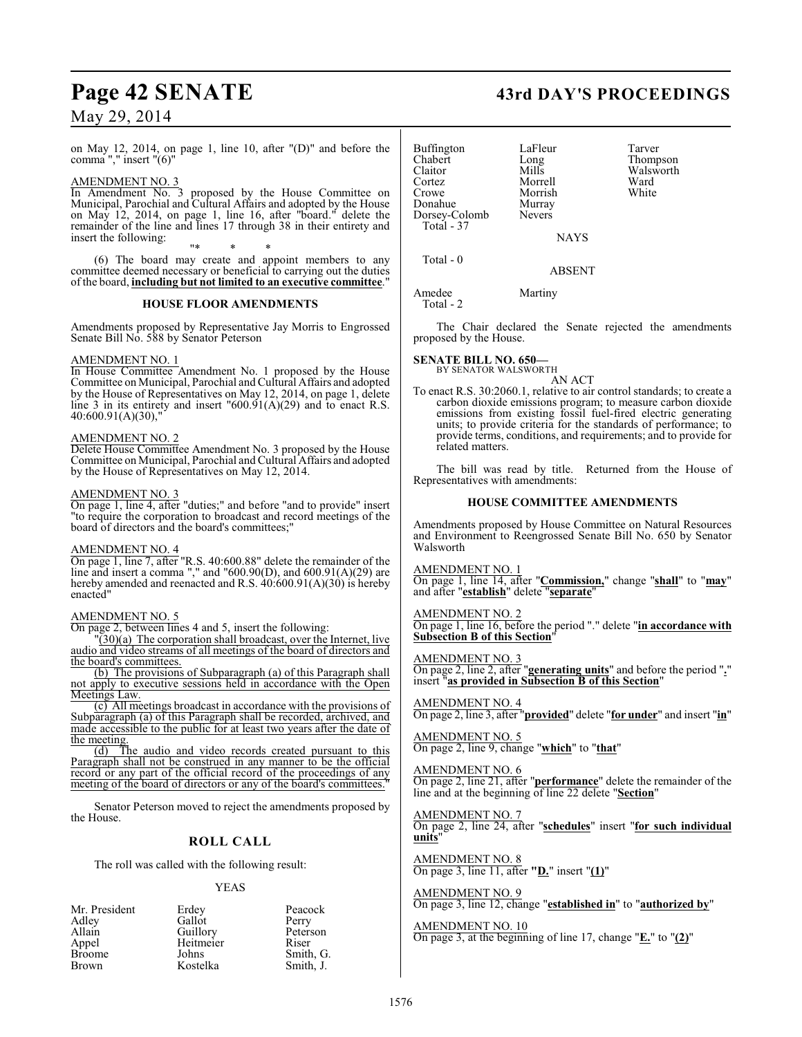# Page 42 SENATE 43rd DAY'S PROCEEDINGS

## May 29, 2014

on May 12, 2014, on page 1, line 10, after "(D)" and before the comma "," insert "(6)"

#### AMENDMENT NO. 3

In Amendment No. 3 proposed by the House Committee on Municipal, Parochial and Cultural Affairs and adopted by the House on May 12, 2014, on page 1, line 16, after "board." delete the remainder of the line and lines 17 through 38 in their entirety and insert the following:

"\* \* \* (6) The board may create and appoint members to any committee deemed necessary or beneficial to carrying out the duties of the board, **including but not limited to an executive committee**."

#### **HOUSE FLOOR AMENDMENTS**

Amendments proposed by Representative Jay Morris to Engrossed Senate Bill No. 588 by Senator Peterson

#### AMENDMENT NO. 1

In House Committee Amendment No. 1 proposed by the House Committee on Municipal, Parochial and Cultural Affairs and adopted by the House of Representatives on May 12, 2014, on page 1, delete line 3 in its entirety and insert  $(600.91(A)(29))$  and to enact R.S. 40:600.91(A)(30),"

#### AMENDMENT NO. 2

Delete House Committee Amendment No. 3 proposed by the House Committee on Municipal, Parochial and Cultural Affairs and adopted by the House of Representatives on May 12, 2014.

#### AMENDMENT NO. 3

On page 1, line 4, after "duties;" and before "and to provide" insert "to require the corporation to broadcast and record meetings of the board of directors and the board's committees;"

#### AMENDMENT NO. 4

On page 1, line 7, after "R.S. 40:600.88" delete the remainder of the line and insert a comma "," and "600.90(D), and 600.91(A)(29) are hereby amended and reenacted and R.S.  $40:(600.91(A)(30))$  is hereby enacted"

#### AMENDMENT NO. 5

On page 2, between lines 4 and 5, insert the following:

 $\Gamma(30)(a)$  The corporation shall broadcast, over the Internet, live audio and video streams of all meetings of the board of directors and the board's committees.

(b) The provisions of Subparagraph (a) of this Paragraph shall not apply to executive sessions held in accordance with the Open Meetings Law.

(c) All meetings broadcast in accordance with the provisions of Subparagraph (a) of this Paragraph shall be recorded, archived, and made accessible to the public for at least two years after the date of the meeting.

(d) The audio and video records created pursuant to this Paragraph shall not be construed in any manner to be the official record or any part of the official record of the proceedings of any meeting of the board of directors or any of the board's committees.

Senator Peterson moved to reject the amendments proposed by the House.

## **ROLL CALL**

The roll was called with the following result:

#### YEAS

|           | Peacock   |
|-----------|-----------|
| Gallot    | Perry     |
| Guillory  | Peterson  |
| Heitmeier | Riser     |
| Johns     | Smith, G. |
| Kostelka  | Smith, J. |
|           | Erdey     |

Buffington LaFleur Tarver<br>
Chabert Long Thomp Chabert Long Thompson Claitor Mills Walsworth<br>
Cortez Morrell Ward Cortez Morrell Ward Morrish<br>Murray Donahue Murray<br>Dorsey-Colomb Nevers Dorsey-Colomb Total - 37

NAYS

ABSENT

Amedee Martiny Total - 2

Total - 0

The Chair declared the Senate rejected the amendments proposed by the House.

## **SENATE BILL NO. 650—**<br>BY SENATOR WALSWORTH

AN ACT

To enact R.S. 30:2060.1, relative to air control standards; to create a carbon dioxide emissions program; to measure carbon dioxide emissions from existing fossil fuel-fired electric generating units; to provide criteria for the standards of performance; to provide terms, conditions, and requirements; and to provide for related matters.

The bill was read by title. Returned from the House of Representatives with amendments:

#### **HOUSE COMMITTEE AMENDMENTS**

Amendments proposed by House Committee on Natural Resources and Environment to Reengrossed Senate Bill No. 650 by Senator Walsworth

AMENDMENT NO. 1

On page 1, line 14, after "**Commission,**" change "**shall**" to "**may**" and after "**establish**" delete "**separate**"

#### AMENDMENT NO. 2

On page 1, line 16, before the period "." delete "**in accordance with Subsection B of this Section**"

#### AMENDMENT NO. 3

On page 2, line 2, after "**generating units**" and before the period "**.**" insert "**as provided in Subsection B of this Section**"

AMENDMENT NO. 4 On page 2, line 3, after "**provided**" delete "**for under**" and insert "**in**"

AMENDMENT NO. 5 On page 2, line 9, change "**which**" to "**that**"

#### AMENDMENT NO. 6 On page 2, line 21, after "**performance**" delete the remainder of the line and at the beginning of line 22 delete "**Section**"

AMENDMENT NO. 7 On page 2, line 24, after "**schedules**" insert "**for such individual units**"

AMENDMENT NO. 8 On page 3, line 11, after **"D.**" insert "**(1)**"

AMENDMENT NO. 9 On page 3, line 12, change "**established in**" to "**authorized by**"

AMENDMENT NO. 10 On page 3, at the beginning of line 17, change "**E.**" to "**(2)**"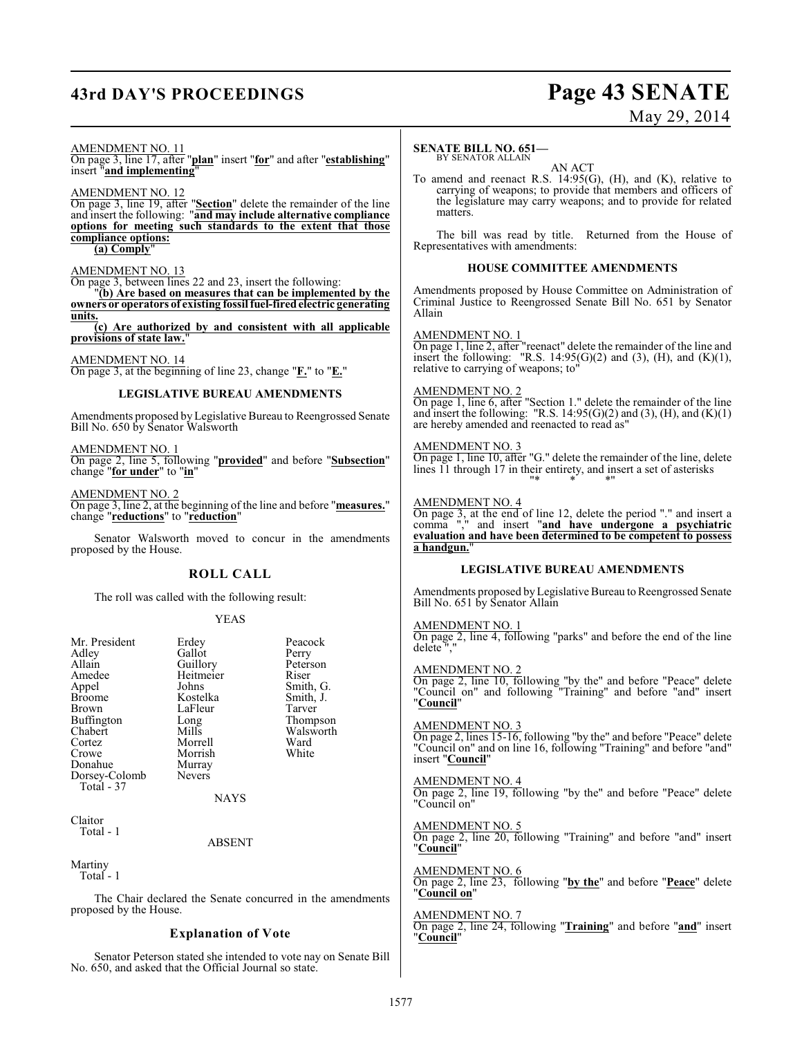## **43rd DAY'S PROCEEDINGS Page 43 SENATE**

# May 29, 2014

AMENDMENT NO. 11

On page 3, line 17, after "**plan**" insert "**for**" and after "**establishing**" insert "**and implementing**"

AMENDMENT NO. 12 On page 3, line 19, after "**Section**" delete the remainder of the line and insert the following: "**and may include alternative compliance options for meeting such standards to the extent that those compliance options:**

## **(a) Comply**"

AMENDMENT NO. 13

On page 3, between lines 22 and 23, insert the following:

"**(b) Are based on measures that can be implemented by the owners or operators of existing fossil fuel-fired electric generating units.**

**(c) Are authorized by and consistent with all applicable provisions of state law.**"

AMENDMENT NO. 14 On page 3, at the beginning of line 23, change "**F.**" to "**E.**"

#### **LEGISLATIVE BUREAU AMENDMENTS**

Amendments proposed by Legislative Bureau to Reengrossed Senate Bill No. 650 by Senator Walsworth

AMENDMENT NO. 1 On page 2, line 5, following "**provided**" and before "**Subsection**" change "**for under**" to "**in**"

AMENDMENT NO. 2 On page 3, line 2, at the beginning of the line and before "**measures.**" change "**reductions**" to "**reduction**"

Senator Walsworth moved to concur in the amendments proposed by the House.

#### **ROLL CALL**

The roll was called with the following result:

#### YEAS

| Mr. President<br>Adley<br>Allain<br>Amedee<br>Appel<br><b>Broome</b><br>Brown<br><b>Buffington</b><br>Chabert<br>Cortez<br>Crowe<br>Donahue<br>Dorsey-Colomb<br>Total - 37 | Erdey<br>Gallot<br>Guillory<br>Heitmeier<br>Johns<br>Kostelka<br>LaFleur<br>Long<br>Mills<br>Morrell<br>Morrish<br>Murray<br><b>Nevers</b> | Peacock<br>Perry<br>Peterson<br>Riser<br>Smith, G.<br>Smith, J.<br>Tarver<br>Thompson<br>Walsworth<br>Ward<br>White |
|----------------------------------------------------------------------------------------------------------------------------------------------------------------------------|--------------------------------------------------------------------------------------------------------------------------------------------|---------------------------------------------------------------------------------------------------------------------|
|                                                                                                                                                                            | <b>NAYS</b>                                                                                                                                |                                                                                                                     |
| Claitor<br>Total - 1                                                                                                                                                       |                                                                                                                                            |                                                                                                                     |

ABSENT

Martiny

Total - 1

The Chair declared the Senate concurred in the amendments proposed by the House.

#### **Explanation of Vote**

Senator Peterson stated she intended to vote nay on Senate Bill No. 650, and asked that the Official Journal so state.

#### **SENATE BILL NO. 651—**

BY SENATOR ALLAIN AN ACT

To amend and reenact R.S. 14:95(G), (H), and (K), relative to carrying of weapons; to provide that members and officers of the legislature may carry weapons; and to provide for related matters.

The bill was read by title. Returned from the House of Representatives with amendments:

#### **HOUSE COMMITTEE AMENDMENTS**

Amendments proposed by House Committee on Administration of Criminal Justice to Reengrossed Senate Bill No. 651 by Senator Allain

#### AMENDMENT NO. 1

On page 1, line 2, after "reenact" delete the remainder of the line and insert the following: "R.S.  $14:95(G)(2)$  and  $(3)$ ,  $(H)$ , and  $(K)(1)$ , relative to carrying of weapons; to"

#### AMENDMENT NO. 2

On page 1, line 6, after "Section 1." delete the remainder of the line and insert the following: "R.S.  $14:95(G)(2)$  and  $(3)$ ,  $(H)$ , and  $(K)(1)$ are hereby amended and reenacted to read as"

#### AMENDMENT NO. 3

On page 1, line 10, after "G." delete the remainder of the line, delete lines 11 through 17 in their entirety, and insert a set of asterisks "\* \* \*"

#### AMENDMENT NO. 4

On page 3, at the end of line 12, delete the period "." and insert a comma "," and insert "**and have undergone a psychiatric evaluation and have been determined to be competent to possess** a handgun.

#### **LEGISLATIVE BUREAU AMENDMENTS**

Amendments proposed by Legislative Bureau to Reengrossed Senate Bill No. 651 by Senator Allain

AMENDMENT NO.

On page 2, line 4, following "parks" and before the end of the line delete ","

#### AMENDMENT NO. 2

On page 2, line 10, following "by the" and before "Peace" delete "Council on" and following "Training" and before "and" insert "**Council**"

#### AMENDMENT NO. 3

On page 2, lines 15-16, following "by the" and before "Peace" delete "Council on" and on line 16, following "Training" and before "and" insert "**Council**"

#### AMENDMENT NO. 4

On page 2, line 19, following "by the" and before "Peace" delete "Council on"

AMENDMENT NO. 5

On page 2, line 20, following "Training" and before "and" insert "**Council**"

#### AMENDMENT NO. 6

On page 2, line 23, following "**by the**" and before "**Peace**" delete "**Council on**"

#### AMENDMENT NO. 7

On page 2, line 24, following "**Training**" and before "**and**" insert "**Council**"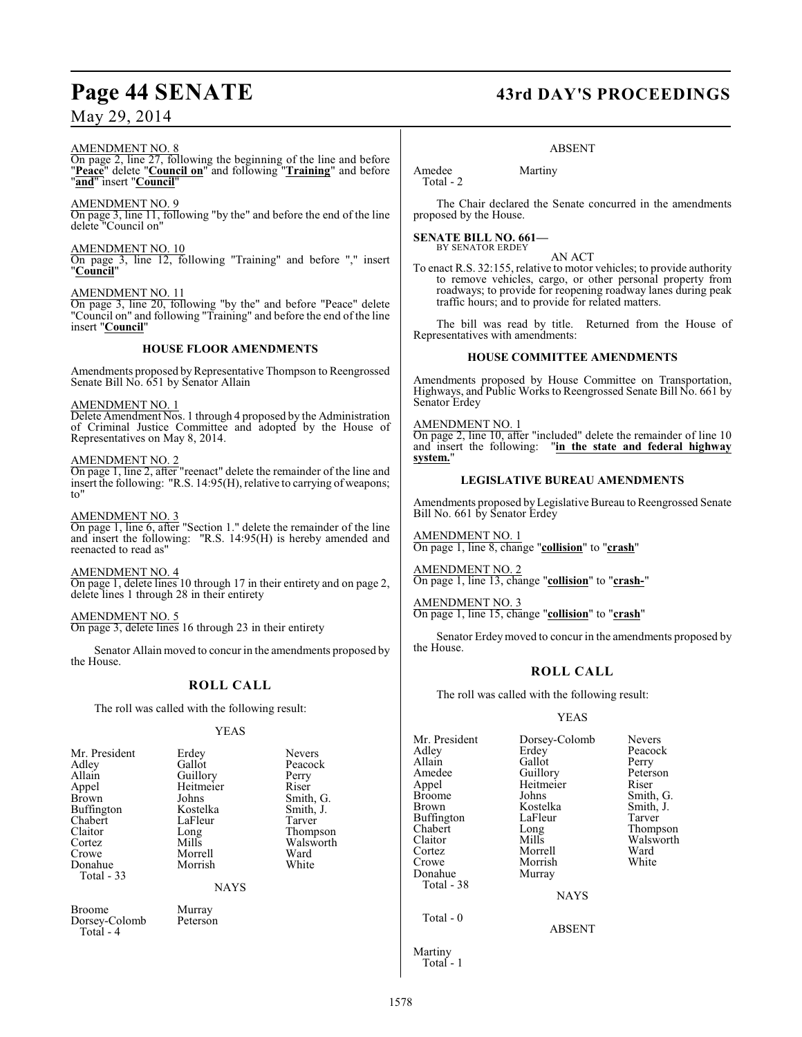#### AMENDMENT NO. 8

On page 2, line 27, following the beginning of the line and before "**Peace**" delete "**Council on**" and following "**Training**" and before "**and**" insert "**Council**"

#### AMENDMENT NO. 9

On page 3, line 11, following "by the" and before the end of the line delete "Council on"

#### AMENDMENT NO. 10

On page 3, line 12, following "Training" and before "," insert "**Council**"

AMENDMENT NO. 11 On page 3, line 20, following "by the" and before "Peace" delete "Council on" and following "Training" and before the end of the line insert "**Council**"

#### **HOUSE FLOOR AMENDMENTS**

Amendments proposed byRepresentative Thompson to Reengrossed Senate Bill No. 651 by Senator Allain

#### AMENDMENT NO. 1

Delete Amendment Nos. 1 through 4 proposed by the Administration of Criminal Justice Committee and adopted by the House of Representatives on May 8, 2014.

#### AMENDMENT NO. 2

On page 1, line 2, after "reenact" delete the remainder of the line and insert the following: "R.S. 14:95(H), relative to carrying of weapons; to"

#### AMENDMENT NO. 3

On page 1, line 6, after "Section 1." delete the remainder of the line and insert the following: "R.S. 14:95(H) is hereby amended and reenacted to read as"

AMENDMENT NO. 4 On page 1, delete lines 10 through 17 in their entirety and on page 2, delete lines 1 through 28 in their entirety

AMENDMENT NO. 5 On page 3, delete lines 16 through 23 in their entirety

Senator Allain moved to concur in the amendments proposed by the House.

## **ROLL CALL**

The roll was called with the following result:

#### YEAS

| Erdey<br>Gallot<br>Guillory<br>Heitmeier<br>Johns<br>Kostelka<br>LaFleur<br>Long<br>Mills<br>Morrell<br>Morrish<br><b>NAYS</b> | <b>Nevers</b><br>Peacock<br>Perry<br>Riser<br>Smith, G.<br>Smith, J.<br>Tarver<br>Thompson<br>Walsworth<br>Ward<br>White |
|--------------------------------------------------------------------------------------------------------------------------------|--------------------------------------------------------------------------------------------------------------------------|
| Murray<br>Peterson                                                                                                             |                                                                                                                          |
|                                                                                                                                |                                                                                                                          |

# Page 44 SENATE 43rd DAY'S PROCEEDINGS

#### ABSENT

Amedee Martiny Total - 2

The Chair declared the Senate concurred in the amendments proposed by the House.

**SENATE BILL NO. 661—** BY SENATOR ERDEY

AN ACT

To enact R.S. 32:155, relative to motor vehicles; to provide authority to remove vehicles, cargo, or other personal property from roadways; to provide for reopening roadway lanes during peak traffic hours; and to provide for related matters.

The bill was read by title. Returned from the House of Representatives with amendments:

#### **HOUSE COMMITTEE AMENDMENTS**

Amendments proposed by House Committee on Transportation, Highways, and Public Works to Reengrossed Senate Bill No. 661 by Senator Erdey

#### AMENDMENT NO. 1

On page 2, line 10, after "included" delete the remainder of line 10 and insert the following: "in the state and federal highway "in the state and federal highway **system.**"

#### **LEGISLATIVE BUREAU AMENDMENTS**

Amendments proposed byLegislative Bureau to Reengrossed Senate Bill No. 661 by Senator Erdey

AMENDMENT NO. 1 On page 1, line 8, change "**collision**" to "**crash**"

AMENDMENT NO. 2 On page 1, line 13, change "**collision**" to "**crash-**"

AMENDMENT NO. 3 On page 1, line 15, change "**collision**" to "**crash**"

Senator Erdeymoved to concur in the amendments proposed by the House.

### **ROLL CALL**

The roll was called with the following result:

### YEAS

| Mr. President<br>Adlev<br>Allain<br>Amedee<br>Appel<br>Broome<br>Brown<br>Buffington<br>Chabert<br>Claitor<br>Cortez<br>Crowe<br>Donahue<br>Total - 38 | Dorsey-Colomb<br>Erdey<br>Gallot<br>Guillory<br>Heitmeier<br>Johns<br>Kostelka<br>LaFleur<br>Long<br>Mills<br>Morrell<br>Morrish<br>Murray<br><b>NAYS</b> | <b>Nevers</b><br>Peacock<br>Perry<br>Peterson<br>Riser<br>Smith, G.<br>Smith, J.<br>Tarver<br>Thompson<br>Walsworth<br>Ward<br>White |
|--------------------------------------------------------------------------------------------------------------------------------------------------------|-----------------------------------------------------------------------------------------------------------------------------------------------------------|--------------------------------------------------------------------------------------------------------------------------------------|
| Total $-0$                                                                                                                                             | ARSENT                                                                                                                                                    |                                                                                                                                      |

Martiny Total - 1

1578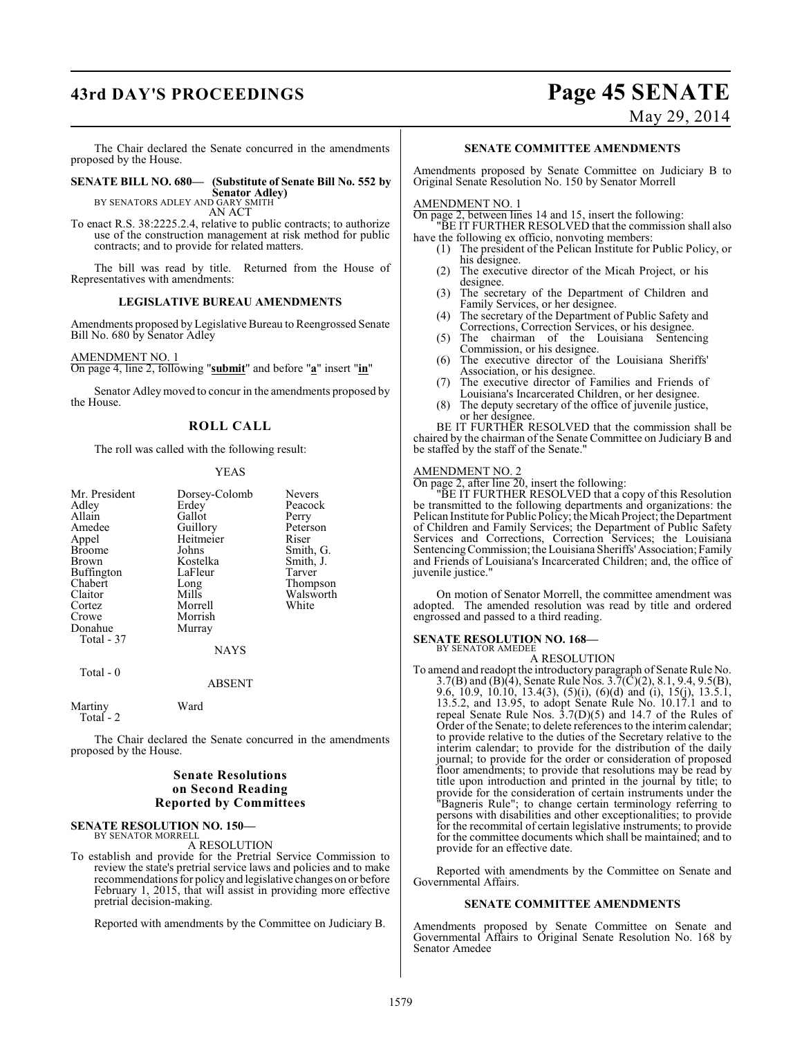## **43rd DAY'S PROCEEDINGS Page 45 SENATE**

May 29, 2014

The Chair declared the Senate concurred in the amendments proposed by the House.

**SENATE BILL NO. 680— (Substitute of Senate Bill No. 552 by Senator Adley)**<br>BY SENATORS ADLEY AND GARY SMITH<br>AN ACT

To enact R.S. 38:2225.2.4, relative to public contracts; to authorize use of the construction management at risk method for public contracts; and to provide for related matters.

The bill was read by title. Returned from the House of Representatives with amendments:

#### **LEGISLATIVE BUREAU AMENDMENTS**

Amendments proposed by Legislative Bureau to Reengrossed Senate Bill No. 680 by Senator Adley

AMENDMENT NO. 1

On page 4, line 2, following "**submit**" and before "**a**" insert "**in**"

Senator Adley moved to concur in the amendments proposed by the House.

## **ROLL CALL**

The roll was called with the following result:

#### YEAS

| Mr. President | Dorsey-Colomb | <b>Nevers</b> |
|---------------|---------------|---------------|
| Adley         | Erdey         | Peacock       |
| Allain        | Gallot        | Perry         |
| Amedee        | Guillory      | Peterson      |
| Appel         | Heitmeier     | Riser         |
| <b>Broome</b> | Johns         | Smith, G.     |
| Brown         | Kostelka      | Smith, J.     |
| Buffington    | LaFleur       | Tarver        |
| Chabert       | Long          | Thompson      |
| Claitor       | Mills         | Walsworth     |
| Cortez        | Morrell       | White         |
| Crowe         | Morrish       |               |
| Donahue       | Murray        |               |
| Total - 37    |               |               |
|               | <b>NAYS</b>   |               |
|               |               |               |

Total - 0

ABSENT

Martiny Ward Total - 2

The Chair declared the Senate concurred in the amendments proposed by the House.

### **Senate Resolutions on Second Reading Reported by Committees**

#### **SENATE RESOLUTION NO. 150—** BY SENATOR MORRELL

A RESOLUTION

To establish and provide for the Pretrial Service Commission to review the state's pretrial service laws and policies and to make recommendations for policy and legislative changes on or before February 1, 2015, that will assist in providing more effective pretrial decision-making.

Reported with amendments by the Committee on Judiciary B.

#### **SENATE COMMITTEE AMENDMENTS**

Amendments proposed by Senate Committee on Judiciary B to Original Senate Resolution No. 150 by Senator Morrell

#### AMENDMENT NO. 1

On page 2, between lines 14 and 15, insert the following: "BE IT FURTHER RESOLVED that the commission shall also

- have the following ex officio, nonvoting members: (1) The president of the Pelican Institute for Public Policy, or
	- his designee. (2) The executive director of the Micah Project, or his designee.
	- (3) The secretary of the Department of Children and Family Services, or her designee.
	- (4) The secretary of the Department of Public Safety and Corrections, Correction Services, or his designee.
	- (5) The chairman of the Louisiana Sentencing Commission, or his designee.
	- (6) The executive director of the Louisiana Sheriffs' Association, or his designee.
	- (7) The executive director of Families and Friends of Louisiana's Incarcerated Children, or her designee.
	- (8) The deputy secretary of the office of juvenile justice, or her designee.

BE IT FURTHER RESOLVED that the commission shall be chaired by the chairman of the Senate Committee on Judiciary B and be staffed by the staff of the Senate."

#### AMENDMENT NO. 2

On page 2, after line 20, insert the following:

"BE IT FURTHER RESOLVED that a copy of this Resolution be transmitted to the following departments and organizations: the Pelican Institute for Public Policy; the Micah Project; the Department of Children and Family Services; the Department of Public Safety Services and Corrections, Correction Services; the Louisiana Sentencing Commission; the Louisiana Sheriffs' Association; Family and Friends of Louisiana's Incarcerated Children; and, the office of juvenile justice."

On motion of Senator Morrell, the committee amendment was adopted. The amended resolution was read by title and ordered engrossed and passed to a third reading.

#### **SENATE RESOLUTION NO. 168—** BY SENATOR AMEDEE

A RESOLUTION

To amend and readopt the introductory paragraph of Senate Rule No. 3.7(B) and (B)(4), Senate Rule Nos. 3.7(C)(2), 8.1, 9.4, 9.5(B), 9.6, 10.9, 10.10, 13.4(3), (5)(i), (6)(d) and (i), 15(j), 13.5.1, 13.5.2, and 13.95, to adopt Senate Rule No. 10.17.1 and to repeal Senate Rule Nos. 3.7(D)(5) and 14.7 of the Rules of Order of the Senate; to delete references to the interim calendar; to provide relative to the duties of the Secretary relative to the interim calendar; to provide for the distribution of the daily journal; to provide for the order or consideration of proposed floor amendments; to provide that resolutions may be read by title upon introduction and printed in the journal by title; to provide for the consideration of certain instruments under the "Bagneris Rule"; to change certain terminology referring to persons with disabilities and other exceptionalities; to provide for the recommital of certain legislative instruments; to provide for the committee documents which shall be maintained; and to provide for an effective date.

Reported with amendments by the Committee on Senate and Governmental Affairs.

#### **SENATE COMMITTEE AMENDMENTS**

Amendments proposed by Senate Committee on Senate and Governmental Affairs to Original Senate Resolution No. 168 by Senator Amedee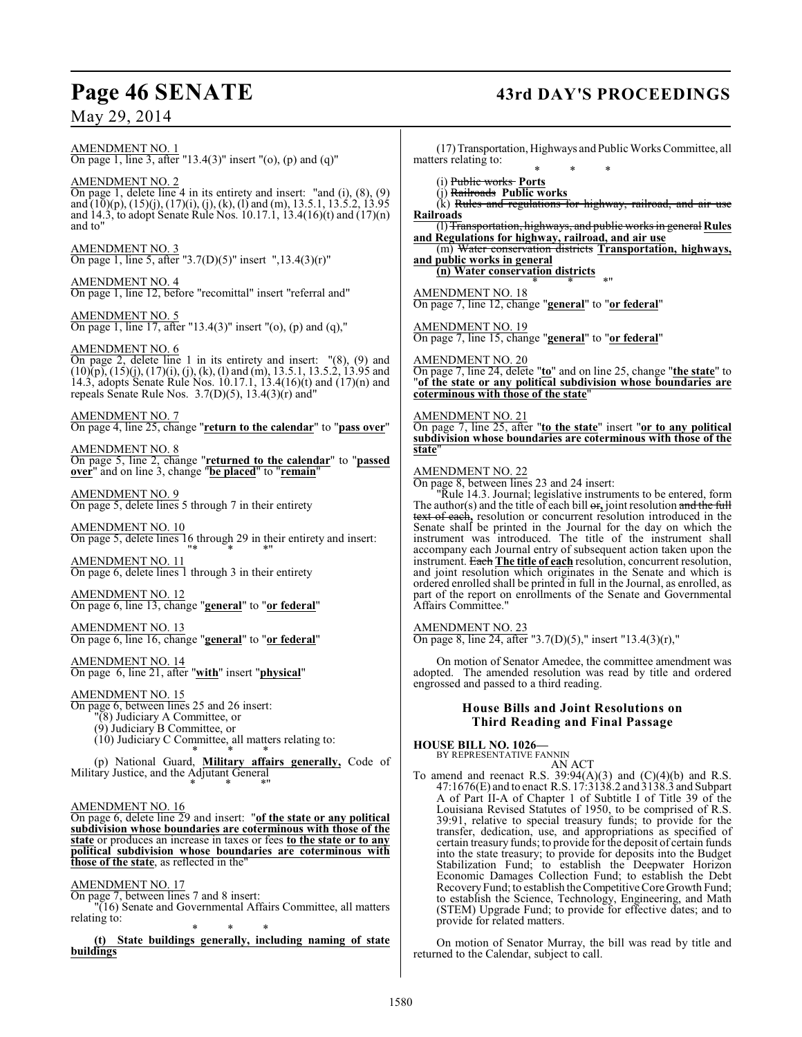# Page 46 SENATE 43rd DAY'S PROCEEDINGS

AMENDMENT NO. 1 On page 1, line 3, after "13.4(3)" insert "(o), (p) and (q)"

AMENDMENT NO. 2 On page 1, delete line 4 in its entirety and insert: "and (i), (8), (9) and (10)(p), (15)(j), (17)(i), (j), (k), (l) and (m), 13.5.1, 13.5.2, 13.95 and 14.3, to adopt Senate Rule Nos. 10.17.1, 13.4(16)(t) and (17)(n) and to"

AMENDMENT NO. 3 On page 1, line 5, after "3.7(D)(5)" insert ",13.4(3)(r)"

AMENDMENT NO. 4 On page 1, line 12, before "recomittal" insert "referral and"

AMENDMENT NO. 5 On page 1, line 17, after "13.4(3)" insert "(o), (p) and (q),"

#### AMENDMENT NO. 6

On page 2, delete line 1 in its entirety and insert: "(8), (9) and  $(10)(p)$ ,  $(15)(j)$ ,  $(17)(i)$ ,  $(j)$ ,  $(k)$ ,  $(l)$  and  $(m)$ , 13.5.1, 13.5.2, 13.95 and 14.3, adopts Senate Rule Nos. 10.17.1, 13.4(16)(t) and (17)(n) and repeals Senate Rule Nos. 3.7(D)(5), 13.4(3)(r) and"

#### AMENDMENT NO. 7

On page 4, line 25, change "**return to the calendar**" to "**pass over**"

#### AMENDMENT NO. 8

On page 5, line 2, change "**returned to the calendar**" to "**passed over**" and on line 3, change "**be placed**" to "**remain**"

AMENDMENT NO. 9 On page 5, delete lines 5 through 7 in their entirety

AMENDMENT NO. 10 On page 5, delete lines 16 through 29 in their entirety and insert: "\* \* \*"

AMENDMENT NO. 11 On page 6, delete lines 1 through 3 in their entirety

#### AMENDMENT NO. 12 On page 6, line 13, change "**general**" to "**or federal**"

AMENDMENT NO. 13 On page 6, line 16, change "**general**" to "**or federal**"

AMENDMENT NO. 14 On page 6, line 21, after "**with**" insert "**physical**"

#### AMENDMENT NO. 15

- On page 6, between lines 25 and 26 insert:
	- "(8) Judiciary A Committee, or
		- (9) Judiciary B Committee, or
		- (10) Judiciary C Committee, all matters relating to: \* \* \*

(p) National Guard, **Military affairs generally,** Code of Military Justice, and the Adjutant General \* \* \*"

#### AMENDMENT NO. 16

On page 6, delete line 29 and insert: "**of the state or any political subdivision whose boundaries are coterminous with those of the state** or produces an increase in taxes or fees **to the state or to any political subdivision whose boundaries are coterminous with those of the state**, as reflected in the"

AMENDMENT NO. 17

On page 7, between lines 7 and 8 insert: "(16) Senate and Governmental Affairs Committee, all matters relating to:

\* \* \* **(t) State buildings generally, including naming of state buildings**

(17) Transportation, Highways and Public Works Committee, all matters relating to:

\* \* \* (i) Public works **Ports**

(j) Railroads **Public works**

 $(K)$  Rules and regulations for highway, railroad, and air use **Railroads**

(l) Transportation, highways, and public works in general **Rules and Regulations for highway, railroad, and air use**

(m) Water conservation districts **Transportation, highways, and public works in general**

**(n) Water conservation districts** \* \* \*"

AMENDMENT NO. 18 On page 7, line 12, change "**general**" to "**or federal**"

AMENDMENT NO. 19 On page 7, line 15, change "**general**" to "**or federal**"

AMENDMENT NO. 20 On page 7, line 24, delete "**to**" and on line 25, change "**the state**" to "**of the state or any political subdivision whose boundaries are coterminous with those of the state**"

#### AMENDMENT NO. 21

On page 7, line 25, after "**to the state**" insert "**or to any political subdivision whose boundaries are coterminous with those of the state**"

#### AMENDMENT NO. 22

On page 8, between lines 23 and 24 insert:

"Rule 14.3. Journal; legislative instruments to be entered, form The author(s) and the title of each bill  $\Theta$ **<sub>r</sub>**, joint resolution and the full text of each**,** resolution or concurrent resolution introduced in the Senate shall be printed in the Journal for the day on which the instrument was introduced. The title of the instrument shall accompany each Journal entry of subsequent action taken upon the instrument. Each **The title of each** resolution, concurrent resolution, and joint resolution which originates in the Senate and which is ordered enrolled shall be printed in full in the Journal, as enrolled, as part of the report on enrollments of the Senate and Governmental Affairs Committee."

AMENDMENT NO. 23

On page 8, line 24, after "3.7(D)(5)," insert "13.4(3)(r),"

On motion of Senator Amedee, the committee amendment was adopted. The amended resolution was read by title and ordered engrossed and passed to a third reading.

### **House Bills and Joint Resolutions on Third Reading and Final Passage**

**HOUSE BILL NO. 1026—**

BY REPRESENTATIVE FANNIN AN ACT

To amend and reenact R.S.  $39:94(A)(3)$  and  $(C)(4)(b)$  and R.S. 47:1676(E) and to enact R.S. 17:3138.2 and 3138.3 and Subpart A of Part II-A of Chapter 1 of Subtitle I of Title 39 of the Louisiana Revised Statutes of 1950, to be comprised of R.S. 39:91, relative to special treasury funds; to provide for the transfer, dedication, use, and appropriations as specified of certain treasury funds; to provide for the deposit of certain funds into the state treasury; to provide for deposits into the Budget Stabilization Fund; to establish the Deepwater Horizon Economic Damages Collection Fund; to establish the Debt Recovery Fund; to establish the Competitive Core Growth Fund; to establish the Science, Technology, Engineering, and Math (STEM) Upgrade Fund; to provide for effective dates; and to provide for related matters.

On motion of Senator Murray, the bill was read by title and returned to the Calendar, subject to call.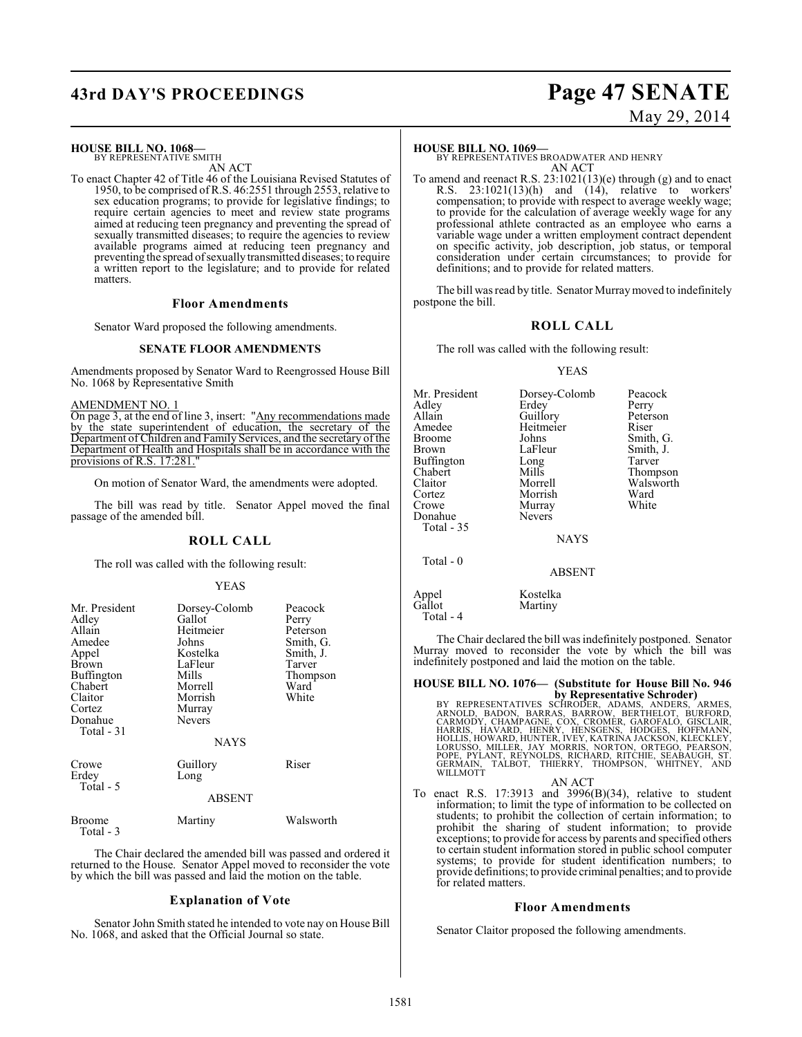## **43rd DAY'S PROCEEDINGS Page 47 SENATE**

#### **HOUSE BILL NO. 1068—**

BY REPRESENTATIVE SMITH AN ACT

To enact Chapter 42 of Title 46 of the Louisiana Revised Statutes of 1950, to be comprised of R.S. 46:2551 through 2553, relative to sex education programs; to provide for legislative findings; to require certain agencies to meet and review state programs aimed at reducing teen pregnancy and preventing the spread of sexually transmitted diseases; to require the agencies to review available programs aimed at reducing teen pregnancy and preventing the spread of sexually transmitted diseases; to require a written report to the legislature; and to provide for related matters.

#### **Floor Amendments**

Senator Ward proposed the following amendments.

#### **SENATE FLOOR AMENDMENTS**

Amendments proposed by Senator Ward to Reengrossed House Bill No. 1068 by Representative Smith

#### AMENDMENT NO. 1

On page 3, at the end of line 3, insert: "Any recommendations made by the state superintendent of education, the secretary of the Department of Children and Family Services, and the secretary of the Department of Health and Hospitals shall be in accordance with the provisions of R.S. 17:281.

On motion of Senator Ward, the amendments were adopted.

The bill was read by title. Senator Appel moved the final passage of the amended bill.

#### **ROLL CALL**

The roll was called with the following result:

#### YEAS

| Mr. President<br>Adley<br>Allain<br>Amedee<br>Appel<br>Brown<br>Buffington<br>Chabert<br>Claitor<br>Cortez<br>Donahue<br>Total - 31 | Dorsey-Colomb<br>Gallot<br>Heitmeier<br>Johns<br>Kostelka<br>LaFleur<br>Mills<br>Morrell<br>Morrish<br>Murray<br><b>Nevers</b><br><b>NAYS</b> | Peacock<br>Perry<br>Peterson<br>Smith, G.<br>Smith, J.<br>Tarver<br>Thompson<br>Ward<br>White |
|-------------------------------------------------------------------------------------------------------------------------------------|-----------------------------------------------------------------------------------------------------------------------------------------------|-----------------------------------------------------------------------------------------------|
| Crowe<br>Erdey<br>Total - 5                                                                                                         | Guillory<br>Long<br><b>ABSENT</b>                                                                                                             | Riser                                                                                         |
| Broome<br>Total - 3                                                                                                                 | Martiny                                                                                                                                       | Walsworth                                                                                     |

The Chair declared the amended bill was passed and ordered it returned to the House. Senator Appel moved to reconsider the vote by which the bill was passed and laid the motion on the table.

#### **Explanation of Vote**

Senator John Smith stated he intended to vote nay on House Bill No. 1068, and asked that the Official Journal so state.

# May 29, 2014

#### **HOUSE BILL NO. 1069—**

BY REPRESENTATIVES BROADWATER AND HENRY AN ACT

To amend and reenact R.S. 23:1021(13)(e) through (g) and to enact R.S. 23:1021(13)(h) and (14), relative to workers' compensation; to provide with respect to average weekly wage; to provide for the calculation of average weekly wage for any professional athlete contracted as an employee who earns a variable wage under a written employment contract dependent on specific activity, job description, job status, or temporal consideration under certain circumstances; to provide for definitions; and to provide for related matters.

The bill was read by title. Senator Murray moved to indefinitely postpone the bill.

#### **ROLL CALL**

The roll was called with the following result:

#### YEAS

Mr. President Dorsey-Colomb Peacock<br>Adley Erdey Perry Adley Erdey<br>Allain Guillory Allain Guillory Peterson<br>Amedee Heitmeier Riser Amedee Heitmeier<br>Broome Johns Broome Johns Smith, G.<br>Brown LaFleur Smith, J. LaFleur Smith, J.<br>Long Tarver Buffington Long<br>Chabert Mills Chabert Mills Thompson<br>Claitor Morrell Walsworth Claitor Morrell Walsworth Cortez Morrish Ward Murray<br>Nevers Donahue Total - 35 NAYS Total - 0 ABSENT

Appel Kostelka<br>Gallot Martiny

Martiny Total - 4

The Chair declared the bill was indefinitely postponed. Senator Murray moved to reconsider the vote by which the bill was indefinitely postponed and laid the motion on the table.

## **HOUSE BILL NO. 1076— (Substitute for House Bill No. 946**

by Representative Schroder)<br>BY REPRESENTATIVES SCHRODER, ADAMS, ANDERS, ARMES,<br>ARNOLD, BADON, BARRAS, BARRÓW, BERTHELOT, BURFORD,<br>CARMODY, CHAMPAGNE, COX, CROMÉR, GAROFALÓ, GISCLAIR,<br>HOLLIS, HAVARD, HENRY, HENSGENS, HODGES WILLMOTT

AN ACT

To enact R.S. 17:3913 and 3996(B)(34), relative to student information; to limit the type of information to be collected on students; to prohibit the collection of certain information; to prohibit the sharing of student information; to provide exceptions; to provide for access by parents and specified others to certain student information stored in public school computer systems; to provide for student identification numbers; to provide definitions; to provide criminal penalties; and to provide for related matters.

#### **Floor Amendments**

Senator Claitor proposed the following amendments.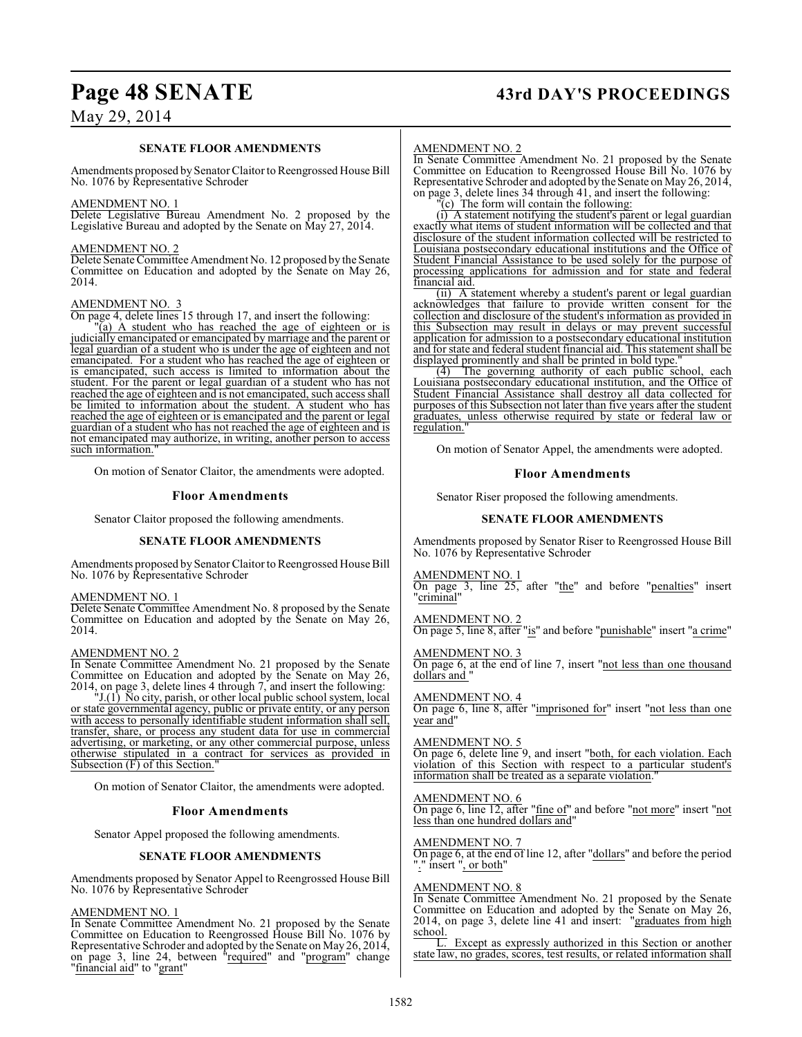## **Page 48 SENATE 43rd DAY'S PROCEEDINGS**

## May 29, 2014

#### **SENATE FLOOR AMENDMENTS**

Amendments proposed by Senator Claitor to Reengrossed House Bill No. 1076 by Representative Schroder

#### AMENDMENT NO. 1

Delete Legislative Bureau Amendment No. 2 proposed by the Legislative Bureau and adopted by the Senate on May 27, 2014.

#### AMENDMENT NO. 2

Delete Senate Committee Amendment No. 12 proposed by the Senate Committee on Education and adopted by the Senate on May 26, 2014.

#### AMENDMENT NO. 3

On page 4, delete lines 15 through 17, and insert the following:

"(a) A student who has reached the age of eighteen or is judicially emancipated or emancipated by marriage and the parent or legal guardian of a student who is under the age of eighteen and not emancipated. For a student who has reached the age of eighteen or is emancipated, such access is limited to information about the student. For the parent or legal guardian of a student who has not reached the age of eighteen and is not emancipated, such access shall be limited to information about the student. A student who has reached the age of eighteen or is emancipated and the parent or legal guardian of a student who has not reached the age of eighteen and is not emancipated may authorize, in writing, another person to access such information.

On motion of Senator Claitor, the amendments were adopted.

#### **Floor Amendments**

Senator Claitor proposed the following amendments.

#### **SENATE FLOOR AMENDMENTS**

Amendments proposed by Senator Claitor to Reengrossed House Bill No. 1076 by Representative Schroder

#### AMENDMENT NO. 1

Delete Senate Committee Amendment No. 8 proposed by the Senate Committee on Education and adopted by the Senate on May 26, 2014.

#### AMENDMENT NO. 2

In Senate Committee Amendment No. 21 proposed by the Senate Committee on Education and adopted by the Senate on May 26, 2014, on page 3, delete lines 4 through 7, and insert the following:

"J.(1) No city, parish, or other local public school system, local or state governmental agency, public or private entity, or any person with access to personally identifiable student information shall sell, transfer, share, or process any student data for use in commercial advertising, or marketing, or any other commercial purpose, unless otherwise stipulated in a contract for services as provided in Subsection  $(F)$  of this Section.

On motion of Senator Claitor, the amendments were adopted.

#### **Floor Amendments**

Senator Appel proposed the following amendments.

#### **SENATE FLOOR AMENDMENTS**

Amendments proposed by Senator Appel to Reengrossed House Bill No. 1076 by Representative Schroder

#### AMENDMENT NO. 1

In Senate Committee Amendment No. 21 proposed by the Senate Committee on Education to Reengrossed House Bill No. 1076 by Representative Schroder and adopted by the Senate on May 26, 2014, on page 3, line 24, between "required" and "program" change "financial aid" to "grant"

#### AMENDMENT NO. 2

In Senate Committee Amendment No. 21 proposed by the Senate Committee on Education to Reengrossed House Bill No. 1076 by Representative Schroder and adopted by the Senate on May 26, 2014, on page 3, delete lines 34 through 41, and insert the following:

"(c) The form will contain the following:

(i) A statement notifying the student's parent or legal guardian exactly what items of student information will be collected and that disclosure of the student information collected will be restricted to Louisiana postsecondary educational institutions and the Office of Student Financial Assistance to be used solely for the purpose of processing applications for admission and for state and federal financial aid.

(ii) A statement whereby a student's parent or legal guardian acknowledges that failure to provide written consent for the collection and disclosure of the student's information as provided in this Subsection may result in delays or may prevent successful application for admission to a postsecondary educational institution and for state and federal student financial aid. This statement shall be displayed prominently and shall be printed in bold type.<br>(4) The governing authority of each public so

The governing authority of each public school, each Louisiana postsecondary educational institution, and the Office of Student Financial Assistance shall destroy all data collected for purposes of this Subsection not later than five years after the student graduates, unless otherwise required by state or federal law or regulation.

On motion of Senator Appel, the amendments were adopted.

#### **Floor Amendments**

Senator Riser proposed the following amendments.

#### **SENATE FLOOR AMENDMENTS**

Amendments proposed by Senator Riser to Reengrossed House Bill No. 1076 by Representative Schroder

#### AMENDMENT NO. 1

On page 3, line 25, after "the" and before "penalties" insert "criminal"

AMENDMENT NO. 2 On page 5, line 8, after "is" and before "punishable" insert "a crime"

AMENDMENT NO. 3 On page 6, at the end of line 7, insert "not less than one thousand dollars and "

#### AMENDMENT NO. 4

On page 6, line 8, after "imprisoned for" insert "not less than one year and"

#### AMENDMENT NO. 5

On page 6, delete line 9, and insert "both, for each violation. Each violation of this Section with respect to a particular student's information shall be treated as a separate violation.

#### AMENDMENT NO. 6

On page 6, line 12, after "fine of" and before "not more" insert "not less than one hundred dollars and"

#### AMENDMENT NO. 7

On page 6, at the end of line 12, after "dollars" and before the period "." insert ", or both"

#### AMENDMENT NO. 8

In Senate Committee Amendment No. 21 proposed by the Senate Committee on Education and adopted by the Senate on May 26, 2014, on page 3, delete line 41 and insert: "graduates from high school.

L. Except as expressly authorized in this Section or another state law, no grades, scores, test results, or related information shall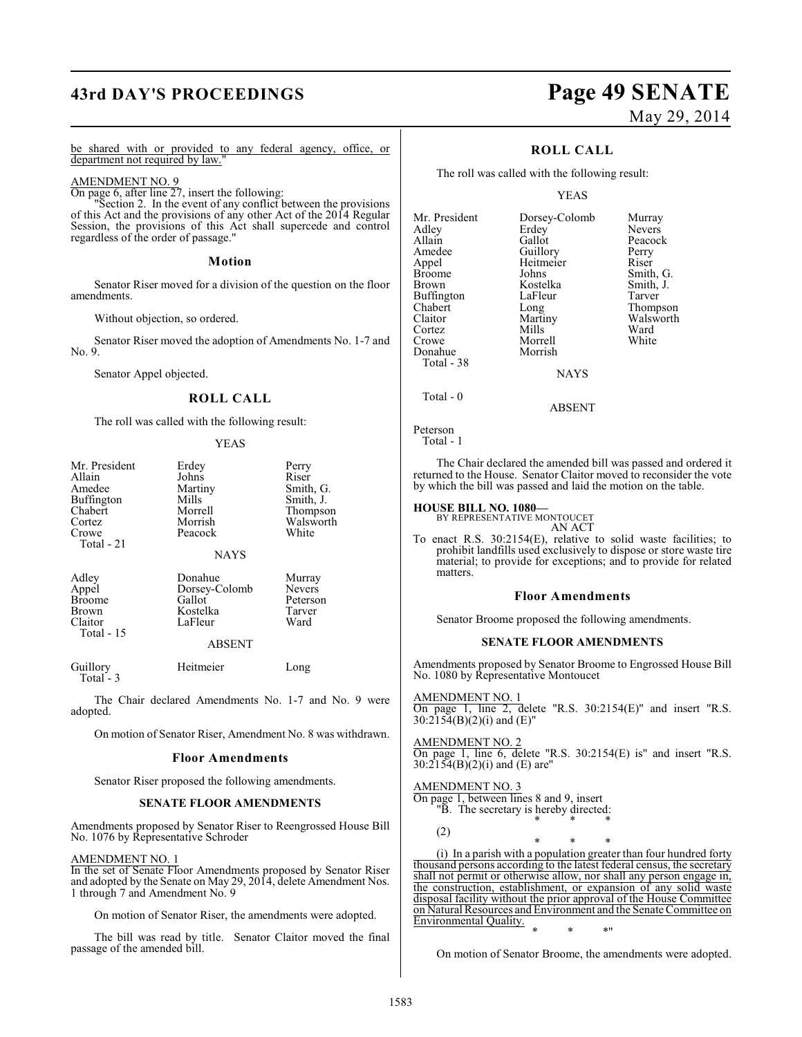## **43rd DAY'S PROCEEDINGS Page 49 SENATE**

# May 29, 2014

Thompson Walsworth<br>Ward

be shared with or provided to any federal agency, office, or department not required by law."

#### AMENDMENT NO. 9

On page 6, after line 27, insert the following:

"Section 2. In the event of any conflict between the provisions of this Act and the provisions of any other Act of the 2014 Regular Session, the provisions of this Act shall supercede and control regardless of the order of passage."

#### **Motion**

Senator Riser moved for a division of the question on the floor amendments.

Without objection, so ordered.

Senator Riser moved the adoption of Amendments No. 1-7 and No. 9.

Senator Appel objected.

#### **ROLL CALL**

The roll was called with the following result:

#### YEAS

| Mr. President<br>Allain<br>Amedee<br>Buffington<br>Chabert        | Erdey<br>Johns<br>Martiny<br>Mills<br>Morrell                              | Perry<br>Riser<br>Smith, G.<br>Smith, J.<br>Thompson  |
|-------------------------------------------------------------------|----------------------------------------------------------------------------|-------------------------------------------------------|
| Cortez<br>Crowe<br>Total - 21                                     | Morrish<br>Peacock                                                         | Walsworth<br>White                                    |
|                                                                   | <b>NAYS</b>                                                                |                                                       |
| Adley<br>Appel<br><b>Broome</b><br>Brown<br>Claitor<br>Total - 15 | Donahue<br>Dorsey-Colomb<br>Gallot<br>Kostelka<br>LaFleur<br><b>ABSENT</b> | Murray<br><b>Nevers</b><br>Peterson<br>Tarver<br>Ward |
| Guillory<br>Total - 3                                             | Heitmeier                                                                  | Long                                                  |
| The Chair declared Amendments No. 1-7 and No. 9 were<br>adopted.  |                                                                            |                                                       |
| On motion of Senator Riser, Amendment No. 8 was withdrawn.        |                                                                            |                                                       |
| $\sim$                                                            |                                                                            |                                                       |

#### **Floor Amendments**

Senator Riser proposed the following amendments.

#### **SENATE FLOOR AMENDMENTS**

Amendments proposed by Senator Riser to Reengrossed House Bill No. 1076 by Representative Schroder

#### AMENDMENT NO. 1

In the set of Senate Floor Amendments proposed by Senator Riser and adopted by the Senate on May 29, 2014, delete Amendment Nos. 1 through 7 and Amendment No. 9

On motion of Senator Riser, the amendments were adopted.

The bill was read by title. Senator Claitor moved the final passage of the amended bill.

#### **ROLL CALL**

The roll was called with the following result:

#### YEAS

| Mr. President | Dorsey-Colomb | Murray    |
|---------------|---------------|-----------|
| Adley         | Erdey         | Nevers    |
| Allain        | Gallot        | Peacock   |
| Amedee        | Guillory      | Perry     |
| Appel         | Heitmeier     | Riser     |
| <b>Broome</b> | Johns         | Smith, G. |
| Brown         | Kostelka      | Smith, J. |
| Buffington    | LaFleur       | Tarver    |
| Chabert       | Long          | Thompson  |
| Claitor       | Martiny       | Walswort  |
| Cortez        | Mills         | Ward      |
| Crowe         | Morrell       | White     |
| Donahue       | Morrish       |           |
| Total - 38    |               |           |
|               | <b>NAYS</b>   |           |
|               |               |           |

ABSENT

```
Peterson
   Total - 1
```
Total - 0

The Chair declared the amended bill was passed and ordered it returned to the House. Senator Claitor moved to reconsider the vote by which the bill was passed and laid the motion on the table.

#### **HOUSE BILL NO. 1080—**

BY REPRESENTATIVE MONTOUCET AN ACT

To enact R.S. 30:2154(E), relative to solid waste facilities; to prohibit landfills used exclusively to dispose or store waste tire material; to provide for exceptions; and to provide for related matters.

#### **Floor Amendments**

Senator Broome proposed the following amendments.

#### **SENATE FLOOR AMENDMENTS**

Amendments proposed by Senator Broome to Engrossed House Bill No. 1080 by Representative Montoucet

AMENDMENT NO. 1 On page 1, line 2, delete "R.S. 30:2154(E)" and insert "R.S.  $30:2154(B)(2)(i)$  and (E)"

AMENDMENT NO. 2 On page 1, line 6, delete "R.S. 30:2154(E) is" and insert "R.S.  $30:2154(B)(2)(i)$  and (E) are"

AMENDMENT NO. 3 On page 1, between lines 8 and 9, insert "B. The secretary is hereby directed: \* \* \*

(2)

\* \* \* (i) In a parish with a population greater than four hundred forty thousand persons according to the latest federal census, the secretary shall not permit or otherwise allow, nor shall any person engage in, the construction, establishment, or expansion of any solid waste disposal facility without the prior approval of the House Committee on Natural Resources and Environment and the Senate Committee on Environmental Quality. \* \* \*"

On motion of Senator Broome, the amendments were adopted.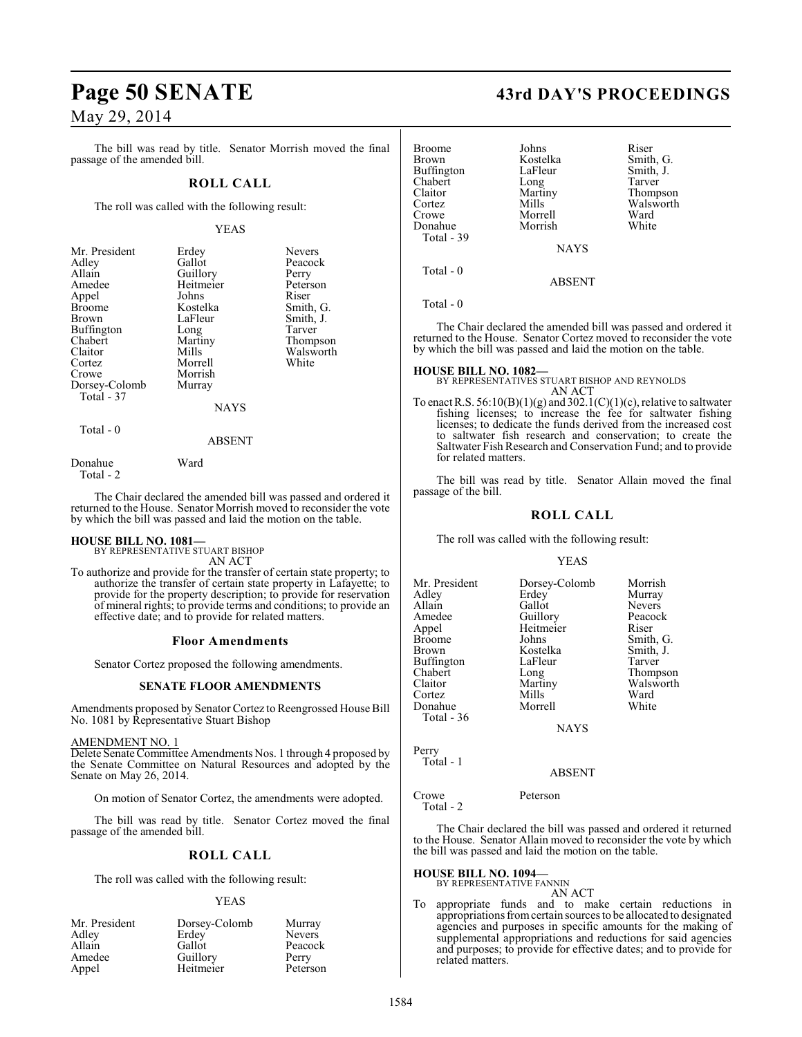The bill was read by title. Senator Morrish moved the final passage of the amended bill.

### **ROLL CALL**

The roll was called with the following result:

#### YEAS

| Mr. President | Erdey       | <b>Nevers</b> |
|---------------|-------------|---------------|
| Adley         | Gallot      | Peacock       |
| Allain        | Guillory    | Perry         |
| Amedee        | Heitmeier   | Peterson      |
| Appel         | Johns       | Riser         |
| <b>Broome</b> | Kostelka    | Smith, G.     |
| Brown         | LaFleur     | Smith, J.     |
| Buffington    | Long        | Tarver        |
| Chabert       | Martiny     | Thompson      |
| Claitor       | Mills       | Walsworth     |
| Cortez        | Morrell     | White         |
| Crowe         | Morrish     |               |
| Dorsey-Colomb | Murray      |               |
| Total - 37    |             |               |
|               | <b>NAYS</b> |               |
| $Total = 0$   |             |               |

## ABSENT

Donahue Ward Total - 2

The Chair declared the amended bill was passed and ordered it returned to the House. Senator Morrish moved to reconsider the vote by which the bill was passed and laid the motion on the table.

# **HOUSE BILL NO. 1081—** BY REPRESENTATIVE STUART BISHOP

AN ACT

To authorize and provide for the transfer of certain state property; to authorize the transfer of certain state property in Lafayette; to provide for the property description; to provide for reservation of mineral rights; to provide terms and conditions; to provide an effective date; and to provide for related matters.

#### **Floor Amendments**

Senator Cortez proposed the following amendments.

#### **SENATE FLOOR AMENDMENTS**

Amendments proposed by Senator Cortez to Reengrossed House Bill No. 1081 by Representative Stuart Bishop

#### AMENDMENT NO. 1

Delete Senate Committee Amendments Nos. 1 through 4 proposed by the Senate Committee on Natural Resources and adopted by the Senate on May 26, 2014.

On motion of Senator Cortez, the amendments were adopted.

The bill was read by title. Senator Cortez moved the final passage of the amended bill.

#### **ROLL CALL**

The roll was called with the following result:

#### YEAS

| Mr. President | Dorsey-Colomb | Murray        |
|---------------|---------------|---------------|
| Adley         | Erdey         | <b>Nevers</b> |
| Allain        | Gallot        | Peacock       |
| Amedee        | Guillory      | Perry         |
| Appel         | Heitmeier     | Peterson      |

## **Page 50 SENATE 43rd DAY'S PROCEEDINGS**

| Broome     | Johns         | Riser     |
|------------|---------------|-----------|
| Brown      | Kostelka      | Smith, G. |
| Buffington | LaFleur       | Smith, J. |
| Chabert    | Long          | Tarver    |
| Claitor    | Martiny       | Thompson  |
| Cortez     | Mills         | Walsworth |
| Crowe      | Morrell       | Ward      |
| Donahue    | Morrish       | White     |
| Total - 39 |               |           |
|            | <b>NAYS</b>   |           |
| Total - 0  |               |           |
|            | <b>ABSENT</b> |           |

Total - 0

The Chair declared the amended bill was passed and ordered it returned to the House. Senator Cortez moved to reconsider the vote by which the bill was passed and laid the motion on the table.

**HOUSE BILL NO. 1082—** BY REPRESENTATIVES STUART BISHOP AND REYNOLDS AN ACT

To enact R.S.  $56:10(B)(1)(g)$  and  $302.1(C)(1)(c)$ , relative to saltwater fishing licenses; to increase the fee for saltwater fishing licenses; to dedicate the funds derived from the increased cost to saltwater fish research and conservation; to create the Saltwater Fish Research and Conservation Fund; and to provide for related matters.

The bill was read by title. Senator Allain moved the final passage of the bill.

### **ROLL CALL**

The roll was called with the following result:

YEAS

Mr. President Dorsey-Colomb Morrish<br>Adley Erdey Murray Adley Erdey Murray<br>Allain Gallot Nevers Allain Callot Nevers<br>Amedee Guillory Peacock Amedee Guillory Peacock<br>
Appel Heitmeier Riser Appel Heitmeier<br>Broome Johns Broome Johns Smith, G.<br>Brown Kostelka Smith, J. Kostelka Smith,<br>LaFleur Tarver Buffington LaFle<br>Chabert Long Chabert Long Thompson<br>Claitor Martiny Walsworth Martiny Walsworth<br>
Mills Ward Cortez Mills Ward<br>
Donahue Morrell White Donahue Total - 36

NAYS

Perry Total - 1

#### ABSENT

Crowe Peterson Total - 2

The Chair declared the bill was passed and ordered it returned to the House. Senator Allain moved to reconsider the vote by which the bill was passed and laid the motion on the table.

#### **HOUSE BILL NO. 1094—**

BY REPRESENTATIVE FANNIN

AN ACT To appropriate funds and to make certain reductions in appropriations from certain sources to be allocated to designated agencies and purposes in specific amounts for the making of supplemental appropriations and reductions for said agencies and purposes; to provide for effective dates; and to provide for related matters.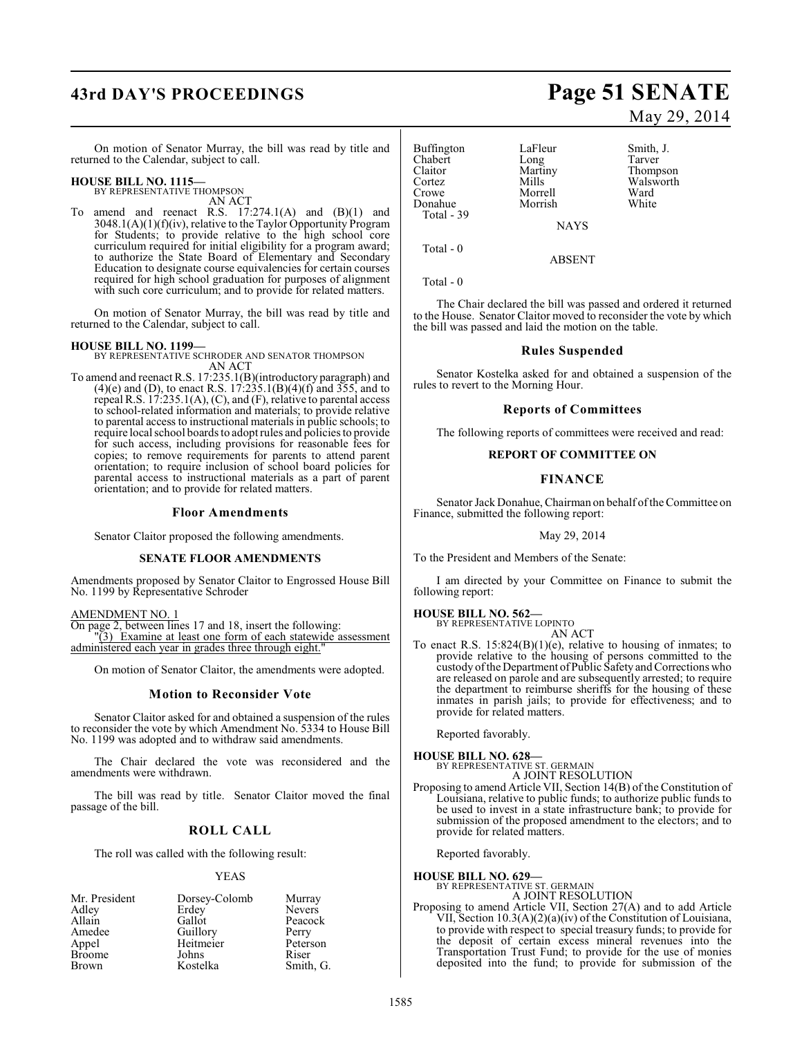# **43rd DAY'S PROCEEDINGS Page 51 SENATE**

On motion of Senator Murray, the bill was read by title and returned to the Calendar, subject to call.

## **HOUSE BILL NO. 1115—** BY REPRESENTATIVE THOMPSON

AN ACT

To amend and reenact R.S.  $17:274.1(A)$  and  $(B)(1)$  and 3048.1(A)(1)(f)(iv), relative to the Taylor Opportunity Program for Students; to provide relative to the high school core curriculum required for initial eligibility for a program award; to authorize the State Board of Elementary and Secondary Education to designate course equivalencies for certain courses required for high school graduation for purposes of alignment with such core curriculum; and to provide for related matters.

On motion of Senator Murray, the bill was read by title and returned to the Calendar, subject to call.

**HOUSE BILL NO. 1199—** BY REPRESENTATIVE SCHRODER AND SENATOR THOMPSON AN ACT

To amend and reenact R.S. 17:235.1(B)(introductory paragraph) and  $(4)(e)$  and (D), to enact R.S. 17:235.1(B)(4)(f) and 355, and to repeal R.S. 17:235.1(A), (C), and (F), relative to parental access to school-related information and materials; to provide relative to parental access to instructional materials in public schools; to require local school boards to adopt rules and policies to provide for such access, including provisions for reasonable fees for copies; to remove requirements for parents to attend parent orientation; to require inclusion of school board policies for parental access to instructional materials as a part of parent orientation; and to provide for related matters.

#### **Floor Amendments**

Senator Claitor proposed the following amendments.

#### **SENATE FLOOR AMENDMENTS**

Amendments proposed by Senator Claitor to Engrossed House Bill No. 1199 by Representative Schroder

#### AMENDMENT NO. 1

On page 2, between lines 17 and 18, insert the following: "(3) Examine at least one form of each statewide assessment administered each year in grades three through eight.

On motion of Senator Claitor, the amendments were adopted.

#### **Motion to Reconsider Vote**

Senator Claitor asked for and obtained a suspension of the rules to reconsider the vote by which Amendment No. 5334 to House Bill No. 1199 was adopted and to withdraw said amendments.

The Chair declared the vote was reconsidered and the amendments were withdrawn.

The bill was read by title. Senator Claitor moved the final passage of the bill.

## **ROLL CALL**

The roll was called with the following result:

#### YEAS

| Mr. President | Dorsey-Colomb | Murray        |
|---------------|---------------|---------------|
| Adley         | Erdey         | <b>Nevers</b> |
| Allain        | Gallot        | Peacock       |
| Amedee        | Guillory      | Perry         |
| Appel         | Heitmeier     | Peterson      |
| <b>Broome</b> | Johns         | Riser         |
| Brown         | Kostelka      | Smith, G.     |

# May 29, 2014

Buffington LaFleur Smith, J.<br>
Chabert Long Tarver Chabert Long<br>Claitor Martiny Claitor Martiny Thompson Cortez Mills Walsworth Morrell Ward<br>
Morrish White Donahue Total - 39 **NAYS** 

Total - 0

Total - 0

The Chair declared the bill was passed and ordered it returned to the House. Senator Claitor moved to reconsider the vote by which the bill was passed and laid the motion on the table.

ABSENT

#### **Rules Suspended**

Senator Kostelka asked for and obtained a suspension of the rules to revert to the Morning Hour.

#### **Reports of Committees**

The following reports of committees were received and read:

#### **REPORT OF COMMITTEE ON**

#### **FINANCE**

Senator Jack Donahue, Chairman on behalf of the Committee on Finance, submitted the following report:

May 29, 2014

To the President and Members of the Senate:

I am directed by your Committee on Finance to submit the following report:

## **HOUSE BILL NO. 562—** BY REPRESENTATIVE LOPINTO

AN ACT

To enact R.S.  $15:824(B)(1)(e)$ , relative to housing of inmates; to provide relative to the housing of persons committed to the custody oftheDepartment ofPublic Safety and Corrections who are released on parole and are subsequently arrested; to require the department to reimburse sheriffs for the housing of these inmates in parish jails; to provide for effectiveness; and to provide for related matters.

Reported favorably.

**HOUSE BILL NO. 628—** BY REPRESENTATIVE ST. GERMAIN A JOINT RESOLUTION

Proposing to amend Article VII, Section 14(B) of the Constitution of Louisiana, relative to public funds; to authorize public funds to be used to invest in a state infrastructure bank; to provide for submission of the proposed amendment to the electors; and to provide for related matters.

Reported favorably.

**HOUSE BILL NO. 629—** BY REPRESENTATIVE ST. GERMAIN

A JOINT RESOLUTION

Proposing to amend Article VII, Section 27(A) and to add Article VII, Section 10.3(A)(2)(a)(iv) of the Constitution of Louisiana, to provide with respect to special treasury funds; to provide for the deposit of certain excess mineral revenues into the Transportation Trust Fund; to provide for the use of monies deposited into the fund; to provide for submission of the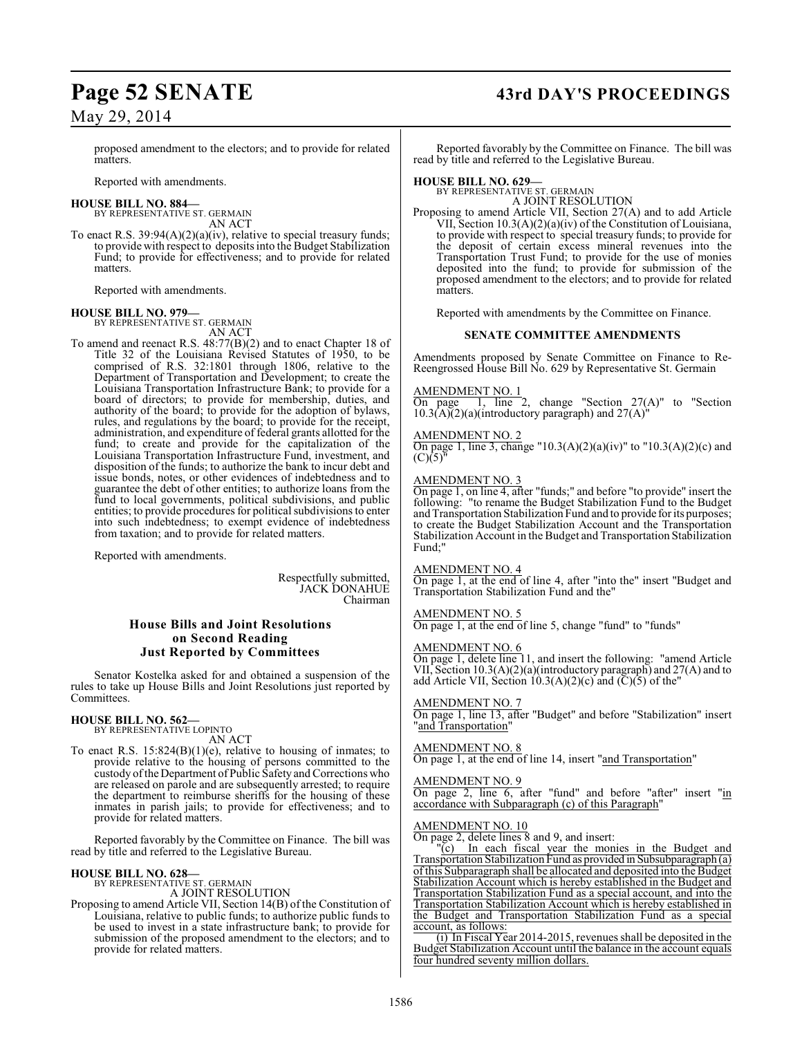proposed amendment to the electors; and to provide for related matters.

Reported with amendments.

#### **HOUSE BILL NO. 884—**

BY REPRESENTATIVE ST. GERMAIN AN ACT

To enact R.S. 39:94(A)(2)(a)(iv), relative to special treasury funds; to provide with respect to depositsinto the Budget Stabilization Fund; to provide for effectiveness; and to provide for related matters.

Reported with amendments.

#### **HOUSE BILL NO. 979—**

BY REPRESENTATIVE ST. GERMAIN AN ACT

To amend and reenact R.S. 48:77(B)(2) and to enact Chapter 18 of Title 32 of the Louisiana Revised Statutes of 1950, to be comprised of R.S. 32:1801 through 1806, relative to the Department of Transportation and Development; to create the Louisiana Transportation Infrastructure Bank; to provide for a board of directors; to provide for membership, duties, and authority of the board; to provide for the adoption of bylaws, rules, and regulations by the board; to provide for the receipt, administration, and expenditure of federal grants allotted for the fund; to create and provide for the capitalization of the Louisiana Transportation Infrastructure Fund, investment, and disposition of the funds; to authorize the bank to incur debt and issue bonds, notes, or other evidences of indebtedness and to guarantee the debt of other entities; to authorize loans from the fund to local governments, political subdivisions, and public entities; to provide procedures for political subdivisions to enter into such indebtedness; to exempt evidence of indebtedness from taxation; and to provide for related matters.

Reported with amendments.

Respectfully submitted, JACK DONAHUE Chairman

#### **House Bills and Joint Resolutions on Second Reading Just Reported by Committees**

Senator Kostelka asked for and obtained a suspension of the rules to take up House Bills and Joint Resolutions just reported by Committees.

#### **HOUSE BILL NO. 562—**

BY REPRESENTATIVE LOPINTO AN ACT

To enact R.S.  $15:824(B)(1)(e)$ , relative to housing of inmates; to provide relative to the housing of persons committed to the custody of theDepartment of Public Safety and Corrections who are released on parole and are subsequently arrested; to require the department to reimburse sheriffs for the housing of these inmates in parish jails; to provide for effectiveness; and to provide for related matters.

Reported favorably by the Committee on Finance. The bill was read by title and referred to the Legislative Bureau.

## **HOUSE BILL NO. 628—** BY REPRESENTATIVE ST. GERMAIN

A JOINT RESOLUTION

Proposing to amend Article VII, Section 14(B) of the Constitution of Louisiana, relative to public funds; to authorize public funds to be used to invest in a state infrastructure bank; to provide for submission of the proposed amendment to the electors; and to provide for related matters.

## **Page 52 SENATE 43rd DAY'S PROCEEDINGS**

Reported favorably by the Committee on Finance. The bill was read by title and referred to the Legislative Bureau.

## **HOUSE BILL NO. 629—** BY REPRESENTATIVE ST. GERMAIN

A JOINT RESOLUTION

Proposing to amend Article VII, Section 27(A) and to add Article VII, Section 10.3(A)(2)(a)(iv) of the Constitution of Louisiana, to provide with respect to special treasury funds; to provide for the deposit of certain excess mineral revenues into the Transportation Trust Fund; to provide for the use of monies deposited into the fund; to provide for submission of the proposed amendment to the electors; and to provide for related matters.

Reported with amendments by the Committee on Finance.

#### **SENATE COMMITTEE AMENDMENTS**

Amendments proposed by Senate Committee on Finance to Re-Reengrossed House Bill No. 629 by Representative St. Germain

### AMENDMENT NO. 1

On page  $1$ , line 2, change "Section  $27(A)$ " to "Section  $10.3(A)(2)(a)$ (introductory paragraph) and  $27(A)$ "

#### AMENDMENT NO. 2

On page 1, line 3, change "10.3(A)(2)(a)(iv)" to "10.3(A)(2)(c) and  $(C)(5)^{n}$ 

#### AMENDMENT NO. 3

On page 1, on line 4, after "funds;" and before "to provide" insert the following: "to rename the Budget Stabilization Fund to the Budget and Transportation Stabilization Fund and to provide for its purposes; to create the Budget Stabilization Account and the Transportation Stabilization Account in the Budget and Transportation Stabilization Fund;"

#### AMENDMENT NO. 4

On page 1, at the end of line 4, after "into the" insert "Budget and Transportation Stabilization Fund and the"

#### AMENDMENT NO. 5

On page 1, at the end of line 5, change "fund" to "funds"

#### AMENDMENT NO. 6

On page 1, delete line 11, and insert the following: "amend Article VII, Section 10.3(A)(2)(a)(introductory paragraph) and 27(A) and to add Article VII, Section  $10.3(A)(2)(c)$  and  $(C)(5)$  of the"

#### AMENDMENT NO. 7

On page 1, line 13, after "Budget" and before "Stabilization" insert "and Transportation"

#### AMENDMENT NO. 8

On page 1, at the end of line 14, insert "and Transportation"

#### AMENDMENT NO. 9

On page 2, line 6, after "fund" and before "after" insert "in accordance with Subparagraph (c) of this Paragraph"

#### AMENDMENT NO. 10

On page 2, delete lines 8 and 9, and insert:

"(c) In each fiscal year the monies in the Budget and Transportation Stabilization Fund as provided in Subsubparagraph (a) of this Subparagraph shall be allocated and deposited into the Budget Stabilization Account which is hereby established in the Budget and Transportation Stabilization Fund as a special account, and into the Transportation Stabilization Account which is hereby established in the Budget and Transportation Stabilization Fund as a special account, as follows:

(i) In Fiscal Year 2014-2015, revenues shall be deposited in the Budget Stabilization Account until the balance in the account equals four hundred seventy million dollars.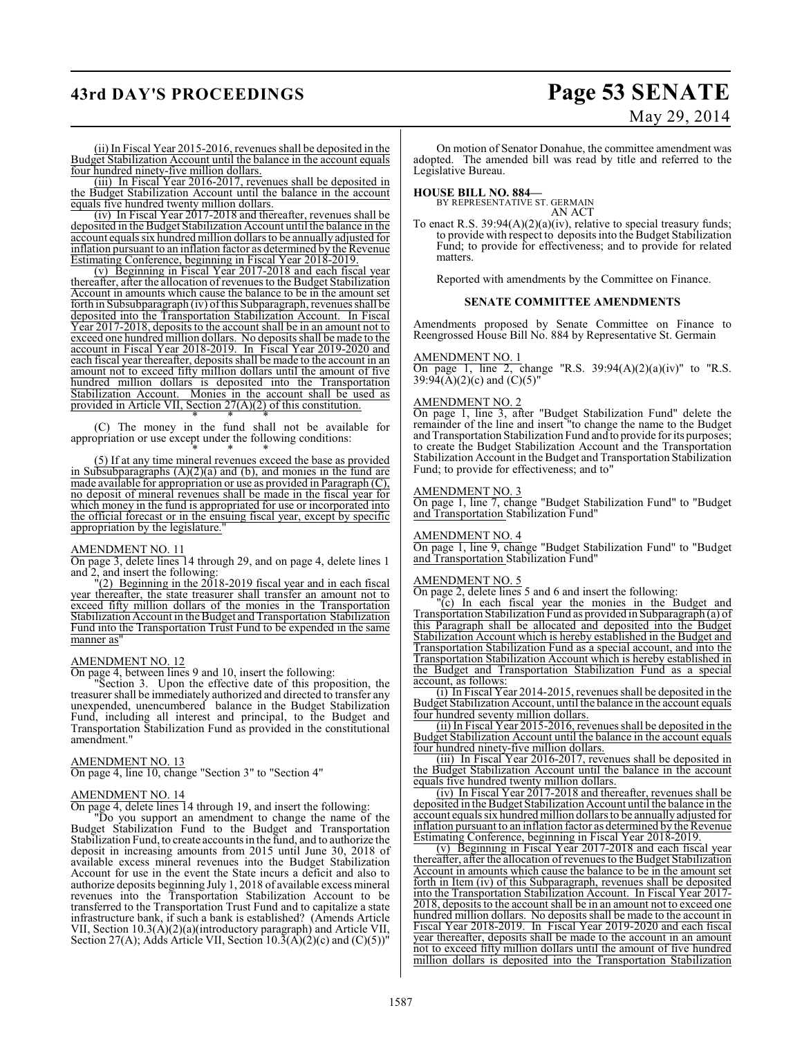## **43rd DAY'S PROCEEDINGS Page 53 SENATE**

# May 29, 2014

(ii) In Fiscal Year 2015-2016, revenues shall be deposited in the Budget Stabilization Account until the balance in the account equals four hundred ninety-five million dollars.

(iii) In Fiscal Year 2016-2017, revenues shall be deposited in the Budget Stabilization Account until the balance in the account equals five hundred twenty million dollars.

(iv) In Fiscal Year 2017-2018 and thereafter, revenues shall be deposited in the Budget Stabilization Account until the balance in the account equals six hundred million dollars to be annually adjusted for inflation pursuant to an inflation factor as determined by the Revenue Estimating Conference, beginning in Fiscal Year 2018-2019.

(v) Beginning in Fiscal Year 2017-2018 and each fiscal year thereafter, after the allocation of revenues to the Budget Stabilization Account in amounts which cause the balance to be in the amount set forth in Subsubparagraph (iv) of this Subparagraph, revenues shall be deposited into the Transportation Stabilization Account. In Fiscal Year 2017-2018, deposits to the account shall be in an amount not to exceed one hundred million dollars. No deposits shall be made to the account in Fiscal Year 2018-2019. In Fiscal Year 2019-2020 and each fiscal year thereafter, deposits shall be made to the account in an amount not to exceed fifty million dollars until the amount of five hundred million dollars is deposited into the Transportation Stabilization Account. Monies in the account shall be used as provided in Article VII, Section 27(A)(2) of this constitution.

\* \* \* (C) The money in the fund shall not be available for appropriation or use except under the following conditions: \* \* \*

(5) If at any time mineral revenues exceed the base as provided in Subsubparagraphs  $(A)(2)(a)$  and  $(b)$ , and monies in the fund are made available for appropriation or use as provided in Paragraph (C), no deposit of mineral revenues shall be made in the fiscal year for which money in the fund is appropriated for use or incorporated into the official forecast or in the ensuing fiscal year, except by specific appropriation by the legislature."

#### AMENDMENT NO. 11

On page 3, delete lines 14 through 29, and on page 4, delete lines 1 and 2, and insert the following:

"(2) Beginning in the 2018-2019 fiscal year and in each fiscal year thereafter, the state treasurer shall transfer an amount not to exceed fifty million dollars of the monies in the Transportation Stabilization Account in the Budget and Transportation Stabilization Fund into the Transportation Trust Fund to be expended in the same manner as"

#### AMENDMENT NO. 12

On page 4, between lines 9 and 10, insert the following:

Section 3. Upon the effective date of this proposition, the treasurer shall be immediately authorized and directed to transfer any unexpended, unencumbered balance in the Budget Stabilization Fund, including all interest and principal, to the Budget and Transportation Stabilization Fund as provided in the constitutional amendment."

#### AMENDMENT NO. 13

On page 4, line 10, change "Section 3" to "Section 4"

#### AMENDMENT NO. 14

On page 4, delete lines 14 through 19, and insert the following:

"Do you support an amendment to change the name of the Budget Stabilization Fund to the Budget and Transportation Stabilization Fund, to create accounts in the fund, and to authorize the deposit in increasing amounts from 2015 until June 30, 2018 of available excess mineral revenues into the Budget Stabilization Account for use in the event the State incurs a deficit and also to authorize deposits beginning July 1, 2018 of available excess mineral revenues into the Transportation Stabilization Account to be transferred to the Transportation Trust Fund and to capitalize a state infrastructure bank, if such a bank is established? (Amends Article VII, Section 10.3(A)(2)(a)(introductory paragraph) and Article VII, Section 27(A); Adds Article VII, Section  $10.\overline{3}(\overline{A})(2)(c)$  and  $(C)(5)$ <sup>"</sup>

On motion of Senator Donahue, the committee amendment was adopted. The amended bill was read by title and referred to the Legislative Bureau.

**HOUSE BILL NO. 884—** BY REPRESENTATIVE ST. GERMAIN AN ACT

To enact R.S.  $39:94(A)(2)(a)(iv)$ , relative to special treasury funds; to provide with respect to deposits into the Budget Stabilization Fund; to provide for effectiveness; and to provide for related matters.

Reported with amendments by the Committee on Finance.

#### **SENATE COMMITTEE AMENDMENTS**

Amendments proposed by Senate Committee on Finance to Reengrossed House Bill No. 884 by Representative St. Germain

#### AMENDMENT NO. 1

On page 1, line 2, change "R.S.  $39:94(A)(2)(a)(iv)$ " to "R.S. 39:94( $\check{A}$ )(2)(c) and (C)(5)"

#### AMENDMENT NO. 2

On page 1, line 3, after "Budget Stabilization Fund" delete the remainder of the line and insert "to change the name to the Budget and Transportation Stabilization Fund and to provide for its purposes; to create the Budget Stabilization Account and the Transportation Stabilization Account in the Budget and Transportation Stabilization Fund; to provide for effectiveness; and to"

#### AMENDMENT NO. 3

On page 1, line 7, change "Budget Stabilization Fund" to "Budget and Transportation Stabilization Fund"

#### AMENDMENT NO. 4

On page 1, line 9, change "Budget Stabilization Fund" to "Budget and Transportation Stabilization Fund"

#### AMENDMENT NO. 5

On page 2, delete lines 5 and 6 and insert the following:

"(c) In each fiscal year the monies in the Budget and Transportation Stabilization Fund as provided in Subparagraph (a) of this Paragraph shall be allocated and deposited into the Budget Stabilization Account which is hereby established in the Budget and Transportation Stabilization Fund as a special account, and into the Transportation Stabilization Account which is hereby established in the Budget and Transportation Stabilization Fund as a special account, as follows:

(i) In Fiscal Year 2014-2015, revenues shall be deposited in the Budget Stabilization Account, until the balance in the account equals four hundred seventy million dollars.

(ii) In Fiscal Year 2015-2016, revenues shall be deposited in the Budget Stabilization Account until the balance in the account equals four hundred ninety-five million dollars.

(iii) In Fiscal Year 2016-2017, revenues shall be deposited in the Budget Stabilization Account until the balance in the account equals five hundred twenty million dollars.

(iv) In Fiscal Year 2017-2018 and thereafter, revenues shall be deposited in the Budget Stabilization Account until the balance in the account equals six hundred million dollarsto be annually adjusted for inflation pursuant to an inflation factor as determined by the Revenue Estimating Conference, beginning in Fiscal Year 2018-2019.

(v) Beginning in Fiscal Year 2017-2018 and each fiscal year thereafter, after the allocation of revenues to the Budget Stabilization Account in amounts which cause the balance to be in the amount set forth in Item (iv) of this Subparagraph, revenues shall be deposited into the Transportation Stabilization Account. In Fiscal Year 2017- 2018, deposits to the account shall be in an amount not to exceed one hundred million dollars. No deposits shall be made to the account in Fiscal Year 2018-2019. In Fiscal Year 2019-2020 and each fiscal year thereafter, deposits shall be made to the account in an amount not to exceed fifty million dollars until the amount of five hundred million dollars is deposited into the Transportation Stabilization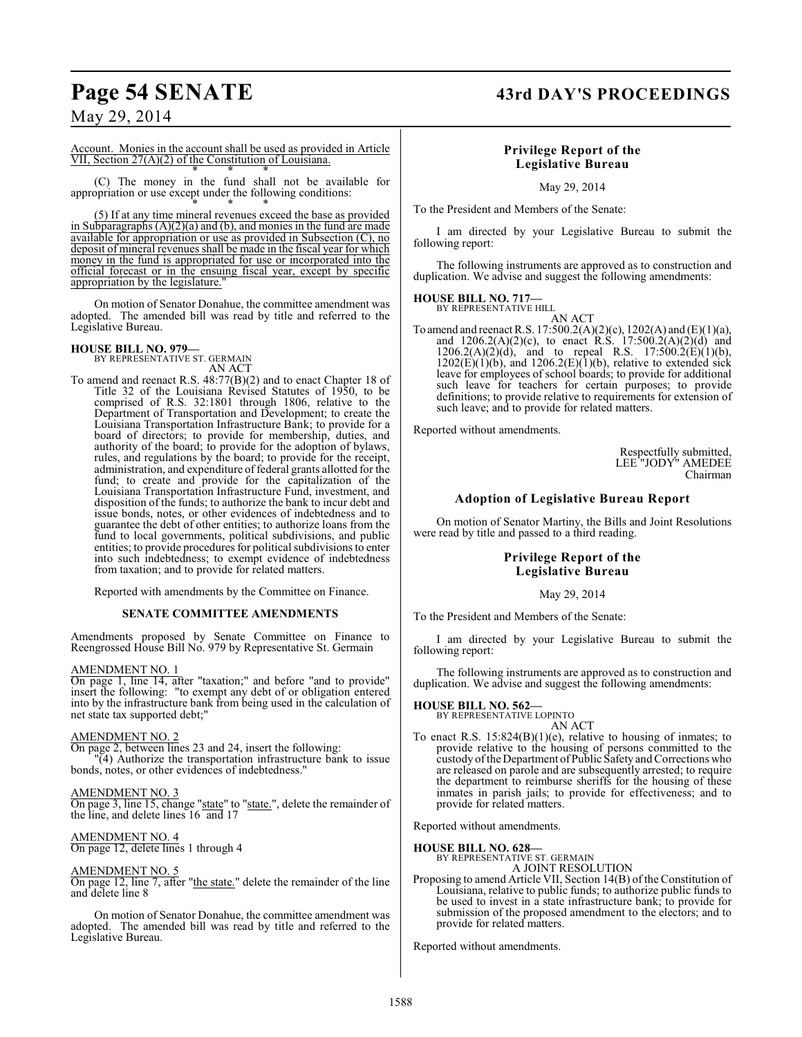## **Page 54 SENATE 43rd DAY'S PROCEEDINGS**

## May 29, 2014

Account. Monies in the account shall be used as provided in Article VII, Section 27(A)(2) of the Constitution of Louisiana. \* \* \*

(C) The money in the fund shall not be available for appropriation or use except under the following conditions: \* \* \*

(5) If at any time mineral revenues exceed the base as provided in Subparagraphs  $(A)(2)(a)$  and  $(b)$ , and monies in the fund are made available for appropriation or use as provided in Subsection (C), no deposit of mineral revenues shall be made in the fiscal year for which money in the fund is appropriated for use or incorporated into the official forecast or in the ensuing fiscal year, except by specific appropriation by the legislature.

On motion of Senator Donahue, the committee amendment was adopted. The amended bill was read by title and referred to the Legislative Bureau.

#### **HOUSE BILL NO. 979—**

BY REPRESENTATIVE ST. GERMAIN AN ACT

To amend and reenact R.S. 48:77(B)(2) and to enact Chapter 18 of Title 32 of the Louisiana Revised Statutes of 1950, to be comprised of R.S. 32:1801 through 1806, relative to the Department of Transportation and Development; to create the Louisiana Transportation Infrastructure Bank; to provide for a board of directors; to provide for membership, duties, and authority of the board; to provide for the adoption of bylaws, rules, and regulations by the board; to provide for the receipt, administration, and expenditure of federal grants allotted for the fund; to create and provide for the capitalization of the Louisiana Transportation Infrastructure Fund, investment, and disposition of the funds; to authorize the bank to incur debt and issue bonds, notes, or other evidences of indebtedness and to guarantee the debt of other entities; to authorize loans from the fund to local governments, political subdivisions, and public entities; to provide procedures for political subdivisions to enter into such indebtedness; to exempt evidence of indebtedness from taxation; and to provide for related matters.

Reported with amendments by the Committee on Finance.

#### **SENATE COMMITTEE AMENDMENTS**

Amendments proposed by Senate Committee on Finance to Reengrossed House Bill No. 979 by Representative St. Germain

#### AMENDMENT NO. 1

On page 1, line 14, after "taxation;" and before "and to provide" insert the following: "to exempt any debt of or obligation entered into by the infrastructure bank from being used in the calculation of net state tax supported debt;"

#### AMENDMENT NO. 2

On page 2, between lines 23 and 24, insert the following: "(4) Authorize the transportation infrastructure bank to issue bonds, notes, or other evidences of indebtedness."

#### AMENDMENT NO. 3

On page 3, line 15, change "state" to "state.", delete the remainder of the line, and delete lines 16 and 17

#### AMENDMENT NO. 4

On page 12, delete lines 1 through 4

#### AMENDMENT NO. 5

On page 12, line 7, after "the state." delete the remainder of the line and delete line 8

On motion of Senator Donahue, the committee amendment was adopted. The amended bill was read by title and referred to the Legislative Bureau.

#### **Privilege Report of the Legislative Bureau**

May 29, 2014

To the President and Members of the Senate:

I am directed by your Legislative Bureau to submit the following report:

The following instruments are approved as to construction and duplication. We advise and suggest the following amendments:

## **HOUSE BILL NO. 717—** BY REPRESENTATIVE HILL

AN ACT

To amend and reenact R.S. 17:500.2(A)(2)(c), 1202(A) and (E)(1)(a), and  $1206.2(A)(2)(c)$ , to enact R.S.  $17:500.2(A)(2)(d)$  and  $1206.2(A)(2)(d)$ , and to repeal R.S.  $17:500.2(E)(1)(b)$ ,  $1202(E)(1)(b)$ , and  $1206.2(E)(1)(b)$ , relative to extended sick leave for employees of school boards; to provide for additional such leave for teachers for certain purposes; to provide definitions; to provide relative to requirements for extension of such leave; and to provide for related matters.

Reported without amendments.

Respectfully submitted, LEE "JODY" AMEDEE Chairman

## **Adoption of Legislative Bureau Report**

On motion of Senator Martiny, the Bills and Joint Resolutions were read by title and passed to a third reading.

#### **Privilege Report of the Legislative Bureau**

#### May 29, 2014

To the President and Members of the Senate:

I am directed by your Legislative Bureau to submit the following report:

The following instruments are approved as to construction and duplication. We advise and suggest the following amendments:

## **HOUSE BILL NO. 562—** BY REPRESENTATIVE LOPINTO

AN ACT

To enact R.S. 15:824(B)(1)(e), relative to housing of inmates; to provide relative to the housing of persons committed to the custody of theDepartment ofPublic Safety and Corrections who are released on parole and are subsequently arrested; to require the department to reimburse sheriffs for the housing of these inmates in parish jails; to provide for effectiveness; and to provide for related matters.

Reported without amendments.

## **HOUSE BILL NO. 628—** BY REPRESENTATIVE ST. GERMAIN

A JOINT RESOLUTION Proposing to amend Article VII, Section 14(B) of the Constitution of Louisiana, relative to public funds; to authorize public funds to be used to invest in a state infrastructure bank; to provide for submission of the proposed amendment to the electors; and to provide for related matters.

Reported without amendments.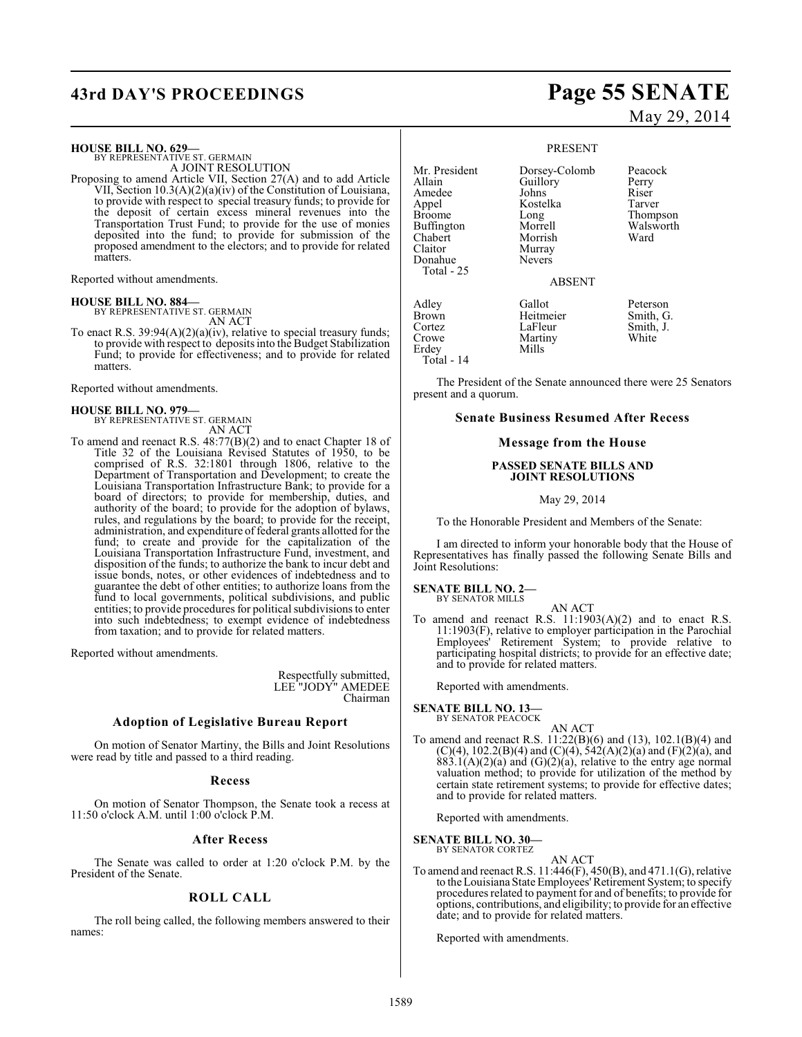# **43rd DAY'S PROCEEDINGS Page 55 SENATE**

#### **HOUSE BILL NO. 629—**

BY REPRESENTATIVE ST. GERMAIN A JOINT RESOLUTION

Proposing to amend Article VII, Section 27(A) and to add Article VII, Section 10.3(A)(2)(a)(iv) of the Constitution of Louisiana, to provide with respect to special treasury funds; to provide for the deposit of certain excess mineral revenues into the Transportation Trust Fund; to provide for the use of monies deposited into the fund; to provide for submission of the proposed amendment to the electors; and to provide for related matters.

Reported without amendments.

**HOUSE BILL NO. 884—** BY REPRESENTATIVE ST. GERMAIN

AN ACT

To enact R.S. 39:94(A)(2)(a)(iv), relative to special treasury funds; to provide with respect to deposits into the Budget Stabilization Fund; to provide for effectiveness; and to provide for related matters.

Reported without amendments.

#### **HOUSE BILL NO. 979—**

BY REPRESENTATIVE ST. GERMAIN AN ACT

To amend and reenact R.S. 48:77(B)(2) and to enact Chapter 18 of Title 32 of the Louisiana Revised Statutes of 1950, to be comprised of R.S. 32:1801 through 1806, relative to the Department of Transportation and Development; to create the Louisiana Transportation Infrastructure Bank; to provide for a board of directors; to provide for membership, duties, and authority of the board; to provide for the adoption of bylaws, rules, and regulations by the board; to provide for the receipt, administration, and expenditure of federal grants allotted for the fund; to create and provide for the capitalization of the Louisiana Transportation Infrastructure Fund, investment, and disposition of the funds; to authorize the bank to incur debt and issue bonds, notes, or other evidences of indebtedness and to guarantee the debt of other entities; to authorize loans from the fund to local governments, political subdivisions, and public entities; to provide procedures for political subdivisions to enter into such indebtedness; to exempt evidence of indebtedness from taxation; and to provide for related matters.

Reported without amendments.

Respectfully submitted, LEE "JODY" AMEDEE Chairman

## **Adoption of Legislative Bureau Report**

On motion of Senator Martiny, the Bills and Joint Resolutions were read by title and passed to a third reading.

#### **Recess**

On motion of Senator Thompson, the Senate took a recess at 11:50 o'clock A.M. until 1:00 o'clock P.M.

#### **After Recess**

The Senate was called to order at 1:20 o'clock P.M. by the President of the Senate.

### **ROLL CALL**

The roll being called, the following members answered to their names:

# May 29, 2014

#### PRESENT

Mr. President Dorsey-Colomb Peacock<br>Allain Guillory Perry Guillory Perry<br>Johns Riser Amedee Johns Riser<br>Appel Kostelka Tarver Appel Kostelka<br>Broome Long Buffington Morrell Walsworth<br>Chabert Morrish Ward Chabert Morrish<br>Claitor Murray Murray<br>Nevers Donahue Total - 25 ABSENT Adley Gallot Peterson Brown Heitmeier<br>
Cortez LaFleur Cortez LaFleur Smith, J.<br>Crowe Martiny White Martiny<br>Mills Erdey Total - 14

Thompson<br>Walsworth

The President of the Senate announced there were 25 Senators present and a quorum.

### **Senate Business Resumed After Recess**

#### **Message from the House**

#### **PASSED SENATE BILLS AND JOINT RESOLUTIONS**

May 29, 2014

To the Honorable President and Members of the Senate:

I am directed to inform your honorable body that the House of Representatives has finally passed the following Senate Bills and Joint Resolutions:

#### **SENATE BILL NO. 2—** BY SENATOR MILLS

AN ACT

To amend and reenact R.S. 11:1903(A)(2) and to enact R.S. 11:1903(F), relative to employer participation in the Parochial Employees' Retirement System; to provide relative to participating hospital districts; to provide for an effective date; and to provide for related matters.

Reported with amendments.

#### **SENATE BILL NO. 13—** BY SENATOR PEACOCK

AN ACT To amend and reenact R.S. 11:22(B)(6) and (13), 102.1(B)(4) and  $(C)(4)$ , 102.2(B)(4) and  $(C)(4)$ , 542(A)(2)(a) and (F)(2)(a), and  $883.1(A)(2)(a)$  and  $(G)(2)(a)$ , relative to the entry age normal valuation method; to provide for utilization of the method by certain state retirement systems; to provide for effective dates; and to provide for related matters.

Reported with amendments.

**SENATE BILL NO. 30—**

BY SENATOR CORTEZ AN ACT

To amend and reenact R.S. 11:446(F), 450(B), and 471.1(G), relative to the Louisiana State Employees' Retirement System; to specify procedures related to payment for and of benefits; to provide for options, contributions, and eligibility; to provide for an effective date; and to provide for related matters.

Reported with amendments.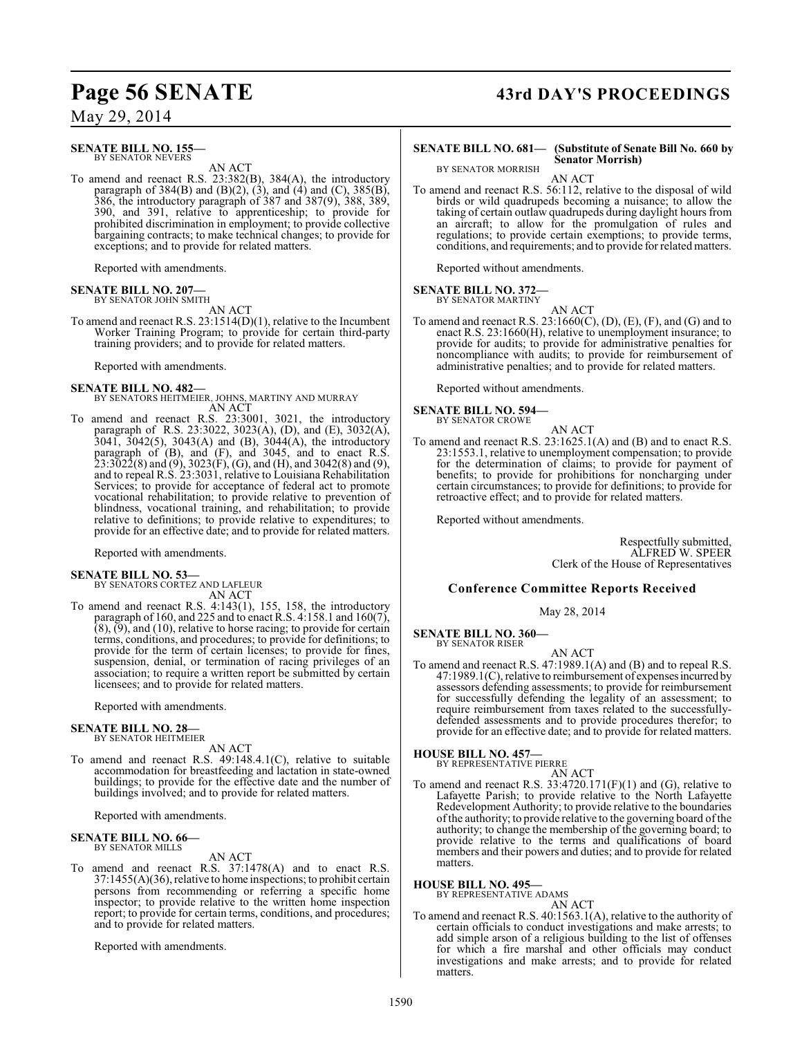#### **SENATE BILL NO. 155—** BY SENATOR NEVERS

AN ACT

To amend and reenact R.S. 23:382(B), 384(A), the introductory paragraph of  $384(B)$  and  $(B)(2)$ ,  $(3)$ , and  $(4)$  and  $(C)$ ,  $385(B)$ , 386, the introductory paragraph of 387 and 387(9), 388, 389, 390, and 391, relative to apprenticeship; to provide for prohibited discrimination in employment; to provide collective bargaining contracts; to make technical changes; to provide for exceptions; and to provide for related matters.

Reported with amendments.

#### **SENATE BILL NO. 207—** BY SENATOR JOHN SMITH

AN ACT

To amend and reenact R.S. 23:1514(D)(1), relative to the Incumbent Worker Training Program; to provide for certain third-party training providers; and to provide for related matters.

Reported with amendments.

**SENATE BILL NO. 482—** BY SENATORS HEITMEIER, JOHNS, MARTINY AND MURRAY AN ACT

To amend and reenact R.S. 23:3001, 3021, the introductory paragraph of R.S. 23:3022, 3023(A), (D), and (E), 3032(A), 3041, 3042(5), 3043(A) and (B), 3044(A), the introductory paragraph of (B), and (F), and 3045, and to enact R.S.  $23:3\bar{0}2\bar{2}(8)$  and  $(9),3023(F),$   $(G),$  and  $(H),$  and  $3042(8)$  and  $(9),$ and to repeal R.S. 23:3031, relative to Louisiana Rehabilitation Services; to provide for acceptance of federal act to promote vocational rehabilitation; to provide relative to prevention of blindness, vocational training, and rehabilitation; to provide relative to definitions; to provide relative to expenditures; to provide for an effective date; and to provide for related matters.

Reported with amendments.

# **SENATE BILL NO. 53—** BY SENATORS CORTEZ AND LAFLEUR

AN ACT

To amend and reenact R.S. 4:143(1), 155, 158, the introductory paragraph of 160, and 225 and to enact R.S. 4:158.1 and 160(7),  $(8)$ ,  $(9)$ , and  $(10)$ , relative to horse racing; to provide for certain terms, conditions, and procedures; to provide for definitions; to provide for the term of certain licenses; to provide for fines, suspension, denial, or termination of racing privileges of an association; to require a written report be submitted by certain licensees; and to provide for related matters.

Reported with amendments.

#### **SENATE BILL NO. 28—** BY SENATOR HEITMEIER

AN ACT

To amend and reenact R.S. 49:148.4.1(C), relative to suitable accommodation for breastfeeding and lactation in state-owned buildings; to provide for the effective date and the number of buildings involved; and to provide for related matters.

Reported with amendments.

# **SENATE BILL NO. 66—** BY SENATOR MILLS

AN ACT

To amend and reenact R.S. 37:1478(A) and to enact R.S. 37:1455(A)(36), relative to home inspections; to prohibit certain persons from recommending or referring a specific home inspector; to provide relative to the written home inspection report; to provide for certain terms, conditions, and procedures; and to provide for related matters.

Reported with amendments.

# Page 56 SENATE 43rd DAY'S PROCEEDINGS

BY SENATOR MORRISH

#### **SENATE BILL NO. 681— (Substitute of Senate Bill No. 660 by Senator Morrish)**

AN ACT

To amend and reenact R.S. 56:112, relative to the disposal of wild birds or wild quadrupeds becoming a nuisance; to allow the taking of certain outlaw quadrupeds during daylight hours from an aircraft; to allow for the promulgation of rules and regulations; to provide certain exemptions; to provide terms, conditions, and requirements; and to provide for related matters.

Reported without amendments.

#### **SENATE BILL NO. 372—** BY SENATOR MARTINY

AN ACT

To amend and reenact R.S. 23:1660(C), (D), (E), (F), and (G) and to enact R.S. 23:1660(H), relative to unemployment insurance; to provide for audits; to provide for administrative penalties for noncompliance with audits; to provide for reimbursement of administrative penalties; and to provide for related matters.

Reported without amendments.

**SENATE BILL NO. 594—** BY SENATOR CROWE

AN ACT

To amend and reenact R.S. 23:1625.1(A) and (B) and to enact R.S. 23:1553.1, relative to unemployment compensation; to provide for the determination of claims; to provide for payment of benefits; to provide for prohibitions for noncharging under certain circumstances; to provide for definitions; to provide for retroactive effect; and to provide for related matters.

Reported without amendments.

Respectfully submitted, ALFRED W. SPEER Clerk of the House of Representatives

#### **Conference Committee Reports Received**

May 28, 2014

**SENATE BILL NO. 360—** BY SENATOR RISER

AN ACT

To amend and reenact R.S. 47:1989.1(A) and (B) and to repeal R.S. 47:1989.1(C), relative to reimbursement of expenses incurred by assessors defending assessments; to provide for reimbursement for successfully defending the legality of an assessment; to require reimbursement from taxes related to the successfullydefended assessments and to provide procedures therefor; to provide for an effective date; and to provide for related matters.

## **HOUSE BILL NO. 457—** BY REPRESENTATIVE PIERRE

AN ACT

To amend and reenact R.S. 33:4720.171(F)(1) and (G), relative to Lafayette Parish; to provide relative to the North Lafayette Redevelopment Authority; to provide relative to the boundaries of the authority; to provide relative to the governing board of the authority; to change the membership of the governing board; to provide relative to the terms and qualifications of board members and their powers and duties; and to provide for related matters.

**HOUSE BILL NO. 495—**

BY REPRESENTATIVE ADAMS AN ACT

To amend and reenact R.S. 40:1563.1(A), relative to the authority of certain officials to conduct investigations and make arrests; to add simple arson of a religious building to the list of offenses for which a fire marshal and other officials may conduct investigations and make arrests; and to provide for related matters.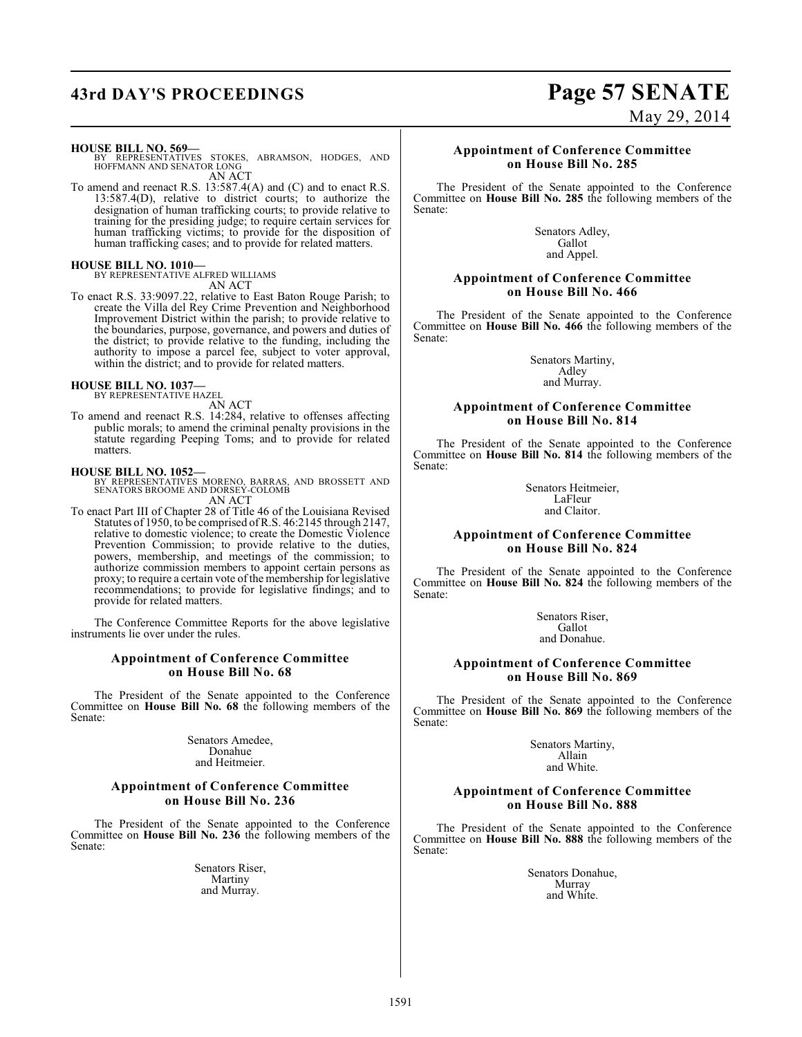## **43rd DAY'S PROCEEDINGS Page 57 SENATE**

#### **HOUSE BILL NO. 569—**

BY REPRESENTATIVES STOKES, ABRAMSON, HODGES, AND HOFFMANN AND SENATOR LONG AN ACT

To amend and reenact R.S. 13:587.4(A) and (C) and to enact R.S. 13:587.4(D), relative to district courts; to authorize the designation of human trafficking courts; to provide relative to training for the presiding judge; to require certain services for human trafficking victims; to provide for the disposition of human trafficking cases; and to provide for related matters.

#### **HOUSE BILL NO. 1010—**

BY REPRESENTATIVE ALFRED WILLIAMS AN ACT

To enact R.S. 33:9097.22, relative to East Baton Rouge Parish; to create the Villa del Rey Crime Prevention and Neighborhood Improvement District within the parish; to provide relative to the boundaries, purpose, governance, and powers and duties of the district; to provide relative to the funding, including the authority to impose a parcel fee, subject to voter approval, within the district; and to provide for related matters.

#### **HOUSE BILL NO. 1037—**

BY REPRESENTATIVE HAZEL

AN ACT To amend and reenact R.S. 14:284, relative to offenses affecting public morals; to amend the criminal penalty provisions in the statute regarding Peeping Toms; and to provide for related matters.

**HOUSE BILL NO. 1052—** BY REPRESENTATIVES MORENO, BARRAS, AND BROSSETT AND SENATORS BROOME AND DORSEY-COLOMB AN ACT

To enact Part III of Chapter 28 of Title 46 of the Louisiana Revised Statutes of 1950, to be comprised of R.S. 46:2145 through 2147, relative to domestic violence; to create the Domestic Violence Prevention Commission; to provide relative to the duties, powers, membership, and meetings of the commission; to authorize commission members to appoint certain persons as proxy; to require a certain vote of the membership for legislative recommendations; to provide for legislative findings; and to provide for related matters.

The Conference Committee Reports for the above legislative instruments lie over under the rules.

#### **Appointment of Conference Committee on House Bill No. 68**

The President of the Senate appointed to the Conference Committee on **House Bill No. 68** the following members of the Senate:

> Senators Amedee, Donahue and Heitmeier.

#### **Appointment of Conference Committee on House Bill No. 236**

The President of the Senate appointed to the Conference Committee on **House Bill No. 236** the following members of the Senate:

> Senators Riser, Martiny and Murray.

#### **Appointment of Conference Committee on House Bill No. 285**

The President of the Senate appointed to the Conference Committee on **House Bill No. 285** the following members of the Senate:

> Senators Adley, Gallot and Appel.

#### **Appointment of Conference Committee on House Bill No. 466**

The President of the Senate appointed to the Conference Committee on **House Bill No. 466** the following members of the Senate:

> Senators Martiny, Adley and Murray.

#### **Appointment of Conference Committee on House Bill No. 814**

The President of the Senate appointed to the Conference Committee on **House Bill No. 814** the following members of the Senate:

> Senators Heitmeier, LaFleur and Claitor.

#### **Appointment of Conference Committee on House Bill No. 824**

The President of the Senate appointed to the Conference Committee on **House Bill No. 824** the following members of the Senate:

> Senators Riser, Gallot and Donahue.

#### **Appointment of Conference Committee on House Bill No. 869**

The President of the Senate appointed to the Conference Committee on **House Bill No. 869** the following members of the Senate:

> Senators Martiny, Allain and White.

#### **Appointment of Conference Committee on House Bill No. 888**

The President of the Senate appointed to the Conference Committee on **House Bill No. 888** the following members of the Senate:

> Senators Donahue, Murray and White.

May 29, 2014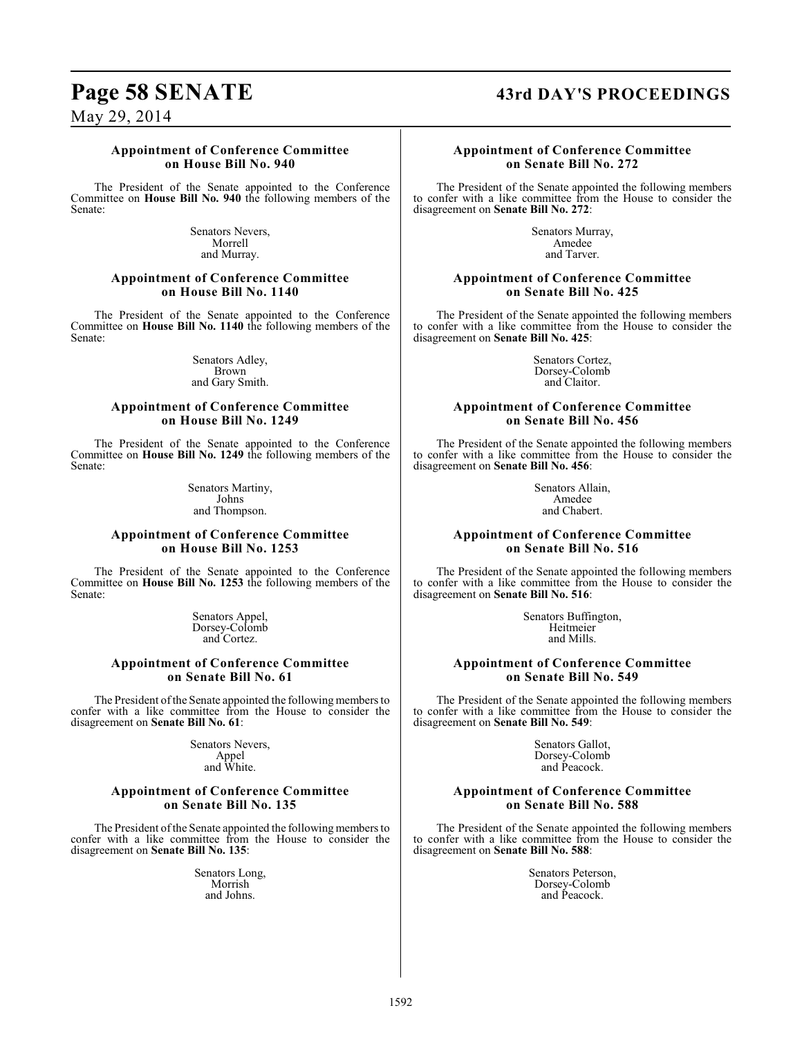## **Page 58 SENATE 43rd DAY'S PROCEEDINGS**

May 29, 2014

#### **Appointment of Conference Committee on House Bill No. 940**

The President of the Senate appointed to the Conference Committee on **House Bill No. 940** the following members of the Senate:

> Senators Nevers, Morrell and Murray.

#### **Appointment of Conference Committee on House Bill No. 1140**

The President of the Senate appointed to the Conference Committee on **House Bill No. 1140** the following members of the Senate:

> Senators Adley, Brown and Gary Smith.

#### **Appointment of Conference Committee on House Bill No. 1249**

The President of the Senate appointed to the Conference Committee on **House Bill No. 1249** the following members of the Senate:

> Senators Martiny, Johns and Thompson.

#### **Appointment of Conference Committee on House Bill No. 1253**

The President of the Senate appointed to the Conference Committee on **House Bill No. 1253** the following members of the Senate:

> Senators Appel, Dorsey-Colomb and Cortez.

### **Appointment of Conference Committee on Senate Bill No. 61**

The President of the Senate appointed the following members to confer with a like committee from the House to consider the disagreement on **Senate Bill No. 61**:

> Senators Nevers, Appel and White.

#### **Appointment of Conference Committee on Senate Bill No. 135**

The President of the Senate appointed the following members to confer with a like committee from the House to consider the disagreement on **Senate Bill No. 135**:

> Senators Long, Morrish and Johns.

#### **Appointment of Conference Committee on Senate Bill No. 272**

The President of the Senate appointed the following members to confer with a like committee from the House to consider the disagreement on **Senate Bill No. 272**:

> Senators Murray, Amedee and Tarver.

#### **Appointment of Conference Committee on Senate Bill No. 425**

The President of the Senate appointed the following members to confer with a like committee from the House to consider the disagreement on **Senate Bill No. 425**:

> Senators Cortez, Dorsey-Colomb and Claitor.

#### **Appointment of Conference Committee on Senate Bill No. 456**

The President of the Senate appointed the following members to confer with a like committee from the House to consider the disagreement on **Senate Bill No. 456**:

> Senators Allain, Amedee and Chabert.

### **Appointment of Conference Committee on Senate Bill No. 516**

The President of the Senate appointed the following members to confer with a like committee from the House to consider the disagreement on **Senate Bill No. 516**:

> Senators Buffington, Heitmeier and Mills.

### **Appointment of Conference Committee on Senate Bill No. 549**

The President of the Senate appointed the following members to confer with a like committee from the House to consider the disagreement on **Senate Bill No. 549**:

> Senators Gallot, Dorsey-Colomb and Peacock.

#### **Appointment of Conference Committee on Senate Bill No. 588**

The President of the Senate appointed the following members to confer with a like committee from the House to consider the disagreement on **Senate Bill No. 588**:

> Senators Peterson, Dorsey-Colomb and Peacock.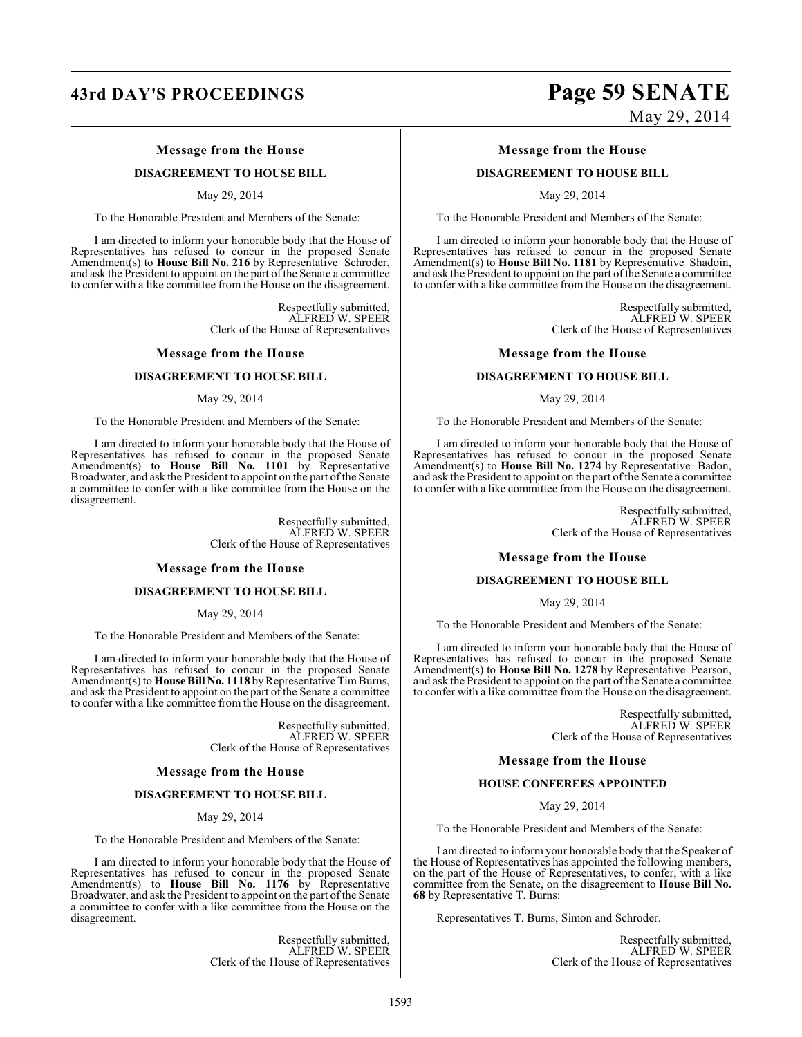## **43rd DAY'S PROCEEDINGS Page 59 SENATE**

### **Message from the House**

#### **DISAGREEMENT TO HOUSE BILL**

May 29, 2014

To the Honorable President and Members of the Senate:

I am directed to inform your honorable body that the House of Representatives has refused to concur in the proposed Senate Amendment(s) to **House Bill No. 216** by Representative Schroder, and ask the President to appoint on the part of the Senate a committee to confer with a like committee from the House on the disagreement.

> Respectfully submitted, ALFRED W. SPEER Clerk of the House of Representatives

#### **Message from the House**

### **DISAGREEMENT TO HOUSE BILL**

May 29, 2014

To the Honorable President and Members of the Senate:

I am directed to inform your honorable body that the House of Representatives has refused to concur in the proposed Senate Amendment(s) to **House Bill No. 1101** by Representative Broadwater, and ask the President to appoint on the part of the Senate a committee to confer with a like committee from the House on the disagreement.

> Respectfully submitted, ALFRED W. SPEER Clerk of the House of Representatives

#### **Message from the House**

#### **DISAGREEMENT TO HOUSE BILL**

May 29, 2014

To the Honorable President and Members of the Senate:

I am directed to inform your honorable body that the House of Representatives has refused to concur in the proposed Senate Amendment(s) to **House Bill No. 1118** by Representative Tim Burns, and ask the President to appoint on the part of the Senate a committee to confer with a like committee from the House on the disagreement.

> Respectfully submitted, ALFRED W. SPEER Clerk of the House of Representatives

#### **Message from the House**

#### **DISAGREEMENT TO HOUSE BILL**

May 29, 2014

To the Honorable President and Members of the Senate:

I am directed to inform your honorable body that the House of Representatives has refused to concur in the proposed Senate Amendment(s) to **House Bill No. 1176** by Representative Broadwater, and ask the President to appoint on the part of the Senate a committee to confer with a like committee from the House on the disagreement.

> Respectfully submitted, ALFRED W. SPEER Clerk of the House of Representatives

# May 29, 2014

#### **Message from the House**

#### **DISAGREEMENT TO HOUSE BILL**

May 29, 2014

To the Honorable President and Members of the Senate:

I am directed to inform your honorable body that the House of Representatives has refused to concur in the proposed Senate Amendment(s) to **House Bill No. 1181** by Representative Shadoin, and ask the President to appoint on the part of the Senate a committee to confer with a like committee from the House on the disagreement.

> Respectfully submitted, ALFRED W. SPEER Clerk of the House of Representatives

#### **Message from the House**

#### **DISAGREEMENT TO HOUSE BILL**

May 29, 2014

To the Honorable President and Members of the Senate:

I am directed to inform your honorable body that the House of Representatives has refused to concur in the proposed Senate Amendment(s) to **House Bill No. 1274** by Representative Badon, and ask the President to appoint on the part of the Senate a committee to confer with a like committee from the House on the disagreement.

> Respectfully submitted, ALFRED W. SPEER Clerk of the House of Representatives

#### **Message from the House**

#### **DISAGREEMENT TO HOUSE BILL**

May 29, 2014

To the Honorable President and Members of the Senate:

I am directed to inform your honorable body that the House of Representatives has refused to concur in the proposed Senate Amendment(s) to **House Bill No. 1278** by Representative Pearson, and ask the President to appoint on the part of the Senate a committee to confer with a like committee from the House on the disagreement.

> Respectfully submitted, ALFRED W. SPEER Clerk of the House of Representatives

#### **Message from the House**

#### **HOUSE CONFEREES APPOINTED**

May 29, 2014

To the Honorable President and Members of the Senate:

I am directed to inform your honorable body that the Speaker of the House of Representatives has appointed the following members, on the part of the House of Representatives, to confer, with a like committee from the Senate, on the disagreement to **House Bill No. 68** by Representative T. Burns:

Representatives T. Burns, Simon and Schroder.

Respectfully submitted, ALFRED W. SPEER Clerk of the House of Representatives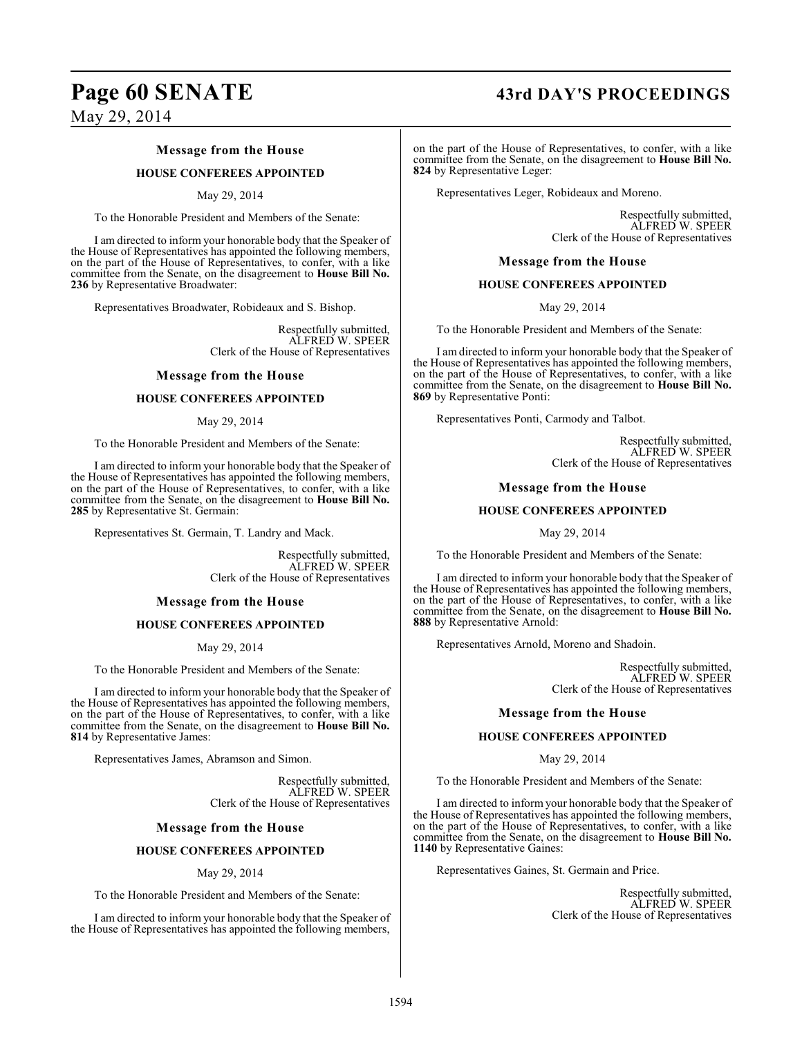# Page 60 SENATE 43rd DAY'S PROCEEDINGS

May 29, 2014

### **Message from the House**

#### **HOUSE CONFEREES APPOINTED**

#### May 29, 2014

To the Honorable President and Members of the Senate:

I am directed to inform your honorable body that the Speaker of the House of Representatives has appointed the following members, on the part of the House of Representatives, to confer, with a like committee from the Senate, on the disagreement to **House Bill No. 236** by Representative Broadwater:

Representatives Broadwater, Robideaux and S. Bishop.

Respectfully submitted, ALFRED W. SPEER Clerk of the House of Representatives

#### **Message from the House**

#### **HOUSE CONFEREES APPOINTED**

#### May 29, 2014

To the Honorable President and Members of the Senate:

I am directed to inform your honorable body that the Speaker of the House of Representatives has appointed the following members, on the part of the House of Representatives, to confer, with a like committee from the Senate, on the disagreement to **House Bill No. 285** by Representative St. Germain:

Representatives St. Germain, T. Landry and Mack.

Respectfully submitted, ALFRED W. SPEER Clerk of the House of Representatives

#### **Message from the House**

#### **HOUSE CONFEREES APPOINTED**

May 29, 2014

To the Honorable President and Members of the Senate:

I am directed to inform your honorable body that the Speaker of the House of Representatives has appointed the following members, on the part of the House of Representatives, to confer, with a like committee from the Senate, on the disagreement to **House Bill No. 814** by Representative James:

Representatives James, Abramson and Simon.

Respectfully submitted, ALFRED W. SPEER Clerk of the House of Representatives

#### **Message from the House**

### **HOUSE CONFEREES APPOINTED**

#### May 29, 2014

To the Honorable President and Members of the Senate:

I am directed to inform your honorable body that the Speaker of the House of Representatives has appointed the following members,

on the part of the House of Representatives, to confer, with a like committee from the Senate, on the disagreement to **House Bill No. 824** by Representative Leger:

Representatives Leger, Robideaux and Moreno.

Respectfully submitted, ALFRED W. SPEER Clerk of the House of Representatives

#### **Message from the House**

#### **HOUSE CONFEREES APPOINTED**

May 29, 2014

To the Honorable President and Members of the Senate:

I am directed to inform your honorable body that the Speaker of the House of Representatives has appointed the following members, on the part of the House of Representatives, to confer, with a like committee from the Senate, on the disagreement to **House Bill No. 869** by Representative Ponti:

Representatives Ponti, Carmody and Talbot.

Respectfully submitted, ALFRED W. SPEER Clerk of the House of Representatives

#### **Message from the House**

#### **HOUSE CONFEREES APPOINTED**

May 29, 2014

To the Honorable President and Members of the Senate:

I am directed to inform your honorable body that the Speaker of the House of Representatives has appointed the following members, on the part of the House of Representatives, to confer, with a like committee from the Senate, on the disagreement to **House Bill No. 888** by Representative Arnold:

Representatives Arnold, Moreno and Shadoin.

Respectfully submitted, ALFRED W. SPEER Clerk of the House of Representatives

#### **Message from the House**

#### **HOUSE CONFEREES APPOINTED**

May 29, 2014

To the Honorable President and Members of the Senate:

I am directed to inform your honorable body that the Speaker of the House of Representatives has appointed the following members, on the part of the House of Representatives, to confer, with a like committee from the Senate, on the disagreement to **House Bill No. 1140** by Representative Gaines:

Representatives Gaines, St. Germain and Price.

Respectfully submitted, ALFRED W. SPEER Clerk of the House of Representatives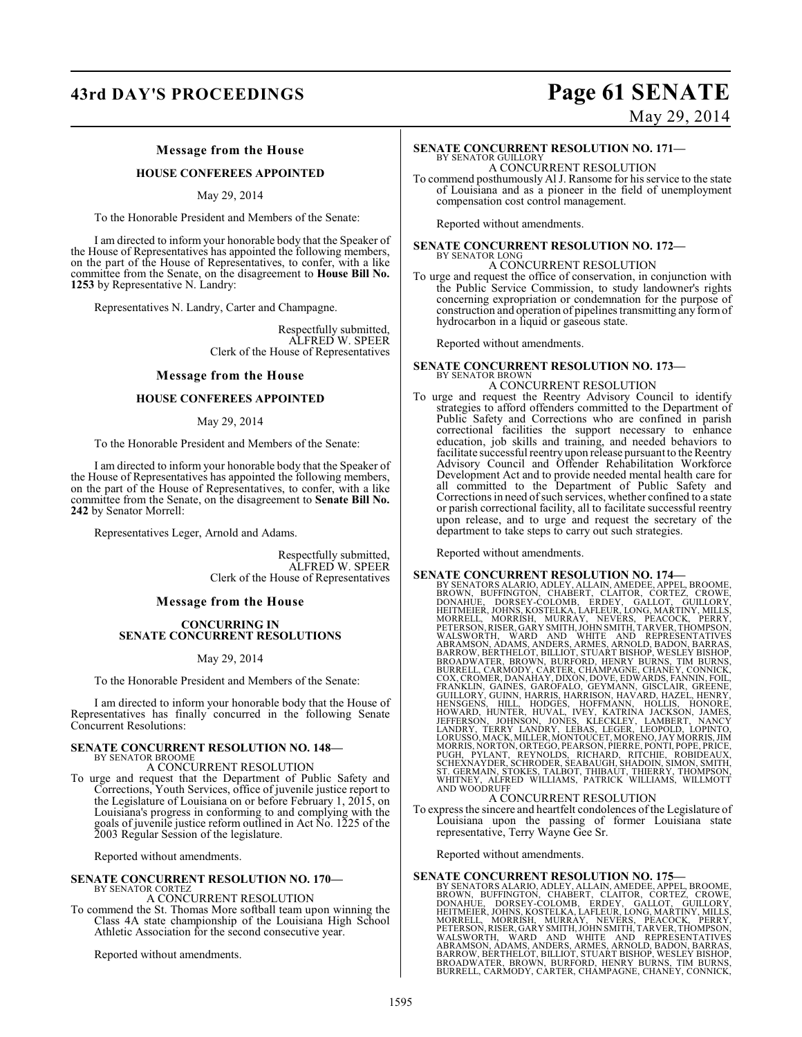## **43rd DAY'S PROCEEDINGS Page 61 SENATE**

# May 29, 2014

#### **Message from the House**

### **HOUSE CONFEREES APPOINTED**

#### May 29, 2014

To the Honorable President and Members of the Senate:

I am directed to inform your honorable body that the Speaker of the House of Representatives has appointed the following members, on the part of the House of Representatives, to confer, with a like committee from the Senate, on the disagreement to **House Bill No. 1253** by Representative N. Landry:

Representatives N. Landry, Carter and Champagne.

Respectfully submitted, ALFRED W. SPEER Clerk of the House of Representatives

#### **Message from the House**

#### **HOUSE CONFEREES APPOINTED**

#### May 29, 2014

To the Honorable President and Members of the Senate:

I am directed to inform your honorable body that the Speaker of the House of Representatives has appointed the following members, on the part of the House of Representatives, to confer, with a like committee from the Senate, on the disagreement to **Senate Bill No. 242** by Senator Morrell:

Representatives Leger, Arnold and Adams.

Respectfully submitted, ALFRED W. SPEER Clerk of the House of Representatives

#### **Message from the House**

#### **CONCURRING IN SENATE CONCURRENT RESOLUTIONS**

#### May 29, 2014

To the Honorable President and Members of the Senate:

I am directed to inform your honorable body that the House of Representatives has finally concurred in the following Senate Concurrent Resolutions:

#### **SENATE CONCURRENT RESOLUTION NO. 148—**

BY SENATOR BROOME A CONCURRENT RESOLUTION

To urge and request that the Department of Public Safety and Corrections, Youth Services, office of juvenile justice report to the Legislature of Louisiana on or before February 1, 2015, on Louisiana's progress in conforming to and complying with the goals of juvenile justice reform outlined in Act No. 1225 of the 2003 Regular Session of the legislature.

Reported without amendments.

## **SENATE CONCURRENT RESOLUTION NO. 170—** BY SENATOR CORTEZ

A CONCURRENT RESOLUTION

To commend the St. Thomas More softball team upon winning the Class 4A state championship of the Louisiana High School Athletic Association for the second consecutive year.

Reported without amendments.

#### **SENATE CONCURRENT RESOLUTION NO. 171—** BY SENATOR GUILLORY A CONCURRENT RESOLUTION

To commend posthumously Al J. Ransome for hisservice to the state of Louisiana and as a pioneer in the field of unemployment compensation cost control management.

Reported without amendments.

# **SENATE CONCURRENT RESOLUTION NO. 172—**

## BY SENATOR LONG A CONCURRENT RESOLUTION

To urge and request the office of conservation, in conjunction with the Public Service Commission, to study landowner's rights concerning expropriation or condemnation for the purpose of construction and operation of pipelines transmitting any form of hydrocarbon in a liquid or gaseous state.

Reported without amendments.

#### **SENATE CONCURRENT RESOLUTION NO. 173—** BY SENATOR BROWN

#### A CONCURRENT RESOLUTION

To urge and request the Reentry Advisory Council to identify strategies to afford offenders committed to the Department of Public Safety and Corrections who are confined in parish correctional facilities the support necessary to enhance education, job skills and training, and needed behaviors to facilitate successful reentry upon release pursuant to the Reentry Advisory Council and Offender Rehabilitation Workforce Development Act and to provide needed mental health care for all committed to the Department of Public Safety and Corrections in need of such services, whether confined to a state or parish correctional facility, all to facilitate successful reentry upon release, and to urge and request the secretary of the department to take steps to carry out such strategies.

Reported without amendments.

**SENATE CONCURRENT RESOLUTION NO. 174—**<br>BY SENATORS ALARIO, ADLEY, ALLAIN, AMEDEE, APPEL, BROOME, BROWN, BUFFINGTON, CHABERT, CLAITOR, CORTEZ, CROWE,<br>DONAHUE, DORSEY-COLOMB, ERDEY, GALLOT, GUILLORY,<br>HEITMEIER, JOHNS, KOSTE PUGH, PYLANT, REYNOLDS, RICHARD, RITCHIE, ROBIDEAUX,<br>SCHEXNAYDER,SCHRODER,SEABAUGH,SHADOIN,SIMON,SMITH,<br>ST.GERMAIN,STOKES,TALBOT,THIBAUT,THIERRY,THOMPSON,<br>WHITNEY, ALFRED WILLIAMS, PATRICK WILLIAMS, WILLMOTT<br>AND WOODRUFF

#### A CONCURRENT RESOLUTION

To express the sincere and heartfelt condolences of the Legislature of Louisiana upon the passing of former Louisiana state representative, Terry Wayne Gee Sr.

Reported without amendments.

**SENATE CONCURRENT RESOLUTION NO. 175—**<br>BY SENATORS ALARIO, ADLEY, ALLAIN, AMEDEE, APPEL, BROOME, BROWN, BUFFINGTON, CHABERT, CLAITOR, CORTEZ, CROWE,<br>DONAHUE, DORSEY-COLOMB, ERDEY, GALLOT, GUILLORY,<br>HEITMEIER, JOHNS, KOSTE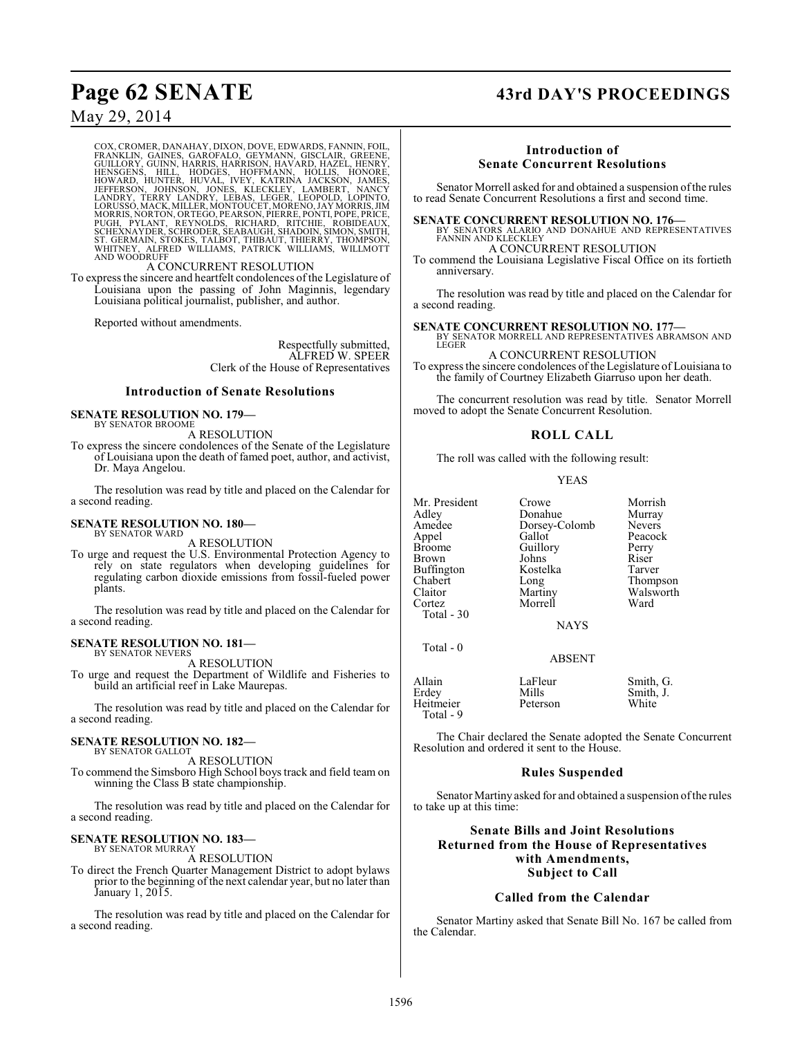## **Page 62 SENATE 43rd DAY'S PROCEEDINGS**

## May 29, 2014

COX, CROMER, DANAHAY, DIXON, DOVE, EDWARDS, FANNIN, FOIL,<br>FRANKLIN, GAINES, GAROFALO, GEYMANN, GISCLAIR, GREENE,<br>GUILLORY, GUINN, HARRIS, HARRISON, HAVARD, HAZEL, HENRY,<br>HENSGENS, HILL, HODGES, HOFFMANN, HOLLIS, HONORE,<br>HO

#### A CONCURRENT RESOLUTION

To express the sincere and heartfelt condolences of the Legislature of Louisiana upon the passing of John Maginnis, legendary Louisiana political journalist, publisher, and author.

Reported without amendments.

Respectfully submitted, ALFRED W. SPEER Clerk of the House of Representatives

#### **Introduction of Senate Resolutions**

#### **SENATE RESOLUTION NO. 179—** BY SENATOR BROOME

A RESOLUTION

To express the sincere condolences of the Senate of the Legislature of Louisiana upon the death of famed poet, author, and activist, Dr. Maya Angelou.

The resolution was read by title and placed on the Calendar for a second reading.

#### **SENATE RESOLUTION NO. 180—** BY SENATOR WARD

A RESOLUTION

To urge and request the U.S. Environmental Protection Agency to rely on state regulators when developing guidelines for regulating carbon dioxide emissions from fossil-fueled power plants.

The resolution was read by title and placed on the Calendar for a second reading.

#### **SENATE RESOLUTION NO. 181—** BY SENATOR NEVERS

A RESOLUTION

To urge and request the Department of Wildlife and Fisheries to build an artificial reef in Lake Maurepas.

The resolution was read by title and placed on the Calendar for a second reading.

#### **SENATE RESOLUTION NO. 182—**

BY SENATOR GALLOT A RESOLUTION

To commend the Simsboro High School boys track and field team on winning the Class B state championship.

The resolution was read by title and placed on the Calendar for a second reading.

#### **SENATE RESOLUTION NO. 183—** BY SENATOR MURRAY

A RESOLUTION

To direct the French Quarter Management District to adopt bylaws prior to the beginning of the next calendar year, but no later than January 1, 2015.

The resolution was read by title and placed on the Calendar for a second reading.

### **Introduction of Senate Concurrent Resolutions**

Senator Morrell asked for and obtained a suspension ofthe rules to read Senate Concurrent Resolutions a first and second time.

**SENATE CONCURRENT RESOLUTION NO. 176—**

BY SENATORS ALARIO AND DONAHUE AND REPRESENTATIVES FANNIN AND KLECKLEY A CONCURRENT RESOLUTION

To commend the Louisiana Legislative Fiscal Office on its fortieth anniversary.

The resolution was read by title and placed on the Calendar for a second reading.

**SENATE CONCURRENT RESOLUTION NO. 177—**

BY SENATOR MORRELL AND REPRESENTATIVES ABRAMSON AND **LEGER** A CONCURRENT RESOLUTION

To express the sincere condolences of the Legislature of Louisiana to the family of Courtney Elizabeth Giarruso upon her death.

The concurrent resolution was read by title. Senator Morrell moved to adopt the Senate Concurrent Resolution.

#### **ROLL CALL**

The roll was called with the following result:

#### YEAS

| Mr. President<br>Adley<br>Amedee | Crowe<br>Donahue<br>Dorsey-Colomb | Morrish<br>Murray<br><b>Nevers</b> |
|----------------------------------|-----------------------------------|------------------------------------|
| Appel                            | Gallot                            | Peacock                            |
| <b>Broome</b>                    | Guillory                          | Perry                              |
| Brown                            | Johns                             | Riser                              |
| <b>Buffington</b>                | Kostelka                          | Tarver                             |
| Chabert                          | Long                              | Thompson                           |
| Claitor                          | Martiny                           | Walsworth                          |
| Cortez                           | Morrell                           | Ward                               |
| Total - 30                       |                                   |                                    |
|                                  | <b>NAYS</b>                       |                                    |
| Total - 0                        |                                   |                                    |
|                                  | <b>ABSENT</b>                     |                                    |
| Allain                           | LaFleur                           | Smith, G.                          |

Allain LaFleur Smith, G.<br>Erdey Mills Smith, J. Mills Smith, J.<br>Peterson White Heitmeier Total - 9

The Chair declared the Senate adopted the Senate Concurrent Resolution and ordered it sent to the House.

#### **Rules Suspended**

Senator Martiny asked for and obtained a suspension of the rules to take up at this time:

## **Senate Bills and Joint Resolutions Returned from the House of Representatives with Amendments, Subject to Call**

#### **Called from the Calendar**

Senator Martiny asked that Senate Bill No. 167 be called from the Calendar.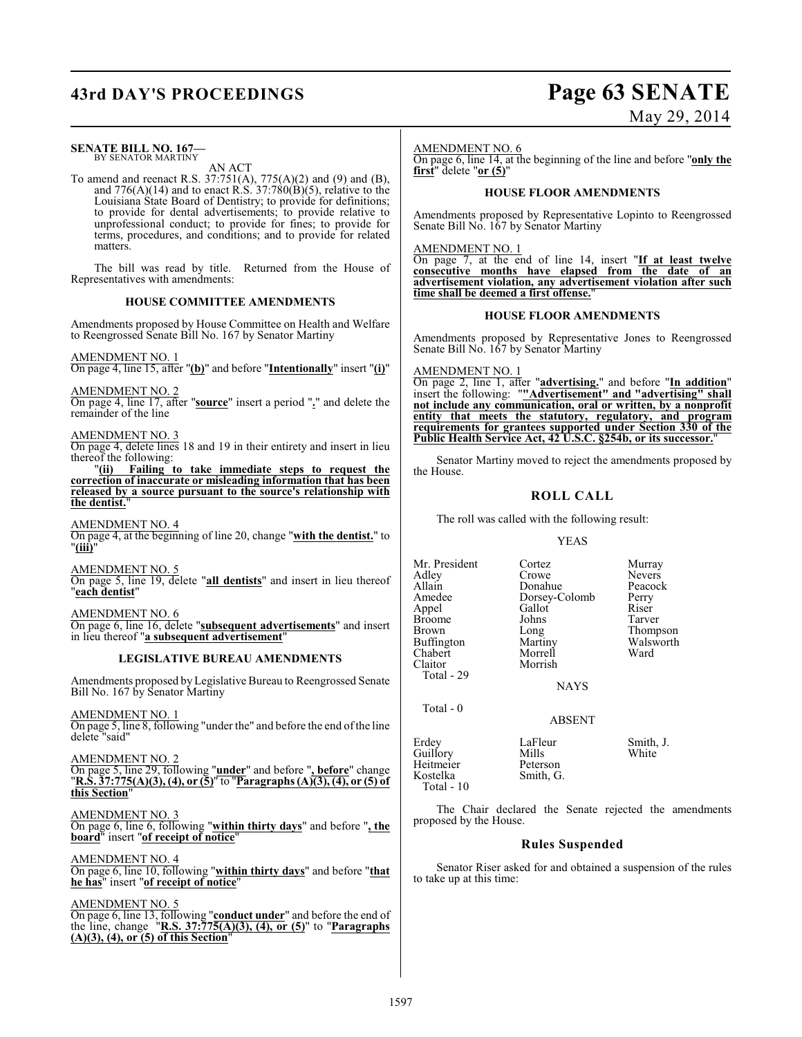## **43rd DAY'S PROCEEDINGS Page 63 SENATE**

#### **SENATE BILL NO. 167—** BY SENATOR MARTINY

AN ACT

To amend and reenact R.S. 37:751(A), 775(A)(2) and (9) and (B), and  $776(A)(14)$  and to enact R.S.  $37:780(B)(5)$ , relative to the Louisiana State Board of Dentistry; to provide for definitions; to provide for dental advertisements; to provide relative to unprofessional conduct; to provide for fines; to provide for terms, procedures, and conditions; and to provide for related matters.

The bill was read by title. Returned from the House of Representatives with amendments:

#### **HOUSE COMMITTEE AMENDMENTS**

Amendments proposed by House Committee on Health and Welfare to Reengrossed Senate Bill No. 167 by Senator Martiny

#### AMENDMENT NO. 1

On page 4, line 15, after "**(b)**" and before "**Intentionally**" insert "**(i)**"

#### AMENDMENT NO. 2

On page 4, line 17, after "**source**" insert a period "**.**" and delete the remainder of the line

#### AMENDMENT NO. 3

On page 4, delete lines 18 and 19 in their entirety and insert in lieu thereof the following:

"**(ii) Failing to take immediate steps to request the correction of inaccurate or misleading information that has been released by a source pursuant to the source's relationship with** the dentist.

AMENDMENT NO. 4

On page 4, at the beginning of line 20, change "**with the dentist.**" to "**(iii)**"

AMENDMENT NO. 5

On page 5, line 19, delete "**all dentists**" and insert in lieu thereof "**each dentist**"

AMENDMENT NO. 6 On page 6, line 16, delete "**subsequent advertisements**" and insert in lieu thereof "**a subsequent advertisement**"

#### **LEGISLATIVE BUREAU AMENDMENTS**

Amendments proposed by Legislative Bureau to Reengrossed Senate Bill No. 167 by Senator Martiny

AMENDMENT NO. 1

On page 5, line 8, following "under the" and before the end of the line delete "said"

AMENDMENT NO. 2

On page 5, line 29, following "**under**" and before "**, before**" change "**R.S. 37:775(A)(3), (4), or (5)**" to "**Paragraphs (A)(3), (4), or (5) of this Section**"

AMENDMENT NO. 3 On page 6, line 6, following "**within thirty days**" and before "**, the board**" insert "**of receipt of notice**"

AMENDMENT NO. 4 On page 6, line 10, following "**within thirty days**" and before "**that he has**" insert "**of receipt of notice**"

AMENDMENT NO. 5 On page 6, line 13, following "**conduct under**" and before the end of the line, change "**R.S. 37:775(A)(3), (4), or (5)**" to "**Paragraphs (A)(3), (4), or (5) of this Section**"

# May 29, 2014

AMENDMENT NO. 6

On page 6, line 14, at the beginning of the line and before "**only the first**" delete "**or (5)**"

#### **HOUSE FLOOR AMENDMENTS**

Amendments proposed by Representative Lopinto to Reengrossed Senate Bill No. 167 by Senator Martiny

AMENDMENT NO. 1

On page 7, at the end of line 14, insert "**If at least twelve consecutive months have elapsed from the date of an advertisement violation, any advertisement violation after such time shall be deemed a first offense.**"

#### **HOUSE FLOOR AMENDMENTS**

Amendments proposed by Representative Jones to Reengrossed Senate Bill No. 167 by Senator Martiny

AMENDMENT NO. 1

On page 2, line 1, after "**advertising.**" and before "**In addition**" insert the following: "**"Advertisement" and "advertising" shall not include any communication, oral or written, by a nonprofit entity that meets the statutory, regulatory, and program requirements for grantees supported under Section 330 of the Public Health Service Act, 42 U.S.C. §254b, or its successor.**"

Senator Martiny moved to reject the amendments proposed by the House.

### **ROLL CALL**

The roll was called with the following result:

Morrell<br>Morrish

#### YEAS

Mr. President Cortez Murray<br>Adlev Crowe Nevers Adley Crowe Nevers Allain Donahue Peacock<br>Amedee Dorsey-Colomb Perry Appel Gallot Riser Broome Johns<br>Brown Long Buffington Martiny Walsworth<br>Chabert Morrell Ward Claitor Total - 29

Total - 0

Dorsey-Colomb Perry<br>Gallot Riser Long Thompson<br>Martiny Walsworth

NAYS

ABSENT

Erdey LaFleur Smith, J.<br>
Guillorv Mills White Guillory Mills<br>Heitmeier Peterson Heitmeier Peterson<br>
Kostelka Smith, G. Kostelka Total - 10

The Chair declared the Senate rejected the amendments proposed by the House.

#### **Rules Suspended**

Senator Riser asked for and obtained a suspension of the rules to take up at this time: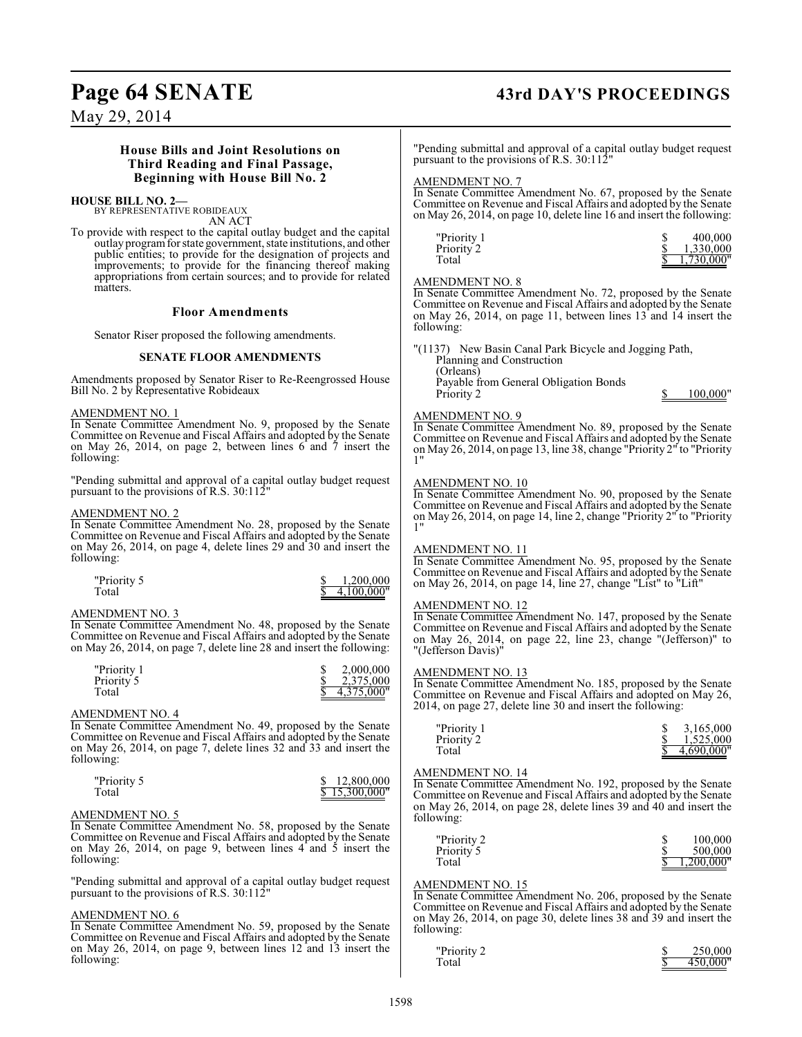# Page 64 SENATE 43rd DAY'S PROCEEDINGS

May 29, 2014

### **House Bills and Joint Resolutions on Third Reading and Final Passage, Beginning with House Bill No. 2**

#### **HOUSE BILL NO. 2—**

BY REPRESENTATIVE ROBIDEAUX AN ACT

To provide with respect to the capital outlay budget and the capital outlay program for state government, state institutions, and other public entities; to provide for the designation of projects and improvements; to provide for the financing thereof making appropriations from certain sources; and to provide for related matters.

#### **Floor Amendments**

Senator Riser proposed the following amendments.

#### **SENATE FLOOR AMENDMENTS**

Amendments proposed by Senator Riser to Re-Reengrossed House Bill No. 2 by Representative Robideaux

#### AMENDMENT NO. 1

In Senate Committee Amendment No. 9, proposed by the Senate Committee on Revenue and Fiscal Affairs and adopted by the Senate on May 26, 2014, on page 2, between lines 6 and 7 insert the following:

"Pending submittal and approval of a capital outlay budget request pursuant to the provisions of R.S. 30:112<sup>"</sup>

#### AMENDMENT NO. 2

In Senate Committee Amendment No. 28, proposed by the Senate Committee on Revenue and Fiscal Affairs and adopted by the Senate on May 26, 2014, on page 4, delete lines 29 and 30 and insert the following:

| "Priority 5 | 1.200.000    |
|-------------|--------------|
| Total       | \$4.100,000" |

#### AMENDMENT NO. 3

In Senate Committee Amendment No. 48, proposed by the Senate Committee on Revenue and Fiscal Affairs and adopted by the Senate on May 26, 2014, on page 7, delete line 28 and insert the following:

| "Priority 1 | 2,000,000  |
|-------------|------------|
| Priority 5  | 2.375,000  |
| Total       | 4.375.000" |

#### AMENDMENT NO. 4

In Senate Committee Amendment No. 49, proposed by the Senate Committee on Revenue and Fiscal Affairs and adopted by the Senate on May 26, 2014, on page 7, delete lines 32 and 33 and insert the following:

| "Priority 5 | \$12,800,000  |
|-------------|---------------|
| Total       | \$15,300,000" |

#### AMENDMENT NO. 5

In Senate Committee Amendment No. 58, proposed by the Senate Committee on Revenue and Fiscal Affairs and adopted by the Senate on May 26, 2014, on page 9, between lines  $4^{\circ}$  and  $5^{\circ}$  insert the following:

"Pending submittal and approval of a capital outlay budget request pursuant to the provisions of R.S. 30:112"

#### AMENDMENT NO. 6

In Senate Committee Amendment No. 59, proposed by the Senate Committee on Revenue and Fiscal Affairs and adopted by the Senate on May 26, 2014, on page 9, between lines 12 and 13 insert the following:

"Pending submittal and approval of a capital outlay budget request pursuant to the provisions of R.S. 30:112

#### AMENDMENT NO. 7

In Senate Committee Amendment No. 67, proposed by the Senate Committee on Revenue and Fiscal Affairs and adopted by the Senate on May 26, 2014, on page 10, delete line 16 and insert the following:

| "Priority 1 | 400,000       |
|-------------|---------------|
| Priority 2  | 1.330.000     |
| Total       | $1,730,000$ " |

## AMENDMENT NO. 8

In Senate Committee Amendment No. 72, proposed by the Senate Committee on Revenue and Fiscal Affairs and adopted by the Senate on May 26, 2014, on page 11, between lines 13 and 14 insert the following:

"(1137) New Basin Canal Park Bicycle and Jogging Path, Planning and Construction (Orleans) Payable from General Obligation Bonds Priority 2 \$ 100,000"

### AMENDMENT NO. 9

In Senate Committee Amendment No. 89, proposed by the Senate Committee on Revenue and Fiscal Affairs and adopted by the Senate on May 26, 2014, on page 13, line 38, change "Priority 2" to "Priority 1"

#### AMENDMENT NO. 10

In Senate Committee Amendment No. 90, proposed by the Senate Committee on Revenue and Fiscal Affairs and adopted by the Senate on May 26, 2014, on page 14, line 2, change "Priority 2" to "Priority 1"

#### AMENDMENT NO. 11

In Senate Committee Amendment No. 95, proposed by the Senate Committee on Revenue and Fiscal Affairs and adopted by the Senate on May 26, 2014, on page 14, line 27, change "List" to "Lift"

#### AMENDMENT NO. 12

In Senate Committee Amendment No. 147, proposed by the Senate Committee on Revenue and Fiscal Affairs and adopted by the Senate on May 26, 2014, on page 22, line 23, change "(Jefferson)" to "(Jefferson Davis)"

#### AMENDMENT NO. 13

In Senate Committee Amendment No. 185, proposed by the Senate Committee on Revenue and Fiscal Affairs and adopted on May 26, 2014, on page 27, delete line 30 and insert the following:

| "Priority 1 | 3.165.000     |
|-------------|---------------|
| Priority 2  | 1.525,000     |
| Total       | $4.690.000$ " |

#### AMENDMENT NO. 14

In Senate Committee Amendment No. 192, proposed by the Senate Committee on Revenue and Fiscal Affairs and adopted by the Senate on May 26, 2014, on page 28, delete lines 39 and 40 and insert the following:

| "Priority 2 | 100,000    |
|-------------|------------|
| Priority 5  | 500,000    |
| Total       | 1.200.000" |

#### AMENDMENT NO. 15

In Senate Committee Amendment No. 206, proposed by the Senate Committee on Revenue and Fiscal Affairs and adopted by the Senate on May 26, 2014, on page 30, delete lines 38 and 39 and insert the following:

| "Priority 2 | 250,000  |
|-------------|----------|
| Total       | 450,000" |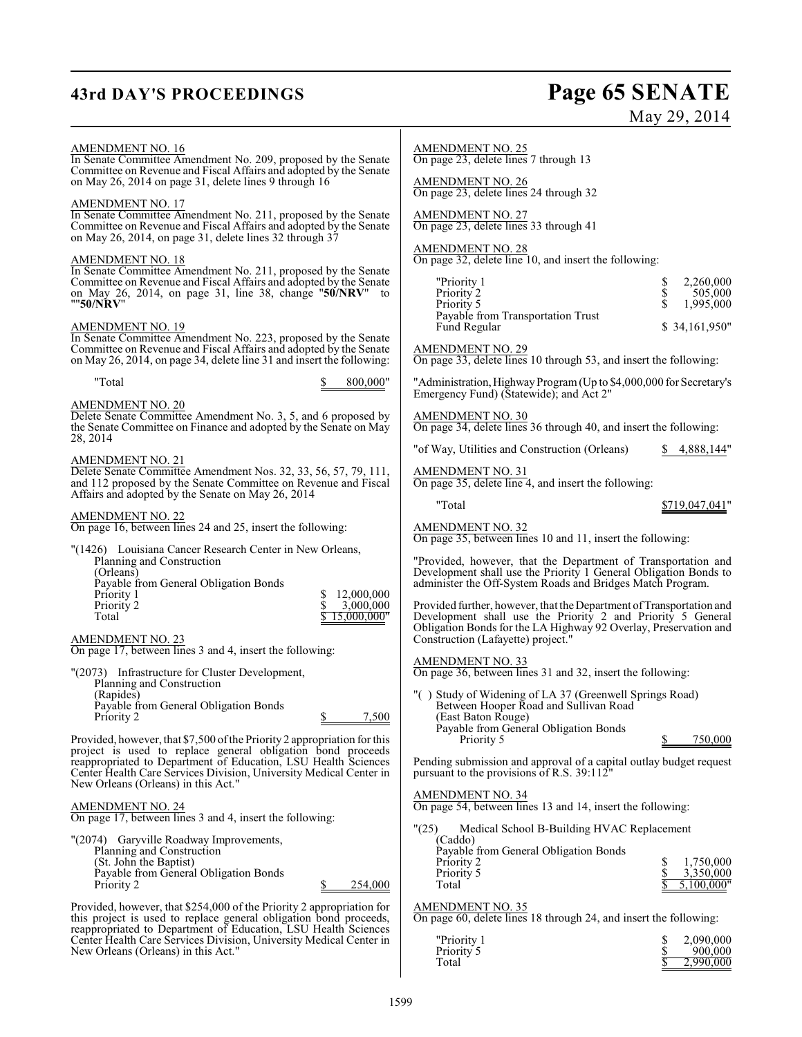## **43rd DAY'S PROCEEDINGS Page 65 SENATE**

# May 29, 2014

#### AMENDMENT NO. 16

In Senate Committee Amendment No. 209, proposed by the Senate Committee on Revenue and Fiscal Affairs and adopted by the Senate on May 26, 2014 on page 31, delete lines 9 through 16

#### AMENDMENT NO. 17

In Senate Committee Amendment No. 211, proposed by the Senate Committee on Revenue and Fiscal Affairs and adopted by the Senate on May 26, 2014, on page 31, delete lines 32 through 37

#### AMENDMENT NO. 18

In Senate Committee Amendment No. 211, proposed by the Senate Committee on Revenue and Fiscal Affairs and adopted by the Senate on May 26, 2014, on page 31, line 38, change "**50/NRV**" to ""**50/NRV**"

#### AMENDMENT NO. 19

In Senate Committee Amendment No. 223, proposed by the Senate Committee on Revenue and Fiscal Affairs and adopted by the Senate on May 26, 2014, on page 34, delete line 31 and insert the following:

"Total \$ 800,000"

#### AMENDMENT NO. 20

Delete Senate Committee Amendment No. 3, 5, and 6 proposed by the Senate Committee on Finance and adopted by the Senate on May 28, 2014

#### AMENDMENT NO. 21

Delete Senate Committee Amendment Nos. 32, 33, 56, 57, 79, 111, and 112 proposed by the Senate Committee on Revenue and Fiscal Affairs and adopted by the Senate on May 26, 2014

#### AMENDMENT NO. 22

On page 16, between lines 24 and 25, insert the following:

| "(1426) Louisiana Cancer Research Center in New Orleans, |             |
|----------------------------------------------------------|-------------|
| Planning and Construction                                |             |
| (Orleans)                                                |             |
| Payable from General Obligation Bonds                    |             |
| Priority 1                                               | 12,000,000  |
| Priority 2                                               | 3,000,000   |
| Total                                                    | 15,000,000" |
|                                                          |             |

#### AMENDMENT NO. 23

On page 17, between lines 3 and 4, insert the following:

| "(2073) Infrastructure for Cluster Development, |       |
|-------------------------------------------------|-------|
| Planning and Construction                       |       |
| (Rapides)                                       |       |
| Payable from General Obligation Bonds           |       |
| Priority 2                                      | 7.500 |

Provided, however, that \$7,500 ofthe Priority 2 appropriation for this project is used to replace general obligation bond proceeds reappropriated to Department of Education, LSU Health Sciences Center Health Care Services Division, University Medical Center in New Orleans (Orleans) in this Act."

#### AMENDMENT NO. 24

On page 17, between lines 3 and 4, insert the following:

| "(2074) Garyville Roadway Improvements, |         |
|-----------------------------------------|---------|
| Planning and Construction               |         |
| (St. John the Baptist)                  |         |
| Payable from General Obligation Bonds   |         |
| Priority 2                              | 254,000 |
|                                         |         |

Provided, however, that \$254,000 of the Priority 2 appropriation for this project is used to replace general obligation bond proceeds, reappropriated to Department of Education, LSU Health Sciences Center Health Care Services Division, University Medical Center in New Orleans (Orleans) in this Act."

On page 23, delete lines 7 through 13

AMENDMENT NO. 26 On page 23, delete lines 24 through 32

AMENDMENT NO. 27 On page 23, delete lines 33 through 41

#### AMENDMENT NO. 28

On page 32, delete line 10, and insert the following:

| "Priority 1                       | 2,260,000      |
|-----------------------------------|----------------|
| Priority 2                        | 505,000        |
| Priority 5                        | 1.995.000      |
| Payable from Transportation Trust |                |
| Fund Regular                      | \$ 34,161,950" |

AMENDMENT NO. 29

On page 33, delete lines 10 through 53, and insert the following:

"Administration, Highway Program (Up to \$4,000,000 for Secretary's Emergency Fund) (Statewide); and Act 2"

AMENDMENT NO. 30

On page 34, delete lines 36 through 40, and insert the following:

"of Way, Utilities and Construction (Orleans) \$ 4,888,144"

AMENDMENT NO. 31

On page 35, delete line 4, and insert the following:

"Total \$719,047,041"

## AMENDMENT NO. 32

On page 35, between lines 10 and 11, insert the following:

"Provided, however, that the Department of Transportation and Development shall use the Priority 1 General Obligation Bonds to administer the Off-System Roads and Bridges Match Program.

Provided further, however, that the Department of Transportation and Development shall use the Priority 2 and Priority 5 General Obligation Bonds for the LA Highway 92 Overlay, Preservation and Construction (Lafayette) project."

AMENDMENT NO. 33

On page 36, between lines 31 and 32, insert the following:

"( ) Study of Widening of LA 37 (Greenwell Springs Road) Between Hooper Road and Sullivan Road (East Baton Rouge) Payable from General Obligation Bonds Priority 5 5 750,000

Pending submission and approval of a capital outlay budget request pursuant to the provisions of R.S. 39:112

#### AMENDMENT NO. 34

On page 54, between lines 13 and 14, insert the following:

"(25) Medical School B-Building HVAC Replacement

| (Caddo)<br>Payable from General Obligation Bonds |            |
|--------------------------------------------------|------------|
| Priority 2                                       | 1,750,000  |
| Priority 5                                       | 3.350,000  |
| Total                                            | 5,100,000" |

## AMENDMENT NO. 35

On page 60, delete lines 18 through 24, and insert the following:

| "Priority 1 | 2,090,000 |
|-------------|-----------|
| Priority 5  | 900,000   |
| Total       | 2.990,000 |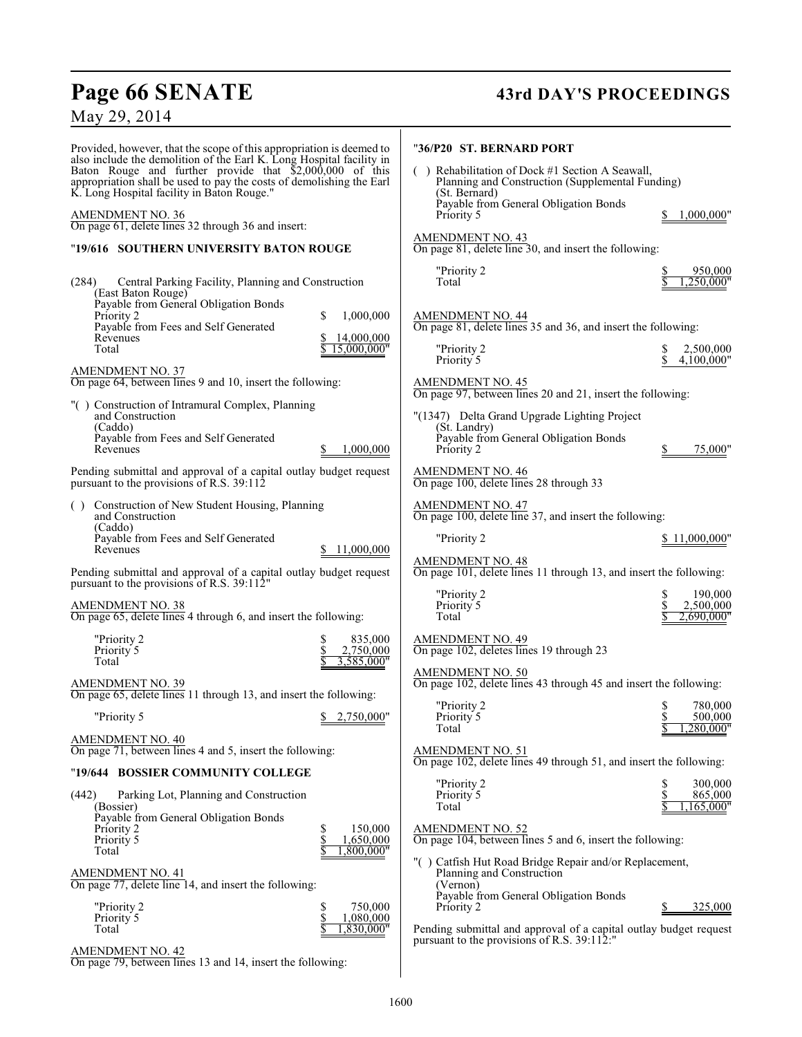# **Page 66 SENATE 43rd DAY'S PROCEEDINGS**

## May 29, 2014

Provided, however, that the scope of this appropriation is deemed to also include the demolition of the Earl K. Long Hospital facility in Baton Rouge and further provide that \$2,000,000 of this appropriation shall be used to pay the costs of demolishing the Earl K. Long Hospital facility in Baton Rouge."

#### AMENDMENT NO. 36

On page 61, delete lines 32 through 36 and insert:

### "**19/616 SOUTHERN UNIVERSITY BATON ROUGE**

| Central Parking Facility, Planning and Construction<br>(284)<br>(East Baton Rouge)<br>Payable from General Obligation Bonds |                                                |
|-----------------------------------------------------------------------------------------------------------------------------|------------------------------------------------|
| Priority 2                                                                                                                  | S<br>1,000,000                                 |
| Payable from Fees and Self Generated<br>Revenues<br>Total                                                                   | 14,000,000<br>\$<br>15,000,000"                |
| <u>AMENDMENT NO. 37</u><br>On page 64, between lines 9 and 10, insert the following:                                        |                                                |
| "() Construction of Intramural Complex, Planning<br>and Construction<br>(Caddo)                                             |                                                |
| Payable from Fees and Self Generated<br>Revenues                                                                            | 1,000,000<br>S.                                |
| Pending submittal and approval of a capital outlay budget request<br>pursuant to the provisions of R.S. 39:112              |                                                |
| Construction of New Student Housing, Planning<br>( )<br>and Construction<br>(Caddo)                                         |                                                |
| Payable from Fees and Self Generated<br>Revenues                                                                            | \$ 11,000,000                                  |
| Pending submittal and approval of a capital outlay budget request<br>pursuant to the provisions of R.S. 39:112"             |                                                |
| <b>AMENDMENT NO. 38</b><br>On page 65, delete lines 4 through 6, and insert the following:                                  |                                                |
| "Priority 2<br>Priority 5<br>Total                                                                                          | \$<br>835,000<br>\$<br>2,750,000<br>3,585,000" |
| <u>AMENDMENT NO. 39</u><br>On page 65, delete lines 11 through 13, and insert the following:                                |                                                |
| "Priority 5                                                                                                                 | \$2,750,000"                                   |
| AMENDMENT NO. 40<br>On page 71, between lines 4 and 5, insert the following:                                                |                                                |
| "19/644 BOSSIER COMMUNITY COLLEGE                                                                                           |                                                |
| Parking Lot, Planning and Construction<br>(442)<br>(Bossier)                                                                |                                                |
| Payable from General Obligation Bonds<br>Priority 2<br>Priority 5<br>Total                                                  | \$<br>150,000<br>Š<br>1,650,000<br>1,800,000"  |
| <u>AMENDMENT NO. 41</u><br>On page 77, delete line 14, and insert the following:                                            |                                                |
| "Priority 2<br>Priority 5<br>Total                                                                                          | 750,000<br>1,080,000<br>1,830,000"             |

AMENDMENT NO. 42

On page 79, between lines 13 and 14, insert the following:

| "36/P20_ST. BERNARD PORT |
|--------------------------|
|                          |
|                          |
|                          |

| Rehabilitation of Dock #1 Section A Seawall,<br>Planning and Construction (Supplemental Funding)<br>(St. Bernard) |            |
|-------------------------------------------------------------------------------------------------------------------|------------|
| Payable from General Obligation Bonds<br>Priority 5                                                               | 1,000,000" |
|                                                                                                                   |            |
| AMENDMENT NO. 43                                                                                                  |            |
| On page 81, delete line 30, and insert the following:                                                             |            |
|                                                                                                                   |            |

| "Priority 2 | 950,000      |
|-------------|--------------|
| Total       | \$1.250,000" |

#### AMENDMENT NO. 44

On page 81, delete lines 35 and 36, and insert the following:

| "Priority 2<br>Priority 5 | 2,500,000<br>\$4,100,000" |
|---------------------------|---------------------------|
|                           |                           |

## AMENDMENT NO. 45

On page 97, between lines 20 and 21, insert the following:

| "(1347) Delta Grand Upgrade Lighting Project          |
|-------------------------------------------------------|
| (St. Landry)<br>Payable from General Obligation Bonds |
| Priority 2                                            |

## AMENDMENT NO. 46

On page 100, delete lines 28 through 33

### AMENDMENT NO. 47

On page 100, delete line 37, and insert the following:

| "Priority 2 |  | \$11,000,000" |
|-------------|--|---------------|
|-------------|--|---------------|

75,000"

### AMENDMENT NO. 48

On page 101, delete lines 11 through 13, and insert the following:

| "Priority 2<br>Priority 5 | 190,000<br>2.500,000 |
|---------------------------|----------------------|
| Total                     | 2.690.000"           |

AMENDMENT NO. 49 On page 102, deletes lines 19 through 23

## AMENDMENT NO. 50

On page 102, delete lines 43 through 45 and insert the following:

| "Priority 2<br>Priority 5 | 780,000<br>500,000 |
|---------------------------|--------------------|
| Total                     | 1.280.000"         |

#### AMENDMENT NO. 51

On page 102, delete lines 49 through 51, and insert the following:

| "Priority 2 | 300,000    |
|-------------|------------|
| Priority 5  | 865,000    |
| Total       | 1,165,000" |

#### AMENDMENT NO. 52

On page 104, between lines 5 and 6, insert the following:

"( ) Catfish Hut Road Bridge Repair and/or Replacement, Planning and Construction (Vernon) Payable from General Obligation Bonds Priority 2  $\qquad \qquad \frac{\$}{325,000}$ 

Pending submittal and approval of a capital outlay budget request pursuant to the provisions of R.S. 39:112: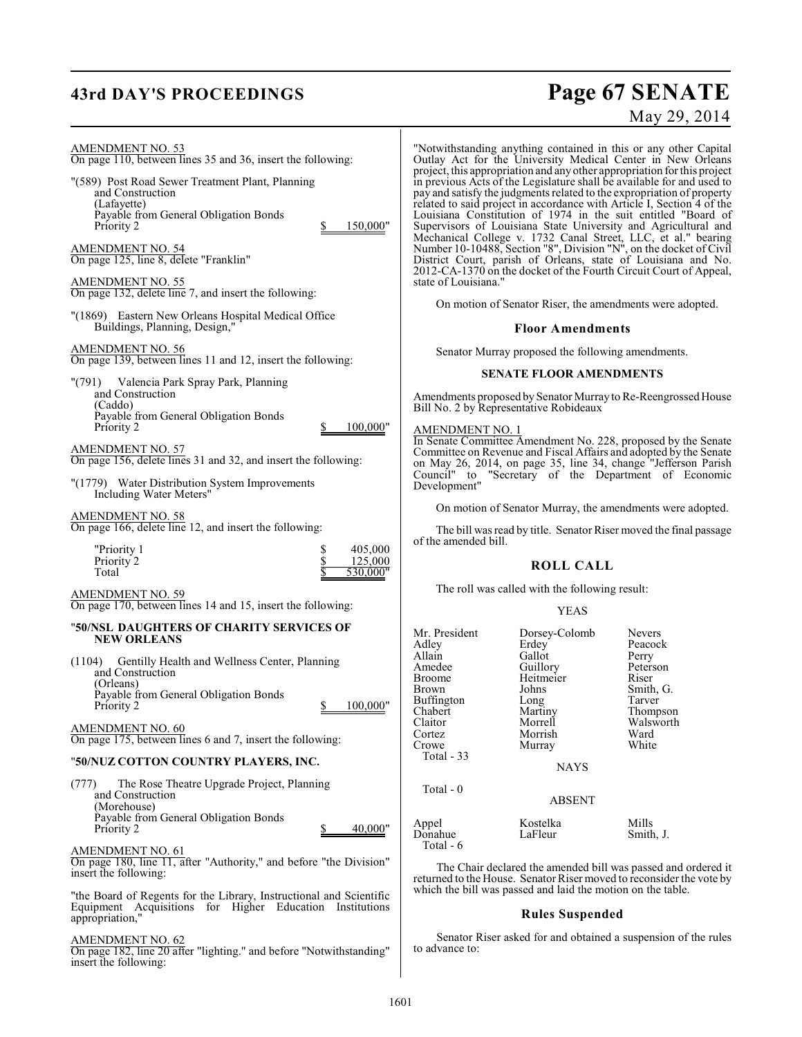# **43rd DAY'S PROCEEDINGS Page 67 SENATE**

# May 29, 2014

| AMENDMENT NO. 53<br>On page 110, between lines 35 and 36, insert the following:                                                                       | "Notwith<br>Outlay /                                            |
|-------------------------------------------------------------------------------------------------------------------------------------------------------|-----------------------------------------------------------------|
| "(589) Post Road Sewer Treatment Plant, Planning<br>and Construction<br>(Lafayette)<br>Payable from General Obligation Bonds                          | project, tl<br>in previo<br>pay and s<br>related to<br>Louisian |
| Priority 2<br>150,000"<br>S.<br>AMENDMENT NO. 54<br>On page 125, line 8, delete "Franklin"                                                            | Supervis<br>Mechani<br>Number:<br>District                      |
| <b>AMENDMENT NO. 55</b><br>On page 132, delete line 7, and insert the following:                                                                      | 2012-CA<br>state of L                                           |
| "(1869) Eastern New Orleans Hospital Medical Office<br>Buildings, Planning, Design,"                                                                  | On 1                                                            |
| AMENDMENT NO. 56<br>On page 139, between lines 11 and 12, insert the following:                                                                       | Sena                                                            |
| "(791) Valencia Park Spray Park, Planning<br>and Construction<br>(Caddo)                                                                              | Amendm                                                          |
| Payable from General Obligation Bonds<br>100,000"<br>Priority 2<br>\$                                                                                 | Bill No. 2<br>AMEND                                             |
| AMENDMENT NO. 57<br>On page 156, delete lines 31 and 32, and insert the following:                                                                    | $\overline{\ln}$ Senate<br>Committ<br>on May                    |
| "(1779) Water Distribution System Improvements<br>Including Water Meters"                                                                             | Council"<br>Developi                                            |
| <u>AMENDMENT NO. 58</u>                                                                                                                               | On 1                                                            |
| On page 166, delete line 12, and insert the following:                                                                                                | The                                                             |
| "Priority 1<br>\$<br>\$<br>405,000<br>125,000<br>Priority 2<br>Total<br>530,000"                                                                      | of the am                                                       |
| AMENDMENT NO. 59<br>On page 170, between lines 14 and 15, insert the following:                                                                       | The                                                             |
| "50/NSL DAUGHTERS OF CHARITY SERVICES OF<br><b>NEW ORLEANS</b>                                                                                        | Mr. Presi                                                       |
| (1104) Gentilly Health and Wellness Center, Planning<br>and Construction<br>(Orleans)<br>Payable from General Obligation Bonds                        | Adley<br>Allain<br>Amedee<br>Broome<br>Brown<br>Buffingto       |
| 100,000"<br>Priority 2<br>\$<br>AMENDMENT NO. 60<br>On page 175, between lines 6 and 7, insert the following:                                         | Chabert<br>Claitor<br>Cortez                                    |
| "50/NUZ COTTON COUNTRY PLAYERS, INC.                                                                                                                  | Crowe<br>Total -                                                |
| The Rose Theatre Upgrade Project, Planning<br>(777)<br>and Construction                                                                               | Total -                                                         |
| (Morehouse)<br>Payable from General Obligation Bonds<br>40,000"<br>\$<br>Priority 2                                                                   | Appel<br>Donahue                                                |
| <b>AMENDMENT NO. 61</b><br>On page 180, line 11, after "Authority," and before "the Division"<br>insert the following:                                | Total -<br>The<br>returned                                      |
| "the Board of Regents for the Library, Instructional and Scientific<br>Equipment Acquisitions<br>for Higher Education Institutions<br>appropriation," | which the                                                       |

On page 182, line 20 after "lighting." and before "Notwithstanding" insert the following:

istanding anything contained in this or any other Capital Act for the University Medical Center in New Orleans project, this appropriation and any other appropriation for this project us Acts of the Legislature shall be available for and used to atisfy the judgments related to the expropriation of property related to said project in accordance with Article I, Section 4 of the Louisiana Constitution of 1974 in the suit entitled "Board of Supervisors of Louisiana State University and Agricultural and Mechanical College v. 1732 Canal Street, LLC, et al." bearing Number 10-10488, Section "8", Division "N", on the docket of Civil District Court, parish of Orleans, state of Louisiana and No. -1370 on the docket of the Fourth Circuit Court of Appeal, ouisiana.'

motion of Senator Riser, the amendments were adopted.

#### **Floor Amendments**

ator Murray proposed the following amendments.

#### **SENATE FLOOR AMENDMENTS**

ents proposed by Senator Murray to Re-Reengrossed House 2 by Representative Robideaux

#### MENT NO. 1

E Committee Amendment No. 228, proposed by the Senate ee on Revenue and Fiscal Affairs and adopted by the Senate on May 26, 2014, on page 35, line 34, change "Jefferson Parish Council" to "Secretary of the Department of Economic ment"

motion of Senator Murray, the amendments were adopted.

bill was read by title. Senator Riser moved the final passage nended bill.

#### **ROLL CALL**

roll was called with the following result:

#### YEAS

| Mr. President<br>Adley<br>Allain<br>Amedee<br><b>Broome</b><br>Brown<br>Buffington<br>Chabert<br>Claitor<br>Cortez<br>Crowe<br>Total $-33$<br>Total $-0$ | Dorsey-Colomb<br>Erdey<br>Gallot<br>Guillory<br>Heitmeier<br>Johns<br>Long<br>Martiny<br>Morrell<br>Morrish<br>Murray<br><b>NAYS</b><br><b>ABSENT</b> | <b>Nevers</b><br>Peacock<br>Perry<br>Peterson<br>Riser<br>Smith, G.<br>Tarver<br>Thompson<br>Walsworth<br>Ward<br>White |
|----------------------------------------------------------------------------------------------------------------------------------------------------------|-------------------------------------------------------------------------------------------------------------------------------------------------------|-------------------------------------------------------------------------------------------------------------------------|
|                                                                                                                                                          |                                                                                                                                                       |                                                                                                                         |
| Appel<br>Donahue<br>Total - 6                                                                                                                            | Kostelka<br>LaFleur                                                                                                                                   | Mills<br>Smith, J.                                                                                                      |

Chair declared the amended bill was passed and ordered it to the House. Senator Riser moved to reconsider the vote by e bill was passed and laid the motion on the table.

#### **Rules Suspended**

ator Riser asked for and obtained a suspension of the rules to advance to: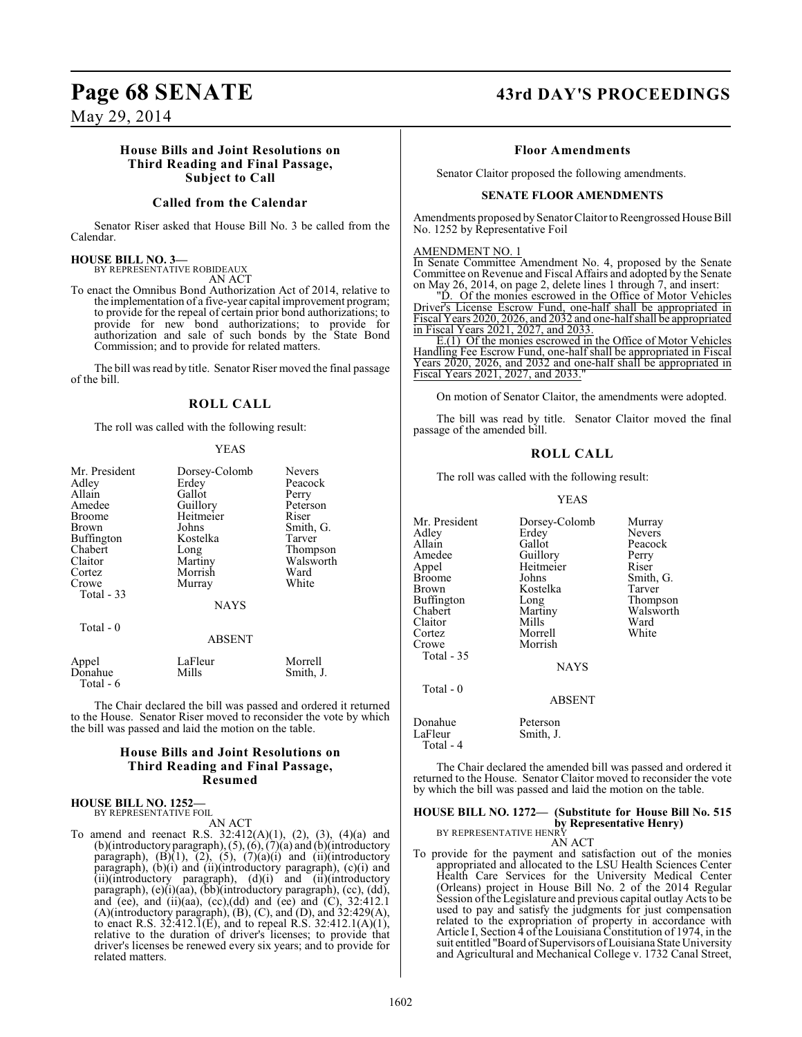#### **House Bills and Joint Resolutions on Third Reading and Final Passage, Subject to Call**

#### **Called from the Calendar**

Senator Riser asked that House Bill No. 3 be called from the Calendar.

#### **HOUSE BILL NO. 3—**

BY REPRESENTATIVE ROBIDEAUX

AN ACT

To enact the Omnibus Bond Authorization Act of 2014, relative to the implementation of a five-year capital improvement program; to provide for the repeal of certain prior bond authorizations; to provide for new bond authorizations; to provide for authorization and sale of such bonds by the State Bond Commission; and to provide for related matters.

The bill was read by title. Senator Riser moved the final passage of the bill.

#### **ROLL CALL**

The roll was called with the following result:

#### YEAS

| Mr. President    | Dorsey-Colomb    | <b>Nevers</b>        |
|------------------|------------------|----------------------|
| Adley            | Erdey            | Peacock              |
| Allain           | Gallot           | Perry                |
| Amedee           | Guillory         | Peterson             |
| <b>Broome</b>    | Heitmeier        | Riser                |
| Brown            | Johns            | Smith, G.            |
| Buffington       | Kostelka         | Tarver               |
| Chabert          | Long             | Thompson             |
| Claitor          | Martiny          | Walsworth            |
| Cortez           | Morrish          | Ward                 |
| Crowe            | Murray           | White                |
| Total - 33       |                  |                      |
|                  | <b>NAYS</b>      |                      |
| Total - 0        |                  |                      |
|                  | <b>ABSENT</b>    |                      |
| Appel<br>Donahue | LaFleur<br>Mills | Morrell<br>Smith, J. |
| Total - 6        |                  |                      |

The Chair declared the bill was passed and ordered it returned to the House. Senator Riser moved to reconsider the vote by which the bill was passed and laid the motion on the table.

#### **House Bills and Joint Resolutions on Third Reading and Final Passage, Resumed**

## **HOUSE BILL NO. 1252—** BY REPRESENTATIVE FOIL

AN ACT

To amend and reenact R.S.  $32:412(A)(1)$ , (2), (3), (4)(a) and (b)(introductory paragraph),  $(5)$ ,  $(6)$ ,  $(7)$  $(a)$  and  $(b)$ (introductory paragraph),  $(\vec{B})(1)$ ,  $(2)$ ,  $(5)$ ,  $(7)(a)(i)$  and  $(ii)(introducing$ paragraph), (b)(i) and (ii)(introductory paragraph), (c)(i) and (ii)(introductory paragraph), (d)(i) and (ii)(introductory paragraph), (e)(i)(aa), (bb)(introductory paragraph), (cc), (dd), and (ee), and (ii)(aa), (cc),(dd) and (ee) and (C),  $32:412.1$ (A)(introductory paragraph), (B), (C), and (D), and 32:429(A), to enact R.S.  $32:412.\overline{1}(E)$ , and to repeal R.S.  $32:412.1(A)(1)$ , relative to the duration of driver's licenses; to provide that driver's licenses be renewed every six years; and to provide for related matters.

## **Page 68 SENATE 43rd DAY'S PROCEEDINGS**

#### **Floor Amendments**

Senator Claitor proposed the following amendments.

#### **SENATE FLOOR AMENDMENTS**

Amendments proposed by Senator Claitor to Reengrossed House Bill No. 1252 by Representative Foil

#### AMENDMENT NO. 1

In Senate Committee Amendment No. 4, proposed by the Senate Committee on Revenue and Fiscal Affairs and adopted by the Senate on May 26, 2014, on page 2, delete lines 1 through 7, and insert:

D. Of the monies escrowed in the Office of Motor Vehicles Driver's License Escrow Fund, one-half shall be appropriated in Fiscal Years 2020, 2026, and 2032 and one-half shall be appropriated in Fiscal Years 2021, 2027, and 2033.

E.(1) Of the monies escrowed in the Office of Motor Vehicles Handling Fee Escrow Fund, one-half shall be appropriated in Fiscal Years 2020, 2026, and 2032 and one-half shall be appropriated in Fiscal Years 2021, 2027, and 2033.

On motion of Senator Claitor, the amendments were adopted.

The bill was read by title. Senator Claitor moved the final passage of the amended bill.

#### **ROLL CALL**

The roll was called with the following result:

#### YEAS

| Mr. President<br>Adley<br>Allain<br>Amedee<br>Appel<br><b>Broome</b><br>Brown<br>Buffington<br>Chabert<br>Claitor<br>Cortez<br>Crowe<br>Total - 35 | Dorsey-Colomb<br>Erdey<br>Gallot<br>Guillory<br>Heitmeier<br>Johns<br>Kostelka<br>Long<br>Martiny<br>Mills<br>Morrell<br>Morrish | Murray<br>Nevers<br>Peacock<br>Perry<br>Riser<br>Smith, G.<br>Tarver<br>Thompson<br>Walsworth<br>Ward<br>White |
|----------------------------------------------------------------------------------------------------------------------------------------------------|----------------------------------------------------------------------------------------------------------------------------------|----------------------------------------------------------------------------------------------------------------|
|                                                                                                                                                    | <b>NAYS</b>                                                                                                                      |                                                                                                                |
| Total - 0                                                                                                                                          | <b>ABSENT</b>                                                                                                                    |                                                                                                                |
| Donahue<br>LaFleur<br>Total - 4                                                                                                                    | Peterson<br>Smith, J.                                                                                                            |                                                                                                                |

The Chair declared the amended bill was passed and ordered it returned to the House. Senator Claitor moved to reconsider the vote by which the bill was passed and laid the motion on the table.

## **HOUSE BILL NO. 1272— (Substitute for House Bill No. 515 by Representative Henry)**<br>BY REPRESENTATIVE HENRY

AN ACT

To provide for the payment and satisfaction out of the monies appropriated and allocated to the LSU Health Sciences Center Health Care Services for the University Medical Center (Orleans) project in House Bill No. 2 of the 2014 Regular Session ofthe Legislature and previous capital outlay Acts to be used to pay and satisfy the judgments for just compensation related to the expropriation of property in accordance with Article I, Section 4 of the Louisiana Constitution of 1974, in the suit entitled "Board of Supervisors of Louisiana State University and Agricultural and Mechanical College v. 1732 Canal Street,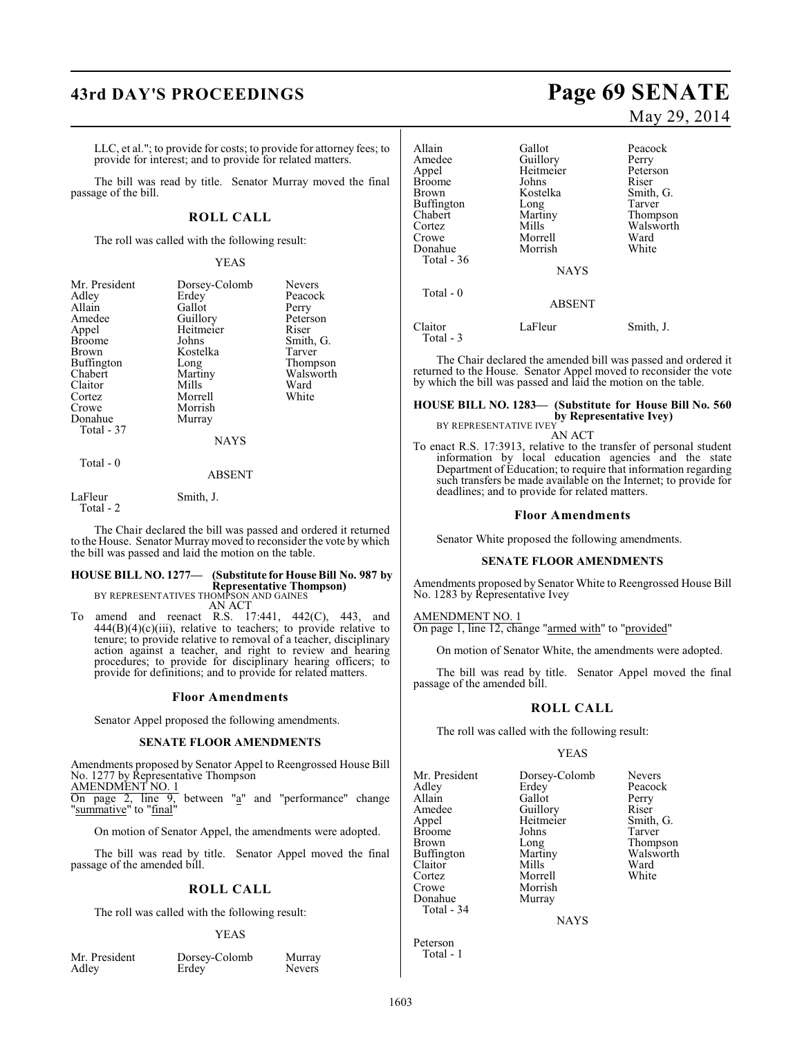## **43rd DAY'S PROCEEDINGS Page 69 SENATE**

LLC, et al."; to provide for costs; to provide for attorney fees; to provide for interest; and to provide for related matters.

The bill was read by title. Senator Murray moved the final passage of the bill.

#### **ROLL CALL**

The roll was called with the following result:

#### YEAS

| Mr. President<br>Adley<br>Allain<br>Amedee<br>Appel<br><b>Broome</b><br>Brown<br>Buffington<br>Chabert<br>Claitor<br>Cortez<br>Crowe<br>Donahue<br>Total - 37 | Dorsey-Colomb<br>Erdey<br>Gallot<br>Guillory<br>Heitmeier<br>Johns<br>Kostelka<br>Long<br>Martiny<br>Mills<br>Morrell<br>Morrish<br>Murray | <b>Nevers</b><br>Peacock<br>Perry<br>Peterson<br>Riser<br>Smith, G.<br>Tarver<br>Thompson<br>Walsworth<br>Ward<br>White |
|---------------------------------------------------------------------------------------------------------------------------------------------------------------|--------------------------------------------------------------------------------------------------------------------------------------------|-------------------------------------------------------------------------------------------------------------------------|
|                                                                                                                                                               | <b>NAYS</b>                                                                                                                                |                                                                                                                         |
| Total - 0                                                                                                                                                     | <b>ABSENT</b>                                                                                                                              |                                                                                                                         |

LaFleur Smith, J. Total - 2

The Chair declared the bill was passed and ordered it returned to the House. Senator Murray moved to reconsider the vote by which the bill was passed and laid the motion on the table.

## **HOUSE BILL NO. 1277— (Substitute for House Bill No. 987 by Representative Thompson)** BY REPRESENTATIVES THOMPSON AND GAINES

AN ACT

To amend and reenact R.S. 17:441, 442(C), 443, and  $444(B)(4)(c)(iii)$ , relative to teachers; to provide relative to tenure; to provide relative to removal of a teacher, disciplinary action against a teacher, and right to review and hearing procedures; to provide for disciplinary hearing officers; to provide for definitions; and to provide for related matters.

#### **Floor Amendments**

Senator Appel proposed the following amendments.

#### **SENATE FLOOR AMENDMENTS**

Amendments proposed by Senator Appel to Reengrossed House Bill No. 1277 by Representative Thompson

AMENDMENT NO. 1<br>On page 2, line 9, between "a" and "performance" change "summative" to "final"

On motion of Senator Appel, the amendments were adopted.

The bill was read by title. Senator Appel moved the final passage of the amended bill.

#### **ROLL CALL**

The roll was called with the following result:

#### YEAS

| Mr. President |  |  |
|---------------|--|--|
| Adley         |  |  |

Dorsey-Colomb Murray<br>Erdey Nevers

Nevers<sup>1</sup>

# May 29, 2014

Allain Gallot Peacock<br>Amedee Guillory Perry Amedee Guillory Perry<br>Appel Heitmeier Peterson Heitmeier Peters<br>Johns Riser Broome Johns<br>Brown Kostelka Brown Kostelka Smith, G.<br>Buffington Long Tarver Buffington Long<br>Chabert Martiny Martiny Thompson<br>
Mills Walsworth Cortez Mills Walsworth Morrell Ward<br>
Morrish White Donahue Total - 36 **NAYS**  Total - 0 ABSENT

Claitor LaFleur Smith, J. Total - 3

The Chair declared the amended bill was passed and ordered it returned to the House. Senator Appel moved to reconsider the vote by which the bill was passed and laid the motion on the table.

#### **HOUSE BILL NO. 1283— (Substitute for House Bill No. 560 by Representative Ivey)**

BY REPRESENTATIVE IVEY AN ACT

To enact R.S. 17:3913, relative to the transfer of personal student information by local education agencies and the state Department of Education; to require that information regarding such transfers be made available on the Internet; to provide for deadlines; and to provide for related matters.

#### **Floor Amendments**

Senator White proposed the following amendments.

#### **SENATE FLOOR AMENDMENTS**

Amendments proposed by Senator White to Reengrossed House Bill No. 1283 by Representative Ivey

#### AMENDMENT NO. 1

On page 1, line 12, change "armed with" to "provided"

On motion of Senator White, the amendments were adopted.

The bill was read by title. Senator Appel moved the final passage of the amended bill.

#### **ROLL CALL**

The roll was called with the following result:

#### YEAS

| Mr. President | Dorsey-Colomb | <b>Nevers</b> |
|---------------|---------------|---------------|
| Adlev         | Erdey         | Peacock       |
| Allain        | Gallot        | Perry         |
| Amedee        | Guillory      | Riser         |
| Appel         | Heitmeier     | Smith, G.     |
| Broome        | Johns         | Tarver        |
| Brown         | Long          | Thompson      |
| Buffington    | Martiny       | Walsworth     |
| Claitor       | Mills         | Ward          |
| Cortez        | Morrell       | White         |
| Crowe         | Morrish       |               |
| Donahue       | Murray        |               |
| Total - 34    |               |               |

NAYS

Peterson Total - 1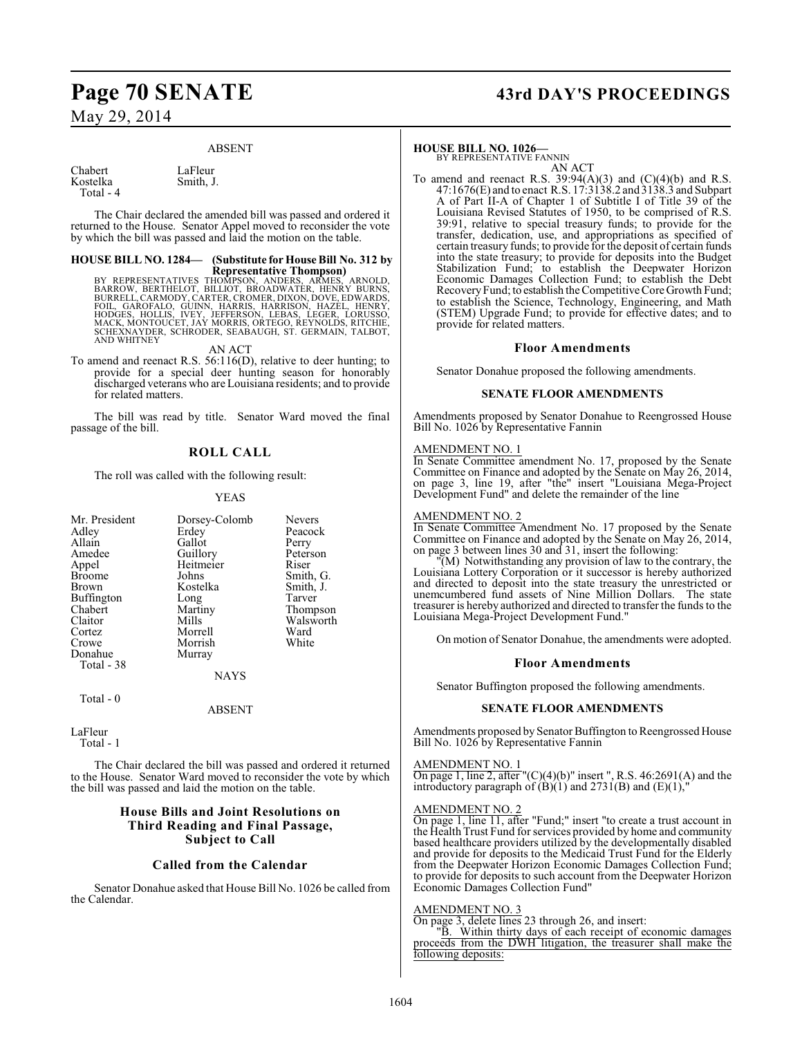#### ABSENT

Smith, J.

Chabert LaFleur<br>Kostelka Smith, J. Total - 4

The Chair declared the amended bill was passed and ordered it returned to the House. Senator Appel moved to reconsider the vote by which the bill was passed and laid the motion on the table.

## **HOUSE BILL NO. 1284— (Substitute for House Bill No. 312 by**

**Representative Thompson)<br>BARROW, BERTHELOT, BILLIOT, BROADWATER, ARMES, ARNOLD,<br>BARROW, BERTHELOT, BILLIOT, BROADWATER, HENRY BURNS,<br>BURRELL, CARMODY, CARTER, CROMER, DIXON, DOVE, EDWARDS,<br>FOLL, GAROFALO, GUINN, HARRIS, H** 

#### AN ACT

To amend and reenact R.S. 56:116(D), relative to deer hunting; to provide for a special deer hunting season for honorably discharged veterans who are Louisiana residents; and to provide for related matters.

The bill was read by title. Senator Ward moved the final passage of the bill.

## **ROLL CALL**

The roll was called with the following result:

#### YEAS

| Mr. President     | Dorsey-Colomb | <b>Nevers</b> |
|-------------------|---------------|---------------|
|                   |               |               |
| Adley             | Erdey         | Peacock       |
| Allain            | Gallot        | Perry         |
| Amedee            | Guillory      | Peterson      |
| Appel             | Heitmeier     | Riser         |
| <b>Broome</b>     | Johns         | Smith, G.     |
| <b>Brown</b>      | Kostelka      | Smith, J.     |
| <b>Buffington</b> | Long          | Tarver        |
| Chabert           | Martiny       | Thompson      |
| Claitor           | Mills         | Walsworth     |
| Cortez            | Morrell       | Ward          |
| Crowe             | Morrish       | White         |
| Donahue           | Murray        |               |
| Total - 38        |               |               |
|                   | <b>NAYS</b>   |               |
| Total - 0         |               |               |
|                   |               |               |

#### ABSENT

LaFleur

Total - 1

The Chair declared the bill was passed and ordered it returned to the House. Senator Ward moved to reconsider the vote by which the bill was passed and laid the motion on the table.

### **House Bills and Joint Resolutions on Third Reading and Final Passage, Subject to Call**

#### **Called from the Calendar**

Senator Donahue asked that House Bill No. 1026 be called from the Calendar.

## **Page 70 SENATE 43rd DAY'S PROCEEDINGS**

#### **HOUSE BILL NO. 1026—**

BY REPRESENTATIVE FANNIN

AN ACT To amend and reenact R.S.  $39:94(A)(3)$  and  $(C)(4)(b)$  and R.S. 47:1676(E) and to enact R.S. 17:3138.2 and 3138.3 and Subpart A of Part II-A of Chapter 1 of Subtitle I of Title 39 of the Louisiana Revised Statutes of 1950, to be comprised of R.S. 39:91, relative to special treasury funds; to provide for the transfer, dedication, use, and appropriations as specified of certain treasury funds; to provide for the deposit of certain funds into the state treasury; to provide for deposits into the Budget Stabilization Fund; to establish the Deepwater Horizon Economic Damages Collection Fund; to establish the Debt Recovery Fund; to establish the Competitive Core Growth Fund; to establish the Science, Technology, Engineering, and Math (STEM) Upgrade Fund; to provide for effective dates; and to provide for related matters.

#### **Floor Amendments**

Senator Donahue proposed the following amendments.

#### **SENATE FLOOR AMENDMENTS**

Amendments proposed by Senator Donahue to Reengrossed House Bill No. 1026 by Representative Fannin

#### AMENDMENT NO. 1

In Senate Committee amendment No. 17, proposed by the Senate Committee on Finance and adopted by the Senate on May 26, 2014, on page 3, line 19, after "the" insert "Louisiana Mega-Project Development Fund" and delete the remainder of the line

#### AMENDMENT NO. 2

In Senate Committee Amendment No. 17 proposed by the Senate Committee on Finance and adopted by the Senate on May 26, 2014, on page 3 between lines 30 and 31, insert the following:

"(M) Notwithstanding any provision of law to the contrary, the Louisiana Lottery Corporation or it successor is hereby authorized and directed to deposit into the state treasury the unrestricted or unemcumbered fund assets of Nine Million Dollars. The state treasurer is hereby authorized and directed to transfer the funds to the Louisiana Mega-Project Development Fund."

On motion of Senator Donahue, the amendments were adopted.

#### **Floor Amendments**

Senator Buffington proposed the following amendments.

#### **SENATE FLOOR AMENDMENTS**

Amendments proposed by Senator Buffington to Reengrossed House Bill No. 1026 by Representative Fannin

#### AMENDMENT NO. 1

On page 1, line 2, after " $(C)(4)(b)$ " insert ", R.S. 46:2691(A) and the introductory paragraph of  $\overrightarrow{B}(1)$  and  $2731(B)$  and  $\overrightarrow{E}(1)$ ,

#### AMENDMENT NO. 2

On page 1, line 11, after "Fund;" insert "to create a trust account in the Health Trust Fund for services provided by home and community based healthcare providers utilized by the developmentally disabled and provide for deposits to the Medicaid Trust Fund for the Elderly from the Deepwater Horizon Economic Damages Collection Fund; to provide for deposits to such account from the Deepwater Horizon Economic Damages Collection Fund"

#### AMENDMENT NO. 3

On page 3, delete lines 23 through 26, and insert:

"B. Within thirty days of each receipt of economic damages proceeds from the DWH litigation, the treasurer shall make the following deposits: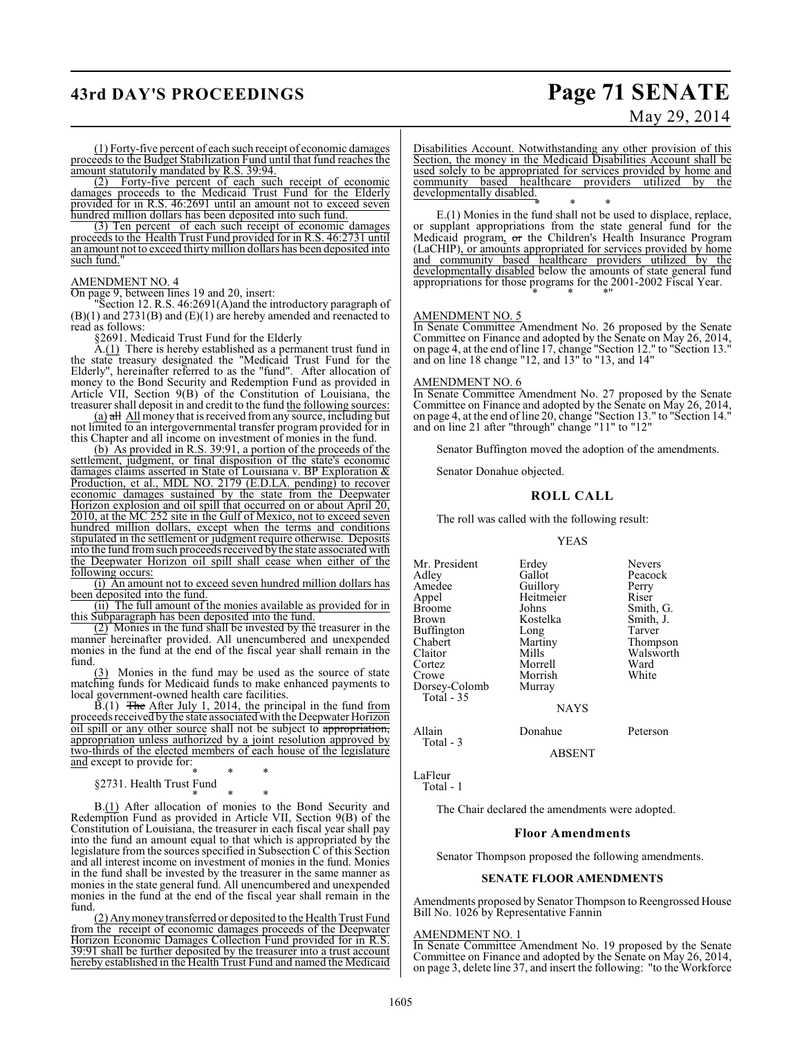## **43rd DAY'S PROCEEDINGS Page 71 SENATE**

# May 29, 2014

(1) Forty-five percent of each such receipt of economic damages proceeds to the Budget Stabilization Fund until that fund reaches the amount statutorily mandated by R.S. 39:94.

(2) Forty-five percent of each such receipt of economic damages proceeds to the Medicaid Trust Fund for the Elderly provided for in R.S. 46:2691 until an amount not to exceed seven hundred million dollars has been deposited into such fund.

(3) Ten percent of each such receipt of economic damages proceeds to the Health Trust Fund provided for in R.S. 46:2731 until an amount not to exceed thirty million dollars has been deposited into such fund."

#### AMENDMENT NO. 4

On page 9, between lines 19 and 20, insert:

Section 12. R.S. 46:2691(A)and the introductory paragraph of (B)(1) and 2731(B) and (E)(1) are hereby amended and reenacted to read as follows:

§2691. Medicaid Trust Fund for the Elderly

A.(1) There is hereby established as a permanent trust fund in the state treasury designated the "Medicaid Trust Fund for the Elderly", hereinafter referred to as the "fund". After allocation of money to the Bond Security and Redemption Fund as provided in Article VII, Section 9(B) of the Constitution of Louisiana, the treasurer shall deposit in and credit to the fund the following sources:

 $(a)$  all All money that is received from any source, including but not limited to an intergovernmental transfer program provided for in this Chapter and all income on investment of monies in the fund.

(b) As provided in R.S. 39:91, a portion of the proceeds of the settlement, judgment, or final disposition of the state's economic damages claims asserted in State of Louisiana v. BP Exploration & Production, et al., MDL NO. 2179 (E.D.LA. pending) to recover economic damages sustained by the state from the Deepwater Horizon explosion and oil spill that occurred on or about April 20, 2010, at the MC 252 site in the Gulf of Mexico, not to exceed seven hundred million dollars, except when the terms and conditions stipulated in the settlement or judgment require otherwise. Deposits into the fund fromsuch proceeds received by the state associated with the Deepwater Horizon oil spill shall cease when either of the following occurs:

(i) An amount not to exceed seven hundred million dollars has been deposited into the fund.

(ii) The full amount of the monies available as provided for in this Subparagraph has been deposited into the fund.

(2) Monies in the fund shall be invested by the treasurer in the manner hereinafter provided. All unencumbered and unexpended monies in the fund at the end of the fiscal year shall remain in the fund.

(3) Monies in the fund may be used as the source of state matching funds for Medicaid funds to make enhanced payments to local government-owned health care facilities.

 $\widetilde{B}(1)$  The After July 1, 2014, the principal in the fund from proceeds received by the state associated with the Deepwater Horizon oil spill or any other source shall not be subject to appropriation, appropriation unless authorized by a joint resolution approved by two-thirds of the elected members of each house of the legislature and except to provide for:

\* \* \* §2731. Health Trust Fund

\* \* \*

B.(1) After allocation of monies to the Bond Security and Redemption Fund as provided in Article VII, Section 9(B) of the Constitution of Louisiana, the treasurer in each fiscal year shall pay into the fund an amount equal to that which is appropriated by the legislature from the sources specified in Subsection C of this Section and all interest income on investment of monies in the fund. Monies in the fund shall be invested by the treasurer in the same manner as monies in the state general fund. All unencumbered and unexpended monies in the fund at the end of the fiscal year shall remain in the fund.

(2) Any money transferred or deposited to the Health Trust Fund from the receipt of economic damages proceeds of the Deepwater Horizon Economic Damages Collection Fund provided for in R.S. 39:91 shall be further deposited by the treasurer into a trust account hereby established in the Health Trust Fund and named the Medicaid

Disabilities Account. Notwithstanding any other provision of this Section, the money in the Medicaid Disabilities Account shall be used solely to be appropriated for services provided by home and community based healthcare providers utilized by the developmentally disabled.

\* \* \* E.(1) Monies in the fund shall not be used to displace, replace, or supplant appropriations from the state general fund for the Medicaid program, or the Children's Health Insurance Program (LaCHIP), or amounts appropriated for services provided by home and community based healthcare providers utilized by the developmentally disabled below the amounts of state general fund appropriations for those programs for the 2001-2002 Fiscal Year. \* \* \*"

#### AMENDMENT NO. 5

In Senate Committee Amendment No. 26 proposed by the Senate Committee on Finance and adopted by the Senate on May 26, 2014, on page 4, at the end ofline 17, change "Section 12." to "Section 13." and on line 18 change "12, and 13" to "13, and 14"

#### AMENDMENT NO. 6

In Senate Committee Amendment No. 27 proposed by the Senate Committee on Finance and adopted by the Senate on May 26, 2014, on page 4, at the end of line 20, change "Section 13." to "Section 14." and on line 21 after "through" change "11" to "12"

Senator Buffington moved the adoption of the amendments.

Senator Donahue objected.

#### **ROLL CALL**

The roll was called with the following result:

#### YEAS

| Mr. President     | Erdey       | <b>Nevers</b> |
|-------------------|-------------|---------------|
| Adley             | Gallot      | Peacock       |
| Amedee            | Guillory    | Perry         |
| Appel             | Heitmeier   | Riser         |
| <b>Broome</b>     | Johns       | Smith, G.     |
| <b>Brown</b>      | Kostelka    | Smith, J.     |
| <b>Buffington</b> | Long        | Tarver        |
| Chabert           | Martiny     | Thompson      |
| Claitor           | Mills       | Walsworth     |
| Cortez            | Morrell     | Ward          |
| Crowe             | Morrish     | White         |
| Dorsey-Colomb     | Murray      |               |
| Total - 35        |             |               |
|                   | <b>NAYS</b> |               |

ABSENT

LaFleur Total - 1

Total - 3

The Chair declared the amendments were adopted.

#### **Floor Amendments**

Senator Thompson proposed the following amendments.

#### **SENATE FLOOR AMENDMENTS**

Amendments proposed by Senator Thompson to Reengrossed House Bill No. 1026 by Representative Fannin

#### AMENDMENT NO. 1

In Senate Committee Amendment No. 19 proposed by the Senate Committee on Finance and adopted by the Senate on May 26, 2014, on page 3, delete line 37, and insert the following: "to the Workforce

Allain Donahue Peterson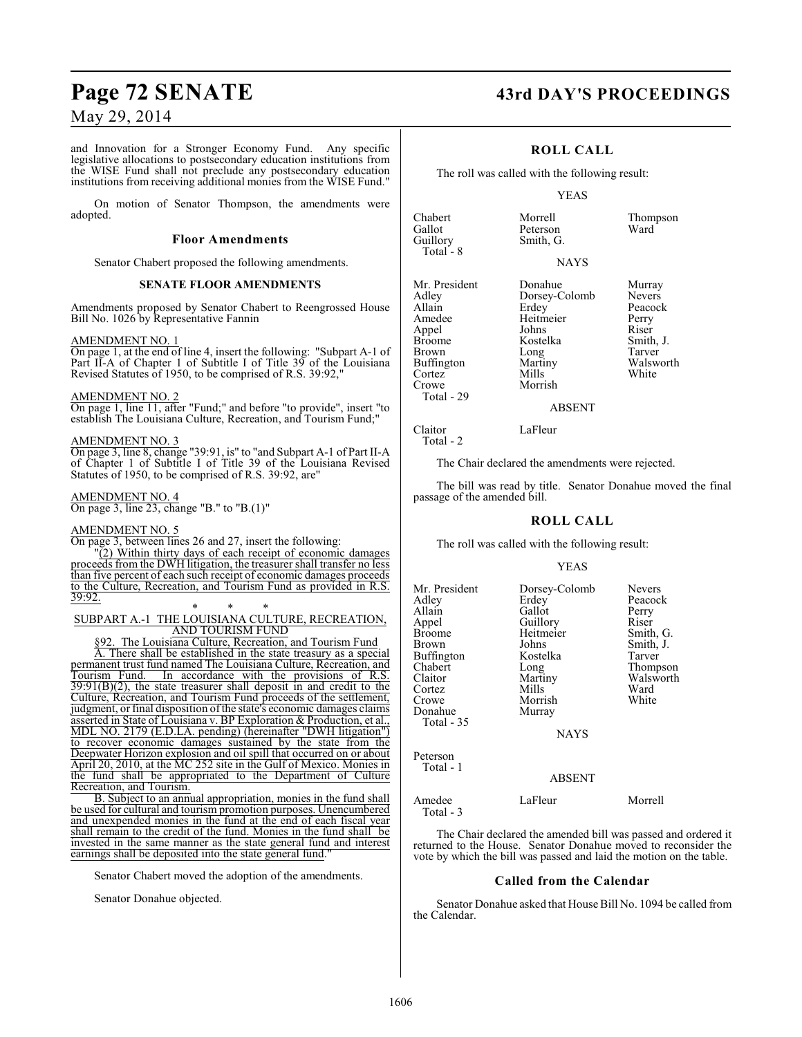and Innovation for a Stronger Economy Fund. Any specific legislative allocations to postsecondary education institutions from the WISE Fund shall not preclude any postsecondary education institutions from receiving additional monies from the WISE Fund."

On motion of Senator Thompson, the amendments were adopted.

#### **Floor Amendments**

Senator Chabert proposed the following amendments.

#### **SENATE FLOOR AMENDMENTS**

Amendments proposed by Senator Chabert to Reengrossed House Bill No. 1026 by Representative Fannin

#### AMENDMENT NO. 1

On page 1, at the end of line 4, insert the following: "Subpart A-1 of Part II-A of Chapter 1 of Subtitle I of Title 39 of the Louisiana Revised Statutes of 1950, to be comprised of R.S. 39:92,'

#### AMENDMENT NO. 2

On page 1, line 11, after "Fund;" and before "to provide", insert "to establish The Louisiana Culture, Recreation, and Tourism Fund;"

#### AMENDMENT NO. 3

On page 3, line 8, change "39:91, is" to "and Subpart A-1 of Part II-A of Chapter 1 of Subtitle I of Title 39 of the Louisiana Revised Statutes of 1950, to be comprised of R.S. 39:92, are"

AMENDMENT NO. 4 On page 3, line 23, change "B." to "B.(1)"

#### AMENDMENT NO. 5

On page 3, between lines 26 and 27, insert the following:

"(2) Within thirty days of each receipt of economic damages proceeds from the DWH litigation, the treasurer shall transfer no less than five percent of each such receipt of economic damages proceeds to the Culture, Recreation, and Tourism Fund as provided in R.S. 39:92.

#### \* \* \* SUBPART A.-1 THE LOUISIANA CULTURE, RECREATION, AND TOURISM FUND

The Louisiana Culture, Recreation, and Tourism Fund

A. There shall be established in the state treasury as a special permanent trust fund named The Louisiana Culture, Recreation, and Tourism Fund. In accordance with the provisions of R.S. In accordance with the provisions of R.S.  $39:91(B)(2)$ , the state treasurer shall deposit in and credit to the Culture, Recreation, and Tourism Fund proceeds of the settlement, judgment, or final disposition of the state's economic damages claims asserted in State of Louisiana v. BP Exploration & Production, et al., MDL NO. 2179 (E.D.LA. pending) (hereinafter "DWH litigation") to recover economic damages sustained by the state from the Deepwater Horizon explosion and oil spill that occurred on or about April 20, 2010, at the MC 252 site in the Gulf of Mexico. Monies in the fund shall be appropriated to the Department of Culture Recreation, and Tourism.

B. Subject to an annual appropriation, monies in the fund shall be used for cultural and tourism promotion purposes. Unencumbered and unexpended monies in the fund at the end of each fiscal year shall remain to the credit of the fund. Monies in the fund shall be invested in the same manner as the state general fund and interest earnings shall be deposited into the state general fund.

Senator Chabert moved the adoption of the amendments.

Senator Donahue objected.

## **Page 72 SENATE 43rd DAY'S PROCEEDINGS**

## **ROLL CALL**

The roll was called with the following result:

Smith, G.

#### YEAS

Chabert Morrell Thompson Gallot Peterson<br>Guillory Smith, G Total - 8

#### **NAYS**

Mr. President Donahue Murray<br>Adley Dorsey-Colomb Nevers Adley Dorsey-Colomb<br>Allain Erdey Allain Erdey Peacock<br>Amedee Heitmeier Perry Appel Johns Riser Brown Long Tarver<br>
Buffington Martiny Walsworth Buffington Martiny Walsworth Walsworth Martin<br>
2011 - Cortez Mills White Cortez Mills White Crowe Morrish Total - 29

Total - 2

Claitor LaFleur

Heitmeier Perry<br>Johns Riser Kostelka Smith,<br>Long Tarver

#### ABSENT

The Chair declared the amendments were rejected.

The bill was read by title. Senator Donahue moved the final passage of the amended bill.

#### **ROLL CALL**

The roll was called with the following result:

#### YEAS

| Mr. President<br>Adlev<br>Allain<br>Appel<br>Broome<br>Brown<br>Buffington<br>Chabert<br>Claitor<br>Cortez<br>Crowe<br>Donahue<br>Total - 35 | Dorsey-Colomb<br>Erdey<br>Gallot<br>Guillory<br>Heitmeier<br>Johns<br>Kostelka<br>Long<br>Martiny<br>Mills<br>Morrish<br>Murray<br><b>NAYS</b> | <b>Nevers</b><br>Peacock<br>Perry<br>Riser<br>Smith, G.<br>Smith, J.<br>Tarver<br>Thompson<br>Walsworth<br>Ward<br>White |
|----------------------------------------------------------------------------------------------------------------------------------------------|------------------------------------------------------------------------------------------------------------------------------------------------|--------------------------------------------------------------------------------------------------------------------------|
| Peterson<br>Total - 1                                                                                                                        | ABSENT                                                                                                                                         |                                                                                                                          |

# Amedee LaFleur Morrell

 Total - 3 The Chair declared the amended bill was passed and ordered it

returned to the House. Senator Donahue moved to reconsider the vote by which the bill was passed and laid the motion on the table.

#### **Called from the Calendar**

Senator Donahue asked that House Bill No. 1094 be called from the Calendar.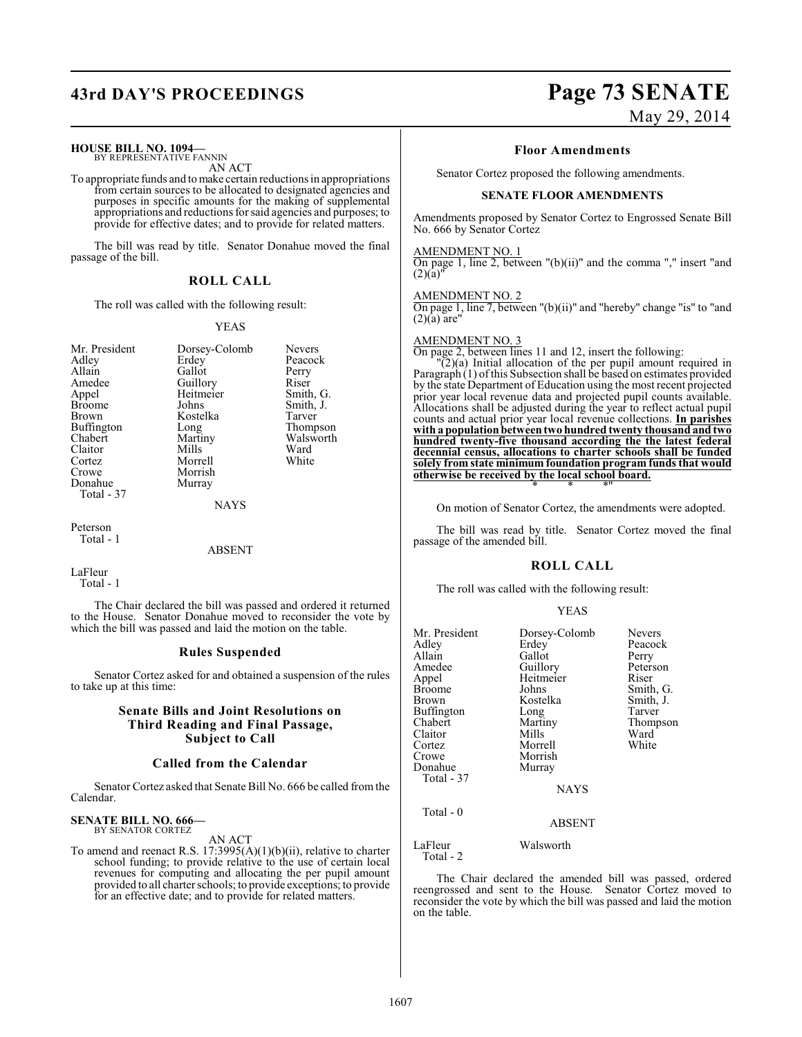# **43rd DAY'S PROCEEDINGS Page 73 SENATE**

#### **HOUSE BILL NO. 1094—**

BY REPRESENTATIVE FANNIN AN ACT

To appropriate funds and to make certain reductions in appropriations from certain sources to be allocated to designated agencies and purposes in specific amounts for the making of supplemental appropriations and reductions for said agencies and purposes; to provide for effective dates; and to provide for related matters.

The bill was read by title. Senator Donahue moved the final passage of the bill.

## **ROLL CALL**

The roll was called with the following result:

#### YEAS

Riser Smith, G. Smith, J. Tarver Thompson Walsworth<br>Ward

| Mr. President | Dorsey-Colomb | Nevers    |
|---------------|---------------|-----------|
| Adley         | Erdey         | Peacock   |
| Allain        | Gallot        | Perry     |
| Amedee        | Guillory      | Riser     |
| Appel         | Heitmeier     | Smith, C  |
| <b>Broome</b> | Johns         | Smith, J. |
| <b>Brown</b>  | Kostelka      | Tarver    |
| Buffington    | Long          | Thomps    |
| Chabert       | Martiny       | Walswor   |
| Claitor       | Mills         | Ward      |
| Cortez        | Morrell       | White     |
| Crowe         | Morrish       |           |
| Donahue       | Murray        |           |
| Total - 37    |               |           |

NAYS

Peterson Total - 1

#### ABSENT

LaFleur Total - 1

The Chair declared the bill was passed and ordered it returned to the House. Senator Donahue moved to reconsider the vote by which the bill was passed and laid the motion on the table.

#### **Rules Suspended**

Senator Cortez asked for and obtained a suspension of the rules to take up at this time:

#### **Senate Bills and Joint Resolutions on Third Reading and Final Passage, Subject to Call**

#### **Called from the Calendar**

Senator Cortez asked that Senate Bill No. 666 be called from the Calendar.

# **SENATE BILL NO. 666—** BY SENATOR CORTEZ

AN ACT

To amend and reenact R.S. 17:3995(A)(1)(b)(ii), relative to charter school funding; to provide relative to the use of certain local revenues for computing and allocating the per pupil amount provided to all charter schools; to provide exceptions; to provide for an effective date; and to provide for related matters.

# May 29, 2014

#### **Floor Amendments**

Senator Cortez proposed the following amendments.

#### **SENATE FLOOR AMENDMENTS**

Amendments proposed by Senator Cortez to Engrossed Senate Bill No. 666 by Senator Cortez

#### AMENDMENT NO. 1

On page 1, line 2, between "(b)(ii)" and the comma "," insert "and  $(2)(a)$ "

#### AMENDMENT NO. 2

On page 1, line 7, between "(b)(ii)" and "hereby" change "is" to "and  $(2)(a)$  are"

#### AMENDMENT NO. 3

On page 2, between lines 11 and 12, insert the following:

"(2)(a) Initial allocation of the per pupil amount required in Paragraph (1) of this Subsection shall be based on estimates provided by the state Department of Education using the most recent projected prior year local revenue data and projected pupil counts available. Allocations shall be adjusted during the year to reflect actual pupil counts and actual prior year local revenue collections. **In parishes** with a population between two hundred twenty thousand and two **hundred twenty-five thousand according the the latest federal decennial census, allocations to charter schools shall be funded solely from state minimum foundation program funds that would otherwise be received by the local school board.** \* \* \*"

On motion of Senator Cortez, the amendments were adopted.

The bill was read by title. Senator Cortez moved the final passage of the amended bill.

#### **ROLL CALL**

The roll was called with the following result:

#### YEAS

| Mr. President | Dorsey-Colomb | <b>Nevers</b> |
|---------------|---------------|---------------|
| Adley         | Erdey         | Peacock       |
| Allain        | Gallot        | Perry         |
| Amedee        | Guillory      | Peterson      |
| Appel         | Heitmeier     | Riser         |
| <b>Broome</b> | Johns         | Smith, G.     |
| <b>Brown</b>  | Kostelka      | Smith, J.     |
| Buffington    | Long          | Tarver        |
| Chabert       | Martiny       | Thompson      |
| Claitor       | Mills         | Ward          |
| Cortez        | Morrell       | White         |
| Crowe         | Morrish       |               |
| Donahue       | Murray        |               |
| Total - 37    |               |               |
|               | <b>NAYS</b>   |               |
| Total - 0     |               |               |
|               | <b>ABSENT</b> |               |
|               |               |               |

LaFleur Walsworth

Total - 2

The Chair declared the amended bill was passed, ordered reengrossed and sent to the House. Senator Cortez moved to reconsider the vote by which the bill was passed and laid the motion on the table.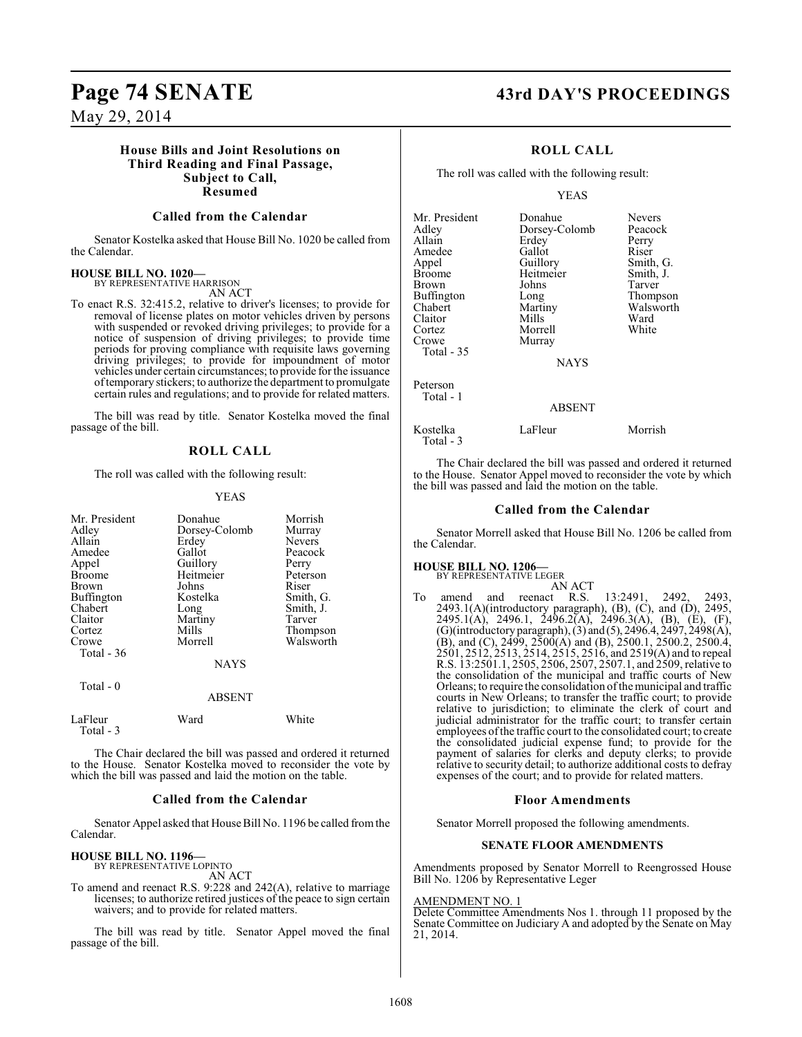## May 29, 2014

### **House Bills and Joint Resolutions on Third Reading and Final Passage, Subject to Call, Resumed**

#### **Called from the Calendar**

Senator Kostelka asked that House Bill No. 1020 be called from the Calendar.

#### **HOUSE BILL NO. 1020—**

BY REPRESENTATIVE HARRISON AN ACT

To enact R.S. 32:415.2, relative to driver's licenses; to provide for removal of license plates on motor vehicles driven by persons with suspended or revoked driving privileges; to provide for a notice of suspension of driving privileges; to provide time periods for proving compliance with requisite laws governing driving privileges; to provide for impoundment of motor vehicles under certain circumstances; to provide for the issuance of temporary stickers; to authorize the department to promulgate certain rules and regulations; and to provide for related matters.

The bill was read by title. Senator Kostelka moved the final passage of the bill.

#### **ROLL CALL**

The roll was called with the following result:

#### YEAS

| Mr. President<br>Adley<br>Allain<br>Amedee<br>Appel<br><b>Broome</b><br>Brown<br><b>Buffington</b><br>Chabert<br>Claitor<br>Cortez<br>Crowe<br>Total - 36<br>Total $-0$ | Donahue<br>Dorsey-Colomb<br>Erdey<br>Gallot<br>Guillory<br>Heitmeier<br>Johns<br>Kostelka<br>Long<br>Martiny<br>Mills<br>Morrell<br><b>NAYS</b> | Morrish<br>Murray<br><b>Nevers</b><br>Peacock<br>Perry<br>Peterson<br>Riser<br>Smith, G.<br>Smith, J.<br>Tarver<br>Thompson<br>Walsworth |
|-------------------------------------------------------------------------------------------------------------------------------------------------------------------------|-------------------------------------------------------------------------------------------------------------------------------------------------|------------------------------------------------------------------------------------------------------------------------------------------|
|                                                                                                                                                                         | <b>ABSENT</b>                                                                                                                                   |                                                                                                                                          |
| LaFleur<br>Total - 3                                                                                                                                                    | Ward                                                                                                                                            | White                                                                                                                                    |

The Chair declared the bill was passed and ordered it returned to the House. Senator Kostelka moved to reconsider the vote by which the bill was passed and laid the motion on the table.

#### **Called from the Calendar**

Senator Appel asked that House Bill No. 1196 be called from the Calendar.

#### **HOUSE BILL NO. 1196—**

BY REPRESENTATIVE LOPINTO

AN ACT To amend and reenact R.S. 9:228 and 242(A), relative to marriage licenses; to authorize retired justices of the peace to sign certain waivers; and to provide for related matters.

The bill was read by title. Senator Appel moved the final passage of the bill.

# **Page 74 SENATE 43rd DAY'S PROCEEDINGS**

#### **ROLL CALL**

The roll was called with the following result:

YEAS

| Mr. President<br>Adley<br>Allain<br>Amedee<br>Appel<br><b>Broome</b><br>Brown<br><b>Buffington</b><br>Chabert<br>Claitor<br>Cortez<br>Crowe<br>Total - 35 | Donahue<br>Dorsey-Colomb<br>Erdey<br>Gallot<br>Guillory<br>Heitmeier<br>Johns<br>Long<br>Martiny<br>Mills<br>Morrell<br>Murray | <b>Nevers</b><br>Peacock<br>Perry<br>Riser<br>Smith, G.<br>Smith, J.<br>Tarver<br>Thompson<br>Walsworth<br>Ward<br>White |
|-----------------------------------------------------------------------------------------------------------------------------------------------------------|--------------------------------------------------------------------------------------------------------------------------------|--------------------------------------------------------------------------------------------------------------------------|
| Peterson                                                                                                                                                  | <b>NAYS</b>                                                                                                                    |                                                                                                                          |
| Total - 1                                                                                                                                                 | <b>ABSENT</b>                                                                                                                  |                                                                                                                          |
| Kostelka                                                                                                                                                  | LaFleur                                                                                                                        | Morrish                                                                                                                  |

The Chair declared the bill was passed and ordered it returned to the House. Senator Appel moved to reconsider the vote by which the bill was passed and laid the motion on the table.

#### **Called from the Calendar**

Senator Morrell asked that House Bill No. 1206 be called from the Calendar.

## **HOUSE BILL NO. 1206—**

Total - 3

- BY REPRESENTATIVE LEGER
- AN ACT<br>amend and reenact R.S. To amend and reenact R.S. 13:2491, 2492, 2493, 2493.1(A)(introductory paragraph), (B), (C), and (D), 2495, 2495.1(A), 2496.1, 2496.2(A), 2496.3(A), (B), (E), (F), (G)(introductory paragraph), (3) and (5), 2496.4, 2497, 2498(A), (B), and (C), 2499, 2500(A) and (B), 2500.1, 2500.2, 2500.4, 2501, 2512, 2513, 2514, 2515, 2516, and 2519(A) and to repeal R.S. 13:2501.1, 2505, 2506, 2507, 2507.1, and 2509, relative to the consolidation of the municipal and traffic courts of New Orleans; to require the consolidation of the municipal and traffic courts in New Orleans; to transfer the traffic court; to provide relative to jurisdiction; to eliminate the clerk of court and judicial administrator for the traffic court; to transfer certain employees of the traffic court to the consolidated court; to create the consolidated judicial expense fund; to provide for the payment of salaries for clerks and deputy clerks; to provide relative to security detail; to authorize additional costs to defray expenses of the court; and to provide for related matters.

#### **Floor Amendments**

Senator Morrell proposed the following amendments.

#### **SENATE FLOOR AMENDMENTS**

Amendments proposed by Senator Morrell to Reengrossed House Bill No. 1206 by Representative Leger

#### AMENDMENT NO. 1

Delete Committee Amendments Nos 1. through 11 proposed by the Senate Committee on Judiciary A and adopted by the Senate on May 21, 2014.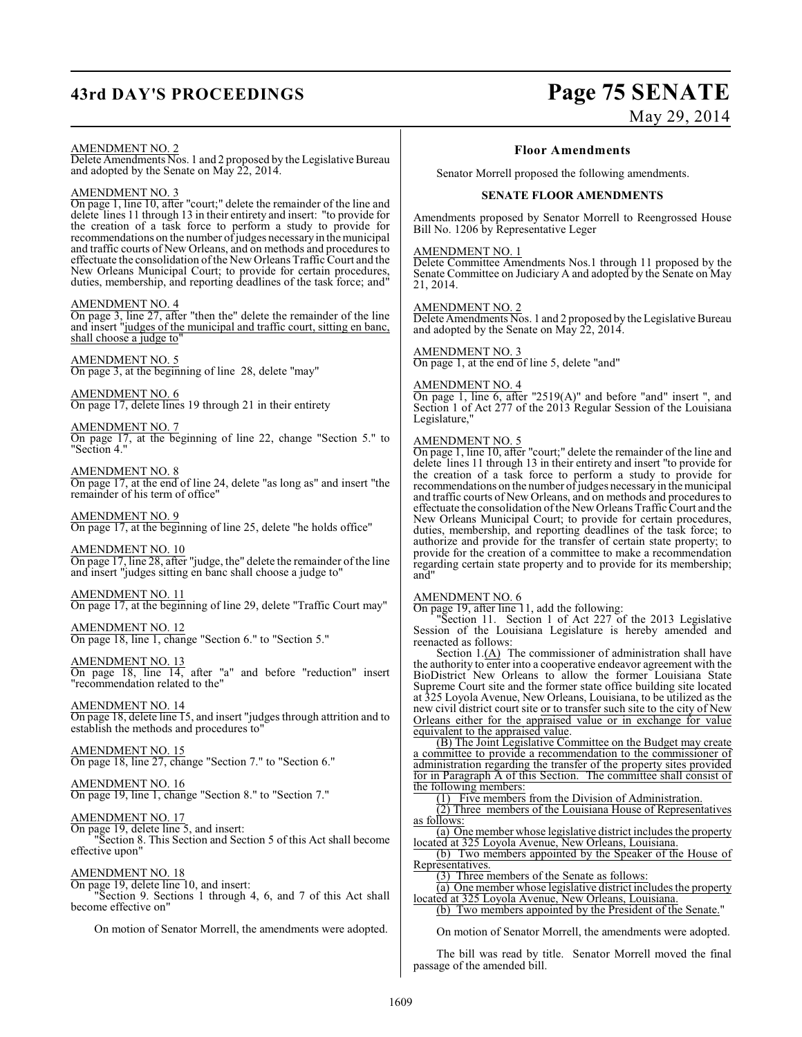# **43rd DAY'S PROCEEDINGS Page 75 SENATE**

# May 29, 2014

#### AMENDMENT NO. 2

Delete Amendments Nos. 1 and 2 proposed by the Legislative Bureau and adopted by the Senate on May 22, 2014.

#### AMENDMENT NO. 3

On page 1, line 10, after "court;" delete the remainder of the line and delete lines 11 through 13 in their entirety and insert: "to provide for the creation of a task force to perform a study to provide for recommendations on the number of judges necessary in the municipal and traffic courts of New Orleans, and on methods and procedures to effectuate the consolidation of the New Orleans Traffic Court and the New Orleans Municipal Court; to provide for certain procedures, duties, membership, and reporting deadlines of the task force; and"

#### AMENDMENT NO. 4

On page 3, line 27, after "then the" delete the remainder of the line and insert "judges of the municipal and traffic court, sitting en banc, shall choose a judge to"

#### AMENDMENT NO. 5

On page 3, at the beginning of line 28, delete "may"

AMENDMENT NO. 6 On page 17, delete lines 19 through 21 in their entirety

AMENDMENT NO. 7 On page 17, at the beginning of line 22, change "Section 5." to "Section 4."

AMENDMENT NO. 8 On page 17, at the end of line 24, delete "as long as" and insert "the remainder of his term of office"

AMENDMENT NO. 9 On page 17, at the beginning of line 25, delete "he holds office"

AMENDMENT NO. 10

On page 17, line 28, after "judge, the" delete the remainder of the line and insert "judges sitting en banc shall choose a judge to"

#### AMENDMENT NO. 11 On page 17, at the beginning of line 29, delete "Traffic Court may"

AMENDMENT NO. 12

On page 18, line 1, change "Section 6." to "Section 5."

AMENDMENT NO. 13 On page 18, line 14, after "a" and before "reduction" insert "recommendation related to the"

AMENDMENT NO. 14 On page 18, delete line 15, and insert "judges through attrition and to establish the methods and procedures to"

AMENDMENT NO. 15 On page 18, line 27, change "Section 7." to "Section 6."

AMENDMENT NO. 16 On page 19, line 1, change "Section 8." to "Section 7."

## AMENDMENT NO. 17

On page 19, delete line 5, and insert: "Section 8. This Section and Section 5 of this Act shall become effective upon"

#### AMENDMENT NO. 18

On page 19, delete line 10, and insert: "Section 9. Sections 1 through 4, 6, and 7 of this Act shall become effective on"

On motion of Senator Morrell, the amendments were adopted.

#### **Floor Amendments**

Senator Morrell proposed the following amendments.

#### **SENATE FLOOR AMENDMENTS**

Amendments proposed by Senator Morrell to Reengrossed House Bill No. 1206 by Representative Leger

#### AMENDMENT NO. 1

Delete Committee Amendments Nos.1 through 11 proposed by the Senate Committee on Judiciary A and adopted by the Senate on May 21, 2014.

#### AMENDMENT NO. 2

Delete Amendments Nos. 1 and 2 proposed by the Legislative Bureau and adopted by the Senate on May 22, 2014.

## AMENDMENT NO. 3

On page 1, at the end of line 5, delete "and"

#### AMENDMENT NO. 4

On page 1, line 6, after "2519(A)" and before "and" insert ", and Section 1 of Act 277 of the 2013 Regular Session of the Louisiana Legislature,"

## AMEND<u>MENT NO. 5</u>

On page 1, line 10, after "court;" delete the remainder of the line and delete lines 11 through 13 in their entirety and insert "to provide for the creation of a task force to perform a study to provide for recommendations on the number of judges necessary in the municipal and traffic courts of New Orleans, and on methods and procedures to effectuate the consolidation of the New Orleans Traffic Court and the New Orleans Municipal Court; to provide for certain procedures, duties, membership, and reporting deadlines of the task force; to authorize and provide for the transfer of certain state property; to provide for the creation of a committee to make a recommendation regarding certain state property and to provide for its membership; and"

#### AMENDMENT NO. 6

On page 19, after line 11, add the following:

"Section 11. Section 1 of Act 227 of the 2013 Legislative Session of the Louisiana Legislature is hereby amended and reenacted as follows:

Section 1.(A) The commissioner of administration shall have the authority to enter into a cooperative endeavor agreement with the BioDistrict New Orleans to allow the former Louisiana State Supreme Court site and the former state office building site located at 325 Loyola Avenue, New Orleans, Louisiana, to be utilized as the new civil district court site or to transfer such site to the city of New Orleans either for the appraised value or in exchange for value equivalent to the appraised value.

(B) The Joint Legislative Committee on the Budget may create a committee to provide a recommendation to the commissioner of administration regarding the transfer of the property sites provided for in Paragraph A of this Section. The committee shall consist of the following members:

(1) Five members from the Division of Administration.

(2) Three members of the Louisiana House of Representatives as follows:

(a) One member whose legislative district includes the property located at 325 Loyola Avenue, New Orleans, Louisiana.

(b) Two members appointed by the Speaker of the House of Representatives.

(3) Three members of the Senate as follows:

(a) One member whose legislative district includes the property located at 325 Loyola Avenue, New Orleans, Louisiana. (b) Two members appointed by the President of the Senate."

On motion of Senator Morrell, the amendments were adopted.

The bill was read by title. Senator Morrell moved the final passage of the amended bill.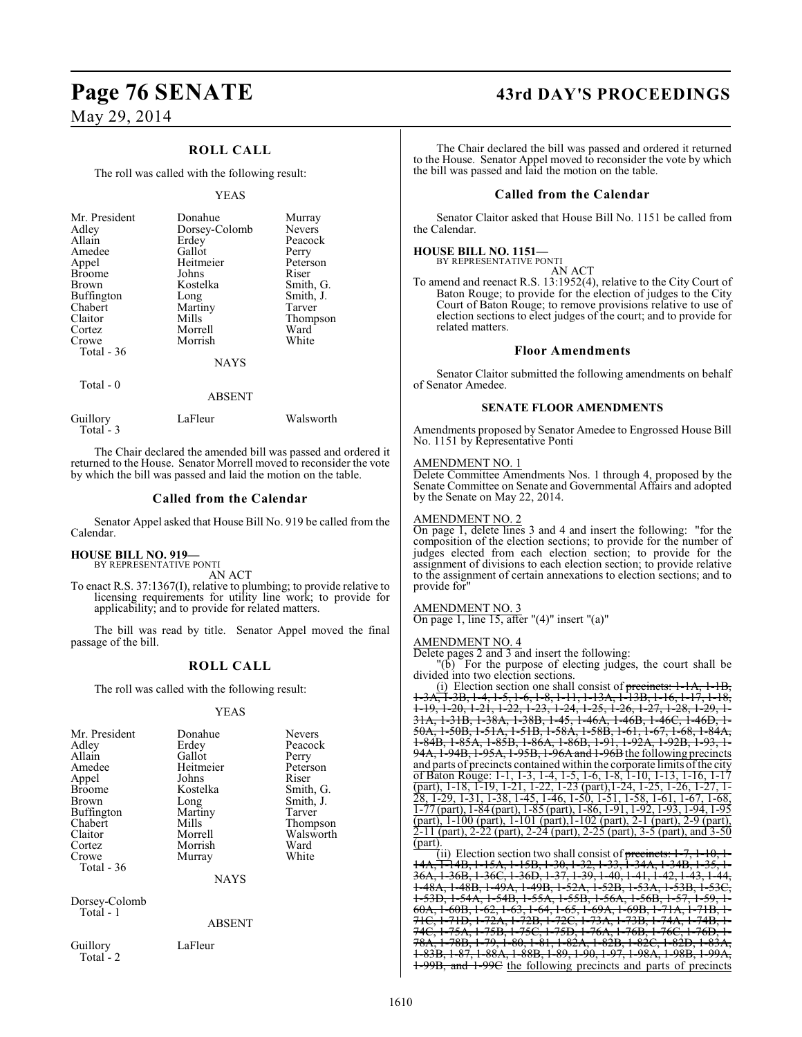# May 29, 2014

## **ROLL CALL**

The roll was called with the following result:

#### YEAS

| Mr. President<br>Adley<br>Allain<br>Amedee<br>Appel<br><b>Broome</b><br><b>Brown</b><br><b>Buffington</b><br>Chabert<br>Claitor<br>Cortez<br>Crowe<br>Total - 36 | Donahue<br>Dorsey-Colomb<br>Erdey<br>Gallot<br>Heitmeier<br>Johns<br>Kostelka<br>Long<br>Martiny<br>Mills<br>Morrell<br>Morrish<br><b>NAYS</b> | Murray<br><b>Nevers</b><br>Peacock<br>Perry<br>Peterson<br>Riser<br>Smith, G.<br>Smith, J.<br>Tarver<br>Thompson<br>Ward<br>White |
|------------------------------------------------------------------------------------------------------------------------------------------------------------------|------------------------------------------------------------------------------------------------------------------------------------------------|-----------------------------------------------------------------------------------------------------------------------------------|
|                                                                                                                                                                  |                                                                                                                                                |                                                                                                                                   |

#### Total - 0

#### **ABSENT**

| LaFleur | Walsworth |  |
|---------|-----------|--|
|         |           |  |

The Chair declared the amended bill was passed and ordered it returned to the House. Senator Morrell moved to reconsider the vote by which the bill was passed and laid the motion on the table.

#### **Called from the Calendar**

Senator Appel asked that House Bill No. 919 be called from the Calendar.

#### **HOUSE BILL NO. 919—**

BY REPRESENTATIVE PONTI AN ACT

To enact R.S. 37:1367(I), relative to plumbing; to provide relative to licensing requirements for utility line work; to provide for applicability; and to provide for related matters.

The bill was read by title. Senator Appel moved the final passage of the bill.

## **ROLL CALL**

The roll was called with the following result:

#### YEAS

| Mr. President | Donahue   | <b>Nevers</b> |
|---------------|-----------|---------------|
| Adley         | Erdey     | Peacock       |
| Allain        | Gallot    | Perry         |
| Amedee        | Heitmeier | Peterson      |
| Appel         | Johns     | Riser         |
| <b>Broome</b> | Kostelka  | Smith, G.     |
| <b>Brown</b>  | Long      | Smith, J.     |
| Buffington    | Martiny   | Tarver        |
| Chabert       | Mills     | Thompson      |
| Claitor       | Morrell   | Walsworth     |
| Cortez        | Morrish   | Ward          |
| Crowe         | Murray    | White         |
| Total - 36    |           |               |
|               | NAYS      |               |

Dorsey-Colomb Total - 1

#### ABSENT

Guillory LaFleur Total<sup>-</sup>2

# **Page 76 SENATE 43rd DAY'S PROCEEDINGS**

The Chair declared the bill was passed and ordered it returned to the House. Senator Appel moved to reconsider the vote by which the bill was passed and laid the motion on the table.

#### **Called from the Calendar**

Senator Claitor asked that House Bill No. 1151 be called from the Calendar.

#### **HOUSE BILL NO. 1151—**

BY REPRESENTATIVE PONTI

AN ACT To amend and reenact R.S. 13:1952(4), relative to the City Court of Baton Rouge; to provide for the election of judges to the City Court of Baton Rouge; to remove provisions relative to use of election sections to elect judges of the court; and to provide for related matters.

#### **Floor Amendments**

Senator Claitor submitted the following amendments on behalf of Senator Amedee.

#### **SENATE FLOOR AMENDMENTS**

Amendments proposed by Senator Amedee to Engrossed House Bill No. 1151 by Representative Ponti

#### AMENDMENT NO. 1

Delete Committee Amendments Nos. 1 through 4, proposed by the Senate Committee on Senate and Governmental Affairs and adopted by the Senate on May 22, 2014.

#### AMENDMENT NO. 2

On page 1, delete lines 3 and 4 and insert the following: "for the composition of the election sections; to provide for the number of judges elected from each election section; to provide for the assignment of divisions to each election section; to provide relative to the assignment of certain annexations to election sections; and to provide for"

#### AMENDMENT NO. 3

On page 1, line 15, after "(4)" insert "(a)"

#### AMENDMENT NO. 4

Delete pages 2 and 3 and insert the following:

"(b) For the purpose of electing judges, the court shall be divided into two election sections.

(i) Election section one shall consist of  $precinets$ : 1 1-3A, 1-3B, 1-4, 1-5, 1-6, 1-8, 1-11, 1-13A, 1-13B, 1-16, 1-17, 1-18, 1-19, 1-20, 1-21, 1-22, 1-23, 1-24, 1-25, 1-26, 1-27, 1-28, 1-29, 1- 31A, 1-31B, 1-38A, 1-38B, 1-45, 1-46A, 1-46B, 1-46C, 1-46D, 1- 50A, 1-50B, 1-51A, 1-51B, 1-58A, 1-58B, 1-61, 1-67, 1-68, 1-84A, 1-84B, 1-85A, 1-85B, 1-86A, 1-86B, 1-91, 1-92A, 1-92B, 1-93, 1- 94A, 1-94B, 1-95A, 1-95B, 1-96A and 1-96B the following precincts and parts of precincts contained within the corporate limits of the city of Baton Rouge: 1-1, 1-3, 1-4, 1-5, 1-6, 1-8, 1-10, 1-13, 1-16, 1-17 (part), 1-18, 1-19, 1-21, 1-22, 1-23 (part),1-24, 1-25, 1-26, 1-27, 1- 28, 1-29, 1-31, 1-38, 1-45, 1-46, 1-50, 1-51, 1-58, 1-61, 1-67, 1-68, 1-77 (part), 1-84 (part), 1-85 (part), 1-86, 1-91, 1-92, 1-93, 1-94, 1-95 (part), 1-100 (part), 1-101 (part),1-102 (part), 2-1 (part), 2-9 (part), 2-11 (part), 2-22 (part), 2-24 (part), 2-25 (part), 3-5 (part), and 3-50 (part).

(ii) Election section two shall consist of precincts:  $1$ 14A, 1-14B, 1-15A, 1-15B, 1-30, 1-32, 1-33, 1-34A, 1-34B, 1-35, 1- 36A, 1-36B, 1-36C, 1-36D, 1-37, 1-39, 1-40, 1-41, 1-42, 1-43, 1-44, 1-48A, 1-48B, 1-49A, 1-49B, 1-52A, 1-52B, 1-53A, 1-53D, 1-54A, 1-54B, 1-55A, 1-55B, 1-56A, 1-56B,  $60A$ , 1-60B, 1-62, 1-63, 1-64, 1-65, 1-69A, 1-69B, 1-71C, 1-71D, 1-72A, 1-72B, 1-72C, 1-73A, 1-73B, 1-74A, 1-74B, 1- 74C, 1-75A, 1-75B, 1-75C, 1-75D, 1-76A, 1-76B, 1-76C, 1-76D, 1- 78A, 1-78B, 1-79, 1-80, 1-81, 1-82A, 1-82B, 1-82C, 1-82D, 1-83A, 1-83B, 1-87, 1-88A, 1-88B, 1-89, 1-90, 1-97, 1-98A, 1-98B, 1-99A, 1-99B, and 1-99C the following precincts and parts of precincts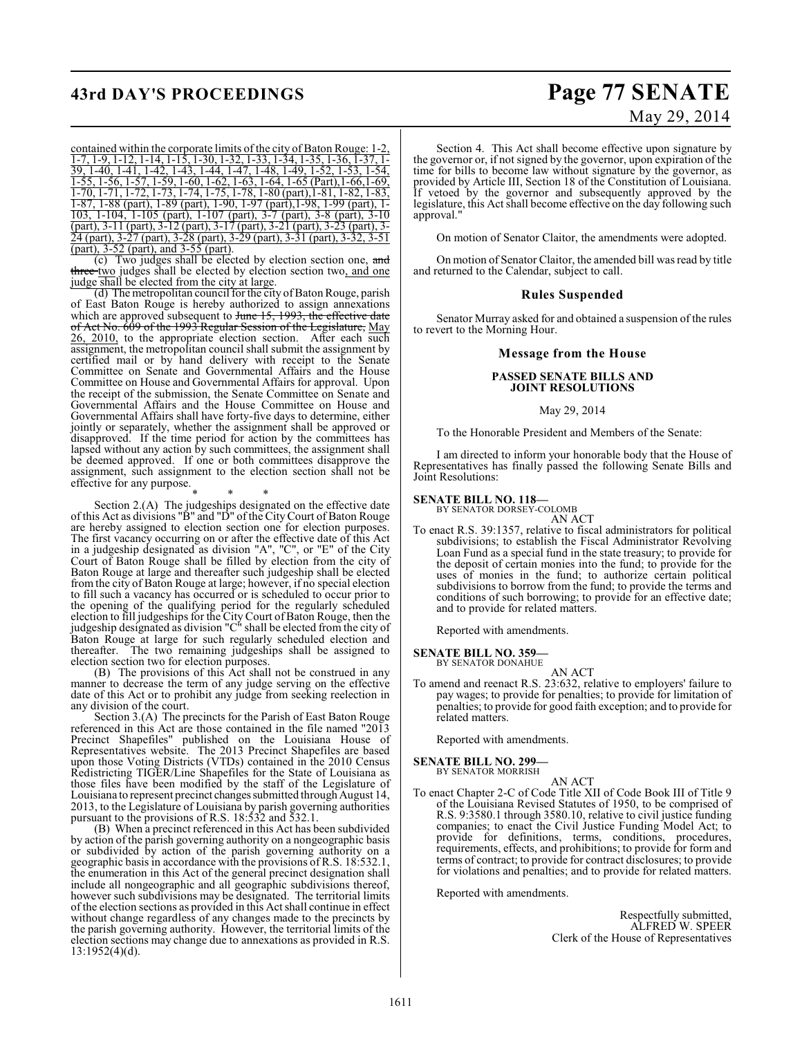# **43rd DAY'S PROCEEDINGS Page 77 SENATE**

# May 29, 2014

contained within the corporate limits of the city of Baton Rouge: 1-2, 1-7, 1-9, 1-12, 1-14, 1-15, 1-30, 1-32, 1-33, 1-34, 1-35, 1-36, 1-37, 1- 39, 1-40, 1-41, 1-42, 1-43, 1-44, 1-47, 1-48, 1-49, 1-52, 1-53, 1-54, 1-55, 1-56, 1-57, 1-59, 1-60, 1-62, 1-63, 1-64, 1-65 (Part),1-66,1-69, 1-70, 1-71, 1-72, 1-73, 1-74, 1-75, 1-78, 1-80 (part),1-81, 1-82, 1-83, 1-87, 1-88 (part), 1-89 (part), 1-90, 1-97 (part),1-98, 1-99 (part), 1- 103, 1-104, 1-105 (part), 1-107 (part), 3-7 (part), 3-8 (part), 3-10 (part), 3-11 (part), 3-12 (part), 3-17 (part), 3-21 (part), 3-23 (part), 3- 24 (part), 3-27 (part), 3-28 (part), 3-29 (part), 3-31 (part), 3-32, 3-51 (part), 3-52 (part), and 3-55 (part).

(c) Two judges shall be elected by election section one, and three two judges shall be elected by election section two, and one judge shall be elected from the city at large.

(d) The metropolitan council for the city of Baton Rouge, parish of East Baton Rouge is hereby authorized to assign annexations which are approved subsequent to June 15, 1993, the effective date of Act No. 609 of the 1993 Regular Session of the Legislature, May 26, 2010, to the appropriate election section. After each such assignment, the metropolitan council shall submit the assignment by certified mail or by hand delivery with receipt to the Senate Committee on Senate and Governmental Affairs and the House Committee on House and Governmental Affairs for approval. Upon the receipt of the submission, the Senate Committee on Senate and Governmental Affairs and the House Committee on House and Governmental Affairs shall have forty-five days to determine, either jointly or separately, whether the assignment shall be approved or disapproved. If the time period for action by the committees has lapsed without any action by such committees, the assignment shall be deemed approved. If one or both committees disapprove the assignment, such assignment to the election section shall not be effective for any purpose.

\* \* \* Section 2.(A) The judgeships designated on the effective date of this Act as divisions "B" and "D" of the City Court of Baton Rouge are hereby assigned to election section one for election purposes. The first vacancy occurring on or after the effective date of this Act in a judgeship designated as division "A", "C", or "E" of the City Court of Baton Rouge shall be filled by election from the city of Baton Rouge at large and thereafter such judgeship shall be elected from the city of Baton Rouge at large; however, if no special election to fill such a vacancy has occurred or is scheduled to occur prior to the opening of the qualifying period for the regularly scheduled election to fill judgeships for the City Court of Baton Rouge, then the judgeship designated as division "C" shall be elected from the city of Baton Rouge at large for such regularly scheduled election and thereafter. The two remaining judgeships shall be assigned to thereafter. The two remaining judgeship election section two for election purposes.

(B) The provisions of this Act shall not be construed in any manner to decrease the term of any judge serving on the effective date of this Act or to prohibit any judge from seeking reelection in any division of the court.

Section 3.(A) The precincts for the Parish of East Baton Rouge referenced in this Act are those contained in the file named "2013 Precinct Shapefiles" published on the Louisiana House of Representatives website. The 2013 Precinct Shapefiles are based upon those Voting Districts (VTDs) contained in the 2010 Census Redistricting TIGER/Line Shapefiles for the State of Louisiana as those files have been modified by the staff of the Legislature of Louisiana to represent precinct changes submitted through August 14, 2013, to the Legislature of Louisiana by parish governing authorities pursuant to the provisions of R.S. 18:532 and 532.1.

(B) When a precinct referenced in this Act has been subdivided by action of the parish governing authority on a nongeographic basis or subdivided by action of the parish governing authority on a geographic basis in accordance with the provisions of R.S. 18:532.1, the enumeration in this Act of the general precinct designation shall include all nongeographic and all geographic subdivisions thereof, however such subdivisions may be designated. The territorial limits of the election sections as provided in this Act shall continue in effect without change regardless of any changes made to the precincts by the parish governing authority. However, the territorial limits of the election sections may change due to annexations as provided in R.S. 13:1952(4)(d).

Section 4. This Act shall become effective upon signature by the governor or, if not signed by the governor, upon expiration of the time for bills to become law without signature by the governor, as provided by Article III, Section 18 of the Constitution of Louisiana. If vetoed by the governor and subsequently approved by the legislature, this Act shall become effective on the day following such approval."

On motion of Senator Claitor, the amendments were adopted.

On motion of Senator Claitor, the amended bill was read by title and returned to the Calendar, subject to call.

#### **Rules Suspended**

Senator Murray asked for and obtained a suspension of the rules to revert to the Morning Hour.

#### **Message from the House**

#### **PASSED SENATE BILLS AND JOINT RESOLUTIONS**

#### May 29, 2014

To the Honorable President and Members of the Senate:

I am directed to inform your honorable body that the House of Representatives has finally passed the following Senate Bills and Joint Resolutions:

#### **SENATE BILL NO. 118—**

BY SENATOR DORSEY-COLOMB

AN ACT To enact R.S. 39:1357, relative to fiscal administrators for political subdivisions; to establish the Fiscal Administrator Revolving Loan Fund as a special fund in the state treasury; to provide for the deposit of certain monies into the fund; to provide for the uses of monies in the fund; to authorize certain political subdivisions to borrow from the fund; to provide the terms and conditions of such borrowing; to provide for an effective date; and to provide for related matters.

Reported with amendments.

**SENATE BILL NO. 359—**

BY SENATOR DONAHUE AN ACT

To amend and reenact R.S. 23:632, relative to employers' failure to pay wages; to provide for penalties; to provide for limitation of penalties; to provide for good faith exception; and to provide for related matters.

Reported with amendments.

**SENATE BILL NO. 299—** BY SENATOR MORRISH

AN ACT

To enact Chapter 2-C of Code Title XII of Code Book III of Title 9 of the Louisiana Revised Statutes of 1950, to be comprised of R.S. 9:3580.1 through 3580.10, relative to civil justice funding companies; to enact the Civil Justice Funding Model Act; to provide for definitions, terms, conditions, procedures, requirements, effects, and prohibitions; to provide for form and terms of contract; to provide for contract disclosures; to provide for violations and penalties; and to provide for related matters.

Reported with amendments.

Respectfully submitted, ALFRED W. SPEER Clerk of the House of Representatives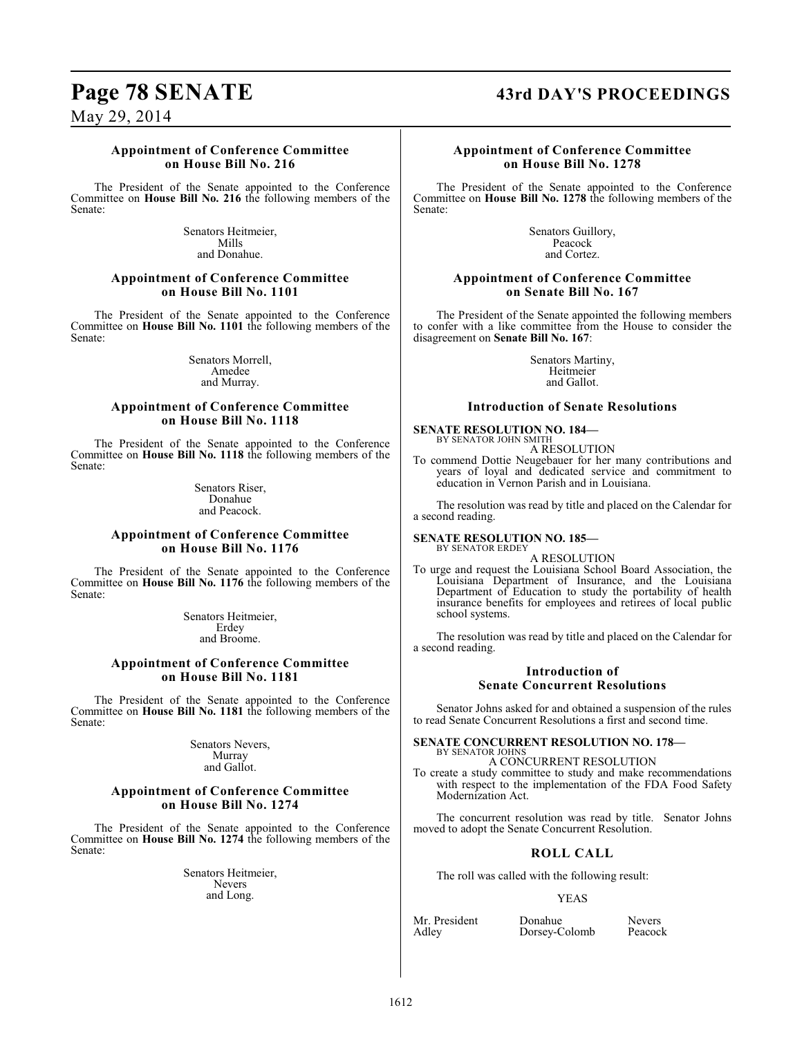## **Page 78 SENATE 43rd DAY'S PROCEEDINGS**

May 29, 2014

#### **Appointment of Conference Committee on House Bill No. 216**

The President of the Senate appointed to the Conference Committee on **House Bill No. 216** the following members of the Senate:

> Senators Heitmeier, Mills and Donahue.

#### **Appointment of Conference Committee on House Bill No. 1101**

The President of the Senate appointed to the Conference Committee on **House Bill No. 1101** the following members of the Senate:

> Senators Morrell, Amedee and Murray.

#### **Appointment of Conference Committee on House Bill No. 1118**

The President of the Senate appointed to the Conference Committee on **House Bill No. 1118** the following members of the Senate:

> Senators Riser, Donahue and Peacock.

#### **Appointment of Conference Committee on House Bill No. 1176**

The President of the Senate appointed to the Conference Committee on **House Bill No. 1176** the following members of the Senate:

> Senators Heitmeier, Erdey and Broome.

#### **Appointment of Conference Committee on House Bill No. 1181**

The President of the Senate appointed to the Conference Committee on **House Bill No. 1181** the following members of the Senate:

> Senators Nevers, Murray and Gallot.

#### **Appointment of Conference Committee on House Bill No. 1274**

The President of the Senate appointed to the Conference Committee on **House Bill No. 1274** the following members of the Senate:

> Senators Heitmeier, Nevers and Long.

#### **Appointment of Conference Committee on House Bill No. 1278**

The President of the Senate appointed to the Conference Committee on **House Bill No. 1278** the following members of the Senate:

> Senators Guillory, Peacock and Cortez.

#### **Appointment of Conference Committee on Senate Bill No. 167**

The President of the Senate appointed the following members to confer with a like committee from the House to consider the disagreement on **Senate Bill No. 167**:

> Senators Martiny, Heitmeier and Gallot.

#### **Introduction of Senate Resolutions**

**SENATE RESOLUTION NO. 184—** BY SENATOR JOHN SMITH A RESOLUTION

To commend Dottie Neugebauer for her many contributions and years of loyal and dedicated service and commitment to education in Vernon Parish and in Louisiana.

The resolution was read by title and placed on the Calendar for a second reading.

**SENATE RESOLUTION NO. 185—** BY SENATOR ERDEY

A RESOLUTION

To urge and request the Louisiana School Board Association, the Louisiana Department of Insurance, and the Louisiana Department of Education to study the portability of health insurance benefits for employees and retirees of local public school systems.

The resolution was read by title and placed on the Calendar for a second reading.

## **Introduction of Senate Concurrent Resolutions**

Senator Johns asked for and obtained a suspension of the rules to read Senate Concurrent Resolutions a first and second time.

#### **SENATE CONCURRENT RESOLUTION NO. 178—** BY SENATOR JOHNS

A CONCURRENT RESOLUTION

To create a study committee to study and make recommendations with respect to the implementation of the FDA Food Safety Modernization Act.

The concurrent resolution was read by title. Senator Johns moved to adopt the Senate Concurrent Resolution.

## **ROLL CALL**

The roll was called with the following result:

#### YEAS

Mr. President Donahue Nevers<br>Adley Dorsey-Colomb Peacock Dorsey-Colomb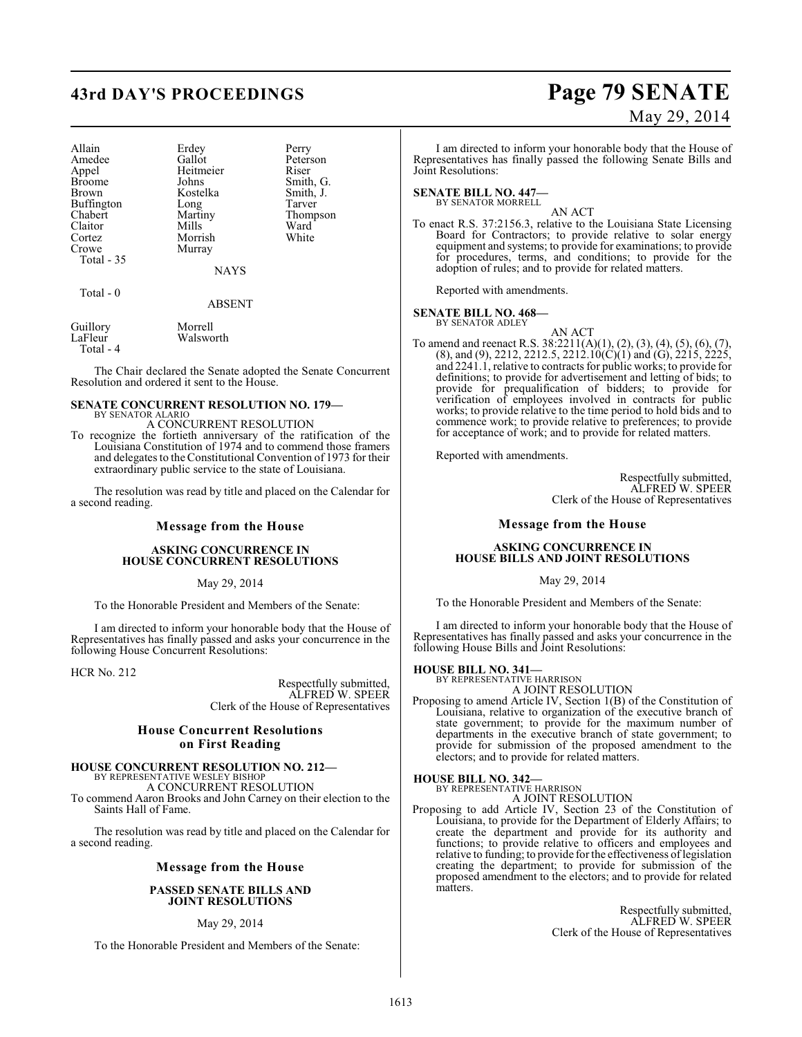# **43rd DAY'S PROCEEDINGS Page 79 SENATE**

| Allain            | Erdey       | Perry     |
|-------------------|-------------|-----------|
| Amedee            | Gallot      | Peterson  |
| Appel             | Heitmeier   | Riser     |
| <b>Broome</b>     | Johns       | Smith, G. |
| <b>Brown</b>      | Kostelka    | Smith, J. |
| <b>Buffington</b> | Long        | Tarver    |
| Chabert           | Martiny     | Thompson  |
| Claitor           | Mills       | Ward      |
| Cortez            | Morrish     | White     |
| Crowe             | Murray      |           |
| Total - 35        |             |           |
|                   | <b>NAYS</b> |           |
| Total - 0         |             |           |
|                   | ABSENT      |           |

Guillory Morrell<br>LaFleur Walswo Walsworth Total - 4

The Chair declared the Senate adopted the Senate Concurrent Resolution and ordered it sent to the House.

#### **SENATE CONCURRENT RESOLUTION NO. 179—** BY SENATOR ALARIO

A CONCURRENT RESOLUTION

To recognize the fortieth anniversary of the ratification of the Louisiana Constitution of 1974 and to commend those framers and delegates to the Constitutional Convention of 1973 for their extraordinary public service to the state of Louisiana.

The resolution was read by title and placed on the Calendar for a second reading.

#### **Message from the House**

#### **ASKING CONCURRENCE IN HOUSE CONCURRENT RESOLUTIONS**

May 29, 2014

To the Honorable President and Members of the Senate:

I am directed to inform your honorable body that the House of Representatives has finally passed and asks your concurrence in the following House Concurrent Resolutions:

HCR No. 212

Respectfully submitted, ALFRED W. SPEER Clerk of the House of Representatives

#### **House Concurrent Resolutions on First Reading**

#### **HOUSE CONCURRENT RESOLUTION NO. 212—** BY REPRESENTATIVE WESLEY BISHOP

A CONCURRENT RESOLUTION

To commend Aaron Brooks and John Carney on their election to the Saints Hall of Fame.

The resolution was read by title and placed on the Calendar for a second reading.

#### **Message from the House**

#### **PASSED SENATE BILLS AND JOINT RESOLUTIONS**

#### May 29, 2014

To the Honorable President and Members of the Senate:

# May 29, 2014

I am directed to inform your honorable body that the House of Representatives has finally passed the following Senate Bills and Joint Resolutions:

#### **SENATE BILL NO. 447—**

BY SENATOR MORRELL AN ACT

To enact R.S. 37:2156.3, relative to the Louisiana State Licensing Board for Contractors; to provide relative to solar energy equipment and systems; to provide for examinations; to provide for procedures, terms, and conditions; to provide for the adoption of rules; and to provide for related matters.

Reported with amendments.

#### **SENATE BILL NO. 468—**

BY SENATOR ADLEY

AN ACT To amend and reenact R.S. 38:2211(A)(1), (2), (3), (4), (5), (6), (7),  $(8)$ , and  $(9)$ , 2212, 2212.5, 2212.10 $(C)(1)$  and  $(G)$ , 2215, 2225, and 2241.1, relative to contracts for public works; to provide for definitions; to provide for advertisement and letting of bids; to provide for prequalification of bidders; to provide for verification of employees involved in contracts for public works; to provide relative to the time period to hold bids and to commence work; to provide relative to preferences; to provide for acceptance of work; and to provide for related matters.

Reported with amendments.

Respectfully submitted, ALFRED W. SPEER Clerk of the House of Representatives

#### **Message from the House**

#### **ASKING CONCURRENCE IN HOUSE BILLS AND JOINT RESOLUTIONS**

May 29, 2014

To the Honorable President and Members of the Senate:

I am directed to inform your honorable body that the House of Representatives has finally passed and asks your concurrence in the following House Bills and Joint Resolutions:

# **HOUSE BILL NO. 341—** BY REPRESENTATIVE HARRISON

A JOINT RESOLUTION

Proposing to amend Article IV, Section 1(B) of the Constitution of Louisiana, relative to organization of the executive branch of state government; to provide for the maximum number of departments in the executive branch of state government; to provide for submission of the proposed amendment to the electors; and to provide for related matters.

#### **HOUSE BILL NO. 342—** BY REPRESENTATIVE HARRISON

A JOINT RESOLUTION

Proposing to add Article IV, Section 23 of the Constitution of Louisiana, to provide for the Department of Elderly Affairs; to create the department and provide for its authority and functions; to provide relative to officers and employees and relative to funding; to provide for the effectiveness of legislation creating the department; to provide for submission of the proposed amendment to the electors; and to provide for related matters.

> Respectfully submitted, ALFRED W. SPEER Clerk of the House of Representatives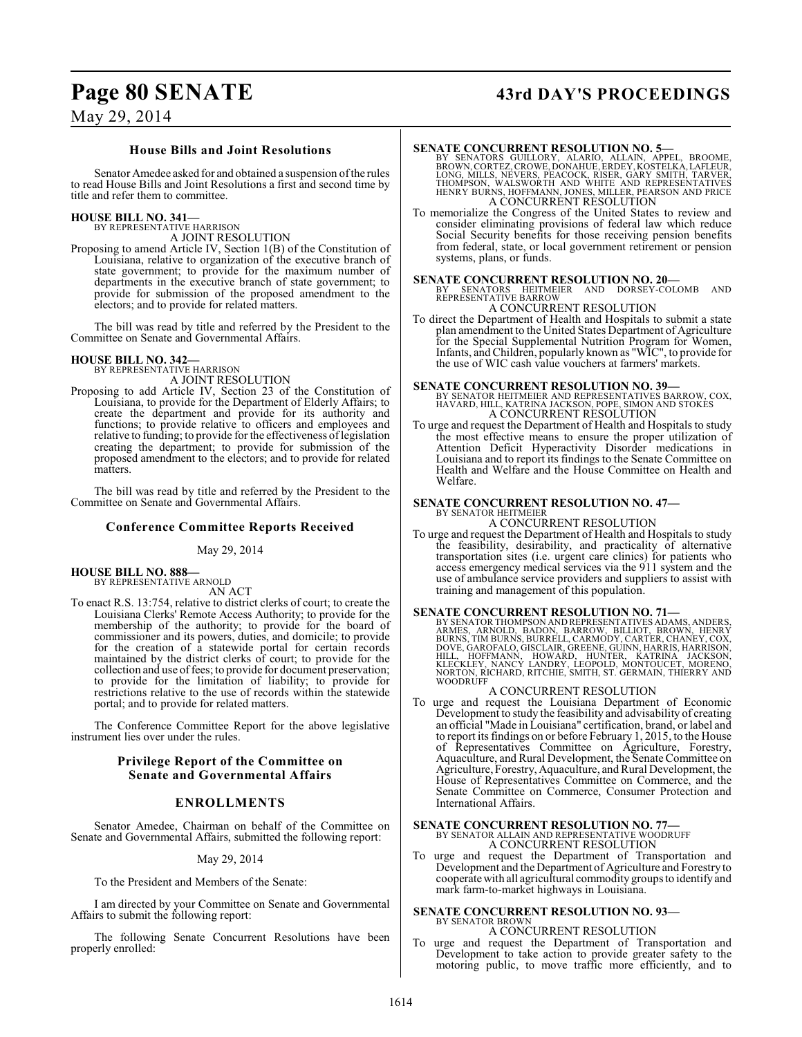# **Page 80 SENATE 43rd DAY'S PROCEEDINGS**

May 29, 2014

#### **House Bills and Joint Resolutions**

Senator Amedee asked for and obtained a suspension of the rules to read House Bills and Joint Resolutions a first and second time by title and refer them to committee.

#### **HOUSE BILL NO. 341—** BY REPRESENTATIVE HARRISON

A JOINT RESOLUTION

Proposing to amend Article IV, Section 1(B) of the Constitution of Louisiana, relative to organization of the executive branch of state government; to provide for the maximum number of departments in the executive branch of state government; to provide for submission of the proposed amendment to the electors; and to provide for related matters.

The bill was read by title and referred by the President to the Committee on Senate and Governmental Affairs.

#### **HOUSE BILL NO. 342—**

BY REPRESENTATIVE HARRISON A JOINT RESOLUTION

Proposing to add Article IV, Section 23 of the Constitution of Louisiana, to provide for the Department of Elderly Affairs; to create the department and provide for its authority and functions; to provide relative to officers and employees and relative to funding; to provide for the effectiveness of legislation creating the department; to provide for submission of the proposed amendment to the electors; and to provide for related matters.

The bill was read by title and referred by the President to the Committee on Senate and Governmental Affairs.

## **Conference Committee Reports Received**

#### May 29, 2014

**HOUSE BILL NO. 888—** BY REPRESENTATIVE ARNOLD

AN ACT

To enact R.S. 13:754, relative to district clerks of court; to create the Louisiana Clerks' Remote Access Authority; to provide for the membership of the authority; to provide for the board of commissioner and its powers, duties, and domicile; to provide for the creation of a statewide portal for certain records maintained by the district clerks of court; to provide for the collection and use of fees; to provide for document preservation; to provide for the limitation of liability; to provide for restrictions relative to the use of records within the statewide portal; and to provide for related matters.

The Conference Committee Report for the above legislative instrument lies over under the rules.

#### **Privilege Report of the Committee on Senate and Governmental Affairs**

## **ENROLLMENTS**

Senator Amedee, Chairman on behalf of the Committee on Senate and Governmental Affairs, submitted the following report:

#### May 29, 2014

To the President and Members of the Senate:

I am directed by your Committee on Senate and Governmental Affairs to submit the following report:

The following Senate Concurrent Resolutions have been properly enrolled:

#### **SENATE CONCURRENT RESOLUTION NO. 5—**

BY SENATORS GUILLORY, ALARIO, ALLAIN, APPEL, BROOME,<br>BROWN,CORTEZ,CROWE,DONAIUE,ERDEY,KOSTELKA,LAFLEUR,<br>LONG,MILLS,NEVERS,PEACOCK,RISER,GARY SMITH,TARVER,<br>THOMPSON, WALSWORTH AND WHITE AND REPRESENTATIVES<br>HENRY BURN,HOFFMA

To memorialize the Congress of the United States to review and consider eliminating provisions of federal law which reduce Social Security benefits for those receiving pension benefits from federal, state, or local government retirement or pension systems, plans, or funds.

**SENATE CONCURRENT RESOLUTION NO. 20—**<br>BY SENATORS HEITMEIER AND DORSEY-COLOMB AND<br>REPRESENTATIVE BARROW

A CONCURRENT RESOLUTION

To direct the Department of Health and Hospitals to submit a state plan amendment to the United States Department of Agriculture for the Special Supplemental Nutrition Program for Women, Infants, and Children, popularly known as "WIC", to provide for the use of WIC cash value vouchers at farmers' markets.

#### **SENATE CONCURRENT RESOLUTION NO. 39—**

BY SENATOR HEITMEIER AND REPRESENTATIVES BARROW, COX, HAVARD, HILL, KATRINA JACKSON, POPE, SIMON AND STOKES A CONCURRENT RESOLUTION

To urge and request the Department of Health and Hospitals to study the most effective means to ensure the proper utilization of Attention Deficit Hyperactivity Disorder medications in Louisiana and to report its findings to the Senate Committee on Health and Welfare and the House Committee on Health and Welfare.

#### **SENATE CONCURRENT RESOLUTION NO. 47—**

BY SENATOR HEITMEIER A CONCURRENT RESOLUTION

To urge and request the Department of Health and Hospitals to study the feasibility, desirability, and practicality of alternative transportation sites (i.e. urgent care clinics) for patients who access emergency medical services via the 911 system and the use of ambulance service providers and suppliers to assist with training and management of this population.

**SENATE CONCURRENT RESOLUTION NO. 71** BY SENATOR THOMPSON AND REPRESENTATIVES ADDAMS, ANDERS, ARNOLD, BADON, BARROW, BILLIOT, BROWN, HENRY BURNS, TIM BURNS, BURRELL, CARMODY, CARTER, CHANEY, COX, DOVE, GAROFALO, GISCLAIR,

#### A CONCURRENT RESOLUTION

To urge and request the Louisiana Department of Economic Development to study the feasibility and advisability of creating an official "Made in Louisiana" certification, brand, or label and to report its findings on or before February 1, 2015, to the House of Representatives Committee on Agriculture, Forestry, Aquaculture, and Rural Development, the Senate Committee on Agriculture, Forestry, Aquaculture, and Rural Development, the House of Representatives Committee on Commerce, and the Senate Committee on Commerce, Consumer Protection and International Affairs.

#### **SENATE CONCURRENT RESOLUTION NO. 77—**

BY SENATOR ALLAIN AND REPRESENTATIVE WOODRUFF A CONCURRENT RESOLUTION

To urge and request the Department of Transportation and Development and the Department of Agriculture and Forestry to cooperate with all agricultural commodity groups to identify and mark farm-to-market highways in Louisiana.

## **SENATE CONCURRENT RESOLUTION NO. 93—**

# BY SENATOR BROWN A CONCURRENT RESOLUTION

To urge and request the Department of Transportation and Development to take action to provide greater safety to the motoring public, to move traffic more efficiently, and to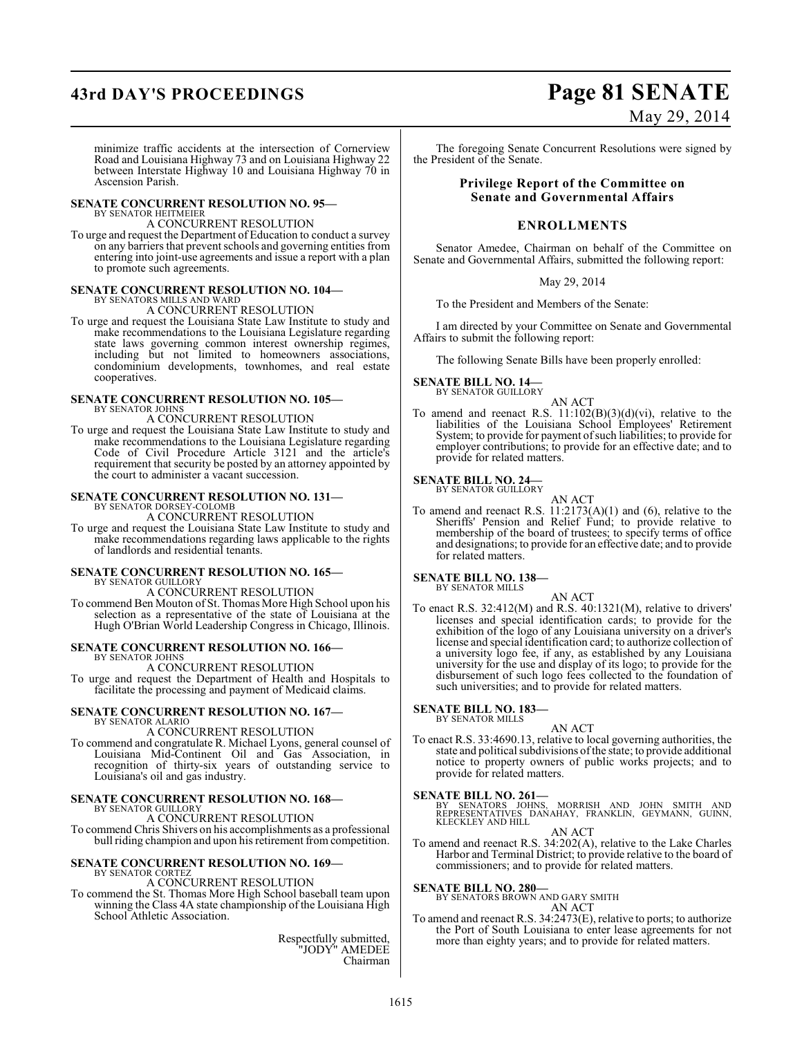# **43rd DAY'S PROCEEDINGS Page 81 SENATE**

# May 29, 2014

minimize traffic accidents at the intersection of Cornerview Road and Louisiana Highway 73 and on Louisiana Highway 22 between Interstate Highway 10 and Louisiana Highway 70 in Ascension Parish.

#### **SENATE CONCURRENT RESOLUTION NO. 95—** BY SENATOR HEITMEIER

A CONCURRENT RESOLUTION

To urge and request the Department of Education to conduct a survey on any barriers that prevent schools and governing entities from entering into joint-use agreements and issue a report with a plan to promote such agreements.

#### **SENATE CONCURRENT RESOLUTION NO. 104—** BY SENATORS MILLS AND WARD

A CONCURRENT RESOLUTION

To urge and request the Louisiana State Law Institute to study and make recommendations to the Louisiana Legislature regarding state laws governing common interest ownership regimes, including but not limited to homeowners associations, condominium developments, townhomes, and real estate cooperatives.

#### **SENATE CONCURRENT RESOLUTION NO. 105—** BY SENATOR JOHNS

A CONCURRENT RESOLUTION

To urge and request the Louisiana State Law Institute to study and make recommendations to the Louisiana Legislature regarding Code of Civil Procedure Article 3121 and the article's requirement that security be posted by an attorney appointed by the court to administer a vacant succession.

#### **SENATE CONCURRENT RESOLUTION NO. 131—**

BY SENATOR DORSEY-COLOMB A CONCURRENT RESOLUTION

To urge and request the Louisiana State Law Institute to study and make recommendations regarding laws applicable to the rights of landlords and residential tenants.

#### **SENATE CONCURRENT RESOLUTION NO. 165—** BY SENATOR GUILLORY

A CONCURRENT RESOLUTION

To commend Ben Mouton of St. Thomas More High School upon his selection as a representative of the state of Louisiana at the Hugh O'Brian World Leadership Congress in Chicago, Illinois.

#### **SENATE CONCURRENT RESOLUTION NO. 166—**

BY SENATOR JOHNS A CONCURRENT RESOLUTION

To urge and request the Department of Health and Hospitals to facilitate the processing and payment of Medicaid claims.

#### **SENATE CONCURRENT RESOLUTION NO. 167—** BY SENATOR ALARIO

#### A CONCURRENT RESOLUTION

To commend and congratulate R. Michael Lyons, general counsel of Louisiana Mid-Continent Oil and Gas Association, in recognition of thirty-six years of outstanding service to Louisiana's oil and gas industry.

#### **SENATE CONCURRENT RESOLUTION NO. 168—**

#### BY SENATOR GUILLORY A CONCURRENT RESOLUTION

To commend Chris Shivers on his accomplishments as a professional bull riding champion and upon his retirement from competition.

#### **SENATE CONCURRENT RESOLUTION NO. 169—** BY SENATOR CORTEZ

#### A CONCURRENT RESOLUTION

To commend the St. Thomas More High School baseball team upon winning the Class 4A state championship of the Louisiana High School Athletic Association.

> Respectfully submitted, "JODY" AMEDEE Chairman

The foregoing Senate Concurrent Resolutions were signed by the President of the Senate.

#### **Privilege Report of the Committee on Senate and Governmental Affairs**

#### **ENROLLMENTS**

Senator Amedee, Chairman on behalf of the Committee on Senate and Governmental Affairs, submitted the following report:

#### May 29, 2014

To the President and Members of the Senate:

I am directed by your Committee on Senate and Governmental Affairs to submit the following report:

The following Senate Bills have been properly enrolled:

#### **SENATE BILL NO. 14—** BY SENATOR GUILLORY

AN ACT

To amend and reenact R.S.  $11:102(B)(3)(d)(vi)$ , relative to the liabilities of the Louisiana School Employees' Retirement System; to provide for payment of such liabilities; to provide for employer contributions; to provide for an effective date; and to provide for related matters.

#### **SENATE BILL NO. 24—** BY SENATOR GUILLORY

AN ACT

To amend and reenact R.S. 11:2173(A)(1) and (6), relative to the Sheriffs' Pension and Relief Fund; to provide relative to membership of the board of trustees; to specify terms of office and designations; to provide for an effective date; and to provide for related matters.

#### **SENATE BILL NO. 138—** BY SENATOR MILLS

AN ACT

To enact R.S. 32:412(M) and R.S. 40:1321(M), relative to drivers' licenses and special identification cards; to provide for the exhibition of the logo of any Louisiana university on a driver's license and special identification card; to authorize collection of a university logo fee, if any, as established by any Louisiana university for the use and display of its logo; to provide for the disbursement of such logo fees collected to the foundation of such universities; and to provide for related matters.

#### **SENATE BILL NO. 183—** BY SENATOR MILLS

AN ACT To enact R.S. 33:4690.13, relative to local governing authorities, the state and political subdivisions of the state; to provide additional notice to property owners of public works projects; and to provide for related matters.

**SENATE BILL NO. 261—**<br>BY SENATORS JOHNS, MORRISH AND JOHN SMITH AND<br>REPRESENTATIVES DANAHAY, FRANKLIN, GEYMANN, GUINN,<br>KLECKLEY AND HILL

AN ACT

To amend and reenact R.S. 34:202(A), relative to the Lake Charles Harbor and Terminal District; to provide relative to the board of commissioners; and to provide for related matters.

**SENATE BILL NO. 280—**

BY SENATORS BROWN AND GARY SMITH AN ACT

To amend and reenact R.S. 34:2473(E), relative to ports; to authorize the Port of South Louisiana to enter lease agreements for not more than eighty years; and to provide for related matters.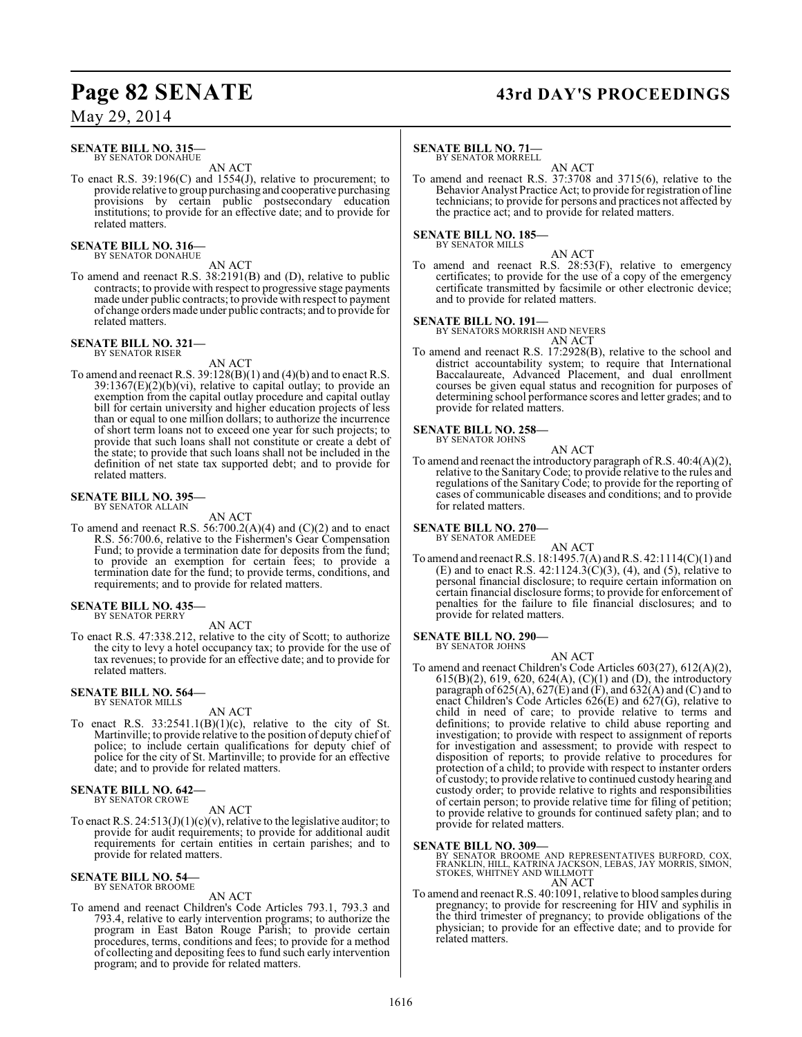# **Page 82 SENATE 43rd DAY'S PROCEEDINGS**

## May 29, 2014

#### **SENATE BILL NO. 315—** BY SENATOR DONAHUE

AN ACT

To enact R.S. 39:196(C) and 1554(J), relative to procurement; to provide relative to group purchasing and cooperative purchasing provisions by certain public postsecondary education institutions; to provide for an effective date; and to provide for related matters.

#### **SENATE BILL NO. 316—** BY SENATOR DONAHUE

AN ACT

To amend and reenact R.S. 38:2191(B) and (D), relative to public contracts; to provide with respect to progressive stage payments made under public contracts; to provide with respect to payment of change orders made under public contracts; and to provide for related matters.

# **SENATE BILL NO. 321—** BY SENATOR RISER

AN ACT

To amend and reenact R.S.  $39:128(B)(1)$  and  $(4)(b)$  and to enact R.S.  $39:1367(E)(2)(b)(vi)$ , relative to capital outlay; to provide an exemption from the capital outlay procedure and capital outlay bill for certain university and higher education projects of less than or equal to one million dollars; to authorize the incurrence of short term loans not to exceed one year for such projects; to provide that such loans shall not constitute or create a debt of the state; to provide that such loans shall not be included in the definition of net state tax supported debt; and to provide for related matters.

## **SENATE BILL NO. 395—**

BY SENATOR ALLAIN

AN ACT To amend and reenact R.S.  $56:700.2(A)(4)$  and  $(C)(2)$  and to enact R.S. 56:700.6, relative to the Fishermen's Gear Compensation Fund; to provide a termination date for deposits from the fund; to provide an exemption for certain fees; to provide a termination date for the fund; to provide terms, conditions, and requirements; and to provide for related matters.

**SENATE BILL NO. 435—** BY SENATOR PERRY

AN ACT

To enact R.S. 47:338.212, relative to the city of Scott; to authorize the city to levy a hotel occupancy tax; to provide for the use of tax revenues; to provide for an effective date; and to provide for related matters.

# **SENATE BILL NO. 564—** BY SENATOR MILLS

AN ACT

To enact R.S.  $33:2541.1(B)(1)(c)$ , relative to the city of St. Martinville; to provide relative to the position of deputy chief of police; to include certain qualifications for deputy chief of police for the city of St. Martinville; to provide for an effective date; and to provide for related matters.

#### **SENATE BILL NO. 642—** BY SENATOR CROWE

AN ACT

To enact R.S.  $24:513(J)(1)(c)(v)$ , relative to the legislative auditor; to provide for audit requirements; to provide for additional audit requirements for certain entities in certain parishes; and to provide for related matters.

#### **SENATE BILL NO. 54—** BY SENATOR BROOME

AN ACT

To amend and reenact Children's Code Articles 793.1, 793.3 and 793.4, relative to early intervention programs; to authorize the program in East Baton Rouge Parish; to provide certain procedures, terms, conditions and fees; to provide for a method of collecting and depositing fees to fund such early intervention program; and to provide for related matters.

#### **SENATE BILL NO. 71—**

BY SENATOR MORRELL AN ACT

To amend and reenact R.S. 37:3708 and 3715(6), relative to the Behavior Analyst Practice Act; to provide for registration of line technicians; to provide for persons and practices not affected by the practice act; and to provide for related matters.

#### **SENATE BILL NO. 185—** BY SENATOR MILLS

AN ACT

To amend and reenact R.S. 28:53(F), relative to emergency certificates; to provide for the use of a copy of the emergency certificate transmitted by facsimile or other electronic device; and to provide for related matters.

#### **SENATE BILL NO. 191—**

BY SENATORS MORRISH AND NEVERS

AN ACT

To amend and reenact R.S. 17:2928(B), relative to the school and district accountability system; to require that International Baccalaureate, Advanced Placement, and dual enrollment courses be given equal status and recognition for purposes of determining school performance scores and letter grades; and to provide for related matters.

# **SENATE BILL NO. 258—** BY SENATOR JOHNS

AN ACT

To amend and reenact the introductory paragraph of R.S. 40:4(A)(2), relative to the Sanitary Code; to provide relative to the rules and regulations of the Sanitary Code; to provide for the reporting of cases of communicable diseases and conditions; and to provide for related matters.

#### **SENATE BILL NO. 270—** BY SENATOR AMEDEE

AN ACT To amend and reenact R.S. 18:1495.7(A) and R.S. 42:1114(C)(1) and (E) and to enact R.S.  $42:1124.3(\text{C})(3)$ , (4), and (5), relative to personal financial disclosure; to require certain information on certain financial disclosure forms; to provide for enforcement of penalties for the failure to file financial disclosures; and to provide for related matters.

#### **SENATE BILL NO. 290—** BY SENATOR JOHNS

AN ACT

To amend and reenact Children's Code Articles 603(27), 612(A)(2), 615(B)(2), 619, 620, 624(A), (C)(1) and (D), the introductory paragraph of  $625(A)$ ,  $627(E)$  and  $(F)$ , and  $632(A)$  and  $(C)$  and to enact Children's Code Articles  $626(E)$  and  $627(G)$ , relative to child in need of care; to provide relative to terms and definitions; to provide relative to child abuse reporting and investigation; to provide with respect to assignment of reports for investigation and assessment; to provide with respect to disposition of reports; to provide relative to procedures for protection of a child; to provide with respect to instanter orders of custody; to provide relative to continued custody hearing and custody order; to provide relative to rights and responsibilities of certain person; to provide relative time for filing of petition; to provide relative to grounds for continued safety plan; and to provide for related matters.

#### **SENATE BILL NO. 309—**

BY SENATOR BROOME AND REPRESENTATIVES BURFORD, COX,<br>FRANKLIN, HILL, KATRINA JACKSON, LEBAS, JAY MORRIS, SIMON,<br>STOKES, WHITNEY AND WILLMOTT

AN ACT

To amend and reenact R.S. 40:1091, relative to blood samples during pregnancy; to provide for rescreening for HIV and syphilis in the third trimester of pregnancy; to provide obligations of the physician; to provide for an effective date; and to provide for related matters.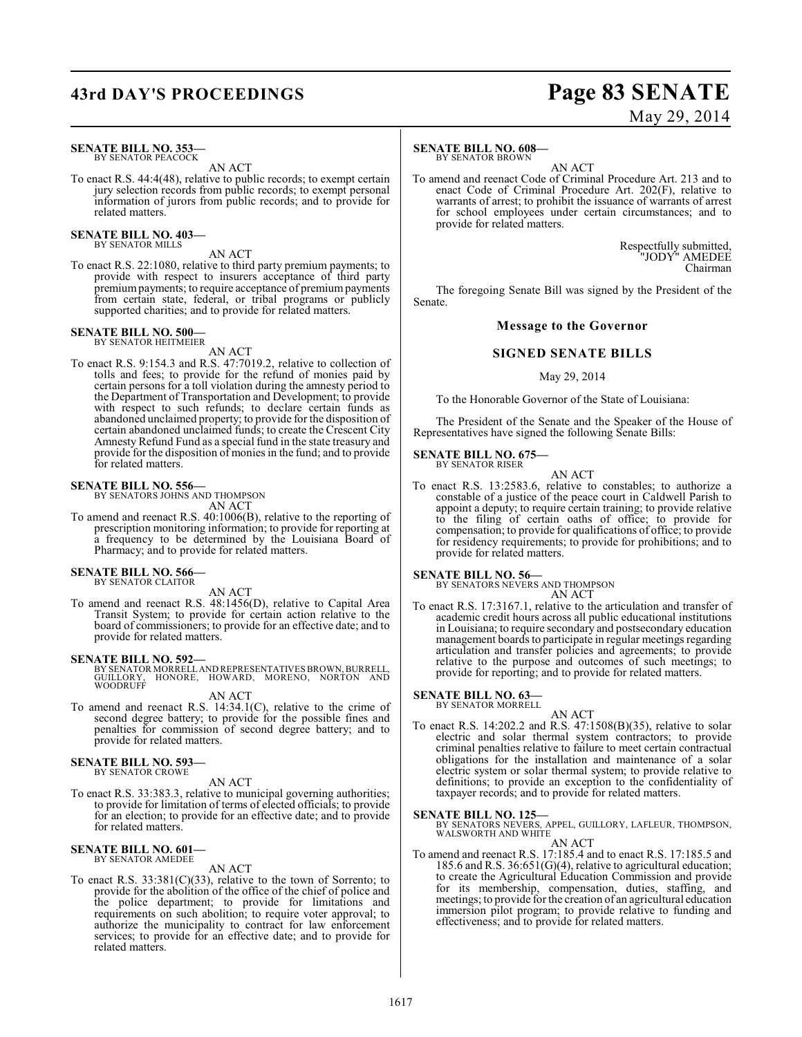# **43rd DAY'S PROCEEDINGS Page 83 SENATE**

# May 29, 2014

#### **SENATE BILL NO. 353** BY SENATOR PEACOCK

AN ACT

To enact R.S. 44:4(48), relative to public records; to exempt certain jury selection records from public records; to exempt personal information of jurors from public records; and to provide for related matters.

#### **SENATE BILL NO. 403—** BY SENATOR MILLS

AN ACT

To enact R.S. 22:1080, relative to third party premium payments; to provide with respect to insurers acceptance of third party premiumpayments; to require acceptance of premium payments from certain state, federal, or tribal programs or publicly supported charities; and to provide for related matters.

# **SENATE BILL NO. 500—** BY SENATOR HEITMEIER

AN ACT

To enact R.S. 9:154.3 and R.S. 47:7019.2, relative to collection of tolls and fees; to provide for the refund of monies paid by certain persons for a toll violation during the amnesty period to the Department of Transportation and Development; to provide with respect to such refunds; to declare certain funds as abandoned unclaimed property; to provide for the disposition of certain abandoned unclaimed funds; to create the Crescent City Amnesty Refund Fund as a special fund in the state treasury and provide for the disposition of monies in the fund; and to provide for related matters.

# **SENATE BILL NO. 556—** BY SENATORS JOHNS AND THOMPSON

AN ACT

To amend and reenact R.S. 40:1006(B), relative to the reporting of prescription monitoring information; to provide for reporting at a frequency to be determined by the Louisiana Board of Pharmacy; and to provide for related matters.

#### **SENATE BILL NO. 566—** BY SENATOR CLAITOR

AN ACT

To amend and reenact R.S. 48:1456(D), relative to Capital Area Transit System; to provide for certain action relative to the board of commissioners; to provide for an effective date; and to provide for related matters.

**SENATE BILL NO. 592—**<br>BY SENATOR MORRELL AND REPRESENTATIVES BROWN, BURRELL,<br>GUILLORY, HONORE, HOWARD, MORENO, NORTON AND<br>WOODRUFF

AN ACT

To amend and reenact R.S. 14:34.1(C), relative to the crime of second degree battery; to provide for the possible fines and penalties for commission of second degree battery; and to provide for related matters.

#### **SENATE BILL NO. 593—** BY SENATOR CROWE

AN ACT

To enact R.S. 33:383.3, relative to municipal governing authorities; to provide for limitation of terms of elected officials; to provide for an election; to provide for an effective date; and to provide for related matters.

#### **SENATE BILL NO. 601—** BY SENATOR AMEDEE

AN ACT

To enact R.S. 33:381(C)(33), relative to the town of Sorrento; to provide for the abolition of the office of the chief of police and the police department; to provide for limitations and requirements on such abolition; to require voter approval; to authorize the municipality to contract for law enforcement services; to provide for an effective date; and to provide for related matters.

#### **SENATE BILL NO. 608—**

BY SENATOR BROWN

AN ACT To amend and reenact Code of Criminal Procedure Art. 213 and to enact Code of Criminal Procedure Art. 202(F), relative to warrants of arrest; to prohibit the issuance of warrants of arrest for school employees under certain circumstances; and to provide for related matters.

> Respectfully submitted, "JODY" AMEDEE Chairman

The foregoing Senate Bill was signed by the President of the Senate.

#### **Message to the Governor**

#### **SIGNED SENATE BILLS**

#### May 29, 2014

To the Honorable Governor of the State of Louisiana:

The President of the Senate and the Speaker of the House of Representatives have signed the following Senate Bills:

#### **SENATE BILL NO. 675—** BY SENATOR RISER

AN ACT

To enact R.S. 13:2583.6, relative to constables; to authorize a constable of a justice of the peace court in Caldwell Parish to appoint a deputy; to require certain training; to provide relative to the filing of certain oaths of office; to provide for compensation; to provide for qualifications of office; to provide for residency requirements; to provide for prohibitions; and to provide for related matters.

# **SENATE BILL NO. 56—**<br>BY SENATORS NEVERS AND THOMPSON

AN ACT

To enact R.S. 17:3167.1, relative to the articulation and transfer of academic credit hours across all public educational institutions in Louisiana; to require secondary and postsecondary education management boards to participate in regular meetings regarding articulation and transfer policies and agreements; to provide relative to the purpose and outcomes of such meetings; to provide for reporting; and to provide for related matters.

#### **SENATE BILL NO. 63—**

BY SENATOR MORRELL

AN ACT To enact R.S. 14:202.2 and R.S. 47:1508(B)(35), relative to solar electric and solar thermal system contractors; to provide criminal penalties relative to failure to meet certain contractual obligations for the installation and maintenance of a solar electric system or solar thermal system; to provide relative to definitions; to provide an exception to the confidentiality of taxpayer records; and to provide for related matters.

**SENATE BILL NO. 125—**<br>BY SENATORS NEVERS, APPEL, GUILLORY, LAFLEUR, THOMPSON, WALSWORTH AND WHITE

AN ACT

To amend and reenact R.S. 17:185.4 and to enact R.S. 17:185.5 and 185.6 and R.S. 36:651(G)(4), relative to agricultural education; to create the Agricultural Education Commission and provide for its membership, compensation, duties, staffing, and meetings; to provide for the creation of an agricultural education immersion pilot program; to provide relative to funding and effectiveness; and to provide for related matters.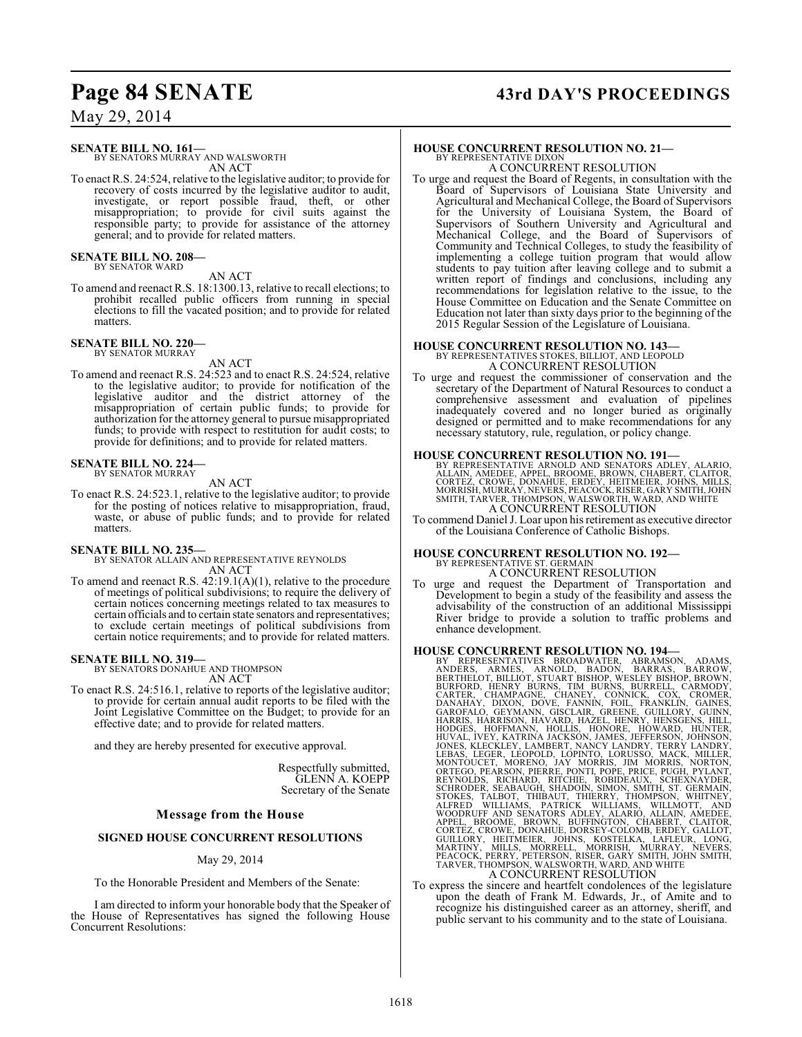# **Page 84 SENATE 43rd DAY'S PROCEEDINGS**

May 29, 2014

**SENATE BILL NO. 161—**

BY SENATORS MURRAY AND WALSWORTH AN ACT

To enact R.S. 24:524, relative to the legislative auditor; to provide for recovery of costs incurred by the legislative auditor to audit, investigate, or report possible fraud, theft, or other misappropriation; to provide for civil suits against the responsible party; to provide for assistance of the attorney general; and to provide for related matters.

**SENATE BILL NO. 208—** BY SENATOR WARD

AN ACT

To amend and reenact R.S. 18:1300.13, relative to recall elections; to prohibit recalled public officers from running in special elections to fill the vacated position; and to provide for related matters.

# **SENATE BILL NO. 220—** BY SENATOR MURRAY

AN ACT

To amend and reenact R.S. 24:523 and to enact R.S. 24:524, relative to the legislative auditor; to provide for notification of the legislative auditor and the district attorney of the misappropriation of certain public funds; to provide for authorization for the attorney general to pursue misappropriated funds; to provide with respect to restitution for audit costs; to provide for definitions; and to provide for related matters.

#### **SENATE BILL NO. 224—** BY SENATOR MURRAY

#### AN ACT

To enact R.S. 24:523.1, relative to the legislative auditor; to provide for the posting of notices relative to misappropriation, fraud, waste, or abuse of public funds; and to provide for related matters.

#### **SENATE BILL NO. 235—**

BY SENATOR ALLAIN AND REPRESENTATIVE REYNOLDS AN ACT

To amend and reenact R.S. 42:19.1(A)(1), relative to the procedure of meetings of political subdivisions; to require the delivery of certain notices concerning meetings related to tax measures to certain officials and to certain state senators and representatives; to exclude certain meetings of political subdivisions from certain notice requirements; and to provide for related matters.

#### **SENATE BILL NO. 319—**

BY SENATORS DONAHUE AND THOMPSON AN ACT

To enact R.S. 24:516.1, relative to reports of the legislative auditor; to provide for certain annual audit reports to be filed with the Joint Legislative Committee on the Budget; to provide for an effective date; and to provide for related matters.

and they are hereby presented for executive approval.

Respectfully submitted, GLENN A. KOEPP Secretary of the Senate

## **Message from the House**

#### **SIGNED HOUSE CONCURRENT RESOLUTIONS**

#### May 29, 2014

To the Honorable President and Members of the Senate:

I am directed to inform your honorable body that the Speaker of the House of Representatives has signed the following House Concurrent Resolutions:

#### **HOUSE CONCURRENT RESOLUTION NO. 21—** BY REPRESENTATIVE DIXON

A CONCURRENT RESOLUTION

To urge and request the Board of Regents, in consultation with the Board of Supervisors of Louisiana State University and Agricultural and Mechanical College, the Board of Supervisors for the University of Louisiana System, the Board of Supervisors of Southern University and Agricultural and Mechanical College, and the Board of Supervisors of Community and Technical Colleges, to study the feasibility of implementing a college tuition program that would allow students to pay tuition after leaving college and to submit a written report of findings and conclusions, including any recommendations for legislation relative to the issue, to the House Committee on Education and the Senate Committee on Education not later than sixty days prior to the beginning of the 2015 Regular Session of the Legislature of Louisiana.

# **HOUSE CONCURRENT RESOLUTION NO. 143—** BY REPRESENTATIVES STOKES, BILLIOT, AND LEOPOLD

A CONCURRENT RESOLUTION

To urge and request the commissioner of conservation and the secretary of the Department of Natural Resources to conduct a comprehensive assessment and evaluation of pipelines inadequately covered and no longer buried as originally designed or permitted and to make recommendations for any necessary statutory, rule, regulation, or policy change.

#### **HOUSE CONCURRENT RESOLUTION NO. 191—**

BY REPRESENTATIVE ARNOLD AND SENATORS ADLEY, ALARIO,<br>ALLAIN, AMEDEE, APPEL, BROOME, BROWN, CHABERT, CLAITOR,<br>CORTEZ, CROWE, DONAHUE, ERDEY, HEITMEIER, JOHNS, MILLS,<br>MORRISH, MURRAY, NEVERS, PEACOCK, RISER, GARY SMITH, JOHN

To commend Daniel J. Loar upon hisretirement as executive director of the Louisiana Conference of Catholic Bishops.

### **HOUSE CONCURRENT RESOLUTION NO. 192—**

BY REPRESENTATIVE ST. GERMA A CONCURRENT RESOLUTION

To urge and request the Department of Transportation and Development to begin a study of the feasibility and assess the advisability of the construction of an additional Mississippi River bridge to provide a solution to traffic problems and enhance development.

- HOUSE CONCURRENT RESOLUTION NO. 194-<br>BY REPRESENTATIVES BROADWATER, ABRAMSON, ADAMS, ANDERS, ARMES, ARNOLD, BADON, BARRAS, BARROW,<br>BERTHELOT, BILIOT, STUART BISHOP, WESLEY BISHOP, BROWN,<br>BURFORD, HEINT BURNS, TIM BURNS, BU
- To express the sincere and heartfelt condolences of the legislature To express the sincere and heartfelt condolences of the legislature upon the death of Frank M. Edwards, Jr., of Amite and to recognize his distinguished career as an attorney, sheriff, and public servant to his community and to the state of Louisiana.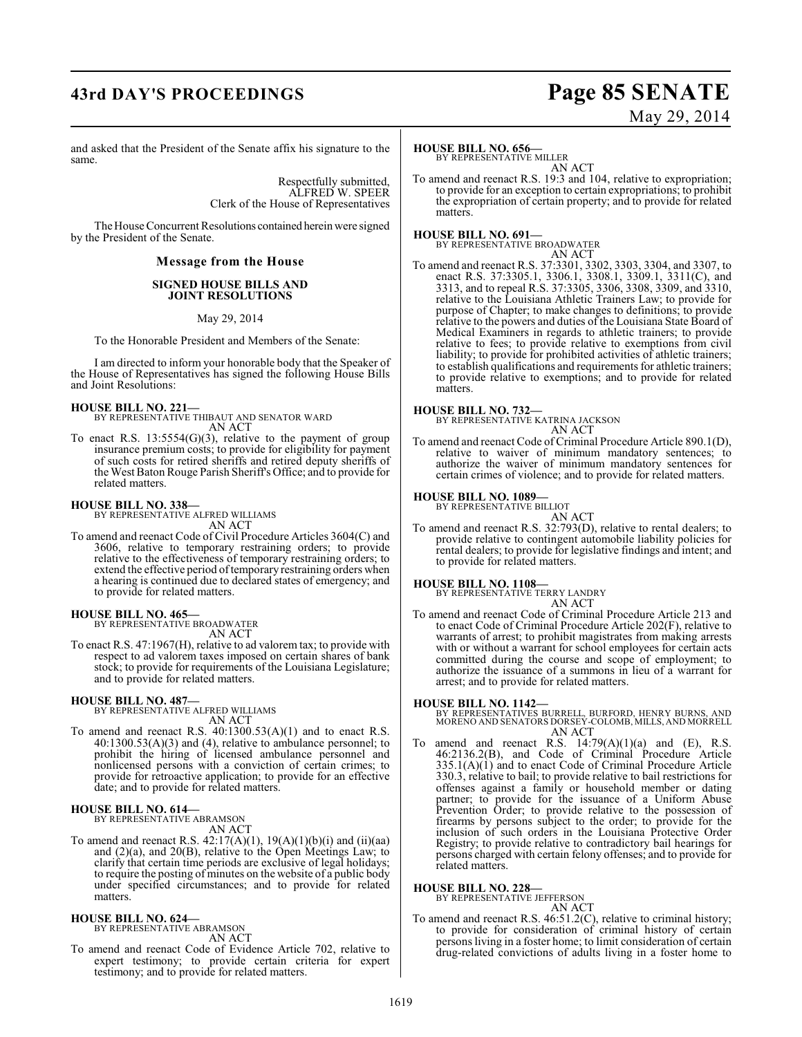# **43rd DAY'S PROCEEDINGS Page 85 SENATE**

# May 29, 2014

and asked that the President of the Senate affix his signature to the same.

> Respectfully submitted, ALFRED W. SPEER Clerk of the House of Representatives

The House Concurrent Resolutions contained herein were signed by the President of the Senate.

#### **Message from the House**

#### **SIGNED HOUSE BILLS AND JOINT RESOLUTIONS**

May 29, 2014

To the Honorable President and Members of the Senate:

I am directed to inform your honorable body that the Speaker of the House of Representatives has signed the following House Bills and Joint Resolutions:

#### **HOUSE BILL NO. 221—**

BY REPRESENTATIVE THIBAUT AND SENATOR WARD AN ACT

To enact R.S.  $13:5554(G)(3)$ , relative to the payment of group insurance premium costs; to provide for eligibility for payment of such costs for retired sheriffs and retired deputy sheriffs of the West Baton Rouge Parish Sheriff's Office; and to provide for related matters.

# **HOUSE BILL NO. 338—** BY REPRESENTATIVE ALFRED WILLIAMS

AN ACT

To amend and reenact Code of Civil Procedure Articles 3604(C) and 3606, relative to temporary restraining orders; to provide relative to the effectiveness of temporary restraining orders; to extend the effective period of temporary restraining orders when a hearing is continued due to declared states of emergency; and to provide for related matters.

**HOUSE BILL NO. 465—**

BY REPRESENTATIVE BROADWATER AN ACT

To enact R.S. 47:1967(H), relative to ad valorem tax; to provide with respect to ad valorem taxes imposed on certain shares of bank stock; to provide for requirements of the Louisiana Legislature; and to provide for related matters.

#### **HOUSE BILL NO. 487—**

BY REPRESENTATIVE ALFRED WILLIAMS AN ACT

To amend and reenact R.S.  $40:1300.53(A)(1)$  and to enact R.S. 40:1300.53(A)(3) and (4), relative to ambulance personnel; to prohibit the hiring of licensed ambulance personnel and nonlicensed persons with a conviction of certain crimes; to provide for retroactive application; to provide for an effective date; and to provide for related matters.

#### **HOUSE BILL NO. 614—**

BY REPRESENTATIVE ABRAMSON AN ACT

To amend and reenact R.S. 42:17(A)(1), 19(A)(1)(b)(i) and (ii)(aa) and (2)(a), and 20(B), relative to the Open Meetings Law; to clarify that certain time periods are exclusive of legal holidays; to require the posting of minutes on the website of a public body under specified circumstances; and to provide for related matters.

# **HOUSE BILL NO. 624—** BY REPRESENTATIVE ABRAMSON

AN ACT

To amend and reenact Code of Evidence Article 702, relative to expert testimony; to provide certain criteria for expert testimony; and to provide for related matters.

## **HOUSE BILL NO. 656—**

BY REPRESENTATIVE MILLER

AN ACT To amend and reenact R.S. 19:3 and 104, relative to expropriation; to provide for an exception to certain expropriations; to prohibit the expropriation of certain property; and to provide for related matters.

#### **HOUSE BILL NO. 691—**

BY REPRESENTATIVE BROADWATER AN ACT

To amend and reenact R.S. 37:3301, 3302, 3303, 3304, and 3307, to enact R.S. 37:3305.1, 3306.1, 3308.1, 3309.1, 3311(C), and 3313, and to repeal R.S. 37:3305, 3306, 3308, 3309, and 3310, relative to the Louisiana Athletic Trainers Law; to provide for purpose of Chapter; to make changes to definitions; to provide relative to the powers and duties of the Louisiana State Board of Medical Examiners in regards to athletic trainers; to provide relative to fees; to provide relative to exemptions from civil liability; to provide for prohibited activities of athletic trainers; to establish qualifications and requirements for athletic trainers; to provide relative to exemptions; and to provide for related matters.

#### **HOUSE BILL NO. 732—**

BY REPRESENTATIVE KATRINA JACKSON AN ACT

To amend and reenact Code of Criminal Procedure Article 890.1(D), relative to waiver of minimum mandatory sentences; to authorize the waiver of minimum mandatory sentences for certain crimes of violence; and to provide for related matters.

#### **HOUSE BILL NO. 1089—**

BY REPRESENTATIVE BILLIOT

AN ACT

To amend and reenact R.S. 32:793(D), relative to rental dealers; to provide relative to contingent automobile liability policies for rental dealers; to provide for legislative findings and intent; and to provide for related matters.

#### **HOUSE BILL NO. 1108—**

BY REPRESENTATIVE TERRY LANDRY AN ACT

To amend and reenact Code of Criminal Procedure Article 213 and to enact Code of Criminal Procedure Article 202(F), relative to warrants of arrest; to prohibit magistrates from making arrests with or without a warrant for school employees for certain acts committed during the course and scope of employment; to authorize the issuance of a summons in lieu of a warrant for arrest; and to provide for related matters.

**HOUSE BILL NO. 1142—** BY REPRESENTATIVES BURRELL, BURFORD, HENRY BURNS, AND MORENO AND SENATORS DORSEY-COLOMB, MILLS, AND MORRELL AN ACT

To amend and reenact R.S.  $14:79(A)(1)(a)$  and  $(E)$ , R.S. 46:2136.2(B), and Code of Criminal Procedure Article 335.1(A)(1) and to enact Code of Criminal Procedure Article 330.3, relative to bail; to provide relative to bail restrictions for offenses against a family or household member or dating partner; to provide for the issuance of a Uniform Abuse Prevention Order; to provide relative to the possession of firearms by persons subject to the order; to provide for the inclusion of such orders in the Louisiana Protective Order Registry; to provide relative to contradictory bail hearings for persons charged with certain felony offenses; and to provide for related matters.

**HOUSE BILL NO. 228—**

BY REPRESENTATIVE JEFFERSON

- AN ACT To amend and reenact R.S. 46:51.2(C), relative to criminal history;
- to provide for consideration of criminal history of certain personsliving in a foster home; to limit consideration of certain drug-related convictions of adults living in a foster home to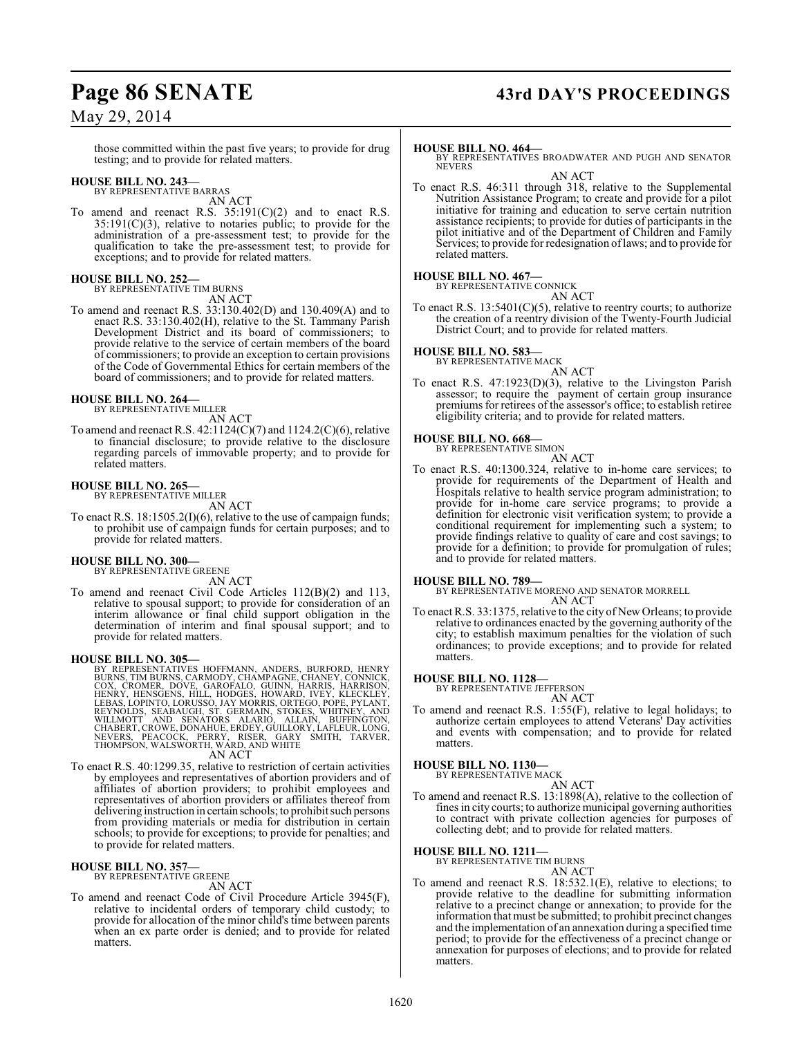# **Page 86 SENATE 43rd DAY'S PROCEEDINGS**

## May 29, 2014

those committed within the past five years; to provide for drug testing; and to provide for related matters.

# **HOUSE BILL NO. 243—** BY REPRESENTATIVE BARRAS

AN ACT

To amend and reenact R.S.  $35:191(C)(2)$  and to enact R.S.  $35:191(C)(3)$ , relative to notaries public; to provide for the administration of a pre-assessment test; to provide for the qualification to take the pre-assessment test; to provide for exceptions; and to provide for related matters.

#### **HOUSE BILL NO. 252—**

BY REPRESENTATIVE TIM BURNS AN ACT

To amend and reenact R.S. 33:130.402(D) and 130.409(A) and to enact R.S. 33:130.402(H), relative to the St. Tammany Parish Development District and its board of commissioners; to provide relative to the service of certain members of the board of commissioners; to provide an exception to certain provisions of the Code of Governmental Ethics for certain members of the board of commissioners; and to provide for related matters.

# **HOUSE BILL NO. 264—** BY REPRESENTATIVE MILLER

AN ACT

To amend and reenact R.S. 42:1124(C)(7) and 1124.2(C)(6), relative to financial disclosure; to provide relative to the disclosure regarding parcels of immovable property; and to provide for related matters.

#### **HOUSE BILL NO. 265—** BY REPRESENTATIVE MILLER

AN ACT

To enact R.S. 18:1505.2(I)(6), relative to the use of campaign funds; to prohibit use of campaign funds for certain purposes; and to provide for related matters.

# **HOUSE BILL NO. 300—** BY REPRESENTATIVE GREENE

AN ACT To amend and reenact Civil Code Articles 112(B)(2) and 113, relative to spousal support; to provide for consideration of an interim allowance or final child support obligation in the determination of interim and final spousal support; and to provide for related matters.

HOUSE BILL NO. 305—<br>
BY REPRESENTATIVES HOFFMANN, ANDERS, BURFORD, HENRY<br>
BURNS, TIM BURNS, CARMODY, CHAMPAGNE, CHANEY, CONNICK,<br>
COX, CROMER, DOVE, GAROFALO, GUINN, HARRIS, HARRISON,<br>
HENRY, HENSGENS, HILL, HODGES, HOWARD AN ACT

To enact R.S. 40:1299.35, relative to restriction of certain activities by employees and representatives of abortion providers and of affiliates of abortion providers; to prohibit employees and representatives of abortion providers or affiliates thereof from delivering instruction in certain schools; to prohibit such persons from providing materials or media for distribution in certain schools; to provide for exceptions; to provide for penalties; and to provide for related matters.

#### **HOUSE BILL NO. 357—**

BY REPRESENTATIVE GREENE

AN ACT To amend and reenact Code of Civil Procedure Article 3945(F), relative to incidental orders of temporary child custody; to provide for allocation of the minor child's time between parents when an ex parte order is denied; and to provide for related matters.

#### **HOUSE BILL NO. 464—**

BY REPRESENTATIVES BROADWATER AND PUGH AND SENATOR NEVERS

AN ACT

To enact R.S. 46:311 through 318, relative to the Supplemental Nutrition Assistance Program; to create and provide for a pilot initiative for training and education to serve certain nutrition assistance recipients; to provide for duties of participants in the pilot initiative and of the Department of Children and Family Services; to provide for redesignation of laws; and to provide for related matters.

#### **HOUSE BILL NO. 467—**

BY REPRESENTATIVE CONNICK AN ACT

To enact R.S.  $13:5401(C)(5)$ , relative to reentry courts; to authorize the creation of a reentry division of the Twenty-Fourth Judicial District Court; and to provide for related matters.

#### **HOUSE BILL NO. 583—** BY REPRESENTATIVE MACK

AN ACT

To enact R.S. 47:1923(D)(3), relative to the Livingston Parish assessor; to require the payment of certain group insurance premiums for retirees of the assessor's office; to establish retiree eligibility criteria; and to provide for related matters.

#### **HOUSE BILL NO. 668—**

BY REPRESENTATIVE SIMON AN ACT

To enact R.S. 40:1300.324, relative to in-home care services; to provide for requirements of the Department of Health and Hospitals relative to health service program administration; to provide for in-home care service programs; to provide a definition for electronic visit verification system; to provide a conditional requirement for implementing such a system; to provide findings relative to quality of care and cost savings; to provide for a definition; to provide for promulgation of rules; and to provide for related matters.

#### **HOUSE BILL NO. 789—**

BY REPRESENTATIVE MORENO AND SENATOR MORRELL AN ACT

To enact R.S. 33:1375, relative to the city of New Orleans; to provide relative to ordinances enacted by the governing authority of the city; to establish maximum penalties for the violation of such ordinances; to provide exceptions; and to provide for related matters.

# **HOUSE BILL NO. 1128—** BY REPRESENTATIVE JEFFERSON

AN ACT

To amend and reenact R.S. 1:55(F), relative to legal holidays; to authorize certain employees to attend Veterans' Day activities and events with compensation; and to provide for related matters.

**HOUSE BILL NO. 1130—** BY REPRESENTATIVE MACK

AN ACT

To amend and reenact R.S. 13:1898(A), relative to the collection of fines in city courts; to authorize municipal governing authorities to contract with private collection agencies for purposes of collecting debt; and to provide for related matters.

#### **HOUSE BILL NO. 1211—**

BY REPRESENTATIVE TIM BURNS AN ACT

To amend and reenact R.S. 18:532.1(E), relative to elections; to provide relative to the deadline for submitting information relative to a precinct change or annexation; to provide for the information that must be submitted; to prohibit precinct changes and the implementation of an annexation during a specified time period; to provide for the effectiveness of a precinct change or annexation for purposes of elections; and to provide for related matters.